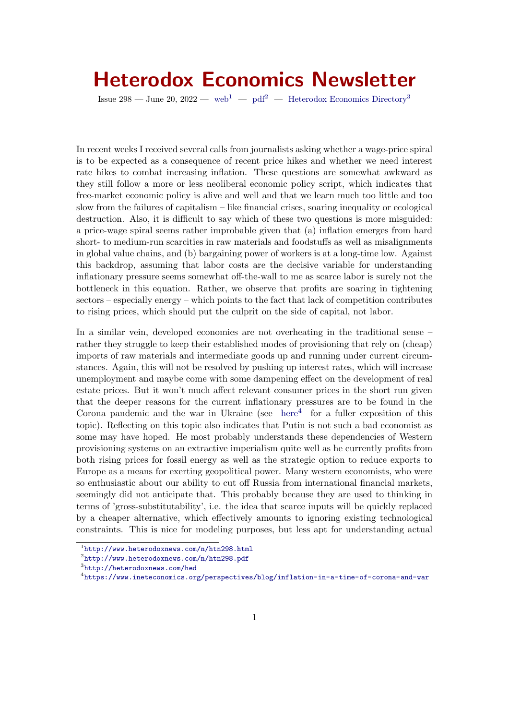# Heterodox Economics Newsletter

Issue 298 — June 20, 2022 — [web](http://www.heterodoxnews.com/n/htn298.html)<sup>[1](#page-0-0)</sup> — [pdf](http://www.heterodoxnews.com/n/htn298.pdf)<sup>[2](#page-0-1)</sup> — [Heterodox Economics Directory](http://heterodoxnews.com/hed)<sup>[3](#page-0-2)</sup>

In recent weeks I received several calls from journalists asking whether a wage-price spiral is to be expected as a consequence of recent price hikes and whether we need interest rate hikes to combat increasing inflation. These questions are somewhat awkward as they still follow a more or less neoliberal economic policy script, which indicates that free-market economic policy is alive and well and that we learn much too little and too slow from the failures of capitalism – like financial crises, soaring inequality or ecological destruction. Also, it is difficult to say which of these two questions is more misguided: a price-wage spiral seems rather improbable given that (a) inflation emerges from hard short- to medium-run scarcities in raw materials and foodstuffs as well as misalignments in global value chains, and (b) bargaining power of workers is at a long-time low. Against this backdrop, assuming that labor costs are the decisive variable for understanding inflationary pressure seems somewhat off-the-wall to me as scarce labor is surely not the bottleneck in this equation. Rather, we observe that profits are soaring in tightening sectors – especially energy – which points to the fact that lack of competition contributes to rising prices, which should put the culprit on the side of capital, not labor.

In a similar vein, developed economies are not overheating in the traditional sense – rather they struggle to keep their established modes of provisioning that rely on (cheap) imports of raw materials and intermediate goods up and running under current circumstances. Again, this will not be resolved by pushing up interest rates, which will increase unemployment and maybe come with some dampening effect on the development of real estate prices. But it won't much affect relevant consumer prices in the short run given that the deeper reasons for the current inflationary pressures are to be found in the Corona pandemic and the war in Ukraine (see [here](https://www.ineteconomics.org/perspectives/blog/inflation-in-a-time-of-corona-and-war) $4$  for a fuller exposition of this topic). Reflecting on this topic also indicates that Putin is not such a bad economist as some may have hoped. He most probably understands these dependencies of Western provisioning systems on an extractive imperialism quite well as he currently profits from both rising prices for fossil energy as well as the strategic option to reduce exports to Europe as a means for exerting geopolitical power. Many western economists, who were so enthusiastic about our ability to cut off Russia from international financial markets, seemingly did not anticipate that. This probably because they are used to thinking in terms of 'gross-substitutability', i.e. the idea that scarce inputs will be quickly replaced by a cheaper alternative, which effectively amounts to ignoring existing technological constraints. This is nice for modeling purposes, but less apt for understanding actual

<span id="page-0-0"></span><sup>1</sup> <http://www.heterodoxnews.com/n/htn298.html>

<span id="page-0-1"></span> $^{2}$ <http://www.heterodoxnews.com/n/htn298.pdf>

<span id="page-0-2"></span><sup>3</sup> <http://heterodoxnews.com/hed>

<span id="page-0-3"></span><sup>4</sup> <https://www.ineteconomics.org/perspectives/blog/inflation-in-a-time-of-corona-and-war>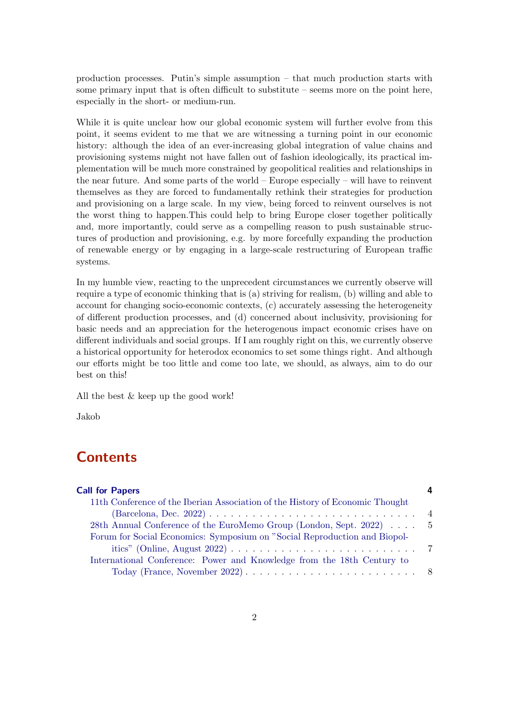production processes. Putin's simple assumption – that much production starts with some primary input that is often difficult to substitute – seems more on the point here, especially in the short- or medium-run.

While it is quite unclear how our global economic system will further evolve from this point, it seems evident to me that we are witnessing a turning point in our economic history: although the idea of an ever-increasing global integration of value chains and provisioning systems might not have fallen out of fashion ideologically, its practical implementation will be much more constrained by geopolitical realities and relationships in the near future. And some parts of the world – Europe especially – will have to reinvent themselves as they are forced to fundamentally rethink their strategies for production and provisioning on a large scale. In my view, being forced to reinvent ourselves is not the worst thing to happen.This could help to bring Europe closer together politically and, more importantly, could serve as a compelling reason to push sustainable structures of production and provisioning, e.g. by more forcefully expanding the production of renewable energy or by engaging in a large-scale restructuring of European traffic systems.

In my humble view, reacting to the unprecedent circumstances we currently observe will require a type of economic thinking that is (a) striving for realism, (b) willing and able to account for changing socio-economic contexts, (c) accurately assessing the heterogeneity of different production processes, and (d) concerned about inclusivity, provisioning for basic needs and an appreciation for the heterogenous impact economic crises have on different individuals and social groups. If I am roughly right on this, we currently observe a historical opportunity for heterodox economics to set some things right. And although our efforts might be too little and come too late, we should, as always, aim to do our best on this!

All the best & keep up the good work!

Jakob

## **Contents**

| <b>Call for Papers</b>                                                        |  |
|-------------------------------------------------------------------------------|--|
| 11th Conference of the Iberian Association of the History of Economic Thought |  |
|                                                                               |  |
| 28th Annual Conference of the EuroMemo Group (London, Sept. 2022)  5          |  |
| Forum for Social Economics: Symposium on "Social Reproduction and Biopol-     |  |
|                                                                               |  |
| International Conference: Power and Knowledge from the 18th Century to        |  |
|                                                                               |  |
|                                                                               |  |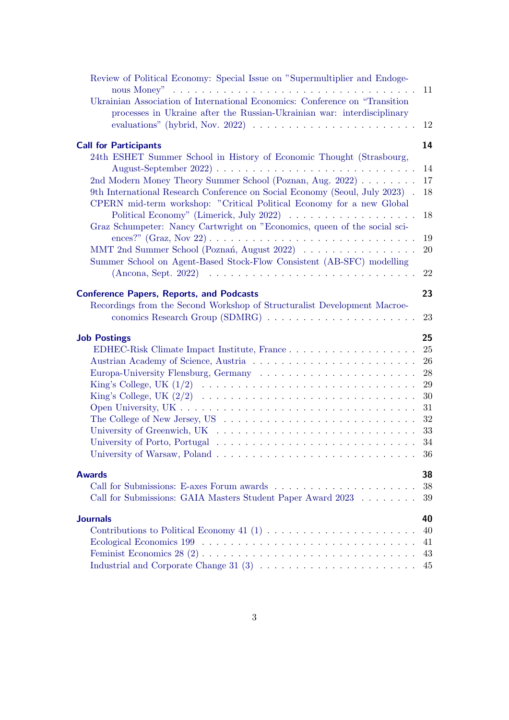| Review of Political Economy: Special Issue on "Supermultiplier and Endoge-                                                                              |    |
|---------------------------------------------------------------------------------------------------------------------------------------------------------|----|
| Ukrainian Association of International Economics: Conference on "Transition"<br>processes in Ukraine after the Russian-Ukrainian war: interdisciplinary | 11 |
| evaluations" (hybrid, Nov. 2022) $\ldots \ldots \ldots \ldots \ldots \ldots \ldots$                                                                     | 12 |
| <b>Call for Participants</b>                                                                                                                            | 14 |
| 24th ESHET Summer School in History of Economic Thought (Strasbourg,                                                                                    |    |
| August-September 2022) $\ldots \ldots \ldots \ldots \ldots \ldots \ldots \ldots \ldots \ldots$                                                          | 14 |
| 2nd Modern Money Theory Summer School (Poznan, Aug. 2022)                                                                                               | 17 |
| 9th International Research Conference on Social Economy (Seoul, July 2023).<br>CPERN mid-term workshop: "Critical Political Economy for a new Global    | 18 |
| Political Economy" (Limerick, July 2022) $\ldots \ldots \ldots \ldots \ldots$                                                                           | 18 |
| Graz Schumpeter: Nancy Cartwright on "Economics, queen of the social sci-                                                                               |    |
|                                                                                                                                                         | 19 |
| MMT 2nd Summer School (Poznań, August 2022)<br>Summer School on Agent-Based Stock-Flow Consistent (AB-SFC) modelling                                    | 20 |
| $(An cona, Sept. 2022) \dots \dots \dots \dots \dots \dots \dots \dots \dots \dots \dots$                                                               | 22 |
| <b>Conference Papers, Reports, and Podcasts</b>                                                                                                         | 23 |
| Recordings from the Second Workshop of Structuralist Development Macroe-                                                                                |    |
|                                                                                                                                                         | 23 |
| <b>Job Postings</b>                                                                                                                                     | 25 |
|                                                                                                                                                         | 25 |
|                                                                                                                                                         | 26 |
| Europa-University Flensburg, Germany                                                                                                                    | 28 |
|                                                                                                                                                         | 29 |
|                                                                                                                                                         | 30 |
|                                                                                                                                                         | 31 |
|                                                                                                                                                         | 32 |
|                                                                                                                                                         | 33 |
|                                                                                                                                                         | 34 |
|                                                                                                                                                         |    |
| <b>Awards</b>                                                                                                                                           | 38 |
|                                                                                                                                                         | 38 |
| Call for Submissions: GAIA Masters Student Paper Award 2023                                                                                             | 39 |
| <b>Journals</b>                                                                                                                                         | 40 |
|                                                                                                                                                         | 40 |
|                                                                                                                                                         | 41 |
|                                                                                                                                                         | 43 |
| Industrial and Corporate Change 31 (3) $\ldots \ldots \ldots \ldots \ldots \ldots \ldots$                                                               | 45 |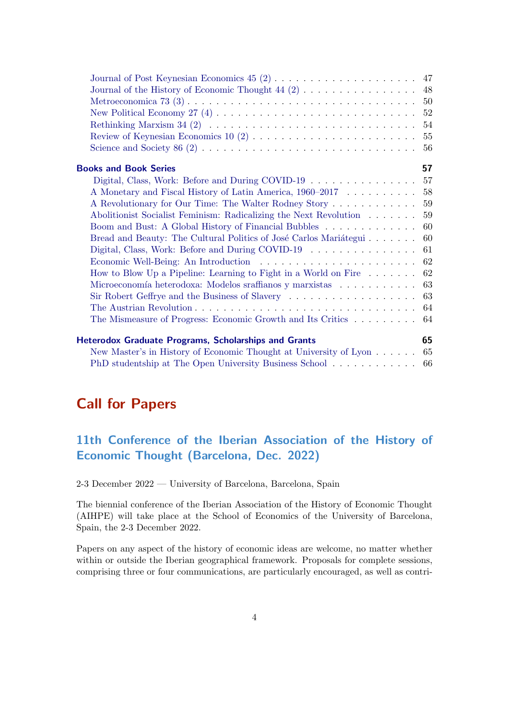| 54                                                                                                    |
|-------------------------------------------------------------------------------------------------------|
| 55                                                                                                    |
| 56                                                                                                    |
| 57<br><b>Books and Book Series</b>                                                                    |
| Digital, Class, Work: Before and During COVID-19<br>57                                                |
| A Monetary and Fiscal History of Latin America, 1960–2017<br>58                                       |
| 59<br>A Revolutionary for Our Time: The Walter Rodney Story                                           |
| 59<br>Abolitionist Socialist Feminism: Radicalizing the Next Revolution                               |
| Boom and Bust: A Global History of Financial Bubbles<br>60                                            |
| 60<br>Bread and Beauty: The Cultural Politics of José Carlos Mariátegui                               |
| Digital, Class, Work: Before and During COVID-19<br>61                                                |
| 62                                                                                                    |
| How to Blow Up a Pipeline: Learning to Fight in a World on Fire $\dots \dots$<br>62                   |
| Microeconomía heterodoxa: Modelos sraffianos y marxistas $\hfill\ldots\ldots\ldots\ldots\ldots$<br>63 |
| 63                                                                                                    |
| 64                                                                                                    |
| The Mismeasure of Progress: Economic Growth and Its Critics<br>64                                     |
| 65<br><b>Heterodox Graduate Programs, Scholarships and Grants</b>                                     |
| New Master's in History of Economic Thought at University of Lyon<br>65                               |
| PhD studentship at The Open University Business School 66                                             |

## <span id="page-3-0"></span>Call for Papers

## <span id="page-3-1"></span>11th Conference of the Iberian Association of the History of Economic Thought (Barcelona, Dec. 2022)

2-3 December 2022 — University of Barcelona, Barcelona, Spain

The biennial conference of the Iberian Association of the History of Economic Thought (AIHPE) will take place at the School of Economics of the University of Barcelona, Spain, the 2-3 December 2022.

Papers on any aspect of the history of economic ideas are welcome, no matter whether within or outside the Iberian geographical framework. Proposals for complete sessions, comprising three or four communications, are particularly encouraged, as well as contri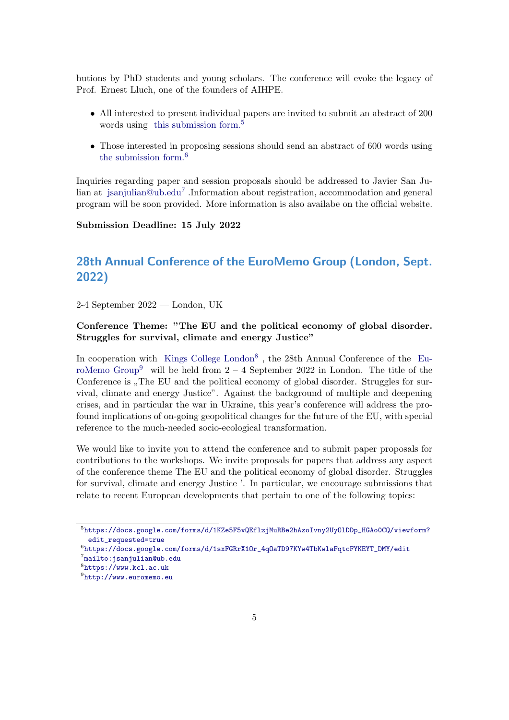butions by PhD students and young scholars. The conference will evoke the legacy of Prof. Ernest Lluch, one of the founders of AIHPE.

- All interested to present individual papers are invited to submit an abstract of 200 words using [this submission form.](https://docs.google.com/forms/d/1KZe5F5vQEflzjMuRBe2hAzoIvny2UyOlDDp_HGAo0CQ/viewform?edit_requested=true)<sup>[5](#page-4-1)</sup>
- Those interested in proposing sessions should send an abstract of 600 words using [the submission form.](https://docs.google.com/forms/d/1sxFGRrX1Or_4qOaTD97KYw4TbKwlaFqtcFYKEYT_DMY/edit)[6](#page-4-2)

Inquiries regarding paper and session proposals should be addressed to Javier San Julian at [jsanjulian@ub.edu](mailto:jsanjulian@ub.edu)<sup>[7](#page-4-3)</sup> .Information about registration, accommodation and general program will be soon provided. More information is also availabe on the official website.

#### Submission Deadline: 15 July 2022

## <span id="page-4-0"></span>28th Annual Conference of the EuroMemo Group (London, Sept. 2022)

2-4 September 2022 — London, UK

### Conference Theme: "The EU and the political economy of global disorder. Struggles for survival, climate and energy Justice"

In cooperation with [Kings College London](https://www.kcl.ac.uk)<sup>[8](#page-4-4)</sup>, the 28th Annual Conference of the [Eu](http://www.euromemo.eu)[roMemo Group](http://www.euromemo.eu)<sup>[9](#page-4-5)</sup> will be held from  $2 - 4$  September 2022 in London. The title of the Conference is  $n$ , The EU and the political economy of global disorder. Struggles for survival, climate and energy Justice". Against the background of multiple and deepening crises, and in particular the war in Ukraine, this year's conference will address the profound implications of on-going geopolitical changes for the future of the EU, with special reference to the much-needed socio-ecological transformation.

We would like to invite you to attend the conference and to submit paper proposals for contributions to the workshops. We invite proposals for papers that address any aspect of the conference theme The EU and the political economy of global disorder. Struggles for survival, climate and energy Justice '. In particular, we encourage submissions that relate to recent European developments that pertain to one of the following topics:

<span id="page-4-1"></span> $^5$ https://docs.google.com/forms/d/1KZe5F5vQEflzjMuRBe2hAzoIvny2UyO1DDp\_HGAo0CQ/viewform? [edit\\_requested=true](https://docs.google.com/forms/d/1KZe5F5vQEflzjMuRBe2hAzoIvny2UyOlDDp_HGAo0CQ/viewform?edit_requested=true)

<span id="page-4-2"></span> $^6$ [https://docs.google.com/forms/d/1sxFGRrX1Or\\_4qOaTD97KYw4TbKwlaFqtcFYKEYT\\_DMY/edit](https://docs.google.com/forms/d/1sxFGRrX1Or_4qOaTD97KYw4TbKwlaFqtcFYKEYT_DMY/edit)

<span id="page-4-4"></span><span id="page-4-3"></span> ${\rm \tau_{mailto}}$ :jsanjulian@ub.edu 8 <https://www.kcl.ac.uk>

<span id="page-4-5"></span> $^{9}$ <http://www.euromemo.eu>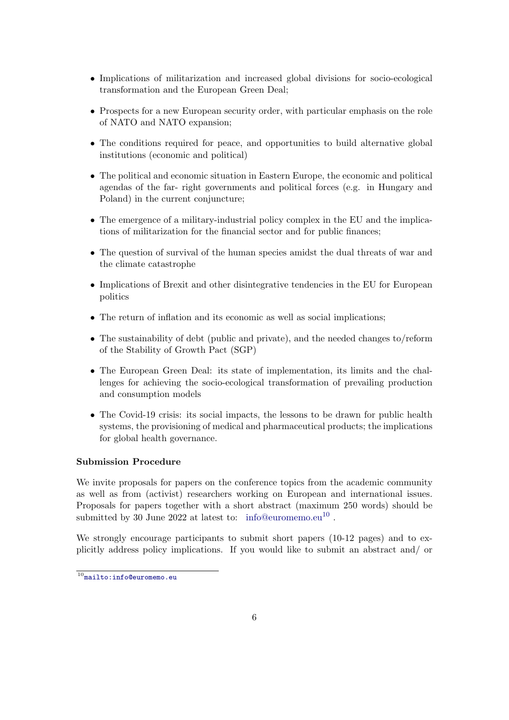- Implications of militarization and increased global divisions for socio-ecological transformation and the European Green Deal;
- Prospects for a new European security order, with particular emphasis on the role of NATO and NATO expansion;
- The conditions required for peace, and opportunities to build alternative global institutions (economic and political)
- The political and economic situation in Eastern Europe, the economic and political agendas of the far- right governments and political forces (e.g. in Hungary and Poland) in the current conjuncture;
- The emergence of a military-industrial policy complex in the EU and the implications of militarization for the financial sector and for public finances;
- The question of survival of the human species amidst the dual threats of war and the climate catastrophe
- Implications of Brexit and other disintegrative tendencies in the EU for European politics
- The return of inflation and its economic as well as social implications;
- The sustainability of debt (public and private), and the needed changes to/reform of the Stability of Growth Pact (SGP)
- The European Green Deal: its state of implementation, its limits and the challenges for achieving the socio-ecological transformation of prevailing production and consumption models
- The Covid-19 crisis: its social impacts, the lessons to be drawn for public health systems, the provisioning of medical and pharmaceutical products; the implications for global health governance.

#### Submission Procedure

We invite proposals for papers on the conference topics from the academic community as well as from (activist) researchers working on European and international issues. Proposals for papers together with a short abstract (maximum 250 words) should be submitted by 30 June 2022 at latest to: [info@euromemo.eu](mailto:info@euromemo.eu)<sup>[10](#page-5-0)</sup>.

We strongly encourage participants to submit short papers (10-12 pages) and to explicitly address policy implications. If you would like to submit an abstract and/ or

<span id="page-5-0"></span> $\overline{10}_{\texttt{mailto:info@euromemo.eu}}$  $\overline{10}_{\texttt{mailto:info@euromemo.eu}}$  $\overline{10}_{\texttt{mailto:info@euromemo.eu}}$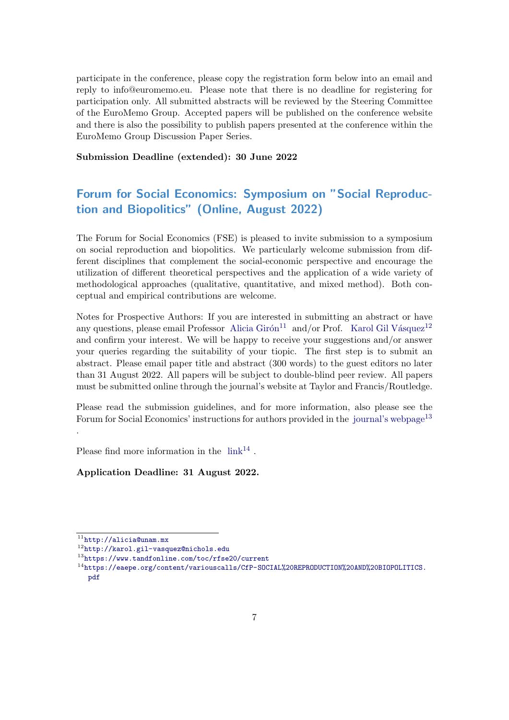participate in the conference, please copy the registration form below into an email and reply to info@euromemo.eu. Please note that there is no deadline for registering for participation only. All submitted abstracts will be reviewed by the Steering Committee of the EuroMemo Group. Accepted papers will be published on the conference website and there is also the possibility to publish papers presented at the conference within the EuroMemo Group Discussion Paper Series.

Submission Deadline (extended): 30 June 2022

## <span id="page-6-0"></span>Forum for Social Economics: Symposium on "Social Reproduction and Biopolitics" (Online, August 2022)

The Forum for Social Economics (FSE) is pleased to invite submission to a symposium on social reproduction and biopolitics. We particularly welcome submission from different disciplines that complement the social-economic perspective and encourage the utilization of different theoretical perspectives and the application of a wide variety of methodological approaches (qualitative, quantitative, and mixed method). Both conceptual and empirical contributions are welcome.

Notes for Prospective Authors: If you are interested in submitting an abstract or have any questions, please email Professor Alicia Girón<sup>[11](#page-6-2)</sup> and/or Prof. Karol Gil Vásquez<sup>[12](#page-6-3)</sup> and confirm your interest. We will be happy to receive your suggestions and/or answer your queries regarding the suitability of your tiopic. The first step is to submit an abstract. Please email paper title and abstract (300 words) to the guest editors no later than 31 August 2022. All papers will be subject to double-blind peer review. All papers must be submitted online through the journal's website at Taylor and Francis/Routledge.

Please read the submission guidelines, and for more information, also please see the Forum for Social Economics' instructions for authors provided in the [journal's webpage](https://www.tandfonline.com/toc/rfse20/current)<sup>[13](#page-6-4)</sup> .

Please find more information in the  $\mathrm{link}^{14}$  $\mathrm{link}^{14}$  $\mathrm{link}^{14}$  $\mathrm{link}^{14}$  $\mathrm{link}^{14}$ .

<span id="page-6-1"></span>Application Deadline: 31 August 2022.

<span id="page-6-2"></span> $11$ <http://alicia@unam.mx>

<span id="page-6-3"></span><sup>12</sup><http://karol.gil-vasquez@nichols.edu>

<span id="page-6-4"></span><sup>13</sup><https://www.tandfonline.com/toc/rfse20/current>

<span id="page-6-5"></span><sup>14</sup>[https://eaepe.org/content/variouscalls/CfP-SOCIAL%20REPRODUCTION%20AND%20BIOPOLITICS.](https://eaepe.org/content/variouscalls/CfP-SOCIAL%20REPRODUCTION%20AND%20BIOPOLITICS.pdf) [pdf](https://eaepe.org/content/variouscalls/CfP-SOCIAL%20REPRODUCTION%20AND%20BIOPOLITICS.pdf)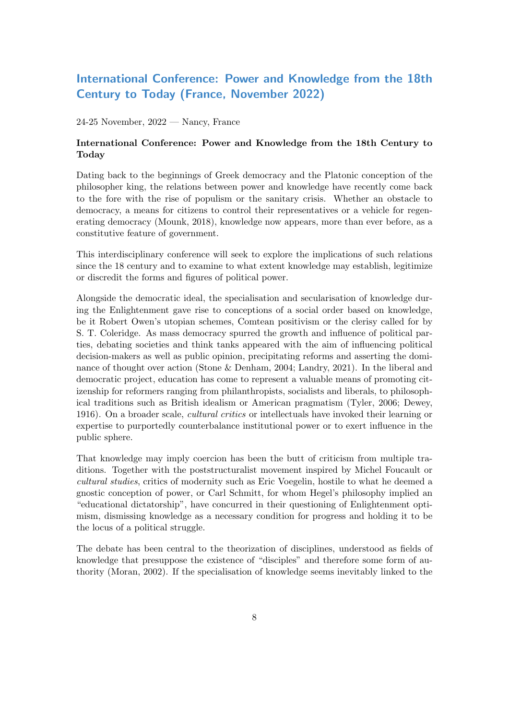## International Conference: Power and Knowledge from the 18th Century to Today (France, November 2022)

24-25 November, 2022 — Nancy, France

### International Conference: Power and Knowledge from the 18th Century to Today

Dating back to the beginnings of Greek democracy and the Platonic conception of the philosopher king, the relations between power and knowledge have recently come back to the fore with the rise of populism or the sanitary crisis. Whether an obstacle to democracy, a means for citizens to control their representatives or a vehicle for regenerating democracy (Mounk, 2018), knowledge now appears, more than ever before, as a constitutive feature of government.

This interdisciplinary conference will seek to explore the implications of such relations since the 18 century and to examine to what extent knowledge may establish, legitimize or discredit the forms and figures of political power.

Alongside the democratic ideal, the specialisation and secularisation of knowledge during the Enlightenment gave rise to conceptions of a social order based on knowledge, be it Robert Owen's utopian schemes, Comtean positivism or the clerisy called for by S. T. Coleridge. As mass democracy spurred the growth and influence of political parties, debating societies and think tanks appeared with the aim of influencing political decision-makers as well as public opinion, precipitating reforms and asserting the dominance of thought over action (Stone & Denham, 2004; Landry, 2021). In the liberal and democratic project, education has come to represent a valuable means of promoting citizenship for reformers ranging from philanthropists, socialists and liberals, to philosophical traditions such as British idealism or American pragmatism (Tyler, 2006; Dewey, 1916). On a broader scale, *cultural critics* or intellectuals have invoked their learning or expertise to purportedly counterbalance institutional power or to exert influence in the public sphere.

That knowledge may imply coercion has been the butt of criticism from multiple traditions. Together with the poststructuralist movement inspired by Michel Foucault or cultural studies, critics of modernity such as Eric Voegelin, hostile to what he deemed a gnostic conception of power, or Carl Schmitt, for whom Hegel's philosophy implied an "educational dictatorship", have concurred in their questioning of Enlightenment optimism, dismissing knowledge as a necessary condition for progress and holding it to be the locus of a political struggle.

The debate has been central to the theorization of disciplines, understood as fields of knowledge that presuppose the existence of "disciples" and therefore some form of authority (Moran, 2002). If the specialisation of knowledge seems inevitably linked to the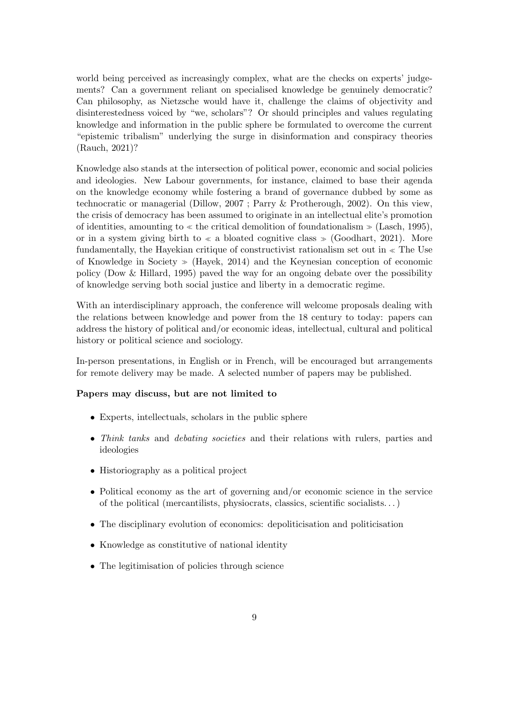world being perceived as increasingly complex, what are the checks on experts' judgements? Can a government reliant on specialised knowledge be genuinely democratic? Can philosophy, as Nietzsche would have it, challenge the claims of objectivity and disinterestedness voiced by "we, scholars"? Or should principles and values regulating knowledge and information in the public sphere be formulated to overcome the current "epistemic tribalism" underlying the surge in disinformation and conspiracy theories (Rauch, 2021)?

Knowledge also stands at the intersection of political power, economic and social policies and ideologies. New Labour governments, for instance, claimed to base their agenda on the knowledge economy while fostering a brand of governance dubbed by some as technocratic or managerial (Dillow, 2007 ; Parry & Protherough, 2002). On this view, the crisis of democracy has been assumed to originate in an intellectual elite's promotion of identities, amounting to  $\ll$  the critical demolition of foundationalism  $\gg$  (Lasch, 1995), or in a system giving birth to  $\ll$  a bloated cognitive class  $\gg$  (Goodhart, 2021). More fundamentally, the Hayekian critique of constructivist rationalism set out in  $\ll$  The Use of Knowledge in Society  $\gg$  (Hayek, 2014) and the Keynesian conception of economic policy (Dow & Hillard, 1995) paved the way for an ongoing debate over the possibility of knowledge serving both social justice and liberty in a democratic regime.

With an interdisciplinary approach, the conference will welcome proposals dealing with the relations between knowledge and power from the 18 century to today: papers can address the history of political and/or economic ideas, intellectual, cultural and political history or political science and sociology.

In-person presentations, in English or in French, will be encouraged but arrangements for remote delivery may be made. A selected number of papers may be published.

#### Papers may discuss, but are not limited to

- Experts, intellectuals, scholars in the public sphere
- Think tanks and debating societies and their relations with rulers, parties and ideologies
- Historiography as a political project
- Political economy as the art of governing and/or economic science in the service of the political (mercantilists, physiocrats, classics, scientific socialists. . . )
- The disciplinary evolution of economics: depoliticisation and politicisation
- Knowledge as constitutive of national identity
- The legitimisation of policies through science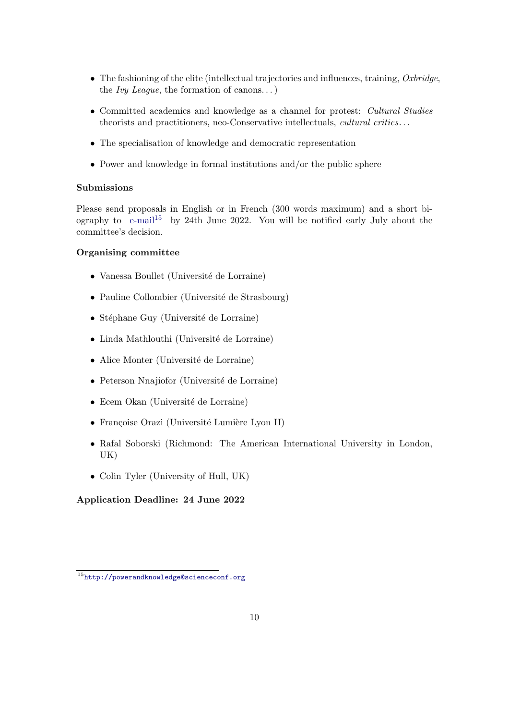- The fashioning of the elite (intellectual trajectories and influences, training,  $Oxbridge$ , the *Ivy League*, the formation of canons...)
- Committed academics and knowledge as a channel for protest: *Cultural Studies* theorists and practitioners, neo-Conservative intellectuals, cultural critics. . .
- The specialisation of knowledge and democratic representation
- Power and knowledge in formal institutions and/or the public sphere

### Submissions

Please send proposals in English or in French (300 words maximum) and a short biography to  $e$ -mail<sup>[15](#page-9-1)</sup> by 24th June 2022. You will be notified early July about the committee's decision.

### Organising committee

- $\bullet$  Vanessa Boullet (Université de Lorraine)
- $\bullet$  Pauline Collombier (Université de Strasbourg)
- Stéphane Guy (Université de Lorraine)
- $\bullet$  Linda Mathlouthi (Université de Lorraine)
- Alice Monter (Université de Lorraine)
- Peterson Nnajiofor (Université de Lorraine)
- Ecem Okan (Université de Lorraine)
- Françoise Orazi (Université Lumière Lyon II)
- Rafal Soborski (Richmond: The American International University in London, UK)
- Colin Tyler (University of Hull, UK)

### <span id="page-9-0"></span>Application Deadline: 24 June 2022

<span id="page-9-1"></span><sup>15</sup><http://powerandknowledge@scienceconf.org>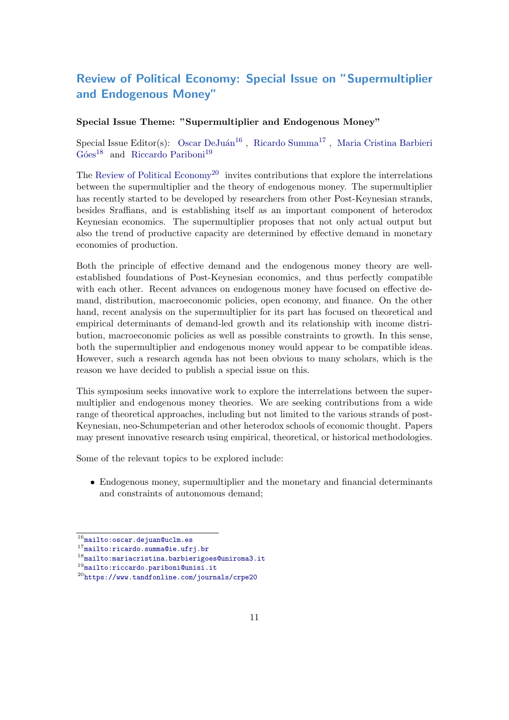## Review of Political Economy: Special Issue on "Supermultiplier and Endogenous Money"

### Special Issue Theme: "Supermultiplier and Endogenous Money"

Special Issue Editor(s): Oscar DeJuán<sup>[16](#page-10-0)</sup>, [Ricardo Summa](mailto:ricardo.summa@ie.ufrj.br)<sup>[17](#page-10-1)</sup>, [Maria Cristina Barbieri](mailto:mariacristina.barbierigoes@uniroma3.it)  $Góes<sup>18</sup>$  $Góes<sup>18</sup>$  $Góes<sup>18</sup>$  and [Riccardo Pariboni](mailto:riccardo.pariboni@unisi.it)<sup>[19](#page-10-3)</sup>

The [Review of Political Economy](https://www.tandfonline.com/journals/crpe20)<sup>[20](#page-10-4)</sup> invites contributions that explore the interrelations between the supermultiplier and the theory of endogenous money. The supermultiplier has recently started to be developed by researchers from other Post-Keynesian strands, besides Sraffians, and is establishing itself as an important component of heterodox Keynesian economics. The supermultiplier proposes that not only actual output but also the trend of productive capacity are determined by effective demand in monetary economies of production.

Both the principle of effective demand and the endogenous money theory are wellestablished foundations of Post-Keynesian economics, and thus perfectly compatible with each other. Recent advances on endogenous money have focused on effective demand, distribution, macroeconomic policies, open economy, and finance. On the other hand, recent analysis on the supermultiplier for its part has focused on theoretical and empirical determinants of demand-led growth and its relationship with income distribution, macroeconomic policies as well as possible constraints to growth. In this sense, both the supermultiplier and endogenous money would appear to be compatible ideas. However, such a research agenda has not been obvious to many scholars, which is the reason we have decided to publish a special issue on this.

This symposium seeks innovative work to explore the interrelations between the supermultiplier and endogenous money theories. We are seeking contributions from a wide range of theoretical approaches, including but not limited to the various strands of post-Keynesian, neo-Schumpeterian and other heterodox schools of economic thought. Papers may present innovative research using empirical, theoretical, or historical methodologies.

Some of the relevant topics to be explored include:

• Endogenous money, supermultiplier and the monetary and financial determinants and constraints of autonomous demand;

<span id="page-10-0"></span> $16$ <mailto:oscar.dejuan@uclm.es>

<span id="page-10-1"></span> $^{17}$  <mailto:ricardo.summa@ie.ufrj.br>

<span id="page-10-2"></span> $^{18}$ <mailto:mariacristina.barbierigoes@uniroma3.it>

<span id="page-10-3"></span> $^{19}$ <mailto:riccardo.pariboni@unisi.it>

<span id="page-10-4"></span><sup>20</sup><https://www.tandfonline.com/journals/crpe20>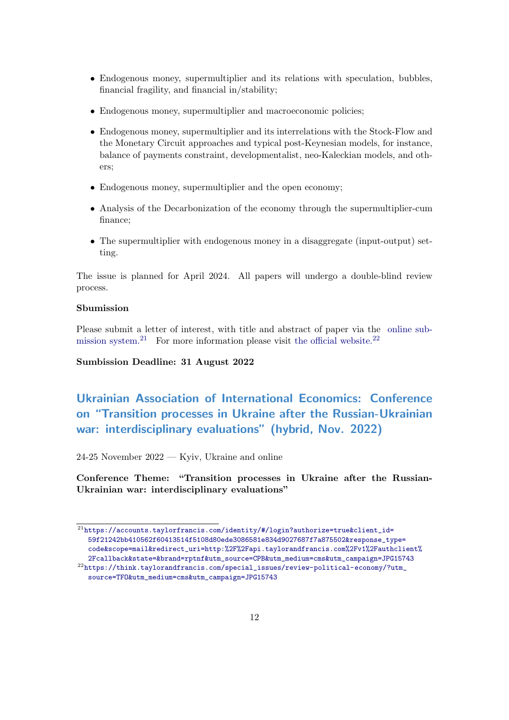- Endogenous money, supermultiplier and its relations with speculation, bubbles, financial fragility, and financial in/stability;
- Endogenous money, supermultiplier and macroeconomic policies;
- Endogenous money, supermultiplier and its interrelations with the Stock-Flow and the Monetary Circuit approaches and typical post-Keynesian models, for instance, balance of payments constraint, developmentalist, neo-Kaleckian models, and others;
- Endogenous money, supermultiplier and the open economy;
- Analysis of the Decarbonization of the economy through the supermultiplier-cum finance;
- The supermultiplier with endogenous money in a disaggregate (input-output) setting.

The issue is planned for April 2024. All papers will undergo a double-blind review process.

### Sbumission

Please submit a letter of interest, with title and abstract of paper via the [online sub](https://accounts.taylorfrancis.com/identity/#/login?authorize=true&client_id=59f21242bb410562f60413514f5108d80ede3086581e834d9027687f7a875502&response_type=code&scope=mail&redirect_uri=http:%2F%2Fapi.taylorandfrancis.com%2Fv1%2Fauthclient%2Fcallback&state=&brand=rptnf&utm_source=CPB&utm_medium=cms&utm_campaign=JPG15743)[mission system.](https://accounts.taylorfrancis.com/identity/#/login?authorize=true&client_id=59f21242bb410562f60413514f5108d80ede3086581e834d9027687f7a875502&response_type=code&scope=mail&redirect_uri=http:%2F%2Fapi.taylorandfrancis.com%2Fv1%2Fauthclient%2Fcallback&state=&brand=rptnf&utm_source=CPB&utm_medium=cms&utm_campaign=JPG15743)<sup>[21](#page-11-1)</sup> For more information please visit [the official website.](https://think.taylorandfrancis.com/special_issues/review-political-economy/?utm_source=TFO&utm_medium=cms&utm_campaign=JPG15743)<sup>[22](#page-11-2)</sup>

Sumbission Deadline: 31 August 2022

## <span id="page-11-0"></span>Ukrainian Association of International Economics: Conference on "Transition processes in Ukraine after the Russian-Ukrainian war: interdisciplinary evaluations" (hybrid, Nov. 2022)

 $24-25$  November  $2022$  — Kyiv, Ukraine and online

Conference Theme: "Transition processes in Ukraine after the Russian-Ukrainian war: interdisciplinary evaluations"

<span id="page-11-1"></span> $21$ [https://accounts.taylorfrancis.com/identity/#/login?authorize=true&client\\_id=](https://accounts.taylorfrancis.com/identity/#/login?authorize=true&client_id=59f21242bb410562f60413514f5108d80ede3086581e834d9027687f7a875502&response_type=code&scope=mail&redirect_uri=http:%2F%2Fapi.taylorandfrancis.com%2Fv1%2Fauthclient%2Fcallback&state=&brand=rptnf&utm_source=CPB&utm_medium=cms&utm_campaign=JPG15743) [59f21242bb410562f60413514f5108d80ede3086581e834d9027687f7a875502&response\\_type=](https://accounts.taylorfrancis.com/identity/#/login?authorize=true&client_id=59f21242bb410562f60413514f5108d80ede3086581e834d9027687f7a875502&response_type=code&scope=mail&redirect_uri=http:%2F%2Fapi.taylorandfrancis.com%2Fv1%2Fauthclient%2Fcallback&state=&brand=rptnf&utm_source=CPB&utm_medium=cms&utm_campaign=JPG15743) [code&scope=mail&redirect\\_uri=http:%2F%2Fapi.taylorandfrancis.com%2Fv1%2Fauthclient%](https://accounts.taylorfrancis.com/identity/#/login?authorize=true&client_id=59f21242bb410562f60413514f5108d80ede3086581e834d9027687f7a875502&response_type=code&scope=mail&redirect_uri=http:%2F%2Fapi.taylorandfrancis.com%2Fv1%2Fauthclient%2Fcallback&state=&brand=rptnf&utm_source=CPB&utm_medium=cms&utm_campaign=JPG15743) [2Fcallback&state=&brand=rptnf&utm\\_source=CPB&utm\\_medium=cms&utm\\_campaign=JPG15743](https://accounts.taylorfrancis.com/identity/#/login?authorize=true&client_id=59f21242bb410562f60413514f5108d80ede3086581e834d9027687f7a875502&response_type=code&scope=mail&redirect_uri=http:%2F%2Fapi.taylorandfrancis.com%2Fv1%2Fauthclient%2Fcallback&state=&brand=rptnf&utm_source=CPB&utm_medium=cms&utm_campaign=JPG15743)

<span id="page-11-2"></span> $^{22}$ [https://think.taylorandfrancis.com/special\\_issues/review-political-economy/?utm\\_](https://think.taylorandfrancis.com/special_issues/review-political-economy/?utm_source=TFO&utm_medium=cms&utm_campaign=JPG15743) [source=TFO&utm\\_medium=cms&utm\\_campaign=JPG15743](https://think.taylorandfrancis.com/special_issues/review-political-economy/?utm_source=TFO&utm_medium=cms&utm_campaign=JPG15743)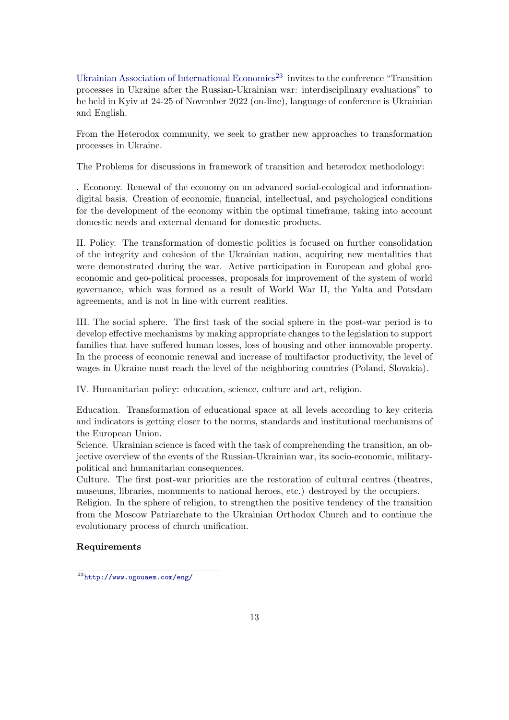[Ukrainian Association of International Economics](http://www.ugouaem.com/eng/)<sup>[23](#page-12-0)</sup> invites to the conference "Transition" processes in Ukraine after the Russian-Ukrainian war: interdisciplinary evaluations" to be held in Kyiv at 24-25 of November 2022 (on-line), language of conference is Ukrainian and English.

From the Heterodox community, we seek to grather new approaches to transformation processes in Ukraine.

The Problems for discussions in framework of transition and heterodox methodology:

. Economy. Renewal of the economy on an advanced social-ecological and informationdigital basis. Creation of economic, financial, intellectual, and psychological conditions for the development of the economy within the optimal timeframe, taking into account domestic needs and external demand for domestic products.

II. Policy. The transformation of domestic politics is focused on further consolidation of the integrity and cohesion of the Ukrainian nation, acquiring new mentalities that were demonstrated during the war. Active participation in European and global geoeconomic and geo-political processes, proposals for improvement of the system of world governance, which was formed as a result of World War II, the Yalta and Potsdam agreements, and is not in line with current realities.

III. The social sphere. The first task of the social sphere in the post-war period is to develop effective mechanisms by making appropriate changes to the legislation to support families that have suffered human losses, loss of housing and other immovable property. In the process of economic renewal and increase of multifactor productivity, the level of wages in Ukraine must reach the level of the neighboring countries (Poland, Slovakia).

IV. Humanitarian policy: education, science, culture and art, religion.

Education. Transformation of educational space at all levels according to key criteria and indicators is getting closer to the norms, standards and institutional mechanisms of the European Union.

Science. Ukrainian science is faced with the task of comprehending the transition, an objective overview of the events of the Russian-Ukrainian war, its socio-economic, militarypolitical and humanitarian consequences.

Culture. The first post-war priorities are the restoration of cultural centres (theatres, museums, libraries, monuments to national heroes, etc.) destroyed by the occupiers.

Religion. In the sphere of religion, to strengthen the positive tendency of the transition from the Moscow Patriarchate to the Ukrainian Orthodox Church and to continue the evolutionary process of church unification.

### Requirements

<span id="page-12-0"></span><sup>23</sup><http://www.ugouaem.com/eng/>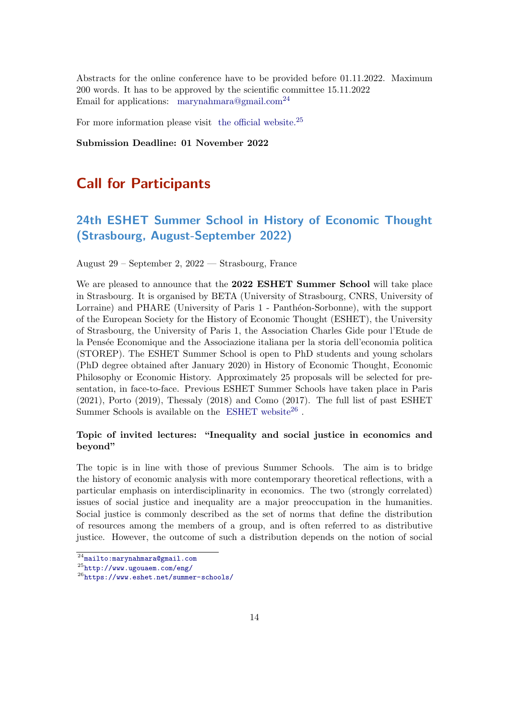Abstracts for the online conference have to be provided before 01.11.2022. Maximum 200 words. It has to be approved by the scientific committee 15.11.2022 Email for applications: [marynahmara@gmail.com](mailto:marynahmara@gmail.com)<sup>[24](#page-13-2)</sup>

For more information please visit [the official website.](http://www.ugouaem.com/eng/)<sup>[25](#page-13-3)</sup>

Submission Deadline: 01 November 2022

## <span id="page-13-0"></span>Call for Participants

## <span id="page-13-1"></span>24th ESHET Summer School in History of Economic Thought (Strasbourg, August-September 2022)

August 29 – September 2, 2022 — Strasbourg, France

We are pleased to announce that the 2022 ESHET Summer School will take place in Strasbourg. It is organised by BETA (University of Strasbourg, CNRS, University of Lorraine) and PHARE (University of Paris 1 - Panthéon-Sorbonne), with the support of the European Society for the History of Economic Thought (ESHET), the University of Strasbourg, the University of Paris 1, the Association Charles Gide pour l'Etude de la Pensée Economique and the Associazione italiana per la storia dell'economia politica (STOREP). The ESHET Summer School is open to PhD students and young scholars (PhD degree obtained after January 2020) in History of Economic Thought, Economic Philosophy or Economic History. Approximately 25 proposals will be selected for presentation, in face-to-face. Previous ESHET Summer Schools have taken place in Paris (2021), Porto (2019), Thessaly (2018) and Como (2017). The full list of past ESHET Summer Schools is available on the [ESHET website](https://www.eshet.net/summer-schools/)<sup>[26](#page-13-4)</sup>.

### Topic of invited lectures: "Inequality and social justice in economics and beyond"

The topic is in line with those of previous Summer Schools. The aim is to bridge the history of economic analysis with more contemporary theoretical reflections, with a particular emphasis on interdisciplinarity in economics. The two (strongly correlated) issues of social justice and inequality are a major preoccupation in the humanities. Social justice is commonly described as the set of norms that define the distribution of resources among the members of a group, and is often referred to as distributive justice. However, the outcome of such a distribution depends on the notion of social

<span id="page-13-2"></span><sup>24</sup><mailto:marynahmara@gmail.com>

<span id="page-13-3"></span><sup>25</sup><http://www.ugouaem.com/eng/>

<span id="page-13-4"></span><sup>26</sup><https://www.eshet.net/summer-schools/>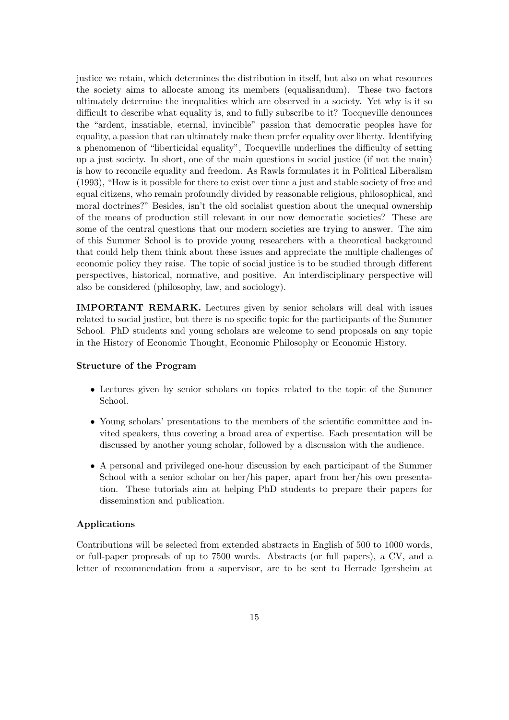justice we retain, which determines the distribution in itself, but also on what resources the society aims to allocate among its members (equalisandum). These two factors ultimately determine the inequalities which are observed in a society. Yet why is it so difficult to describe what equality is, and to fully subscribe to it? Tocqueville denounces the "ardent, insatiable, eternal, invincible" passion that democratic peoples have for equality, a passion that can ultimately make them prefer equality over liberty. Identifying a phenomenon of "liberticidal equality", Tocqueville underlines the difficulty of setting up a just society. In short, one of the main questions in social justice (if not the main) is how to reconcile equality and freedom. As Rawls formulates it in Political Liberalism (1993), "How is it possible for there to exist over time a just and stable society of free and equal citizens, who remain profoundly divided by reasonable religious, philosophical, and moral doctrines?" Besides, isn't the old socialist question about the unequal ownership of the means of production still relevant in our now democratic societies? These are some of the central questions that our modern societies are trying to answer. The aim of this Summer School is to provide young researchers with a theoretical background that could help them think about these issues and appreciate the multiple challenges of economic policy they raise. The topic of social justice is to be studied through different perspectives, historical, normative, and positive. An interdisciplinary perspective will also be considered (philosophy, law, and sociology).

IMPORTANT REMARK. Lectures given by senior scholars will deal with issues related to social justice, but there is no specific topic for the participants of the Summer School. PhD students and young scholars are welcome to send proposals on any topic in the History of Economic Thought, Economic Philosophy or Economic History.

#### Structure of the Program

- Lectures given by senior scholars on topics related to the topic of the Summer School.
- Young scholars' presentations to the members of the scientific committee and invited speakers, thus covering a broad area of expertise. Each presentation will be discussed by another young scholar, followed by a discussion with the audience.
- A personal and privileged one-hour discussion by each participant of the Summer School with a senior scholar on her/his paper, apart from her/his own presentation. These tutorials aim at helping PhD students to prepare their papers for dissemination and publication.

#### Applications

Contributions will be selected from extended abstracts in English of 500 to 1000 words, or full-paper proposals of up to 7500 words. Abstracts (or full papers), a CV, and a letter of recommendation from a supervisor, are to be sent to Herrade Igersheim at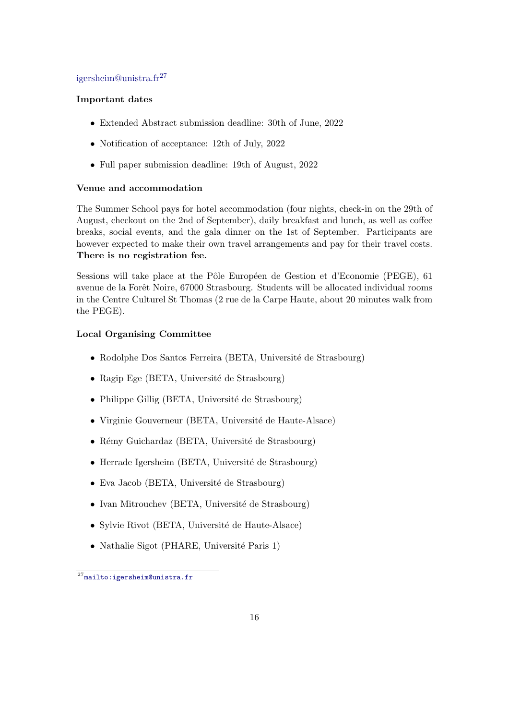### [igersheim@unistra.fr](mailto:igersheim@unistra.fr)[27](#page-15-0)

### Important dates

- Extended Abstract submission deadline: 30th of June, 2022
- Notification of acceptance: 12th of July, 2022
- Full paper submission deadline: 19th of August, 2022

### Venue and accommodation

The Summer School pays for hotel accommodation (four nights, check-in on the 29th of August, checkout on the 2nd of September), daily breakfast and lunch, as well as coffee breaks, social events, and the gala dinner on the 1st of September. Participants are however expected to make their own travel arrangements and pay for their travel costs. There is no registration fee.

Sessions will take place at the Pôle Européen de Gestion et d'Economie (PEGE), 61 avenue de la Forêt Noire, 67000 Strasbourg. Students will be allocated individual rooms in the Centre Culturel St Thomas (2 rue de la Carpe Haute, about 20 minutes walk from the PEGE).

### Local Organising Committee

- Rodolphe Dos Santos Ferreira (BETA, Université de Strasbourg)
- Ragip Ege (BETA, Université de Strasbourg)
- $\bullet$  Philippe Gillig (BETA, Université de Strasbourg)
- Virginie Gouverneur (BETA, Université de Haute-Alsace)
- $\bullet$  Rémy Guichardaz (BETA, Université de Strasbourg)
- Herrade Igersheim (BETA, Université de Strasbourg)
- $\bullet$  Eva Jacob (BETA, Université de Strasbourg)
- $\bullet$  Ivan Mitrouchev (BETA, Université de Strasbourg)
- Sylvie Rivot (BETA, Université de Haute-Alsace)
- Nathalie Sigot (PHARE, Université Paris 1)

<span id="page-15-0"></span> $27$ <mailto:igersheim@unistra.fr>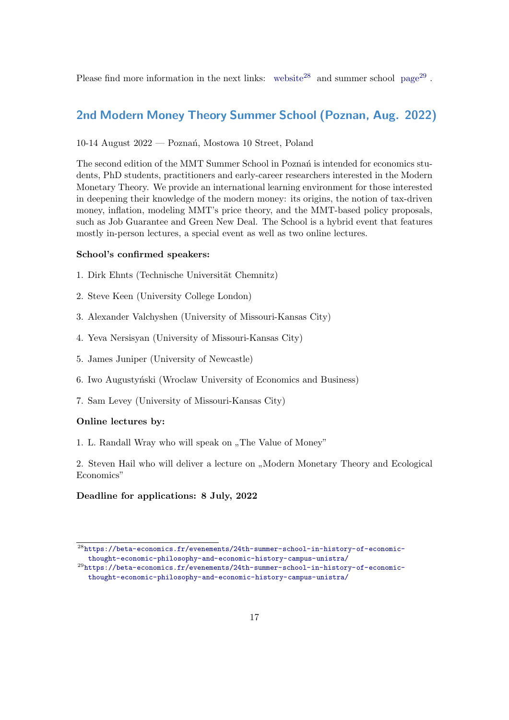Please find more information in the next links: [website](https://beta-economics.fr/evenements/24th-summer-school-in-history-of-economic-thought-economic-philosophy-and-economic-history-campus-unistra/)<sup>[28](#page-16-1)</sup> and summer school [page](https://beta-economics.fr/evenements/24th-summer-school-in-history-of-economic-thought-economic-philosophy-and-economic-history-campus-unistra/)<sup>[29](#page-16-2)</sup>.

### <span id="page-16-0"></span>2nd Modern Money Theory Summer School (Poznan, Aug. 2022)

10-14 August 2022 — Pozna´n, Mostowa 10 Street, Poland

The second edition of the MMT Summer School in Poznań is intended for economics students, PhD students, practitioners and early-career researchers interested in the Modern Monetary Theory. We provide an international learning environment for those interested in deepening their knowledge of the modern money: its origins, the notion of tax-driven money, inflation, modeling MMT's price theory, and the MMT-based policy proposals, such as Job Guarantee and Green New Deal. The School is a hybrid event that features mostly in-person lectures, a special event as well as two online lectures.

#### School's confirmed speakers:

- 1. Dirk Ehnts (Technische Universität Chemnitz)
- 2. Steve Keen (University College London)
- 3. Alexander Valchyshen (University of Missouri-Kansas City)
- 4. Yeva Nersisyan (University of Missouri-Kansas City)
- 5. James Juniper (University of Newcastle)
- 6. Iwo Augustyński (Wroclaw University of Economics and Business)
- 7. Sam Levey (University of Missouri-Kansas City)

#### Online lectures by:

1. L. Randall Wray who will speak on "The Value of Money"

2. Steven Hail who will deliver a lecture on "Modern Monetary Theory and Ecological Economics"

#### Deadline for applications: 8 July, 2022

<span id="page-16-1"></span> $^{28}\rm{https://beta-economics.fr/evenements/24th-summer-school-in-history-of-economic-}$ [thought-economic-philosophy-and-economic-history-campus-unistra/](https://beta-economics.fr/evenements/24th-summer-school-in-history-of-economic-thought-economic-philosophy-and-economic-history-campus-unistra/)

<span id="page-16-2"></span> $^{29}$ [https://beta-economics.fr/evenements/24th-summer-school-in-history-of-economic](https://beta-economics.fr/evenements/24th-summer-school-in-history-of-economic-thought-economic-philosophy-and-economic-history-campus-unistra/)[thought-economic-philosophy-and-economic-history-campus-unistra/](https://beta-economics.fr/evenements/24th-summer-school-in-history-of-economic-thought-economic-philosophy-and-economic-history-campus-unistra/)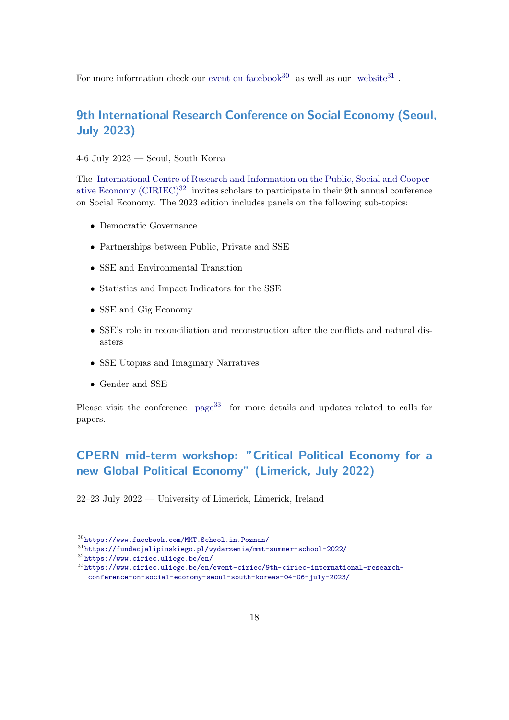For more information check our [event on facebook](https://www.facebook.com/MMT.School.in.Poznan/)<sup>[30](#page-17-2)</sup> as well as our [website](https://fundacjalipinskiego.pl/wydarzenia/mmt-summer-school-2022/)<sup>[31](#page-17-3)</sup>.

## <span id="page-17-0"></span>9th International Research Conference on Social Economy (Seoul, July 2023)

4-6 July 2023 — Seoul, South Korea

The [International Centre of Research and Information on the Public, Social and Cooper](https://www.ciriec.uliege.be/en/)ative Economy  $(CIRIEC)^{32}$  $(CIRIEC)^{32}$  $(CIRIEC)^{32}$  invites scholars to participate in their 9th annual conference on Social Economy. The 2023 edition includes panels on the following sub-topics:

- Democratic Governance
- Partnerships between Public, Private and SSE
- SSE and Environmental Transition
- Statistics and Impact Indicators for the SSE
- SSE and Gig Economy
- SSE's role in reconciliation and reconstruction after the conflicts and natural disasters
- SSE Utopias and Imaginary Narratives
- Gender and SSE

Please visit the conference [page](https://www.ciriec.uliege.be/en/event-ciriec/9th-ciriec-international-research-conference-on-social-economy-seoul-south-koreas-04-06-july-2023/)<sup>[33](#page-17-5)</sup> for more details and updates related to calls for papers.

## <span id="page-17-1"></span>CPERN mid-term workshop: "Critical Political Economy for a new Global Political Economy" (Limerick, July 2022)

22–23 July 2022 — University of Limerick, Limerick, Ireland

<span id="page-17-2"></span><sup>30</sup><https://www.facebook.com/MMT.School.in.Poznan/>

<span id="page-17-3"></span><sup>31</sup><https://fundacjalipinskiego.pl/wydarzenia/mmt-summer-school-2022/>

<span id="page-17-4"></span><sup>32</sup><https://www.ciriec.uliege.be/en/>

<span id="page-17-5"></span><sup>33</sup>[https://www.ciriec.uliege.be/en/event-ciriec/9th-ciriec-international-research](https://www.ciriec.uliege.be/en/event-ciriec/9th-ciriec-international-research-conference-on-social-economy-seoul-south-koreas-04-06-july-2023/)[conference-on-social-economy-seoul-south-koreas-04-06-july-2023/](https://www.ciriec.uliege.be/en/event-ciriec/9th-ciriec-international-research-conference-on-social-economy-seoul-south-koreas-04-06-july-2023/)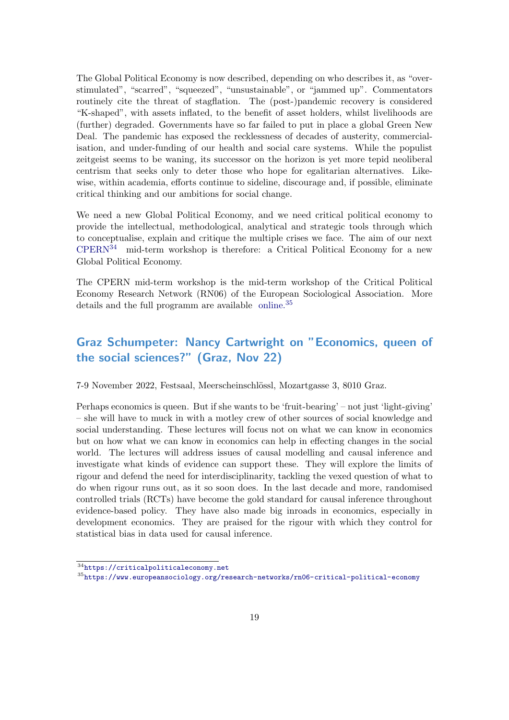The Global Political Economy is now described, depending on who describes it, as "overstimulated", "scarred", "squeezed", "unsustainable", or "jammed up". Commentators routinely cite the threat of stagflation. The (post-)pandemic recovery is considered "K-shaped", with assets inflated, to the benefit of asset holders, whilst livelihoods are (further) degraded. Governments have so far failed to put in place a global Green New Deal. The pandemic has exposed the recklessness of decades of austerity, commercialisation, and under-funding of our health and social care systems. While the populist zeitgeist seems to be waning, its successor on the horizon is yet more tepid neoliberal centrism that seeks only to deter those who hope for egalitarian alternatives. Likewise, within academia, efforts continue to sideline, discourage and, if possible, eliminate critical thinking and our ambitions for social change.

We need a new Global Political Economy, and we need critical political economy to provide the intellectual, methodological, analytical and strategic tools through which to conceptualise, explain and critique the multiple crises we face. The aim of our next  $CPERN<sup>34</sup>$  $CPERN<sup>34</sup>$  $CPERN<sup>34</sup>$  $CPERN<sup>34</sup>$  mid-term workshop is therefore: a Critical Political Economy for a new Global Political Economy.

The CPERN mid-term workshop is the mid-term workshop of the Critical Political Economy Research Network (RN06) of the European Sociological Association. More details and the full programm are available [online.](https://www.europeansociology.org/research-networks/rn06-critical-political-economy)<sup>[35](#page-18-2)</sup>

## <span id="page-18-0"></span>Graz Schumpeter: Nancy Cartwright on "Economics, queen of the social sciences?" (Graz, Nov 22)

7-9 November 2022, Festsaal, Meerscheinschl¨ossl, Mozartgasse 3, 8010 Graz.

Perhaps economics is queen. But if she wants to be 'fruit-bearing' – not just 'light-giving' – she will have to muck in with a motley crew of other sources of social knowledge and social understanding. These lectures will focus not on what we can know in economics but on how what we can know in economics can help in effecting changes in the social world. The lectures will address issues of causal modelling and causal inference and investigate what kinds of evidence can support these. They will explore the limits of rigour and defend the need for interdisciplinarity, tackling the vexed question of what to do when rigour runs out, as it so soon does. In the last decade and more, randomised controlled trials (RCTs) have become the gold standard for causal inference throughout evidence-based policy. They have also made big inroads in economics, especially in development economics. They are praised for the rigour with which they control for statistical bias in data used for causal inference.

<span id="page-18-1"></span><sup>34</sup><https://criticalpoliticaleconomy.net>

<span id="page-18-2"></span><sup>35</sup><https://www.europeansociology.org/research-networks/rn06-critical-political-economy>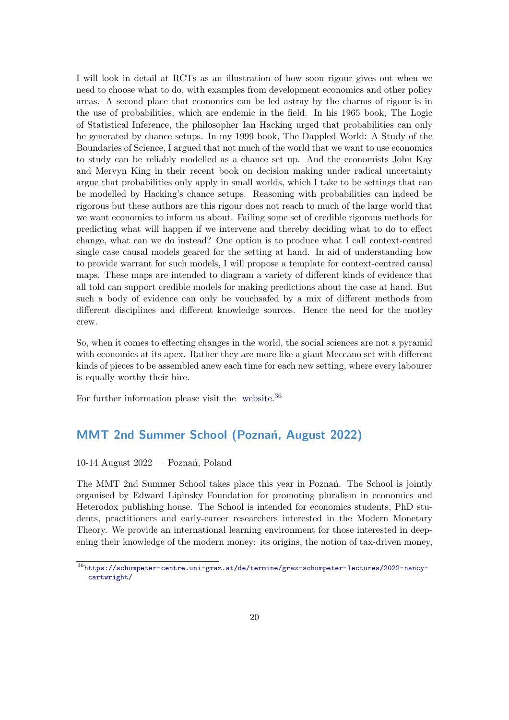I will look in detail at RCTs as an illustration of how soon rigour gives out when we need to choose what to do, with examples from development economics and other policy areas. A second place that economics can be led astray by the charms of rigour is in the use of probabilities, which are endemic in the field. In his 1965 book, The Logic of Statistical Inference, the philosopher Ian Hacking urged that probabilities can only be generated by chance setups. In my 1999 book, The Dappled World: A Study of the Boundaries of Science, I argued that not much of the world that we want to use economics to study can be reliably modelled as a chance set up. And the economists John Kay and Mervyn King in their recent book on decision making under radical uncertainty argue that probabilities only apply in small worlds, which I take to be settings that can be modelled by Hacking's chance setups. Reasoning with probabilities can indeed be rigorous but these authors are this rigour does not reach to much of the large world that we want economics to inform us about. Failing some set of credible rigorous methods for predicting what will happen if we intervene and thereby deciding what to do to effect change, what can we do instead? One option is to produce what I call context-centred single case causal models geared for the setting at hand. In aid of understanding how to provide warrant for such models, I will propose a template for context-centred causal maps. These maps are intended to diagram a variety of different kinds of evidence that all told can support credible models for making predictions about the case at hand. But such a body of evidence can only be vouchsafed by a mix of different methods from different disciplines and different knowledge sources. Hence the need for the motley crew.

So, when it comes to effecting changes in the world, the social sciences are not a pyramid with economics at its apex. Rather they are more like a giant Meccano set with different kinds of pieces to be assembled anew each time for each new setting, where every labourer is equally worthy their hire.

For further information please visit the [website.](https://schumpeter-centre.uni-graz.at/de/termine/graz-schumpeter-lectures/2022-nancy-cartwright/)<sup>[36](#page-19-1)</sup>

### <span id="page-19-0"></span>MMT 2nd Summer School (Poznań, August 2022)

10-14 August  $2022$  — Poznań, Poland

The MMT 2nd Summer School takes place this year in Poznan<sup>o</sup>. The School is jointly organised by Edward Lipinsky Foundation for promoting pluralism in economics and Heterodox publishing house. The School is intended for economics students, PhD students, practitioners and early-career researchers interested in the Modern Monetary Theory. We provide an international learning environment for those interested in deepening their knowledge of the modern money: its origins, the notion of tax-driven money,

<span id="page-19-1"></span><sup>36</sup>[https://schumpeter-centre.uni-graz.at/de/termine/graz-schumpeter-lectures/2022-nancy](https://schumpeter-centre.uni-graz.at/de/termine/graz-schumpeter-lectures/2022-nancy-cartwright/)[cartwright/](https://schumpeter-centre.uni-graz.at/de/termine/graz-schumpeter-lectures/2022-nancy-cartwright/)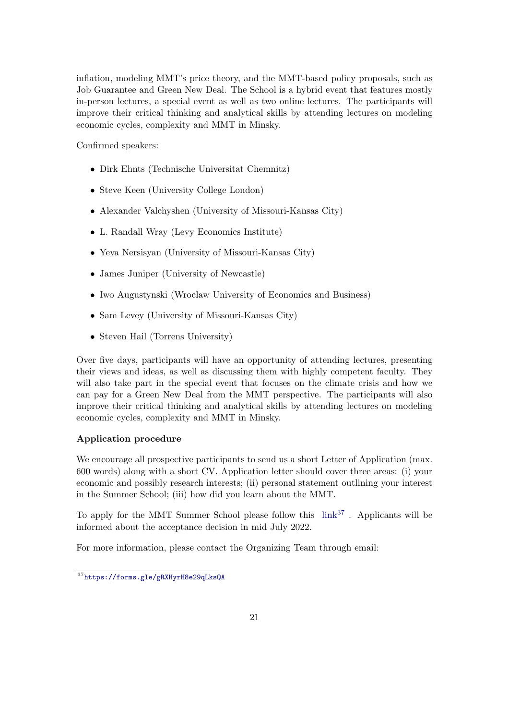inflation, modeling MMT's price theory, and the MMT-based policy proposals, such as Job Guarantee and Green New Deal. The School is a hybrid event that features mostly in-person lectures, a special event as well as two online lectures. The participants will improve their critical thinking and analytical skills by attending lectures on modeling economic cycles, complexity and MMT in Minsky.

Confirmed speakers:

- Dirk Ehnts (Technische Universitat Chemnitz)
- Steve Keen (University College London)
- Alexander Valchyshen (University of Missouri-Kansas City)
- L. Randall Wray (Levy Economics Institute)
- Yeva Nersisyan (University of Missouri-Kansas City)
- James Juniper (University of Newcastle)
- Iwo Augustynski (Wroclaw University of Economics and Business)
- Sam Levey (University of Missouri-Kansas City)
- Steven Hail (Torrens University)

Over five days, participants will have an opportunity of attending lectures, presenting their views and ideas, as well as discussing them with highly competent faculty. They will also take part in the special event that focuses on the climate crisis and how we can pay for a Green New Deal from the MMT perspective. The participants will also improve their critical thinking and analytical skills by attending lectures on modeling economic cycles, complexity and MMT in Minsky.

### Application procedure

We encourage all prospective participants to send us a short Letter of Application (max. 600 words) along with a short CV. Application letter should cover three areas: (i) your economic and possibly research interests; (ii) personal statement outlining your interest in the Summer School; (iii) how did you learn about the MMT.

To apply for the MMT Summer School please follow this  $link^{37}$  $link^{37}$  $link^{37}$  $link^{37}$ . Applicants will be informed about the acceptance decision in mid July 2022.

For more information, please contact the Organizing Team through email:

<span id="page-20-0"></span><sup>37</sup><https://forms.gle/gRXHyrH8e29qLksQA>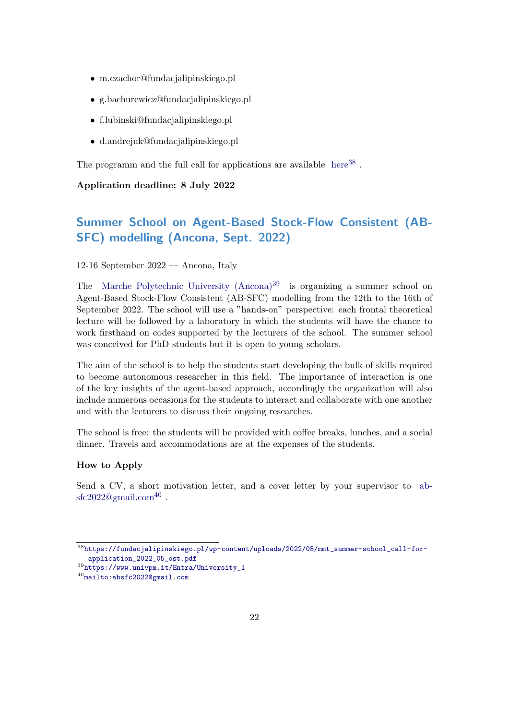- m.czachor@fundacjalipinskiego.pl
- g.bachurewicz@fundacjalipinskiego.pl
- f.lubinski@fundacjalipinskiego.pl
- d.andrejuk@fundacjalipinskiego.pl

The programm and the full call for applications are available [here](https://fundacjalipinskiego.pl/wp-content/uploads/2022/05/mmt_summer-school_call-for-application_2022_05_ost.pdf)<sup>[38](#page-21-1)</sup>.

### Application deadline: 8 July 2022

## <span id="page-21-0"></span>Summer School on Agent-Based Stock-Flow Consistent (AB-SFC) modelling (Ancona, Sept. 2022)

#### 12-16 September 2022 — Ancona, Italy

The Marche Polytechnic University  $(Ancona)^{39}$  $(Ancona)^{39}$  $(Ancona)^{39}$  is organizing a summer school on Agent-Based Stock-Flow Consistent (AB-SFC) modelling from the 12th to the 16th of September 2022. The school will use a "hands-on" perspective: each frontal theoretical lecture will be followed by a laboratory in which the students will have the chance to work firsthand on codes supported by the lecturers of the school. The summer school was conceived for PhD students but it is open to young scholars.

The aim of the school is to help the students start developing the bulk of skills required to become autonomous researcher in this field. The importance of interaction is one of the key insights of the agent-based approach, accordingly the organization will also include numerous occasions for the students to interact and collaborate with one another and with the lecturers to discuss their ongoing researches.

The school is free: the students will be provided with coffee breaks, lunches, and a social dinner. Travels and accommodations are at the expenses of the students.

#### How to Apply

Send a CV, a short motivation letter, and a cover letter by your supervisor to [ab](mailto:absfc2022@gmail.com) $\mathrm{sfc2022@gmail.com^{40}}$  $\mathrm{sfc2022@gmail.com^{40}}$  $\mathrm{sfc2022@gmail.com^{40}}$  $\mathrm{sfc2022@gmail.com^{40}}$  $\mathrm{sfc2022@gmail.com^{40}}$  .

<span id="page-21-1"></span><sup>38</sup>[https://fundacjalipinskiego.pl/wp-content/uploads/2022/05/mmt\\_summer-school\\_call-for](https://fundacjalipinskiego.pl/wp-content/uploads/2022/05/mmt_summer-school_call-for-application_2022_05_ost.pdf)[application\\_2022\\_05\\_ost.pdf](https://fundacjalipinskiego.pl/wp-content/uploads/2022/05/mmt_summer-school_call-for-application_2022_05_ost.pdf)

<span id="page-21-2"></span><sup>39</sup>[https://www.univpm.it/Entra/University\\_1](https://www.univpm.it/Entra/University_1)

<span id="page-21-3"></span><sup>40</sup><mailto:absfc2022@gmail.com>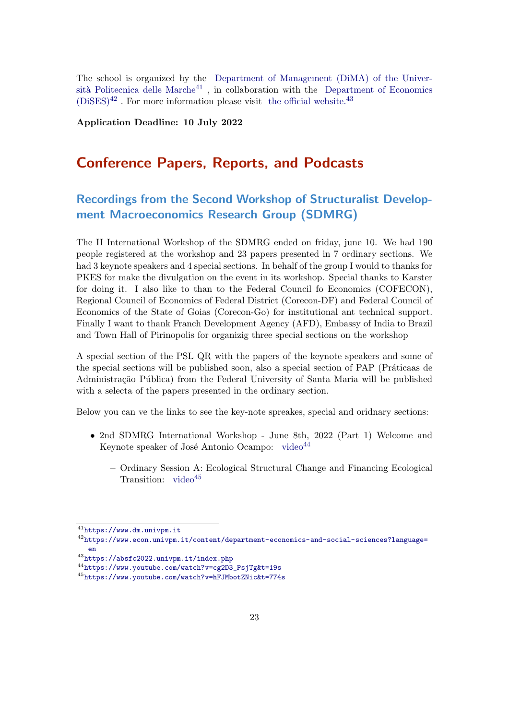The school is organized by the [Department of Management \(DiMA\) of the Univer-](https://www.dm.univpm.it)sità Politecnica delle Marche<sup>[41](#page-22-2)</sup>, in collaboration with the [Department of Economics](https://www.econ.univpm.it/content/department-economics-and-social-sciences?language=en)  $(DiSES)^{42}$  $(DiSES)^{42}$  $(DiSES)^{42}$  $(DiSES)^{42}$ . For more information please visit [the official website.](https://absfc2022.univpm.it/index.php)<sup>[43](#page-22-4)</sup>

Application Deadline: 10 July 2022

## <span id="page-22-0"></span>Conference Papers, Reports, and Podcasts

## <span id="page-22-1"></span>Recordings from the Second Workshop of Structuralist Development Macroeconomics Research Group (SDMRG)

The II International Workshop of the SDMRG ended on friday, june 10. We had 190 people registered at the workshop and 23 papers presented in 7 ordinary sections. We had 3 keynote speakers and 4 special sections. In behalf of the group I would to thanks for PKES for make the divulgation on the event in its workshop. Special thanks to Karster for doing it. I also like to than to the Federal Council fo Economics (COFECON), Regional Council of Economics of Federal District (Corecon-DF) and Federal Council of Economics of the State of Goias (Corecon-Go) for institutional ant technical support. Finally I want to thank Franch Development Agency (AFD), Embassy of India to Brazil and Town Hall of Pirinopolis for organizig three special sections on the workshop

A special section of the PSL QR with the papers of the keynote speakers and some of the special sections will be published soon, also a special section of PAP (Práticaas de Administração Pública) from the Federal University of Santa Maria will be published with a selecta of the papers presented in the ordinary section.

Below you can ve the links to see the key-note spreakes, special and oridnary sections:

- 2nd SDMRG International Workshop June 8th, 2022 (Part 1) Welcome and Keynote speaker of José Antonio Ocampo: [video](https://www.youtube.com/watch?v=cg2D3_PsjTg&t=19s) $44$ 
	- Ordinary Session A: Ecological Structural Change and Financing Ecological Transition: [video](https://www.youtube.com/watch?v=hFJMbotZNic&t=774s)<sup>[45](#page-22-6)</sup>

<span id="page-22-2"></span><sup>41</sup><https://www.dm.univpm.it>

<span id="page-22-3"></span><sup>42</sup>[https://www.econ.univpm.it/content/department-economics-and-social-sciences?language=](https://www.econ.univpm.it/content/department-economics-and-social-sciences?language=en) [en](https://www.econ.univpm.it/content/department-economics-and-social-sciences?language=en)

<span id="page-22-4"></span><sup>43</sup><https://absfc2022.univpm.it/index.php>

<span id="page-22-5"></span><sup>44</sup>[https://www.youtube.com/watch?v=cg2D3\\_PsjTg&t=19s](https://www.youtube.com/watch?v=cg2D3_PsjTg&t=19s)

<span id="page-22-6"></span><sup>45</sup><https://www.youtube.com/watch?v=hFJMbotZNic&t=774s>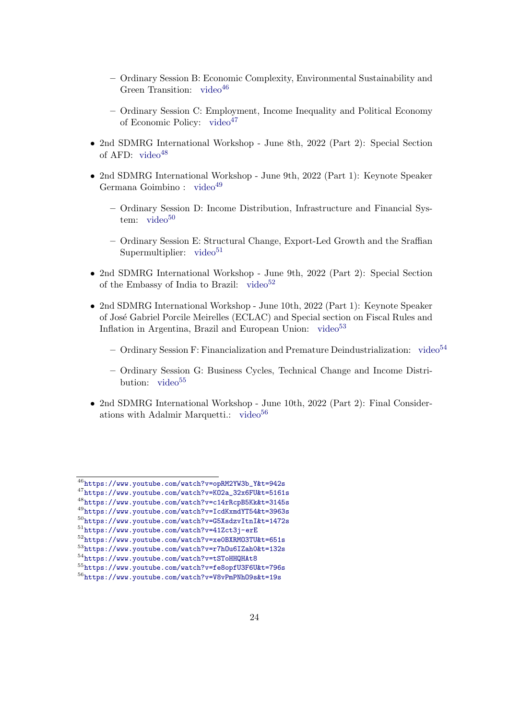- Ordinary Session B: Economic Complexity, Environmental Sustainability and Green Transition:  $video^{46}$  $video^{46}$  $video^{46}$  $video^{46}$
- Ordinary Session C: Employment, Income Inequality and Political Economy of Economic Policy: [video](https://www.youtube.com/watch?v=KO2a_32x6FU&t=5161s)<sup>[47](#page-23-2)</sup>
- 2nd SDMRG International Workshop June 8th, 2022 (Part 2): Special Section of AFD:  $video^{48}$  $video^{48}$  $video^{48}$  $video^{48}$
- 2nd SDMRG International Workshop June 9th, 2022 (Part 1): Keynote Speaker Germana Goimbino : [video](https://www.youtube.com/watch?v=IcdKxmdYT54&t=3963s)<sup>[49](#page-23-4)</sup>
	- Ordinary Session D: Income Distribution, Infrastructure and Financial System:  $video<sup>50</sup>$  $video<sup>50</sup>$  $video<sup>50</sup>$  $video<sup>50</sup>$
	- Ordinary Session E: Structural Change, Export-Led Growth and the Sraffian Supermultiplier:  $video<sup>51</sup>$  $video<sup>51</sup>$  $video<sup>51</sup>$  $video<sup>51</sup>$
- 2nd SDMRG International Workshop June 9th, 2022 (Part 2): Special Section of the Embassy of India to Brazil: [video](https://www.youtube.com/watch?v=xe0BXRMO3TU&t=651s) $52$
- 2nd SDMRG International Workshop June 10th, 2022 (Part 1): Keynote Speaker of Jos´e Gabriel Porcile Meirelles (ECLAC) and Special section on Fiscal Rules and Inflation in Argentina, Brazil and European Union: [video](https://www.youtube.com/watch?v=r7hOu6IZah0&t=132s) $53$ 
	- Ordinary Session F: Financialization and Premature Deindustrialization: [video](https://www.youtube.com/watch?v=tSToHHQHAt8) $54$
	- Ordinary Session G: Business Cycles, Technical Change and Income Distribution: [video](https://www.youtube.com/watch?v=fe8opfU3F6U&t=796s) $55$
- <span id="page-23-0"></span>• 2nd SDMRG International Workshop - June 10th, 2022 (Part 2): Final Considerations with Adalmir Marquetti.: [video](https://www.youtube.com/watch?v=V8vPmPNhO9s&t=19s) $56$

<span id="page-23-1"></span><sup>46</sup>[https://www.youtube.com/watch?v=opRM2YW3b\\_Y&t=942s](https://www.youtube.com/watch?v=opRM2YW3b_Y&t=942s)

<span id="page-23-3"></span><span id="page-23-2"></span><sup>47</sup>[https://www.youtube.com/watch?v=KO2a\\_32x6FU&t=5161s](https://www.youtube.com/watch?v=KO2a_32x6FU&t=5161s) <sup>48</sup><https://www.youtube.com/watch?v=c14rRcpB5Kk&t=3145s>

<span id="page-23-4"></span><sup>49</sup><https://www.youtube.com/watch?v=IcdKxmdYT54&t=3963s>

<span id="page-23-5"></span><sup>50</sup><https://www.youtube.com/watch?v=G5XsdzvItnI&t=1472s>

<span id="page-23-6"></span><sup>51</sup><https://www.youtube.com/watch?v=41Zct3j-erE>

<span id="page-23-7"></span><sup>52</sup><https://www.youtube.com/watch?v=xe0BXRMO3TU&t=651s>

<span id="page-23-8"></span><sup>53</sup><https://www.youtube.com/watch?v=r7hOu6IZah0&t=132s>

<span id="page-23-9"></span><sup>54</sup><https://www.youtube.com/watch?v=tSToHHQHAt8>

<span id="page-23-10"></span><sup>55</sup><https://www.youtube.com/watch?v=fe8opfU3F6U&t=796s>

<span id="page-23-11"></span><sup>56</sup><https://www.youtube.com/watch?v=V8vPmPNhO9s&t=19s>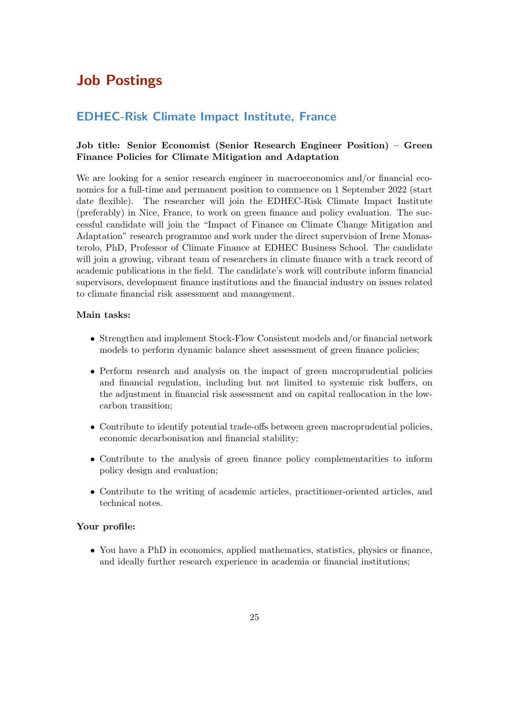## Job Postings

### <span id="page-24-0"></span>EDHEC-Risk Climate Impact Institute, France

### Job title: Senior Economist (Senior Research Engineer Position) – Green Finance Policies for Climate Mitigation and Adaptation

We are looking for a senior research engineer in macroeconomics and/or financial economics for a full-time and permanent position to commence on 1 September 2022 (start date flexible). The researcher will join the EDHEC-Risk Climate Impact Institute (preferably) in Nice, France, to work on green finance and policy evaluation. The successful candidate will join the "Impact of Finance on Climate Change Mitigation and Adaptation" research programme and work under the direct supervision of Irene Monasterolo, PhD, Professor of Climate Finance at EDHEC Business School. The candidate will join a growing, vibrant team of researchers in climate finance with a track record of academic publications in the field. The candidate's work will contribute inform financial supervisors, development finance institutions and the financial industry on issues related to climate financial risk assessment and management.

### Main tasks:

- Strengthen and implement Stock-Flow Consistent models and/or financial network models to perform dynamic balance sheet assessment of green finance policies;
- Perform research and analysis on the impact of green macroprudential policies and financial regulation, including but not limited to systemic risk buffers, on the adjustment in financial risk assessment and on capital reallocation in the lowcarbon transition;
- Contribute to identify potential trade-offs between green macroprudential policies, economic decarbonisation and financial stability;
- Contribute to the analysis of green finance policy complementarities to inform policy design and evaluation;
- Contribute to the writing of academic articles, practitioner-oriented articles, and technical notes.

### Your profile:

• You have a PhD in economics, applied mathematics, statistics, physics or finance, and ideally further research experience in academia or financial institutions;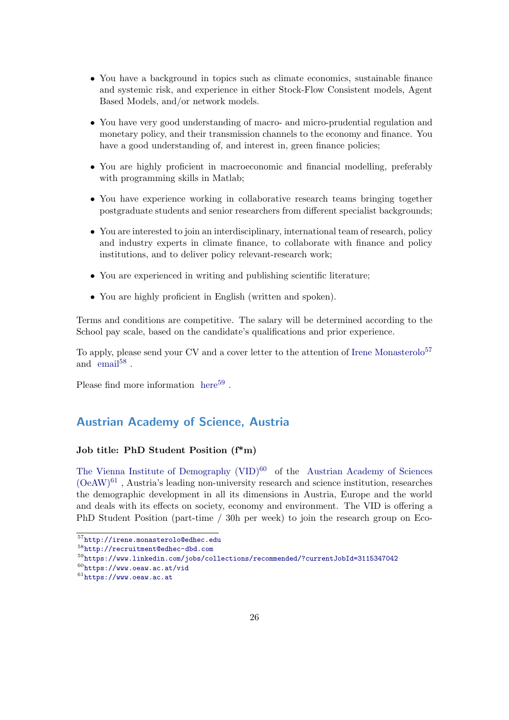- You have a background in topics such as climate economics, sustainable finance and systemic risk, and experience in either Stock-Flow Consistent models, Agent Based Models, and/or network models.
- You have very good understanding of macro- and micro-prudential regulation and monetary policy, and their transmission channels to the economy and finance. You have a good understanding of, and interest in, green finance policies;
- You are highly proficient in macroeconomic and financial modelling, preferably with programming skills in Matlab;
- You have experience working in collaborative research teams bringing together postgraduate students and senior researchers from different specialist backgrounds;
- You are interested to join an interdisciplinary, international team of research, policy and industry experts in climate finance, to collaborate with finance and policy institutions, and to deliver policy relevant-research work;
- You are experienced in writing and publishing scientific literature;
- You are highly proficient in English (written and spoken).

Terms and conditions are competitive. The salary will be determined according to the School pay scale, based on the candidate's qualifications and prior experience.

To apply, please send your CV and a cover letter to the attention of [Irene Monasterolo](http://irene.monasterolo@edhec.edu)<sup>[57](#page-25-1)</sup> and  $\text{ email}^{58}$  $\text{ email}^{58}$  $\text{ email}^{58}$  $\text{ email}^{58}$  $\text{ email}^{58}$ .

Please find more information  $here<sup>59</sup>$  $here<sup>59</sup>$  $here<sup>59</sup>$  $here<sup>59</sup>$ .

### <span id="page-25-0"></span>Austrian Academy of Science, Austria

#### Job title: PhD Student Position (f\*m)

The Vienna Institute of Demography  $(VID)^{60}$  $(VID)^{60}$  $(VID)^{60}$  of the [Austrian Academy of Sciences](https://www.oeaw.ac.at)  $(OeAW)^{61}$  $(OeAW)^{61}$  $(OeAW)^{61}$  $(OeAW)^{61}$ , Austria's leading non-university research and science institution, researches the demographic development in all its dimensions in Austria, Europe and the world and deals with its effects on society, economy and environment. The VID is offering a PhD Student Position (part-time / 30h per week) to join the research group on Eco-

<span id="page-25-1"></span><sup>57</sup><http://irene.monasterolo@edhec.edu>

<span id="page-25-2"></span><sup>58</sup><http://recruitment@edhec-dbd.com>

<span id="page-25-3"></span><sup>59</sup><https://www.linkedin.com/jobs/collections/recommended/?currentJobId=3115347042>

<span id="page-25-5"></span><span id="page-25-4"></span> $60$ <https://www.oeaw.ac.at/vid>  $61$ <https://www.oeaw.ac.at>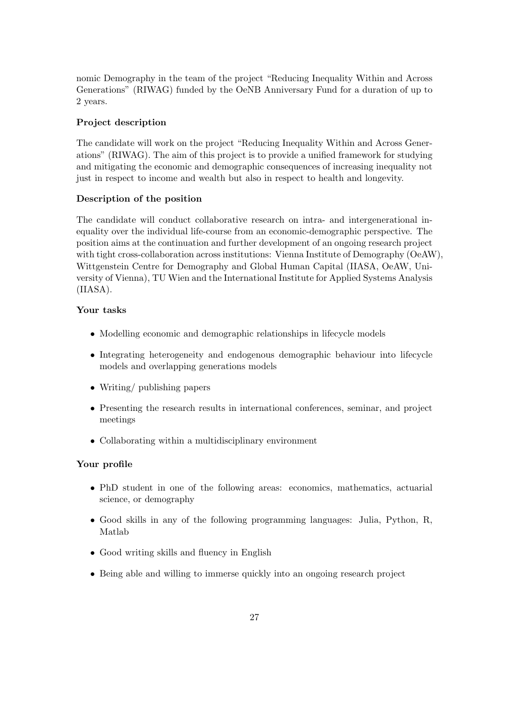nomic Demography in the team of the project "Reducing Inequality Within and Across Generations" (RIWAG) funded by the OeNB Anniversary Fund for a duration of up to 2 years.

### Project description

The candidate will work on the project "Reducing Inequality Within and Across Generations" (RIWAG). The aim of this project is to provide a unified framework for studying and mitigating the economic and demographic consequences of increasing inequality not just in respect to income and wealth but also in respect to health and longevity.

#### Description of the position

The candidate will conduct collaborative research on intra- and intergenerational inequality over the individual life-course from an economic-demographic perspective. The position aims at the continuation and further development of an ongoing research project with tight cross-collaboration across institutions: Vienna Institute of Demography (OeAW), Wittgenstein Centre for Demography and Global Human Capital (IIASA, OeAW, University of Vienna), TU Wien and the International Institute for Applied Systems Analysis (IIASA).

#### Your tasks

- Modelling economic and demographic relationships in lifecycle models
- Integrating heterogeneity and endogenous demographic behaviour into lifecycle models and overlapping generations models
- Writing/ publishing papers
- Presenting the research results in international conferences, seminar, and project meetings
- Collaborating within a multidisciplinary environment

#### Your profile

- PhD student in one of the following areas: economics, mathematics, actuarial science, or demography
- Good skills in any of the following programming languages: Julia, Python, R, Matlab
- Good writing skills and fluency in English
- Being able and willing to immerse quickly into an ongoing research project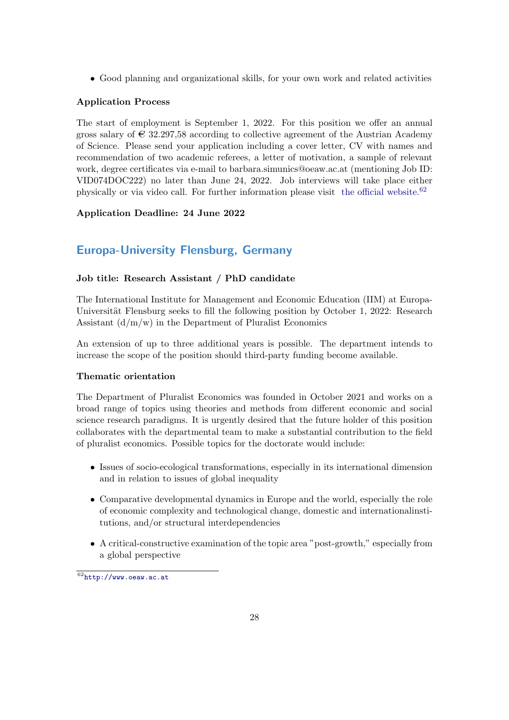• Good planning and organizational skills, for your own work and related activities

### Application Process

The start of employment is September 1, 2022. For this position we offer an annual gross salary of  $\in$  32.297,58 according to collective agreement of the Austrian Academy of Science. Please send your application including a cover letter, CV with names and recommendation of two academic referees, a letter of motivation, a sample of relevant work, degree certificates via e-mail to barbara.simunics@oeaw.ac.at (mentioning Job ID: VID074DOC222) no later than June 24, 2022. Job interviews will take place either physically or via video call. For further information please visit [the official website.](http://www.oeaw.ac.at)[62](#page-27-1)

### Application Deadline: 24 June 2022

## <span id="page-27-0"></span>Europa-University Flensburg, Germany

### Job title: Research Assistant / PhD candidate

The International Institute for Management and Economic Education (IIM) at Europa-Universität Flensburg seeks to fill the following position by October 1, 2022: Research Assistant  $(d/m/w)$  in the Department of Pluralist Economics

An extension of up to three additional years is possible. The department intends to increase the scope of the position should third-party funding become available.

### Thematic orientation

The Department of Pluralist Economics was founded in October 2021 and works on a broad range of topics using theories and methods from different economic and social science research paradigms. It is urgently desired that the future holder of this position collaborates with the departmental team to make a substantial contribution to the field of pluralist economics. Possible topics for the doctorate would include:

- Issues of socio-ecological transformations, especially in its international dimension and in relation to issues of global inequality
- Comparative developmental dynamics in Europe and the world, especially the role of economic complexity and technological change, domestic and internationalinstitutions, and/or structural interdependencies
- A critical-constructive examination of the topic area "post-growth," especially from a global perspective

<span id="page-27-1"></span> $62$ <http://www.oeaw.ac.at>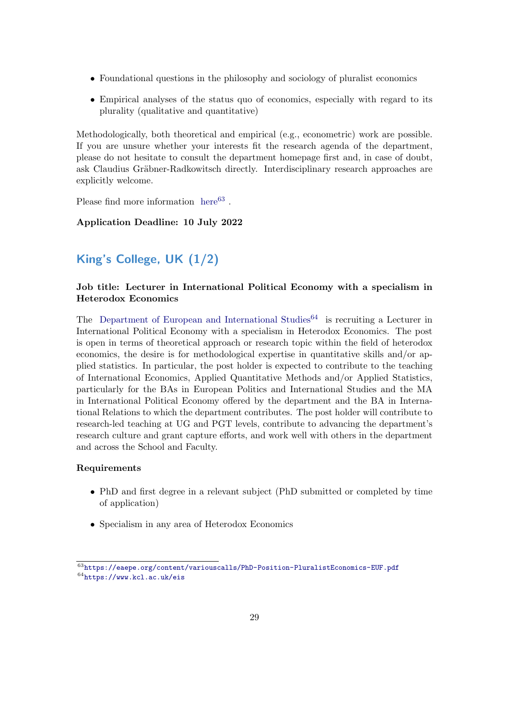- Foundational questions in the philosophy and sociology of pluralist economics
- Empirical analyses of the status quo of economics, especially with regard to its plurality (qualitative and quantitative)

Methodologically, both theoretical and empirical (e.g., econometric) work are possible. If you are unsure whether your interests fit the research agenda of the department, please do not hesitate to consult the department homepage first and, in case of doubt, ask Claudius Gräbner-Radkowitsch directly. Interdisciplinary research approaches are explicitly welcome.

Please find more information  $here<sup>63</sup>$  $here<sup>63</sup>$  $here<sup>63</sup>$  $here<sup>63</sup>$ .

### Application Deadline: 10 July 2022

## <span id="page-28-0"></span>King's College, UK (1/2)

### Job title: Lecturer in International Political Economy with a specialism in Heterodox Economics

The [Department of European and International Studies](https://www.kcl.ac.uk/eis)<sup>[64](#page-28-2)</sup> is recruiting a Lecturer in International Political Economy with a specialism in Heterodox Economics. The post is open in terms of theoretical approach or research topic within the field of heterodox economics, the desire is for methodological expertise in quantitative skills and/or applied statistics. In particular, the post holder is expected to contribute to the teaching of International Economics, Applied Quantitative Methods and/or Applied Statistics, particularly for the BAs in European Politics and International Studies and the MA in International Political Economy offered by the department and the BA in International Relations to which the department contributes. The post holder will contribute to research-led teaching at UG and PGT levels, contribute to advancing the department's research culture and grant capture efforts, and work well with others in the department and across the School and Faculty.

### Requirements

- PhD and first degree in a relevant subject (PhD submitted or completed by time of application)
- Specialism in any area of Heterodox Economics

<span id="page-28-2"></span><span id="page-28-1"></span><sup>63</sup><https://eaepe.org/content/variouscalls/PhD-Position-PluralistEconomics-EUF.pdf> <sup>64</sup><https://www.kcl.ac.uk/eis>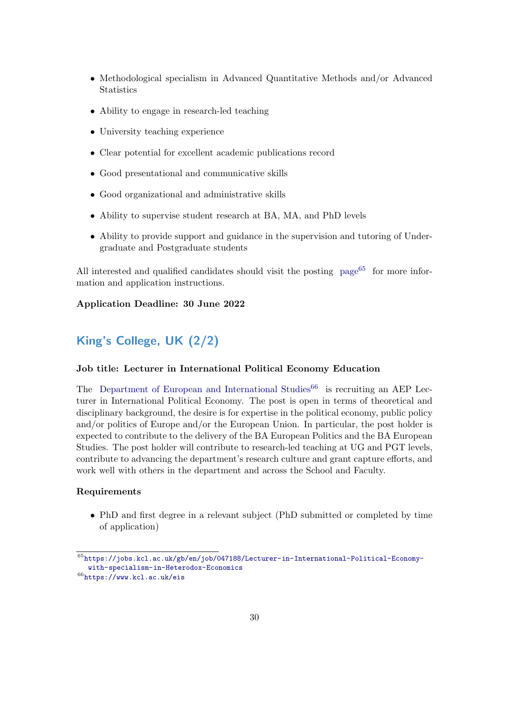- Methodological specialism in Advanced Quantitative Methods and/or Advanced **Statistics**
- Ability to engage in research-led teaching
- University teaching experience
- Clear potential for excellent academic publications record
- Good presentational and communicative skills
- Good organizational and administrative skills
- Ability to supervise student research at BA, MA, and PhD levels
- Ability to provide support and guidance in the supervision and tutoring of Undergraduate and Postgraduate students

All interested and qualified candidates should visit the posting  $page65$  $page65$  for more information and application instructions.

#### Application Deadline: 30 June 2022

## <span id="page-29-0"></span>King's College, UK (2/2)

### Job title: Lecturer in International Political Economy Education

The [Department of European and International Studies](https://www.kcl.ac.uk/eis)<sup>[66](#page-29-2)</sup> is recruiting an AEP Lecturer in International Political Economy. The post is open in terms of theoretical and disciplinary background, the desire is for expertise in the political economy, public policy and/or politics of Europe and/or the European Union. In particular, the post holder is expected to contribute to the delivery of the BA European Politics and the BA European Studies. The post holder will contribute to research-led teaching at UG and PGT levels, contribute to advancing the department's research culture and grant capture efforts, and work well with others in the department and across the School and Faculty.

#### Requirements

• PhD and first degree in a relevant subject (PhD submitted or completed by time of application)

<span id="page-29-1"></span><sup>65</sup>[https://jobs.kcl.ac.uk/gb/en/job/047188/Lecturer-in-International-Political-Economy](https://jobs.kcl.ac.uk/gb/en/job/047188/Lecturer-in-International-Political-Economy-with-specialism-in-Heterodox-Economics)[with-specialism-in-Heterodox-Economics](https://jobs.kcl.ac.uk/gb/en/job/047188/Lecturer-in-International-Political-Economy-with-specialism-in-Heterodox-Economics)

<span id="page-29-2"></span><sup>66</sup><https://www.kcl.ac.uk/eis>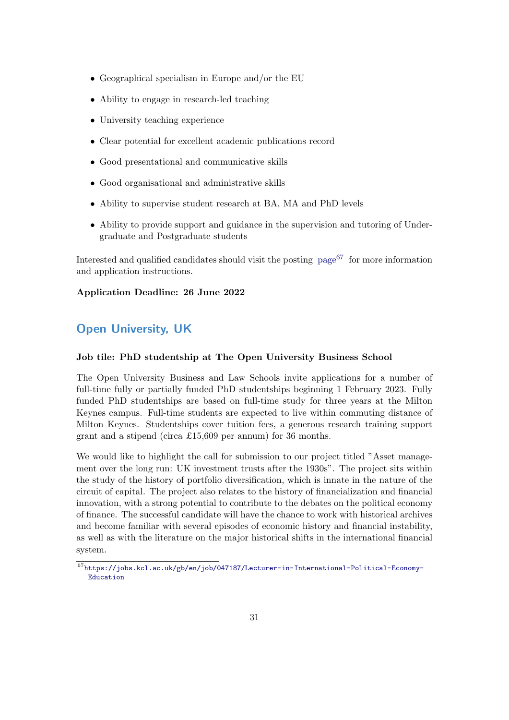- Geographical specialism in Europe and/or the EU
- Ability to engage in research-led teaching
- University teaching experience
- Clear potential for excellent academic publications record
- Good presentational and communicative skills
- Good organisational and administrative skills
- Ability to supervise student research at BA, MA and PhD levels
- Ability to provide support and guidance in the supervision and tutoring of Undergraduate and Postgraduate students

Interested and qualified candidates should visit the posting  $page{67}$  $page{67}$  $page{67}$  $page{67}$  for more information and application instructions.

### Application Deadline: 26 June 2022

## <span id="page-30-0"></span>Open University, UK

### Job tile: PhD studentship at The Open University Business School

The Open University Business and Law Schools invite applications for a number of full-time fully or partially funded PhD studentships beginning 1 February 2023. Fully funded PhD studentships are based on full-time study for three years at the Milton Keynes campus. Full-time students are expected to live within commuting distance of Milton Keynes. Studentships cover tuition fees, a generous research training support grant and a stipend (circa £15,609 per annum) for 36 months.

We would like to highlight the call for submission to our project titled "Asset management over the long run: UK investment trusts after the 1930s". The project sits within the study of the history of portfolio diversification, which is innate in the nature of the circuit of capital. The project also relates to the history of financialization and financial innovation, with a strong potential to contribute to the debates on the political economy of finance. The successful candidate will have the chance to work with historical archives and become familiar with several episodes of economic history and financial instability, as well as with the literature on the major historical shifts in the international financial system.

<span id="page-30-1"></span><sup>67</sup>[https://jobs.kcl.ac.uk/gb/en/job/047187/Lecturer-in-International-Political-Economy-](https://jobs.kcl.ac.uk/gb/en/job/047187/Lecturer-in-International-Political-Economy-Education)[Education](https://jobs.kcl.ac.uk/gb/en/job/047187/Lecturer-in-International-Political-Economy-Education)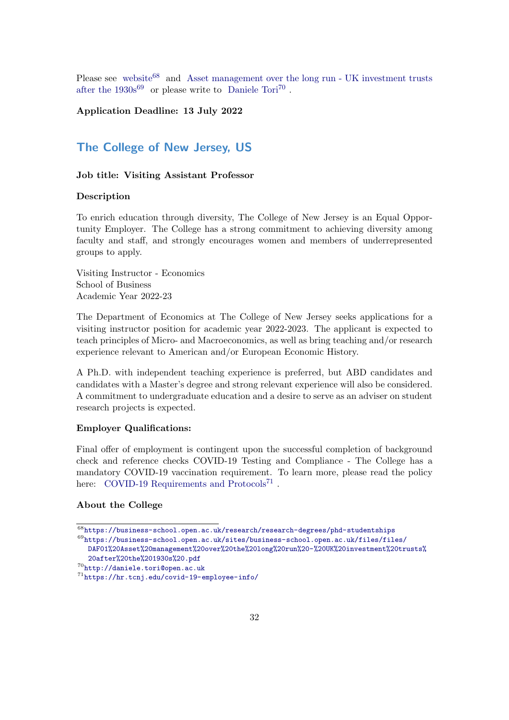Please see [website](https://business-school.open.ac.uk/research/research-degrees/phd-studentships)<sup>[68](#page-31-1)</sup> and [Asset management over the long run - UK investment trusts](https://business-school.open.ac.uk/sites/business-school.open.ac.uk/files/files/DAF01%20Asset%20management%20over%20the%20long%20run%20-%20UK%20investment%20trusts%20after%20the%201930s%20.pdf) after the  $1930s^{69}$  $1930s^{69}$  $1930s^{69}$  or please write to [Daniele Tori](http://daniele.tori@open.ac.uk)<sup>[70](#page-31-3)</sup>.

### Application Deadline: 13 July 2022

### <span id="page-31-0"></span>The College of New Jersey, US

#### Job title: Visiting Assistant Professor

#### Description

To enrich education through diversity, The College of New Jersey is an Equal Opportunity Employer. The College has a strong commitment to achieving diversity among faculty and staff, and strongly encourages women and members of underrepresented groups to apply.

Visiting Instructor - Economics School of Business Academic Year 2022-23

The Department of Economics at The College of New Jersey seeks applications for a visiting instructor position for academic year 2022-2023. The applicant is expected to teach principles of Micro- and Macroeconomics, as well as bring teaching and/or research experience relevant to American and/or European Economic History.

A Ph.D. with independent teaching experience is preferred, but ABD candidates and candidates with a Master's degree and strong relevant experience will also be considered. A commitment to undergraduate education and a desire to serve as an adviser on student research projects is expected.

#### Employer Qualifications:

Final offer of employment is contingent upon the successful completion of background check and reference checks COVID-19 Testing and Compliance - The College has a mandatory COVID-19 vaccination requirement. To learn more, please read the policy here: [COVID-19 Requirements and Protocols](https://hr.tcnj.edu/covid-19-employee-info/)<sup>[71](#page-31-4)</sup>.

#### About the College

<span id="page-31-1"></span> $\overline{^{68}$ <https://business-school.open.ac.uk/research/research-degrees/phd-studentships>

<span id="page-31-2"></span><sup>69</sup>[https://business-school.open.ac.uk/sites/business-school.open.ac.uk/files/files/](https://business-school.open.ac.uk/sites/business-school.open.ac.uk/files/files/DAF01%20Asset%20management%20over%20the%20long%20run%20-%20UK%20investment%20trusts%20after%20the%201930s%20.pdf) [DAF01%20Asset%20management%20over%20the%20long%20run%20-%20UK%20investment%20trusts%](https://business-school.open.ac.uk/sites/business-school.open.ac.uk/files/files/DAF01%20Asset%20management%20over%20the%20long%20run%20-%20UK%20investment%20trusts%20after%20the%201930s%20.pdf) [20after%20the%201930s%20.pdf](https://business-school.open.ac.uk/sites/business-school.open.ac.uk/files/files/DAF01%20Asset%20management%20over%20the%20long%20run%20-%20UK%20investment%20trusts%20after%20the%201930s%20.pdf)

<span id="page-31-3"></span><sup>70</sup><http://daniele.tori@open.ac.uk>

<span id="page-31-4"></span><sup>71</sup><https://hr.tcnj.edu/covid-19-employee-info/>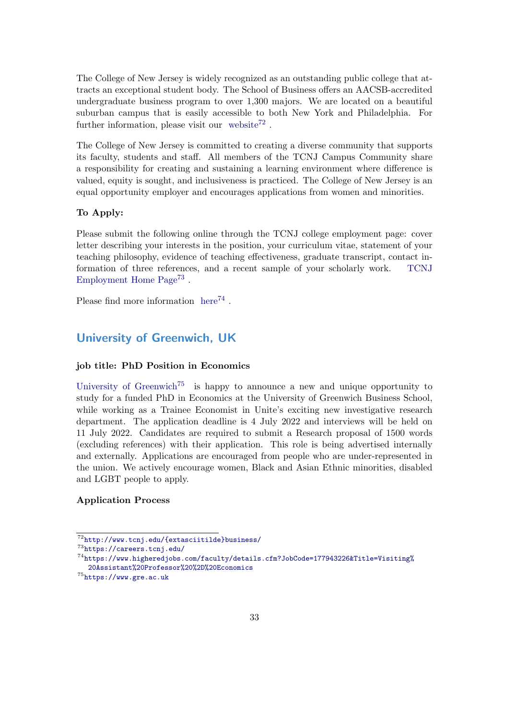The College of New Jersey is widely recognized as an outstanding public college that attracts an exceptional student body. The School of Business offers an AACSB-accredited undergraduate business program to over 1,300 majors. We are located on a beautiful suburban campus that is easily accessible to both New York and Philadelphia. For further information, please visit our [website](http://www.tcnj.edu/{ extasciitilde}business/)<sup>[72](#page-32-1)</sup>.

The College of New Jersey is committed to creating a diverse community that supports its faculty, students and staff. All members of the TCNJ Campus Community share a responsibility for creating and sustaining a learning environment where difference is valued, equity is sought, and inclusiveness is practiced. The College of New Jersey is an equal opportunity employer and encourages applications from women and minorities.

#### To Apply:

Please submit the following online through the TCNJ college employment page: cover letter describing your interests in the position, your curriculum vitae, statement of your teaching philosophy, evidence of teaching effectiveness, graduate transcript, contact information of three references, and a recent sample of your scholarly work. [TCNJ](https://careers.tcnj.edu/) [Employment Home Page](https://careers.tcnj.edu/)<sup>[73](#page-32-2)</sup>.

Please find more information  $here<sup>74</sup>$  $here<sup>74</sup>$  $here<sup>74</sup>$  $here<sup>74</sup>$ .

### <span id="page-32-0"></span>University of Greenwich, UK

#### job title: PhD Position in Economics

[University of Greenwich](https://www.gre.ac.uk)<sup>[75](#page-32-4)</sup> is happy to announce a new and unique opportunity to study for a funded PhD in Economics at the University of Greenwich Business School, while working as a Trainee Economist in Unite's exciting new investigative research department. The application deadline is 4 July 2022 and interviews will be held on 11 July 2022. Candidates are required to submit a Research proposal of 1500 words (excluding references) with their application. This role is being advertised internally and externally. Applications are encouraged from people who are under-represented in the union. We actively encourage women, Black and Asian Ethnic minorities, disabled and LGBT people to apply.

### Application Process

<span id="page-32-1"></span> $\overline{72}$ [http://www.tcnj.edu/{extasciitilde}business/](http://www.tcnj.edu/{ extasciitilde}business/)

<span id="page-32-2"></span><sup>73</sup><https://careers.tcnj.edu/>

<span id="page-32-3"></span><sup>74</sup>[https://www.higheredjobs.com/faculty/details.cfm?JobCode=177943226&Title=Visiting%](https://www.higheredjobs.com/faculty/details.cfm?JobCode=177943226&Title=Visiting%20Assistant%20Professor%20%2D%20Economics) [20Assistant%20Professor%20%2D%20Economics](https://www.higheredjobs.com/faculty/details.cfm?JobCode=177943226&Title=Visiting%20Assistant%20Professor%20%2D%20Economics)

<span id="page-32-4"></span><sup>75</sup><https://www.gre.ac.uk>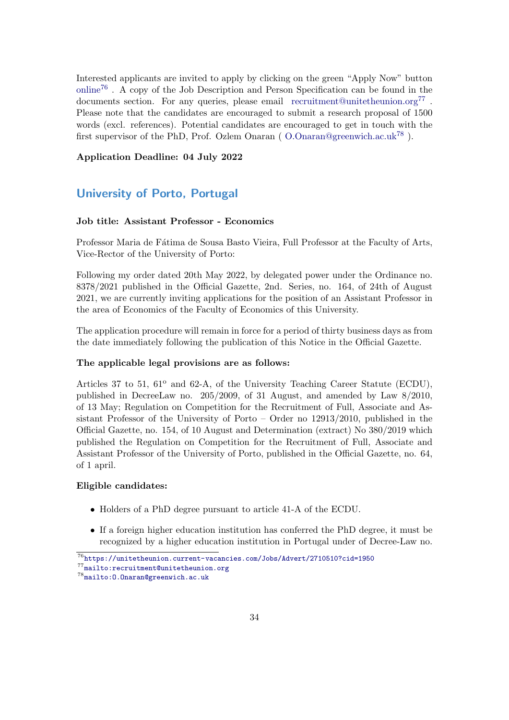Interested applicants are invited to apply by clicking on the green "Apply Now" button [online](https://unitetheunion.current-vacancies.com/Jobs/Advert/2710510?cid=1950)[76](#page-33-1) . A copy of the Job Description and Person Specification can be found in the documents section. For any queries, please email [recruitment@unitetheunion.org](mailto:recruitment@unitetheunion.org)<sup>[77](#page-33-2)</sup>. Please note that the candidates are encouraged to submit a research proposal of 1500 words (excl. references). Potential candidates are encouraged to get in touch with the first supervisor of the PhD, Prof. Ozlem Onaran ( $O.$ Onaran@greenwich.ac.uk<sup>[78](#page-33-3)</sup>).

#### Application Deadline: 04 July 2022

### <span id="page-33-0"></span>University of Porto, Portugal

### Job title: Assistant Professor - Economics

Professor Maria de Fátima de Sousa Basto Vieira, Full Professor at the Faculty of Arts, Vice-Rector of the University of Porto:

Following my order dated 20th May 2022, by delegated power under the Ordinance no. 8378/2021 published in the Official Gazette, 2nd. Series, no. 164, of 24th of August 2021, we are currently inviting applications for the position of an Assistant Professor in the area of Economics of the Faculty of Economics of this University.

The application procedure will remain in force for a period of thirty business days as from the date immediately following the publication of this Notice in the Official Gazette.

#### The applicable legal provisions are as follows:

Articles 37 to 51,  $61^{\circ}$  and  $62-A$ , of the University Teaching Career Statute (ECDU), published in DecreeLaw no. 205/2009, of 31 August, and amended by Law 8/2010, of 13 May; Regulation on Competition for the Recruitment of Full, Associate and Assistant Professor of the University of Porto – Order no 12913/2010, published in the Official Gazette, no. 154, of 10 August and Determination (extract) No 380/2019 which published the Regulation on Competition for the Recruitment of Full, Associate and Assistant Professor of the University of Porto, published in the Official Gazette, no. 64, of 1 april.

#### Eligible candidates:

- Holders of a PhD degree pursuant to article 41-A of the ECDU.
- If a foreign higher education institution has conferred the PhD degree, it must be recognized by a higher education institution in Portugal under of Decree-Law no.

<span id="page-33-2"></span><span id="page-33-1"></span> $^{76}\rm{https://unitetheunion.current-vacancies.com/Jobs/Advert/2710510?cid=1950}$  $^{76}\rm{https://unitetheunion.current-vacancies.com/Jobs/Advert/2710510?cid=1950}$  $^{76}\rm{https://unitetheunion.current-vacancies.com/Jobs/Advert/2710510?cid=1950}$ <sup>77</sup><mailto:recruitment@unitetheunion.org>

<span id="page-33-3"></span><sup>78</sup><mailto:O.Onaran@greenwich.ac.uk>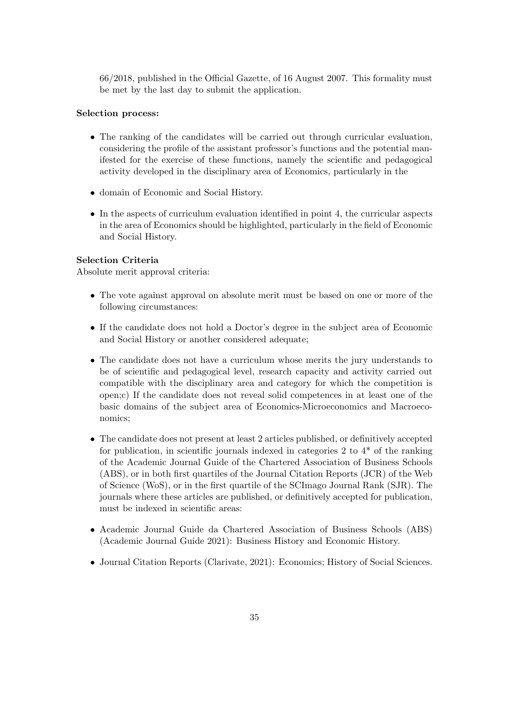66/2018, published in the Official Gazette, of 16 August 2007. This formality must be met by the last day to submit the application.

#### Selection process:

- The ranking of the candidates will be carried out through curricular evaluation, considering the profile of the assistant professor's functions and the potential manifested for the exercise of these functions, namely the scientific and pedagogical activity developed in the disciplinary area of Economics, particularly in the
- domain of Economic and Social History.
- In the aspects of curriculum evaluation identified in point 4, the curricular aspects in the area of Economics should be highlighted, particularly in the field of Economic and Social History.

### Selection Criteria

Absolute merit approval criteria:

- The vote against approval on absolute merit must be based on one or more of the following circumstances:
- If the candidate does not hold a Doctor's degree in the subject area of Economic and Social History or another considered adequate;
- The candidate does not have a curriculum whose merits the jury understands to be of scientific and pedagogical level, research capacity and activity carried out compatible with the disciplinary area and category for which the competition is open;c) If the candidate does not reveal solid competences in at least one of the basic domains of the subject area of Economics-Microeconomics and Macroeconomics;
- The candidate does not present at least 2 articles published, or definitively accepted for publication, in scientific journals indexed in categories 2 to  $4^*$  of the ranking of the Academic Journal Guide of the Chartered Association of Business Schools (ABS), or in both first quartiles of the Journal Citation Reports (JCR) of the Web of Science (WoS), or in the first quartile of the SCImago Journal Rank (SJR). The journals where these articles are published, or definitively accepted for publication, must be indexed in scientific areas:
- Academic Journal Guide da Chartered Association of Business Schools (ABS) (Academic Journal Guide 2021): Business History and Economic History.
- Journal Citation Reports (Clarivate, 2021): Economics; History of Social Sciences.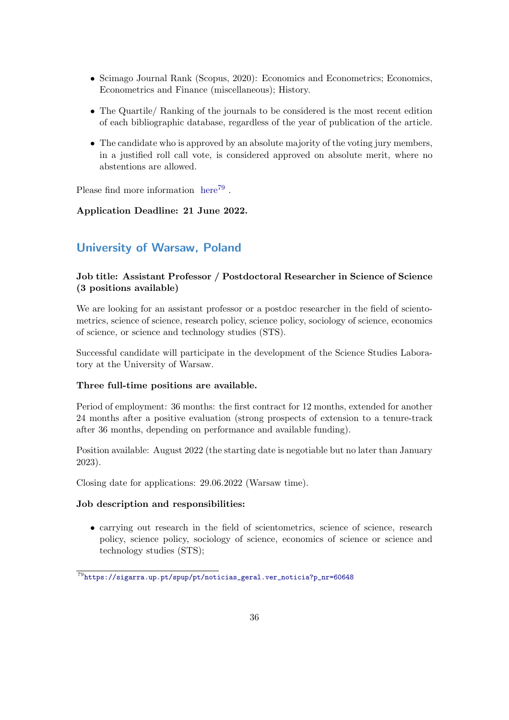- Scimago Journal Rank (Scopus, 2020): Economics and Econometrics; Economics, Econometrics and Finance (miscellaneous); History.
- The Quartile/ Ranking of the journals to be considered is the most recent edition of each bibliographic database, regardless of the year of publication of the article.
- The candidate who is approved by an absolute majority of the voting jury members, in a justified roll call vote, is considered approved on absolute merit, where no abstentions are allowed.

Please find more information [here](https://sigarra.up.pt/spup/pt/noticias_geral.ver_noticia?p_nr=60648)<sup>[79](#page-35-1)</sup>.

### Application Deadline: 21 June 2022.

### <span id="page-35-0"></span>University of Warsaw, Poland

### Job title: Assistant Professor / Postdoctoral Researcher in Science of Science (3 positions available)

We are looking for an assistant professor or a postdoc researcher in the field of scientometrics, science of science, research policy, science policy, sociology of science, economics of science, or science and technology studies (STS).

Successful candidate will participate in the development of the Science Studies Laboratory at the University of Warsaw.

#### Three full-time positions are available.

Period of employment: 36 months: the first contract for 12 months, extended for another 24 months after a positive evaluation (strong prospects of extension to a tenure-track after 36 months, depending on performance and available funding).

Position available: August 2022 (the starting date is negotiable but no later than January 2023).

Closing date for applications: 29.06.2022 (Warsaw time).

#### Job description and responsibilities:

• carrying out research in the field of scientometrics, science of science, research policy, science policy, sociology of science, economics of science or science and technology studies (STS);

<span id="page-35-1"></span> $\frac{79}{79}$ [https://sigarra.up.pt/spup/pt/noticias\\_geral.ver\\_noticia?p\\_nr=60648](https://sigarra.up.pt/spup/pt/noticias_geral.ver_noticia?p_nr=60648)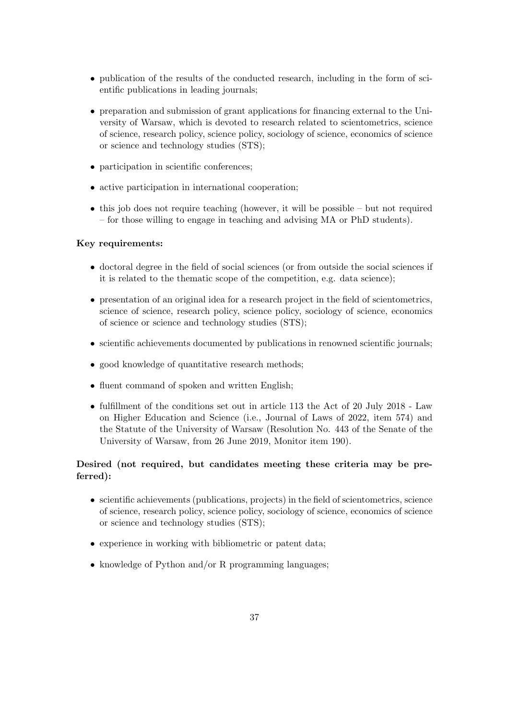- publication of the results of the conducted research, including in the form of scientific publications in leading journals;
- preparation and submission of grant applications for financing external to the University of Warsaw, which is devoted to research related to scientometrics, science of science, research policy, science policy, sociology of science, economics of science or science and technology studies (STS);
- participation in scientific conferences;
- active participation in international cooperation;
- this job does not require teaching (however, it will be possible but not required – for those willing to engage in teaching and advising MA or PhD students).

#### Key requirements:

- doctoral degree in the field of social sciences (or from outside the social sciences if it is related to the thematic scope of the competition, e.g. data science);
- presentation of an original idea for a research project in the field of scientometrics, science of science, research policy, science policy, sociology of science, economics of science or science and technology studies (STS);
- scientific achievements documented by publications in renowned scientific journals:
- good knowledge of quantitative research methods;
- fluent command of spoken and written English;
- fulfillment of the conditions set out in article 113 the Act of 20 July 2018 Law on Higher Education and Science (i.e., Journal of Laws of 2022, item 574) and the Statute of the University of Warsaw (Resolution No. 443 of the Senate of the University of Warsaw, from 26 June 2019, Monitor item 190).

### Desired (not required, but candidates meeting these criteria may be preferred):

- scientific achievements (publications, projects) in the field of scientometrics, science of science, research policy, science policy, sociology of science, economics of science or science and technology studies (STS);
- experience in working with bibliometric or patent data;
- knowledge of Python and/or R programming languages;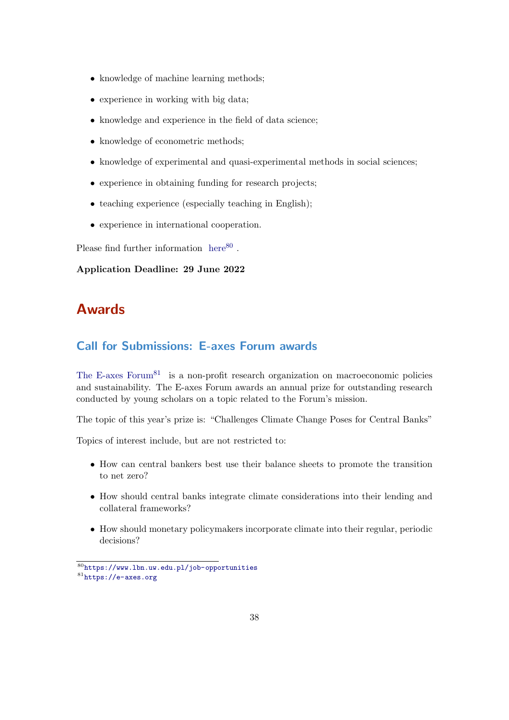- knowledge of machine learning methods;
- experience in working with big data;
- knowledge and experience in the field of data science;
- knowledge of econometric methods;
- knowledge of experimental and quasi-experimental methods in social sciences;
- experience in obtaining funding for research projects;
- teaching experience (especially teaching in English);
- experience in international cooperation.

Please find further information  $here<sup>80</sup>$  $here<sup>80</sup>$  $here<sup>80</sup>$  $here<sup>80</sup>$ .

Application Deadline: 29 June 2022

## <span id="page-37-0"></span>Awards

### <span id="page-37-1"></span>Call for Submissions: E-axes Forum awards

[The E-axes Forum](https://e-axes.org)<sup>[81](#page-37-3)</sup> is a non-profit research organization on macroeconomic policies and sustainability. The E-axes Forum awards an annual prize for outstanding research conducted by young scholars on a topic related to the Forum's mission.

The topic of this year's prize is: "Challenges Climate Change Poses for Central Banks"

Topics of interest include, but are not restricted to:

- How can central bankers best use their balance sheets to promote the transition to net zero?
- How should central banks integrate climate considerations into their lending and collateral frameworks?
- How should monetary policymakers incorporate climate into their regular, periodic decisions?

<span id="page-37-3"></span><span id="page-37-2"></span><sup>80</sup><https://www.lbn.uw.edu.pl/job-opportunities> <sup>81</sup><https://e-axes.org>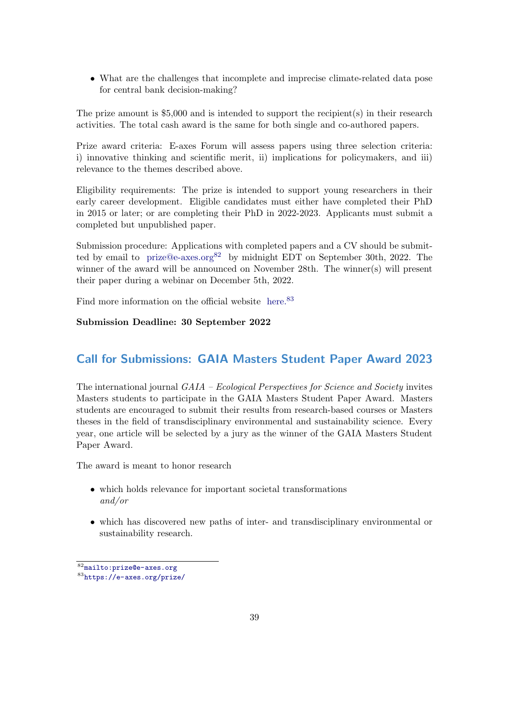• What are the challenges that incomplete and imprecise climate-related data pose for central bank decision-making?

The prize amount is \$5,000 and is intended to support the recipient(s) in their research activities. The total cash award is the same for both single and co-authored papers.

Prize award criteria: E-axes Forum will assess papers using three selection criteria: i) innovative thinking and scientific merit, ii) implications for policymakers, and iii) relevance to the themes described above.

Eligibility requirements: The prize is intended to support young researchers in their early career development. Eligible candidates must either have completed their PhD in 2015 or later; or are completing their PhD in 2022-2023. Applicants must submit a completed but unpublished paper.

Submission procedure: Applications with completed papers and a CV should be submitted by email to [prize@e-axes.org](mailto:prize@e-axes.org)<sup>[82](#page-38-1)</sup> by midnight EDT on September 30th, 2022. The winner of the award will be announced on November 28th. The winner(s) will present their paper during a webinar on December 5th, 2022.

Find more information on the official website [here.](https://e-axes.org/prize/)<sup>[83](#page-38-2)</sup>

### Submission Deadline: 30 September 2022

### <span id="page-38-0"></span>Call for Submissions: GAIA Masters Student Paper Award 2023

The international journal GAIA – Ecological Perspectives for Science and Society invites Masters students to participate in the GAIA Masters Student Paper Award. Masters students are encouraged to submit their results from research-based courses or Masters theses in the field of transdisciplinary environmental and sustainability science. Every year, one article will be selected by a jury as the winner of the GAIA Masters Student Paper Award.

The award is meant to honor research

- which holds relevance for important societal transformations and/or
- which has discovered new paths of inter- and transdisciplinary environmental or sustainability research.

<span id="page-38-2"></span><span id="page-38-1"></span><sup>82</sup><mailto:prize@e-axes.org> <sup>83</sup><https://e-axes.org/prize/>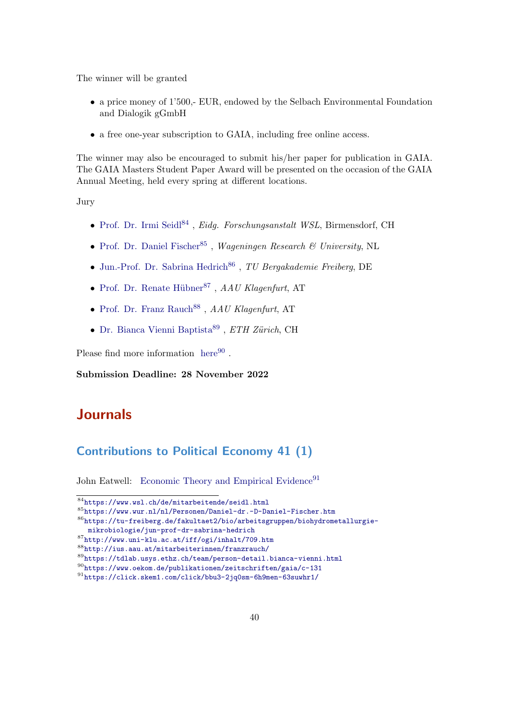The winner will be granted

- a price money of 1'500,- EUR, endowed by the Selbach Environmental Foundation and Dialogik gGmbH
- a free one-year subscription to GAIA, including free online access.

The winner may also be encouraged to submit his/her paper for publication in GAIA. The GAIA Masters Student Paper Award will be presented on the occasion of the GAIA Annual Meeting, held every spring at different locations.

Jury

- [Prof. Dr. Irmi Seidl](https://www.wsl.ch/de/mitarbeitende/seidl.html)<sup>[84](#page-39-2)</sup>, Eidg. Forschungsanstalt WSL, Birmensdorf, CH
- [Prof. Dr. Daniel Fischer](https://www.wur.nl/nl/Personen/Daniel-dr.-D-Daniel-Fischer.htm)<sup>[85](#page-39-3)</sup>, Wageningen Research & University, NL
- $\bullet$  [Jun.-Prof. Dr. Sabrina Hedrich](https://tu-freiberg.de/fakultaet2/bio/arbeitsgruppen/biohydrometallurgie-mikrobiologie/jun-prof-dr-sabrina-hedrich)<sup>[86](#page-39-4)</sup>, TU Bergakademie Freiberg, DE
- Prof. Dr. Renate Hübner<sup>[87](#page-39-5)</sup>,  $AAU$  Klagenfurt, AT
- $\bullet$  [Prof. Dr. Franz Rauch](http://ius.aau.at/mitarbeiterinnen/franzrauch/)<sup>[88](#page-39-6)</sup>, AAU Klagenfurt, AT
- [Dr. Bianca Vienni Baptista](https://tdlab.usys.ethz.ch/team/person-detail.bianca-vienni.html) $^{89}$  $^{89}$  $^{89}$ , ETH Zürich, CH

Please find more information  $here<sup>90</sup>$  $here<sup>90</sup>$  $here<sup>90</sup>$  $here<sup>90</sup>$ .

Submission Deadline: 28 November 2022

## <span id="page-39-0"></span>Journals

### <span id="page-39-1"></span>Contributions to Political Economy 41 (1)

John Eatwell: [Economic Theory and Empirical Evidence](https://click.skem1.com/click/bbu3-2jq0sm-6h9men-63suwhr1/)<sup>[91](#page-39-9)</sup>

<span id="page-39-4"></span><sup>86</sup>[https://tu-freiberg.de/fakultaet2/bio/arbeitsgruppen/biohydrometallurgie-](https://tu-freiberg.de/fakultaet2/bio/arbeitsgruppen/biohydrometallurgie-mikrobiologie/jun-prof-dr-sabrina-hedrich)

[mikrobiologie/jun-prof-dr-sabrina-hedrich](https://tu-freiberg.de/fakultaet2/bio/arbeitsgruppen/biohydrometallurgie-mikrobiologie/jun-prof-dr-sabrina-hedrich)

<span id="page-39-2"></span> $\frac{1}{84}$ <https://www.wsl.ch/de/mitarbeitende/seidl.html>

<span id="page-39-3"></span><sup>85</sup><https://www.wur.nl/nl/Personen/Daniel-dr.-D-Daniel-Fischer.htm>

<span id="page-39-5"></span><sup>87</sup><http://www.uni-klu.ac.at/iff/ogi/inhalt/709.htm>

<span id="page-39-6"></span><sup>88</sup><http://ius.aau.at/mitarbeiterinnen/franzrauch/>

<span id="page-39-7"></span><sup>89</sup><https://tdlab.usys.ethz.ch/team/person-detail.bianca-vienni.html>

<span id="page-39-8"></span><sup>90</sup><https://www.oekom.de/publikationen/zeitschriften/gaia/c-131>

<span id="page-39-9"></span><sup>91</sup><https://click.skem1.com/click/bbu3-2jq0sm-6h9men-63suwhr1/>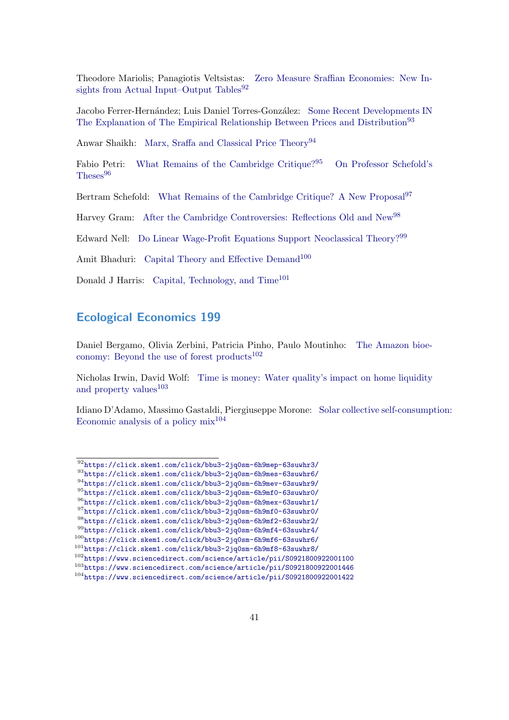Theodore Mariolis; Panagiotis Veltsistas: [Zero Measure Sraffian Economies: New In](https://click.skem1.com/click/bbu3-2jq0sm-6h9mep-63suwhr3/)[sights from Actual Input–Output Tables](https://click.skem1.com/click/bbu3-2jq0sm-6h9mep-63suwhr3/) $92$ 

Jacobo Ferrer-Hernández; Luis Daniel Torres-González: [Some Recent Developments IN](https://click.skem1.com/click/bbu3-2jq0sm-6h9mes-63suwhr6/) [The Explanation of The Empirical Relationship Between Prices and Distribution](https://click.skem1.com/click/bbu3-2jq0sm-6h9mes-63suwhr6/)<sup>[93](#page-40-2)</sup>

Anwar Shaikh: [Marx, Sraffa and Classical Price Theory](https://click.skem1.com/click/bbu3-2jq0sm-6h9mev-63suwhr9/)<sup>[94](#page-40-3)</sup>

Fabio Petri: [What Remains of the Cambridge Critique?](https://click.skem1.com/click/bbu3-2jq0sm-6h9mf0-63suwhr0/)<sup>[95](#page-40-4)</sup> [On Professor Schefold's](https://click.skem1.com/click/bbu3-2jq0sm-6h9mex-63suwhr1/) [Theses](https://click.skem1.com/click/bbu3-2jq0sm-6h9mex-63suwhr1/)<sup>[96](#page-40-5)</sup>

Bertram Schefold: [What Remains of the Cambridge Critique? A New Proposal](https://click.skem1.com/click/bbu3-2jq0sm-6h9mf0-63suwhr0/)<sup>[97](#page-40-6)</sup>

Harvey Gram: [After the Cambridge Controversies: Reflections Old and New](https://click.skem1.com/click/bbu3-2jq0sm-6h9mf2-63suwhr2/)<sup>[98](#page-40-7)</sup>

Edward Nell: [Do Linear Wage-Profit Equations Support Neoclassical Theory?](https://click.skem1.com/click/bbu3-2jq0sm-6h9mf4-63suwhr4/)[99](#page-40-8)

Amit Bhaduri: [Capital Theory and Effective Demand](https://click.skem1.com/click/bbu3-2jq0sm-6h9mf6-63suwhr6/)<sup>[100](#page-40-9)</sup>

Donald J Harris: [Capital, Technology, and Time](https://click.skem1.com/click/bbu3-2jq0sm-6h9mf8-63suwhr8/)<sup>[101](#page-40-10)</sup>

### <span id="page-40-0"></span>Ecological Economics 199

Daniel Bergamo, Olivia Zerbini, Patricia Pinho, Paulo Moutinho: [The Amazon bioe](https://www.sciencedirect.com/science/article/pii/S0921800922001100)[conomy: Beyond the use of forest products](https://www.sciencedirect.com/science/article/pii/S0921800922001100) $102$ 

Nicholas Irwin, David Wolf: [Time is money: Water quality's impact on home liquidity](https://www.sciencedirect.com/science/article/pii/S0921800922001446) [and property values](https://www.sciencedirect.com/science/article/pii/S0921800922001446) $103$ 

Idiano D'Adamo, Massimo Gastaldi, Piergiuseppe Morone: [Solar collective self-consumpt](https://www.sciencedirect.com/science/article/pii/S0921800922001422)ion: Economic analysis of a policy  $mix^{104}$  $mix^{104}$  $mix^{104}$ 

<span id="page-40-1"></span><sup>92</sup><https://click.skem1.com/click/bbu3-2jq0sm-6h9mep-63suwhr3/>

<span id="page-40-2"></span><sup>93</sup><https://click.skem1.com/click/bbu3-2jq0sm-6h9mes-63suwhr6/>

<span id="page-40-3"></span><sup>94</sup><https://click.skem1.com/click/bbu3-2jq0sm-6h9mev-63suwhr9/>

<span id="page-40-5"></span><span id="page-40-4"></span><sup>95</sup><https://click.skem1.com/click/bbu3-2jq0sm-6h9mf0-63suwhr0/> <sup>96</sup><https://click.skem1.com/click/bbu3-2jq0sm-6h9mex-63suwhr1/>

<span id="page-40-6"></span><sup>97</sup><https://click.skem1.com/click/bbu3-2jq0sm-6h9mf0-63suwhr0/>

<span id="page-40-7"></span><sup>98</sup><https://click.skem1.com/click/bbu3-2jq0sm-6h9mf2-63suwhr2/>

<span id="page-40-8"></span><sup>99</sup><https://click.skem1.com/click/bbu3-2jq0sm-6h9mf4-63suwhr4/>

<span id="page-40-9"></span><sup>100</sup><https://click.skem1.com/click/bbu3-2jq0sm-6h9mf6-63suwhr6/>

<span id="page-40-10"></span><sup>101</sup><https://click.skem1.com/click/bbu3-2jq0sm-6h9mf8-63suwhr8/>

<span id="page-40-11"></span><sup>102</sup><https://www.sciencedirect.com/science/article/pii/S0921800922001100>

<span id="page-40-12"></span><sup>103</sup><https://www.sciencedirect.com/science/article/pii/S0921800922001446>

<span id="page-40-13"></span><sup>104</sup><https://www.sciencedirect.com/science/article/pii/S0921800922001422>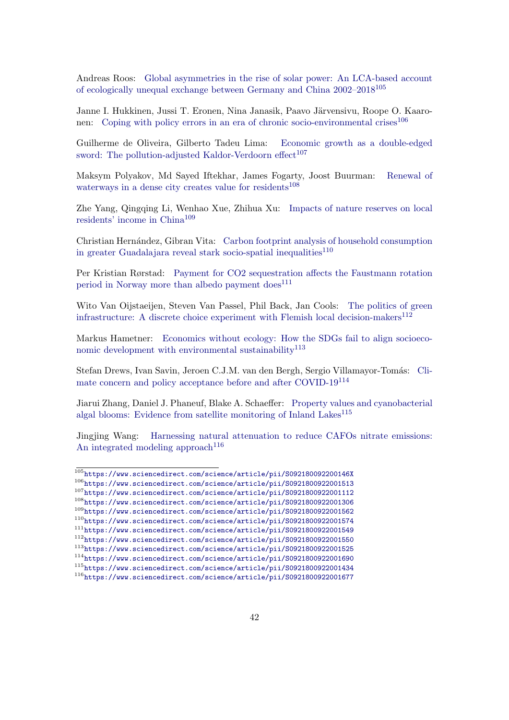Andreas Roos: [Global asymmetries in the rise of solar power: An LCA-based account](https://www.sciencedirect.com/science/article/pii/S092180092200146X) [of ecologically unequal exchange between Germany and China 2002–2018](https://www.sciencedirect.com/science/article/pii/S092180092200146X)[105](#page-41-0)

Janne I. Hukkinen, Jussi T. Eronen, Nina Janasik, Paavo Järvensivu, Roope O. Kaaro-nen: [Coping with policy errors in an era of chronic socio-environmental crises](https://www.sciencedirect.com/science/article/pii/S0921800922001513)<sup>[106](#page-41-1)</sup>

Guilherme de Oliveira, Gilberto Tadeu Lima: [Economic growth as a double-edged](https://www.sciencedirect.com/science/article/pii/S0921800922001112) [sword: The pollution-adjusted Kaldor-Verdoorn effect](https://www.sciencedirect.com/science/article/pii/S0921800922001112)<sup>[107](#page-41-2)</sup>

Maksym Polyakov, Md Sayed Iftekhar, James Fogarty, Joost Buurman: [Renewal of](https://www.sciencedirect.com/science/article/pii/S0921800922001306) [waterways in a dense city creates value for residents](https://www.sciencedirect.com/science/article/pii/S0921800922001306)<sup>[108](#page-41-3)</sup>

Zhe Yang, Qingqing Li, Wenhao Xue, Zhihua Xu: [Impacts of nature reserves on local](https://www.sciencedirect.com/science/article/pii/S0921800922001562) [residents' income in China](https://www.sciencedirect.com/science/article/pii/S0921800922001562)[109](#page-41-4)

Christian Hernández, Gibran Vita: [Carbon footprint analysis of household consumption](https://www.sciencedirect.com/science/article/pii/S0921800922001574) [in greater Guadalajara reveal stark socio-spatial inequalities](https://www.sciencedirect.com/science/article/pii/S0921800922001574)<sup>[110](#page-41-5)</sup>

Per Kristian Rørstad: [Payment for CO2 sequestration affects the Faustmann rotation](https://www.sciencedirect.com/science/article/pii/S0921800922001549) [period in Norway more than albedo payment does](https://www.sciencedirect.com/science/article/pii/S0921800922001549)<sup>[111](#page-41-6)</sup>

Wito Van Oijstaeijen, Steven Van Passel, Phil Back, Jan Cools: [The politics of green](https://www.sciencedirect.com/science/article/pii/S0921800922001550) [infrastructure: A discrete choice experiment with Flemish local decision-makers](https://www.sciencedirect.com/science/article/pii/S0921800922001550) $^{112}$  $^{112}$  $^{112}$ 

Markus Hametner: [Economics without ecology: How the SDGs fail to align socioeco](https://www.sciencedirect.com/science/article/pii/S0921800922001525)[nomic development with environmental sustainability](https://www.sciencedirect.com/science/article/pii/S0921800922001525) $113$ 

Stefan Drews, Ivan Savin, Jeroen C.J.M. van den Bergh, Sergio Villamayor-Tomás: [Cli](https://www.sciencedirect.com/science/article/pii/S0921800922001690)[mate concern and policy acceptance before and after COVID-19](https://www.sciencedirect.com/science/article/pii/S0921800922001690)[114](#page-41-9)

Jiarui Zhang, Daniel J. Phaneuf, Blake A. Schaeffer: [Property values and cyanobacterial](https://www.sciencedirect.com/science/article/pii/S0921800922001434) [algal blooms: Evidence from satellite monitoring of Inland Lakes](https://www.sciencedirect.com/science/article/pii/S0921800922001434)<sup>[115](#page-41-10)</sup>

Jingjing Wang: [Harnessing natural attenuation to reduce CAFOs nitrate emissions:](https://www.sciencedirect.com/science/article/pii/S0921800922001677) [An integrated modeling approach](https://www.sciencedirect.com/science/article/pii/S0921800922001677)<sup>[116](#page-41-11)</sup>

<span id="page-41-11"></span><span id="page-41-10"></span><span id="page-41-9"></span><span id="page-41-8"></span><span id="page-41-7"></span><span id="page-41-6"></span><span id="page-41-5"></span><span id="page-41-4"></span><span id="page-41-3"></span><span id="page-41-2"></span><span id="page-41-1"></span><span id="page-41-0"></span><sup>105</sup><https://www.sciencedirect.com/science/article/pii/S092180092200146X> <sup>106</sup><https://www.sciencedirect.com/science/article/pii/S0921800922001513> <sup>107</sup><https://www.sciencedirect.com/science/article/pii/S0921800922001112> <sup>108</sup><https://www.sciencedirect.com/science/article/pii/S0921800922001306> <sup>109</sup><https://www.sciencedirect.com/science/article/pii/S0921800922001562> <sup>110</sup><https://www.sciencedirect.com/science/article/pii/S0921800922001574> <sup>111</sup><https://www.sciencedirect.com/science/article/pii/S0921800922001549> <sup>112</sup><https://www.sciencedirect.com/science/article/pii/S0921800922001550> <sup>113</sup><https://www.sciencedirect.com/science/article/pii/S0921800922001525> <sup>114</sup><https://www.sciencedirect.com/science/article/pii/S0921800922001690> <sup>115</sup><https://www.sciencedirect.com/science/article/pii/S0921800922001434> <sup>116</sup><https://www.sciencedirect.com/science/article/pii/S0921800922001677>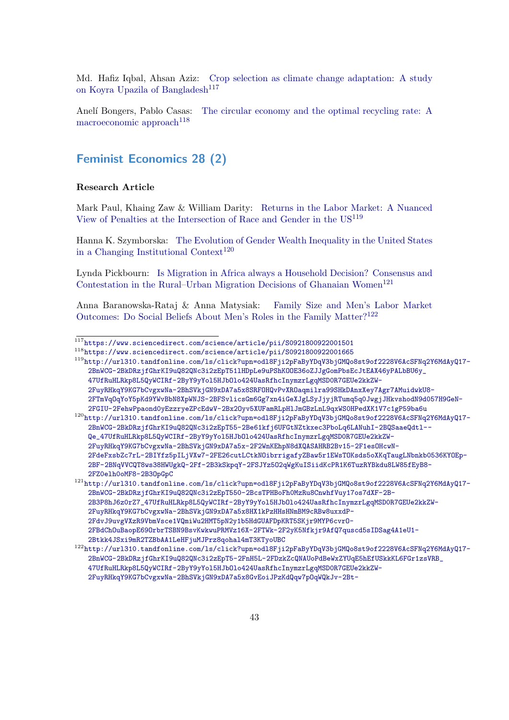Md. Hafiz Iqbal, Ahsan Aziz: [Crop selection as climate change adaptation: A study](https://www.sciencedirect.com/science/article/pii/S0921800922001501) [on Koyra Upazila of Bangladesh](https://www.sciencedirect.com/science/article/pii/S0921800922001501)<sup>[117](#page-42-1)</sup>

Anelí Bongers, Pablo Casas: [The circular economy and the optimal recycling rate: A](https://www.sciencedirect.com/science/article/pii/S0921800922001665) [macroeconomic approach](https://www.sciencedirect.com/science/article/pii/S0921800922001665)<sup>[118](#page-42-2)</sup>

### <span id="page-42-0"></span>Feminist Economics 28 (2)

#### Research Article

Mark Paul, Khaing Zaw & William Darity: [Returns in the Labor Market: A Nuanced](http://url310.tandfonline.com/ls/click?upn=odl8Fji2pFaByYDqV3bjGMQo8st9of2228V6AcSFNq2Y6MdAyQ17-2BnWCG-2BkDRzjfGhrKI9uQ82QNc3i2zEpT51lHDpLe9uPShKOOE36oZJJgGomPbsEcJtEAX46yPALbBU6y_47UfRuHLRkp8L5QyWCIRf-2ByY9yYol5HJbOlo424UasRfhcInymzrLgqMSD0R7GEUe2kkZW-2FuyRHkqY9KG7bCvgxwNa-2BhSVkjGN9xDA7a5x8SRFOHQvPvXROaqmilra99SHkDAnxXey7Agr7AMuidwkU8-2FTmVqOqYoY5pKd9YWvBbN8XpWNJS-2BFSvlicsGm6Gg7xn4iGeXJgLSyJjyjRTumq5q0JwgjJHkvshodN9d057H9GeN-2FGIU-2FehwPpaond0yEzzryeZPcEdwV-2Bx2Oyv5XUFamRLpHlJmGBzLnL9qxWS0HPedXK1V7c1gP59ba6u) [View of Penalties at the Intersection of Race and Gender in the US](http://url310.tandfonline.com/ls/click?upn=odl8Fji2pFaByYDqV3bjGMQo8st9of2228V6AcSFNq2Y6MdAyQ17-2BnWCG-2BkDRzjfGhrKI9uQ82QNc3i2zEpT51lHDpLe9uPShKOOE36oZJJgGomPbsEcJtEAX46yPALbBU6y_47UfRuHLRkp8L5QyWCIRf-2ByY9yYol5HJbOlo424UasRfhcInymzrLgqMSD0R7GEUe2kkZW-2FuyRHkqY9KG7bCvgxwNa-2BhSVkjGN9xDA7a5x8SRFOHQvPvXROaqmilra99SHkDAnxXey7Agr7AMuidwkU8-2FTmVqOqYoY5pKd9YWvBbN8XpWNJS-2BFSvlicsGm6Gg7xn4iGeXJgLSyJjyjRTumq5q0JwgjJHkvshodN9d057H9GeN-2FGIU-2FehwPpaond0yEzzryeZPcEdwV-2Bx2Oyv5XUFamRLpHlJmGBzLnL9qxWS0HPedXK1V7c1gP59ba6u)[119](#page-42-3)

Hanna K. Szymborska: [The Evolution of Gender Wealth Inequality in the United States](http://url310.tandfonline.com/ls/click?upn=odl8Fji2pFaByYDqV3bjGMQo8st9of2228V6AcSFNq2Y6MdAyQ17-2BnWCG-2BkDRzjfGhrKI9uQ82QNc3i2zEpT55-2Be61kfj6UFGtNZtkxec3PboLq6LANuhI-2BQSaaeQdtl--Qe_47UfRuHLRkp8L5QyWCIRf-2ByY9yYol5HJbOlo424UasRfhcInymzrLgqMSD0R7GEUe2kkZW-2FuyRHkqY9KG7bCvgxwNa-2BhSVkjGN9xDA7a5x-2F2WnKEhpN8dXQASAHRB2Bv15-2F1esOHcwN-2FdeFxsbZc7rL-2BIYfz5pILjVXw7-2FE26cutLCtkNOibrrigafyZBaw5r1EWsTOKsds5oXKqTaugLNbnkb0536KYOEp-2BF-2BNqVVCQT8ws38HWUgkQ-2Ff-2B3kSkpqY-2FSJYz5O2qWgKuISiidKcPR1K6TuzRYBkdu8LW85fEyB8-2FZ0elh0oMF8-2B3OpGpC) [in a Changing Institutional Context](http://url310.tandfonline.com/ls/click?upn=odl8Fji2pFaByYDqV3bjGMQo8st9of2228V6AcSFNq2Y6MdAyQ17-2BnWCG-2BkDRzjfGhrKI9uQ82QNc3i2zEpT55-2Be61kfj6UFGtNZtkxec3PboLq6LANuhI-2BQSaaeQdtl--Qe_47UfRuHLRkp8L5QyWCIRf-2ByY9yYol5HJbOlo424UasRfhcInymzrLgqMSD0R7GEUe2kkZW-2FuyRHkqY9KG7bCvgxwNa-2BhSVkjGN9xDA7a5x-2F2WnKEhpN8dXQASAHRB2Bv15-2F1esOHcwN-2FdeFxsbZc7rL-2BIYfz5pILjVXw7-2FE26cutLCtkNOibrrigafyZBaw5r1EWsTOKsds5oXKqTaugLNbnkb0536KYOEp-2BF-2BNqVVCQT8ws38HWUgkQ-2Ff-2B3kSkpqY-2FSJYz5O2qWgKuISiidKcPR1K6TuzRYBkdu8LW85fEyB8-2FZ0elh0oMF8-2B3OpGpC)<sup>[120](#page-42-4)</sup>

Lynda Pickbourn: [Is Migration in Africa always a Household Decision? Consensus and](http://url310.tandfonline.com/ls/click?upn=odl8Fji2pFaByYDqV3bjGMQo8st9of2228V6AcSFNq2Y6MdAyQ17-2BnWCG-2BkDRzjfGhrKI9uQ82QNc3i2zEpT550-2BcsTPHBoFh0MzRu8CnwhfVuy17os7dXF-2B-2B3P8hJ6z0rZ7_47UfRuHLRkp8L5QyWCIRf-2ByY9yYol5HJbOlo424UasRfhcInymzrLgqMSD0R7GEUe2kkZW-2FuyRHkqY9KG7bCvgxwNa-2BhSVkjGN9xDA7a5x8HX1kPzHHsHNmBM9cRBw8uxxdP-2FdvJ9uvgVXzR9VbmVsce1VQmiWu2HMT5pN2y1b5HdGUAFDpKRT5SKjr9MYP6cvrO-2FBdChOuBaopE69OrbrTSBN9BsvKwkwuPRMVz16X-2FTWk-2F2yK5Nfkjr9AfQ7quscd5sIDSag4A1eU1-2Btkk4JSxi9mR2TZBbAA1LeHFjuMJPrz8qohal4mT3KTyoUBC) [Contestation in the Rural–Urban Migration Decisions of Ghanaian Women](http://url310.tandfonline.com/ls/click?upn=odl8Fji2pFaByYDqV3bjGMQo8st9of2228V6AcSFNq2Y6MdAyQ17-2BnWCG-2BkDRzjfGhrKI9uQ82QNc3i2zEpT550-2BcsTPHBoFh0MzRu8CnwhfVuy17os7dXF-2B-2B3P8hJ6z0rZ7_47UfRuHLRkp8L5QyWCIRf-2ByY9yYol5HJbOlo424UasRfhcInymzrLgqMSD0R7GEUe2kkZW-2FuyRHkqY9KG7bCvgxwNa-2BhSVkjGN9xDA7a5x8HX1kPzHHsHNmBM9cRBw8uxxdP-2FdvJ9uvgVXzR9VbmVsce1VQmiWu2HMT5pN2y1b5HdGUAFDpKRT5SKjr9MYP6cvrO-2FBdChOuBaopE69OrbrTSBN9BsvKwkwuPRMVz16X-2FTWk-2F2yK5Nfkjr9AfQ7quscd5sIDSag4A1eU1-2Btkk4JSxi9mR2TZBbAA1LeHFjuMJPrz8qohal4mT3KTyoUBC)<sup>[121](#page-42-5)</sup>

Anna Baranowska-Rataj & Anna Matysiak: [Family Size and Men's Labor Market](http://url310.tandfonline.com/ls/click?upn=odl8Fji2pFaByYDqV3bjGMQo8st9of2228V6AcSFNq2Y6MdAyQ17-2BnWCG-2BkDRzjfGhrKI9uQ82QNc3i2zEpT5-2FnH5L-2FDzkZcQNAUoPdBeWxZYUqE5hEfUSkkKL6FGr1zsVRB_47UfRuHLRkp8L5QyWCIRf-2ByY9yYol5HJbOlo424UasRfhcInymzrLgqMSD0R7GEUe2kkZW-2FuyRHkqY9KG7bCvgxwNa-2BhSVkjGN9xDA7a5x8GvEoiJPzKdQqw7pOqWQkJv-2Bt-2BncAIWQNDklpmGbHZ6tLXjBzEzZNogdbM4WKgb1m-2BgGcFC7JiJ-2FkUt9TWlzbNxfy9tgWTz-2FWYLmwkvNlh-2FrQlZos-2BehMrrX2Uu6FpZDu4J4gwawH-2BKsDL1mI4r7T3X3-2FJqCiScl4xwWjmfUor7NtY3-2FvSYwHfpoqQB-2Ff9Ua3lZe8ZGKwNKd-2FRykcZhWmy) [Outcomes: Do Social Beliefs About Men's Roles in the Family Matter?](http://url310.tandfonline.com/ls/click?upn=odl8Fji2pFaByYDqV3bjGMQo8st9of2228V6AcSFNq2Y6MdAyQ17-2BnWCG-2BkDRzjfGhrKI9uQ82QNc3i2zEpT5-2FnH5L-2FDzkZcQNAUoPdBeWxZYUqE5hEfUSkkKL6FGr1zsVRB_47UfRuHLRkp8L5QyWCIRf-2ByY9yYol5HJbOlo424UasRfhcInymzrLgqMSD0R7GEUe2kkZW-2FuyRHkqY9KG7bCvgxwNa-2BhSVkjGN9xDA7a5x8GvEoiJPzKdQqw7pOqWQkJv-2Bt-2BncAIWQNDklpmGbHZ6tLXjBzEzZNogdbM4WKgb1m-2BgGcFC7JiJ-2FkUt9TWlzbNxfy9tgWTz-2FWYLmwkvNlh-2FrQlZos-2BehMrrX2Uu6FpZDu4J4gwawH-2BKsDL1mI4r7T3X3-2FJqCiScl4xwWjmfUor7NtY3-2FvSYwHfpoqQB-2Ff9Ua3lZe8ZGKwNKd-2FRykcZhWmy)[122](#page-42-6)

<span id="page-42-3"></span><sup>119</sup>[http://url310.tandfonline.com/ls/click?upn=odl8Fji2pFaByYDqV3bjGMQo8st9of2228V6AcSFNq2Y](http://url310.tandfonline.com/ls/click?upn=odl8Fji2pFaByYDqV3bjGMQo8st9of2228V6AcSFNq2Y6MdAyQ17-2BnWCG-2BkDRzjfGhrKI9uQ82QNc3i2zEpT51lHDpLe9uPShKOOE36oZJJgGomPbsEcJtEAX46yPALbBU6y_47UfRuHLRkp8L5QyWCIRf-2ByY9yYol5HJbOlo424UasRfhcInymzrLgqMSD0R7GEUe2kkZW-2FuyRHkqY9KG7bCvgxwNa-2BhSVkjGN9xDA7a5x8SRFOHQvPvXROaqmilra99SHkDAnxXey7Agr7AMuidwkU8-2FTmVqOqYoY5pKd9YWvBbN8XpWNJS-2BFSvlicsGm6Gg7xn4iGeXJgLSyJjyjRTumq5q0JwgjJHkvshodN9d057H9GeN-2FGIU-2FehwPpaond0yEzzryeZPcEdwV-2Bx2Oyv5XUFamRLpHlJmGBzLnL9qxWS0HPedXK1V7c1gP59ba6u)6MdAyQ17- [2BnWCG-2BkDRzjfGhrKI9uQ82QNc3i2zEpT51lHDpLe9uPShKOOE36oZJJgGomPbsEcJtEAX46yPALbBU6y\\_](http://url310.tandfonline.com/ls/click?upn=odl8Fji2pFaByYDqV3bjGMQo8st9of2228V6AcSFNq2Y6MdAyQ17-2BnWCG-2BkDRzjfGhrKI9uQ82QNc3i2zEpT51lHDpLe9uPShKOOE36oZJJgGomPbsEcJtEAX46yPALbBU6y_47UfRuHLRkp8L5QyWCIRf-2ByY9yYol5HJbOlo424UasRfhcInymzrLgqMSD0R7GEUe2kkZW-2FuyRHkqY9KG7bCvgxwNa-2BhSVkjGN9xDA7a5x8SRFOHQvPvXROaqmilra99SHkDAnxXey7Agr7AMuidwkU8-2FTmVqOqYoY5pKd9YWvBbN8XpWNJS-2BFSvlicsGm6Gg7xn4iGeXJgLSyJjyjRTumq5q0JwgjJHkvshodN9d057H9GeN-2FGIU-2FehwPpaond0yEzzryeZPcEdwV-2Bx2Oyv5XUFamRLpHlJmGBzLnL9qxWS0HPedXK1V7c1gP59ba6u) [47UfRuHLRkp8L5QyWCIRf-2ByY9yYol5HJbOlo424UasRfhcInymzrLgqMSD0R7GEUe2kkZW-](http://url310.tandfonline.com/ls/click?upn=odl8Fji2pFaByYDqV3bjGMQo8st9of2228V6AcSFNq2Y6MdAyQ17-2BnWCG-2BkDRzjfGhrKI9uQ82QNc3i2zEpT51lHDpLe9uPShKOOE36oZJJgGomPbsEcJtEAX46yPALbBU6y_47UfRuHLRkp8L5QyWCIRf-2ByY9yYol5HJbOlo424UasRfhcInymzrLgqMSD0R7GEUe2kkZW-2FuyRHkqY9KG7bCvgxwNa-2BhSVkjGN9xDA7a5x8SRFOHQvPvXROaqmilra99SHkDAnxXey7Agr7AMuidwkU8-2FTmVqOqYoY5pKd9YWvBbN8XpWNJS-2BFSvlicsGm6Gg7xn4iGeXJgLSyJjyjRTumq5q0JwgjJHkvshodN9d057H9GeN-2FGIU-2FehwPpaond0yEzzryeZPcEdwV-2Bx2Oyv5XUFamRLpHlJmGBzLnL9qxWS0HPedXK1V7c1gP59ba6u)[2FuyRHkqY9KG7bCvgxwNa-2BhSVkjGN9xDA7a5x8SRFOHQvPvXROaqmilra99SHkDAnxXey7Agr7AMuidwkU8-](http://url310.tandfonline.com/ls/click?upn=odl8Fji2pFaByYDqV3bjGMQo8st9of2228V6AcSFNq2Y6MdAyQ17-2BnWCG-2BkDRzjfGhrKI9uQ82QNc3i2zEpT51lHDpLe9uPShKOOE36oZJJgGomPbsEcJtEAX46yPALbBU6y_47UfRuHLRkp8L5QyWCIRf-2ByY9yYol5HJbOlo424UasRfhcInymzrLgqMSD0R7GEUe2kkZW-2FuyRHkqY9KG7bCvgxwNa-2BhSVkjGN9xDA7a5x8SRFOHQvPvXROaqmilra99SHkDAnxXey7Agr7AMuidwkU8-2FTmVqOqYoY5pKd9YWvBbN8XpWNJS-2BFSvlicsGm6Gg7xn4iGeXJgLSyJjyjRTumq5q0JwgjJHkvshodN9d057H9GeN-2FGIU-2FehwPpaond0yEzzryeZPcEdwV-2Bx2Oyv5XUFamRLpHlJmGBzLnL9qxWS0HPedXK1V7c1gP59ba6u) [2FTmVqOqYoY5pKd9YWvBbN8XpWNJS-2BFSvlicsGm6Gg7xn4iGeXJgLSyJjyjRTumq5q0JwgjJHkvshodN9d05](http://url310.tandfonline.com/ls/click?upn=odl8Fji2pFaByYDqV3bjGMQo8st9of2228V6AcSFNq2Y6MdAyQ17-2BnWCG-2BkDRzjfGhrKI9uQ82QNc3i2zEpT51lHDpLe9uPShKOOE36oZJJgGomPbsEcJtEAX46yPALbBU6y_47UfRuHLRkp8L5QyWCIRf-2ByY9yYol5HJbOlo424UasRfhcInymzrLgqMSD0R7GEUe2kkZW-2FuyRHkqY9KG7bCvgxwNa-2BhSVkjGN9xDA7a5x8SRFOHQvPvXROaqmilra99SHkDAnxXey7Agr7AMuidwkU8-2FTmVqOqYoY5pKd9YWvBbN8XpWNJS-2BFSvlicsGm6Gg7xn4iGeXJgLSyJjyjRTumq5q0JwgjJHkvshodN9d057H9GeN-2FGIU-2FehwPpaond0yEzzryeZPcEdwV-2Bx2Oyv5XUFamRLpHlJmGBzLnL9qxWS0HPedXK1V7c1gP59ba6u)7H9GeN-[2FGIU-2FehwPpaond0yEzzryeZPcEdwV-2Bx2Oyv5XUFamRLpHlJmGBzLnL9qxWS0HPedXK1V7c1gP59ba6u](http://url310.tandfonline.com/ls/click?upn=odl8Fji2pFaByYDqV3bjGMQo8st9of2228V6AcSFNq2Y6MdAyQ17-2BnWCG-2BkDRzjfGhrKI9uQ82QNc3i2zEpT51lHDpLe9uPShKOOE36oZJJgGomPbsEcJtEAX46yPALbBU6y_47UfRuHLRkp8L5QyWCIRf-2ByY9yYol5HJbOlo424UasRfhcInymzrLgqMSD0R7GEUe2kkZW-2FuyRHkqY9KG7bCvgxwNa-2BhSVkjGN9xDA7a5x8SRFOHQvPvXROaqmilra99SHkDAnxXey7Agr7AMuidwkU8-2FTmVqOqYoY5pKd9YWvBbN8XpWNJS-2BFSvlicsGm6Gg7xn4iGeXJgLSyJjyjRTumq5q0JwgjJHkvshodN9d057H9GeN-2FGIU-2FehwPpaond0yEzzryeZPcEdwV-2Bx2Oyv5XUFamRLpHlJmGBzLnL9qxWS0HPedXK1V7c1gP59ba6u)

<span id="page-42-4"></span><sup>120</sup>[http://url310.tandfonline.com/ls/click?upn=odl8Fji2pFaByYDqV3bjGMQo8st9of2228V6AcSFNq2Y](http://url310.tandfonline.com/ls/click?upn=odl8Fji2pFaByYDqV3bjGMQo8st9of2228V6AcSFNq2Y6MdAyQ17-2BnWCG-2BkDRzjfGhrKI9uQ82QNc3i2zEpT55-2Be61kfj6UFGtNZtkxec3PboLq6LANuhI-2BQSaaeQdtl--Qe_47UfRuHLRkp8L5QyWCIRf-2ByY9yYol5HJbOlo424UasRfhcInymzrLgqMSD0R7GEUe2kkZW-2FuyRHkqY9KG7bCvgxwNa-2BhSVkjGN9xDA7a5x-2F2WnKEhpN8dXQASAHRB2Bv15-2F1esOHcwN-2FdeFxsbZc7rL-2BIYfz5pILjVXw7-2FE26cutLCtkNOibrrigafyZBaw5r1EWsTOKsds5oXKqTaugLNbnkb0536KYOEp-2BF-2BNqVVCQT8ws38HWUgkQ-2Ff-2B3kSkpqY-2FSJYz5O2qWgKuISiidKcPR1K6TuzRYBkdu8LW85fEyB8-2FZ0elh0oMF8-2B3OpGpC)6MdAyQ17- [2BnWCG-2BkDRzjfGhrKI9uQ82QNc3i2zEpT55-2Be61kfj6UFGtNZtkxec3PboLq6LANuhI-2BQSaaeQdtl--](http://url310.tandfonline.com/ls/click?upn=odl8Fji2pFaByYDqV3bjGMQo8st9of2228V6AcSFNq2Y6MdAyQ17-2BnWCG-2BkDRzjfGhrKI9uQ82QNc3i2zEpT55-2Be61kfj6UFGtNZtkxec3PboLq6LANuhI-2BQSaaeQdtl--Qe_47UfRuHLRkp8L5QyWCIRf-2ByY9yYol5HJbOlo424UasRfhcInymzrLgqMSD0R7GEUe2kkZW-2FuyRHkqY9KG7bCvgxwNa-2BhSVkjGN9xDA7a5x-2F2WnKEhpN8dXQASAHRB2Bv15-2F1esOHcwN-2FdeFxsbZc7rL-2BIYfz5pILjVXw7-2FE26cutLCtkNOibrrigafyZBaw5r1EWsTOKsds5oXKqTaugLNbnkb0536KYOEp-2BF-2BNqVVCQT8ws38HWUgkQ-2Ff-2B3kSkpqY-2FSJYz5O2qWgKuISiidKcPR1K6TuzRYBkdu8LW85fEyB8-2FZ0elh0oMF8-2B3OpGpC) [Qe\\_47UfRuHLRkp8L5QyWCIRf-2ByY9yYol5HJbOlo424UasRfhcInymzrLgqMSD0R7GEUe2kkZW-](http://url310.tandfonline.com/ls/click?upn=odl8Fji2pFaByYDqV3bjGMQo8st9of2228V6AcSFNq2Y6MdAyQ17-2BnWCG-2BkDRzjfGhrKI9uQ82QNc3i2zEpT55-2Be61kfj6UFGtNZtkxec3PboLq6LANuhI-2BQSaaeQdtl--Qe_47UfRuHLRkp8L5QyWCIRf-2ByY9yYol5HJbOlo424UasRfhcInymzrLgqMSD0R7GEUe2kkZW-2FuyRHkqY9KG7bCvgxwNa-2BhSVkjGN9xDA7a5x-2F2WnKEhpN8dXQASAHRB2Bv15-2F1esOHcwN-2FdeFxsbZc7rL-2BIYfz5pILjVXw7-2FE26cutLCtkNOibrrigafyZBaw5r1EWsTOKsds5oXKqTaugLNbnkb0536KYOEp-2BF-2BNqVVCQT8ws38HWUgkQ-2Ff-2B3kSkpqY-2FSJYz5O2qWgKuISiidKcPR1K6TuzRYBkdu8LW85fEyB8-2FZ0elh0oMF8-2B3OpGpC)[2FuyRHkqY9KG7bCvgxwNa-2BhSVkjGN9xDA7a5x-2F2WnKEhpN8dXQASAHRB2Bv15-2F1esOHcwN-](http://url310.tandfonline.com/ls/click?upn=odl8Fji2pFaByYDqV3bjGMQo8st9of2228V6AcSFNq2Y6MdAyQ17-2BnWCG-2BkDRzjfGhrKI9uQ82QNc3i2zEpT55-2Be61kfj6UFGtNZtkxec3PboLq6LANuhI-2BQSaaeQdtl--Qe_47UfRuHLRkp8L5QyWCIRf-2ByY9yYol5HJbOlo424UasRfhcInymzrLgqMSD0R7GEUe2kkZW-2FuyRHkqY9KG7bCvgxwNa-2BhSVkjGN9xDA7a5x-2F2WnKEhpN8dXQASAHRB2Bv15-2F1esOHcwN-2FdeFxsbZc7rL-2BIYfz5pILjVXw7-2FE26cutLCtkNOibrrigafyZBaw5r1EWsTOKsds5oXKqTaugLNbnkb0536KYOEp-2BF-2BNqVVCQT8ws38HWUgkQ-2Ff-2B3kSkpqY-2FSJYz5O2qWgKuISiidKcPR1K6TuzRYBkdu8LW85fEyB8-2FZ0elh0oMF8-2B3OpGpC)[2FdeFxsbZc7rL-2BIYfz5pILjVXw7-2FE26cutLCtkNOibrrigafyZBaw5r1EWsTOKsds5oXKqTaugLNbnkb05](http://url310.tandfonline.com/ls/click?upn=odl8Fji2pFaByYDqV3bjGMQo8st9of2228V6AcSFNq2Y6MdAyQ17-2BnWCG-2BkDRzjfGhrKI9uQ82QNc3i2zEpT55-2Be61kfj6UFGtNZtkxec3PboLq6LANuhI-2BQSaaeQdtl--Qe_47UfRuHLRkp8L5QyWCIRf-2ByY9yYol5HJbOlo424UasRfhcInymzrLgqMSD0R7GEUe2kkZW-2FuyRHkqY9KG7bCvgxwNa-2BhSVkjGN9xDA7a5x-2F2WnKEhpN8dXQASAHRB2Bv15-2F1esOHcwN-2FdeFxsbZc7rL-2BIYfz5pILjVXw7-2FE26cutLCtkNOibrrigafyZBaw5r1EWsTOKsds5oXKqTaugLNbnkb0536KYOEp-2BF-2BNqVVCQT8ws38HWUgkQ-2Ff-2B3kSkpqY-2FSJYz5O2qWgKuISiidKcPR1K6TuzRYBkdu8LW85fEyB8-2FZ0elh0oMF8-2B3OpGpC)36KYOEp-[2BF-2BNqVVCQT8ws38HWUgkQ-2Ff-2B3kSkpqY-2FSJYz5O2qWgKuISiidKcPR1K6TuzRYBkdu8LW85fEyB8-](http://url310.tandfonline.com/ls/click?upn=odl8Fji2pFaByYDqV3bjGMQo8st9of2228V6AcSFNq2Y6MdAyQ17-2BnWCG-2BkDRzjfGhrKI9uQ82QNc3i2zEpT55-2Be61kfj6UFGtNZtkxec3PboLq6LANuhI-2BQSaaeQdtl--Qe_47UfRuHLRkp8L5QyWCIRf-2ByY9yYol5HJbOlo424UasRfhcInymzrLgqMSD0R7GEUe2kkZW-2FuyRHkqY9KG7bCvgxwNa-2BhSVkjGN9xDA7a5x-2F2WnKEhpN8dXQASAHRB2Bv15-2F1esOHcwN-2FdeFxsbZc7rL-2BIYfz5pILjVXw7-2FE26cutLCtkNOibrrigafyZBaw5r1EWsTOKsds5oXKqTaugLNbnkb0536KYOEp-2BF-2BNqVVCQT8ws38HWUgkQ-2Ff-2B3kSkpqY-2FSJYz5O2qWgKuISiidKcPR1K6TuzRYBkdu8LW85fEyB8-2FZ0elh0oMF8-2B3OpGpC) [2FZ0elh0oMF8-2B3OpGpC](http://url310.tandfonline.com/ls/click?upn=odl8Fji2pFaByYDqV3bjGMQo8st9of2228V6AcSFNq2Y6MdAyQ17-2BnWCG-2BkDRzjfGhrKI9uQ82QNc3i2zEpT55-2Be61kfj6UFGtNZtkxec3PboLq6LANuhI-2BQSaaeQdtl--Qe_47UfRuHLRkp8L5QyWCIRf-2ByY9yYol5HJbOlo424UasRfhcInymzrLgqMSD0R7GEUe2kkZW-2FuyRHkqY9KG7bCvgxwNa-2BhSVkjGN9xDA7a5x-2F2WnKEhpN8dXQASAHRB2Bv15-2F1esOHcwN-2FdeFxsbZc7rL-2BIYfz5pILjVXw7-2FE26cutLCtkNOibrrigafyZBaw5r1EWsTOKsds5oXKqTaugLNbnkb0536KYOEp-2BF-2BNqVVCQT8ws38HWUgkQ-2Ff-2B3kSkpqY-2FSJYz5O2qWgKuISiidKcPR1K6TuzRYBkdu8LW85fEyB8-2FZ0elh0oMF8-2B3OpGpC)

<span id="page-42-5"></span><sup>121</sup>[http://url310.tandfonline.com/ls/click?upn=odl8Fji2pFaByYDqV3bjGMQo8st9of2228V6AcSFNq2Y](http://url310.tandfonline.com/ls/click?upn=odl8Fji2pFaByYDqV3bjGMQo8st9of2228V6AcSFNq2Y6MdAyQ17-2BnWCG-2BkDRzjfGhrKI9uQ82QNc3i2zEpT550-2BcsTPHBoFh0MzRu8CnwhfVuy17os7dXF-2B-2B3P8hJ6z0rZ7_47UfRuHLRkp8L5QyWCIRf-2ByY9yYol5HJbOlo424UasRfhcInymzrLgqMSD0R7GEUe2kkZW-2FuyRHkqY9KG7bCvgxwNa-2BhSVkjGN9xDA7a5x8HX1kPzHHsHNmBM9cRBw8uxxdP-2FdvJ9uvgVXzR9VbmVsce1VQmiWu2HMT5pN2y1b5HdGUAFDpKRT5SKjr9MYP6cvrO-2FBdChOuBaopE69OrbrTSBN9BsvKwkwuPRMVz16X-2FTWk-2F2yK5Nfkjr9AfQ7quscd5sIDSag4A1eU1-2Btkk4JSxi9mR2TZBbAA1LeHFjuMJPrz8qohal4mT3KTyoUBC)6MdAyQ17- [2BnWCG-2BkDRzjfGhrKI9uQ82QNc3i2zEpT550-2BcsTPHBoFh0MzRu8CnwhfVuy17os7dXF-2B-](http://url310.tandfonline.com/ls/click?upn=odl8Fji2pFaByYDqV3bjGMQo8st9of2228V6AcSFNq2Y6MdAyQ17-2BnWCG-2BkDRzjfGhrKI9uQ82QNc3i2zEpT550-2BcsTPHBoFh0MzRu8CnwhfVuy17os7dXF-2B-2B3P8hJ6z0rZ7_47UfRuHLRkp8L5QyWCIRf-2ByY9yYol5HJbOlo424UasRfhcInymzrLgqMSD0R7GEUe2kkZW-2FuyRHkqY9KG7bCvgxwNa-2BhSVkjGN9xDA7a5x8HX1kPzHHsHNmBM9cRBw8uxxdP-2FdvJ9uvgVXzR9VbmVsce1VQmiWu2HMT5pN2y1b5HdGUAFDpKRT5SKjr9MYP6cvrO-2FBdChOuBaopE69OrbrTSBN9BsvKwkwuPRMVz16X-2FTWk-2F2yK5Nfkjr9AfQ7quscd5sIDSag4A1eU1-2Btkk4JSxi9mR2TZBbAA1LeHFjuMJPrz8qohal4mT3KTyoUBC)[2B3P8hJ6z0rZ7\\_47UfRuHLRkp8L5QyWCIRf-2ByY9yYol5HJbOlo424UasRfhcInymzrLgqMSD0R7GEUe2kkZW](http://url310.tandfonline.com/ls/click?upn=odl8Fji2pFaByYDqV3bjGMQo8st9of2228V6AcSFNq2Y6MdAyQ17-2BnWCG-2BkDRzjfGhrKI9uQ82QNc3i2zEpT550-2BcsTPHBoFh0MzRu8CnwhfVuy17os7dXF-2B-2B3P8hJ6z0rZ7_47UfRuHLRkp8L5QyWCIRf-2ByY9yYol5HJbOlo424UasRfhcInymzrLgqMSD0R7GEUe2kkZW-2FuyRHkqY9KG7bCvgxwNa-2BhSVkjGN9xDA7a5x8HX1kPzHHsHNmBM9cRBw8uxxdP-2FdvJ9uvgVXzR9VbmVsce1VQmiWu2HMT5pN2y1b5HdGUAFDpKRT5SKjr9MYP6cvrO-2FBdChOuBaopE69OrbrTSBN9BsvKwkwuPRMVz16X-2FTWk-2F2yK5Nfkjr9AfQ7quscd5sIDSag4A1eU1-2Btkk4JSxi9mR2TZBbAA1LeHFjuMJPrz8qohal4mT3KTyoUBC)-[2FuyRHkqY9KG7bCvgxwNa-2BhSVkjGN9xDA7a5x8HX1kPzHHsHNmBM9cRBw8uxxdP-](http://url310.tandfonline.com/ls/click?upn=odl8Fji2pFaByYDqV3bjGMQo8st9of2228V6AcSFNq2Y6MdAyQ17-2BnWCG-2BkDRzjfGhrKI9uQ82QNc3i2zEpT550-2BcsTPHBoFh0MzRu8CnwhfVuy17os7dXF-2B-2B3P8hJ6z0rZ7_47UfRuHLRkp8L5QyWCIRf-2ByY9yYol5HJbOlo424UasRfhcInymzrLgqMSD0R7GEUe2kkZW-2FuyRHkqY9KG7bCvgxwNa-2BhSVkjGN9xDA7a5x8HX1kPzHHsHNmBM9cRBw8uxxdP-2FdvJ9uvgVXzR9VbmVsce1VQmiWu2HMT5pN2y1b5HdGUAFDpKRT5SKjr9MYP6cvrO-2FBdChOuBaopE69OrbrTSBN9BsvKwkwuPRMVz16X-2FTWk-2F2yK5Nfkjr9AfQ7quscd5sIDSag4A1eU1-2Btkk4JSxi9mR2TZBbAA1LeHFjuMJPrz8qohal4mT3KTyoUBC)[2FdvJ9uvgVXzR9VbmVsce1VQmiWu2HMT5pN2y1b5HdGUAFDpKRT5SKjr9MYP6cvrO-](http://url310.tandfonline.com/ls/click?upn=odl8Fji2pFaByYDqV3bjGMQo8st9of2228V6AcSFNq2Y6MdAyQ17-2BnWCG-2BkDRzjfGhrKI9uQ82QNc3i2zEpT550-2BcsTPHBoFh0MzRu8CnwhfVuy17os7dXF-2B-2B3P8hJ6z0rZ7_47UfRuHLRkp8L5QyWCIRf-2ByY9yYol5HJbOlo424UasRfhcInymzrLgqMSD0R7GEUe2kkZW-2FuyRHkqY9KG7bCvgxwNa-2BhSVkjGN9xDA7a5x8HX1kPzHHsHNmBM9cRBw8uxxdP-2FdvJ9uvgVXzR9VbmVsce1VQmiWu2HMT5pN2y1b5HdGUAFDpKRT5SKjr9MYP6cvrO-2FBdChOuBaopE69OrbrTSBN9BsvKwkwuPRMVz16X-2FTWk-2F2yK5Nfkjr9AfQ7quscd5sIDSag4A1eU1-2Btkk4JSxi9mR2TZBbAA1LeHFjuMJPrz8qohal4mT3KTyoUBC)[2FBdChOuBaopE69OrbrTSBN9BsvKwkwuPRMVz16X-2FTWk-2F2yK5Nfkjr9AfQ7quscd5sIDSag4A1eU1-](http://url310.tandfonline.com/ls/click?upn=odl8Fji2pFaByYDqV3bjGMQo8st9of2228V6AcSFNq2Y6MdAyQ17-2BnWCG-2BkDRzjfGhrKI9uQ82QNc3i2zEpT550-2BcsTPHBoFh0MzRu8CnwhfVuy17os7dXF-2B-2B3P8hJ6z0rZ7_47UfRuHLRkp8L5QyWCIRf-2ByY9yYol5HJbOlo424UasRfhcInymzrLgqMSD0R7GEUe2kkZW-2FuyRHkqY9KG7bCvgxwNa-2BhSVkjGN9xDA7a5x8HX1kPzHHsHNmBM9cRBw8uxxdP-2FdvJ9uvgVXzR9VbmVsce1VQmiWu2HMT5pN2y1b5HdGUAFDpKRT5SKjr9MYP6cvrO-2FBdChOuBaopE69OrbrTSBN9BsvKwkwuPRMVz16X-2FTWk-2F2yK5Nfkjr9AfQ7quscd5sIDSag4A1eU1-2Btkk4JSxi9mR2TZBbAA1LeHFjuMJPrz8qohal4mT3KTyoUBC) [2Btkk4JSxi9mR2TZBbAA1LeHFjuMJPrz8qohal4mT3KTyoUBC](http://url310.tandfonline.com/ls/click?upn=odl8Fji2pFaByYDqV3bjGMQo8st9of2228V6AcSFNq2Y6MdAyQ17-2BnWCG-2BkDRzjfGhrKI9uQ82QNc3i2zEpT550-2BcsTPHBoFh0MzRu8CnwhfVuy17os7dXF-2B-2B3P8hJ6z0rZ7_47UfRuHLRkp8L5QyWCIRf-2ByY9yYol5HJbOlo424UasRfhcInymzrLgqMSD0R7GEUe2kkZW-2FuyRHkqY9KG7bCvgxwNa-2BhSVkjGN9xDA7a5x8HX1kPzHHsHNmBM9cRBw8uxxdP-2FdvJ9uvgVXzR9VbmVsce1VQmiWu2HMT5pN2y1b5HdGUAFDpKRT5SKjr9MYP6cvrO-2FBdChOuBaopE69OrbrTSBN9BsvKwkwuPRMVz16X-2FTWk-2F2yK5Nfkjr9AfQ7quscd5sIDSag4A1eU1-2Btkk4JSxi9mR2TZBbAA1LeHFjuMJPrz8qohal4mT3KTyoUBC)

<span id="page-42-1"></span><sup>117</sup><https://www.sciencedirect.com/science/article/pii/S0921800922001501>

<span id="page-42-2"></span><sup>118</sup><https://www.sciencedirect.com/science/article/pii/S0921800922001665>

<span id="page-42-6"></span><sup>122</sup>[http://url310.tandfonline.com/ls/click?upn=odl8Fji2pFaByYDqV3bjGMQo8st9of2228V6AcSFNq2Y](http://url310.tandfonline.com/ls/click?upn=odl8Fji2pFaByYDqV3bjGMQo8st9of2228V6AcSFNq2Y6MdAyQ17-2BnWCG-2BkDRzjfGhrKI9uQ82QNc3i2zEpT5-2FnH5L-2FDzkZcQNAUoPdBeWxZYUqE5hEfUSkkKL6FGr1zsVRB_47UfRuHLRkp8L5QyWCIRf-2ByY9yYol5HJbOlo424UasRfhcInymzrLgqMSD0R7GEUe2kkZW-2FuyRHkqY9KG7bCvgxwNa-2BhSVkjGN9xDA7a5x8GvEoiJPzKdQqw7pOqWQkJv-2Bt-2BncAIWQNDklpmGbHZ6tLXjBzEzZNogdbM4WKgb1m-2BgGcFC7JiJ-2FkUt9TWlzbNxfy9tgWTz-2FWYLmwkvNlh-2FrQlZos-2BehMrrX2Uu6FpZDu4J4gwawH-2BKsDL1mI4r7T3X3-2FJqCiScl4xwWjmfUor7NtY3-2FvSYwHfpoqQB-2Ff9Ua3lZe8ZGKwNKd-2FRykcZhWmy)6MdAyQ17- [2BnWCG-2BkDRzjfGhrKI9uQ82QNc3i2zEpT5-2FnH5L-2FDzkZcQNAUoPdBeWxZYUqE5hEfUSkkKL6FGr1zsVR](http://url310.tandfonline.com/ls/click?upn=odl8Fji2pFaByYDqV3bjGMQo8st9of2228V6AcSFNq2Y6MdAyQ17-2BnWCG-2BkDRzjfGhrKI9uQ82QNc3i2zEpT5-2FnH5L-2FDzkZcQNAUoPdBeWxZYUqE5hEfUSkkKL6FGr1zsVRB_47UfRuHLRkp8L5QyWCIRf-2ByY9yYol5HJbOlo424UasRfhcInymzrLgqMSD0R7GEUe2kkZW-2FuyRHkqY9KG7bCvgxwNa-2BhSVkjGN9xDA7a5x8GvEoiJPzKdQqw7pOqWQkJv-2Bt-2BncAIWQNDklpmGbHZ6tLXjBzEzZNogdbM4WKgb1m-2BgGcFC7JiJ-2FkUt9TWlzbNxfy9tgWTz-2FWYLmwkvNlh-2FrQlZos-2BehMrrX2Uu6FpZDu4J4gwawH-2BKsDL1mI4r7T3X3-2FJqCiScl4xwWjmfUor7NtY3-2FvSYwHfpoqQB-2Ff9Ua3lZe8ZGKwNKd-2FRykcZhWmy)B\_ [47UfRuHLRkp8L5QyWCIRf-2ByY9yYol5HJbOlo424UasRfhcInymzrLgqMSD0R7GEUe2kkZW-](http://url310.tandfonline.com/ls/click?upn=odl8Fji2pFaByYDqV3bjGMQo8st9of2228V6AcSFNq2Y6MdAyQ17-2BnWCG-2BkDRzjfGhrKI9uQ82QNc3i2zEpT5-2FnH5L-2FDzkZcQNAUoPdBeWxZYUqE5hEfUSkkKL6FGr1zsVRB_47UfRuHLRkp8L5QyWCIRf-2ByY9yYol5HJbOlo424UasRfhcInymzrLgqMSD0R7GEUe2kkZW-2FuyRHkqY9KG7bCvgxwNa-2BhSVkjGN9xDA7a5x8GvEoiJPzKdQqw7pOqWQkJv-2Bt-2BncAIWQNDklpmGbHZ6tLXjBzEzZNogdbM4WKgb1m-2BgGcFC7JiJ-2FkUt9TWlzbNxfy9tgWTz-2FWYLmwkvNlh-2FrQlZos-2BehMrrX2Uu6FpZDu4J4gwawH-2BKsDL1mI4r7T3X3-2FJqCiScl4xwWjmfUor7NtY3-2FvSYwHfpoqQB-2Ff9Ua3lZe8ZGKwNKd-2FRykcZhWmy)[2FuyRHkqY9KG7bCvgxwNa-2BhSVkjGN9xDA7a5x8GvEoiJPzKdQqw7pOqWQkJv-2Bt-](http://url310.tandfonline.com/ls/click?upn=odl8Fji2pFaByYDqV3bjGMQo8st9of2228V6AcSFNq2Y6MdAyQ17-2BnWCG-2BkDRzjfGhrKI9uQ82QNc3i2zEpT5-2FnH5L-2FDzkZcQNAUoPdBeWxZYUqE5hEfUSkkKL6FGr1zsVRB_47UfRuHLRkp8L5QyWCIRf-2ByY9yYol5HJbOlo424UasRfhcInymzrLgqMSD0R7GEUe2kkZW-2FuyRHkqY9KG7bCvgxwNa-2BhSVkjGN9xDA7a5x8GvEoiJPzKdQqw7pOqWQkJv-2Bt-2BncAIWQNDklpmGbHZ6tLXjBzEzZNogdbM4WKgb1m-2BgGcFC7JiJ-2FkUt9TWlzbNxfy9tgWTz-2FWYLmwkvNlh-2FrQlZos-2BehMrrX2Uu6FpZDu4J4gwawH-2BKsDL1mI4r7T3X3-2FJqCiScl4xwWjmfUor7NtY3-2FvSYwHfpoqQB-2Ff9Ua3lZe8ZGKwNKd-2FRykcZhWmy)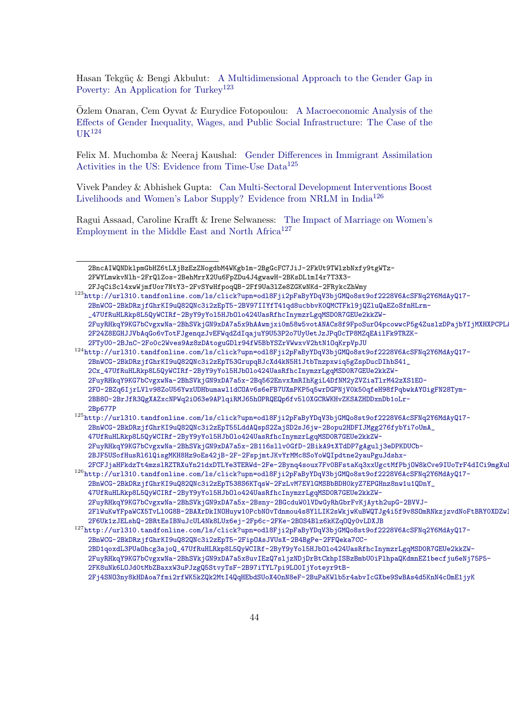Hasan Tekgüç & Bengi Akbulut: [A Multidimensional Approach to the Gender Gap in](http://url310.tandfonline.com/ls/click?upn=odl8Fji2pFaByYDqV3bjGMQo8st9of2228V6AcSFNq2Y6MdAyQ17-2BnWCG-2BkDRzjfGhrKI9uQ82QNc3i2zEpT5-2FnH5L-2FDzkZcQNAUoPdBeWxZYUqE5hEfUSkkKL6FGr1zsVRB_47UfRuHLRkp8L5QyWCIRf-2ByY9yYol5HJbOlo424UasRfhcInymzrLgqMSD0R7GEUe2kkZW-2FuyRHkqY9KG7bCvgxwNa-2BhSVkjGN9xDA7a5x8GvEoiJPzKdQqw7pOqWQkJv-2Bt-2BncAIWQNDklpmGbHZ6tLXjBzEzZNogdbM4WKgb1m-2BgGcFC7JiJ-2FkUt9TWlzbNxfy9tgWTz-2FWYLmwkvNlh-2FrQlZos-2BehMrrX2Uu6FpZDu4J4gwawH-2BKsDL1mI4r7T3X3-2FJqCiScl4xwWjmfUor7NtY3-2FvSYwHfpoqQB-2Ff9Ua3lZe8ZGKwNKd-2FRykcZhWmy) [Poverty: An Application for Turkey](http://url310.tandfonline.com/ls/click?upn=odl8Fji2pFaByYDqV3bjGMQo8st9of2228V6AcSFNq2Y6MdAyQ17-2BnWCG-2BkDRzjfGhrKI9uQ82QNc3i2zEpT5-2FnH5L-2FDzkZcQNAUoPdBeWxZYUqE5hEfUSkkKL6FGr1zsVRB_47UfRuHLRkp8L5QyWCIRf-2ByY9yYol5HJbOlo424UasRfhcInymzrLgqMSD0R7GEUe2kkZW-2FuyRHkqY9KG7bCvgxwNa-2BhSVkjGN9xDA7a5x8GvEoiJPzKdQqw7pOqWQkJv-2Bt-2BncAIWQNDklpmGbHZ6tLXjBzEzZNogdbM4WKgb1m-2BgGcFC7JiJ-2FkUt9TWlzbNxfy9tgWTz-2FWYLmwkvNlh-2FrQlZos-2BehMrrX2Uu6FpZDu4J4gwawH-2BKsDL1mI4r7T3X3-2FJqCiScl4xwWjmfUor7NtY3-2FvSYwHfpoqQB-2Ff9Ua3lZe8ZGKwNKd-2FRykcZhWmy)<sup>[123](#page-43-0)</sup>

[Ozlem Onaran, Cem Oyvat & Eurydice Fotopoulou:](http://url310.tandfonline.com/ls/click?upn=odl8Fji2pFaByYDqV3bjGMQo8st9of2228V6AcSFNq2Y6MdAyQ17-2BnWCG-2BkDRzjfGhrKI9uQ82QNc3i2zEpT5-2FnH5L-2FDzkZcQNAUoPdBeWxZYUqE5hEfUSkkKL6FGr1zsVRB_47UfRuHLRkp8L5QyWCIRf-2ByY9yYol5HJbOlo424UasRfhcInymzrLgqMSD0R7GEUe2kkZW-2FuyRHkqY9KG7bCvgxwNa-2BhSVkjGN9xDA7a5x8GvEoiJPzKdQqw7pOqWQkJv-2Bt-2BncAIWQNDklpmGbHZ6tLXjBzEzZNogdbM4WKgb1m-2BgGcFC7JiJ-2FkUt9TWlzbNxfy9tgWTz-2FWYLmwkvNlh-2FrQlZos-2BehMrrX2Uu6FpZDu4J4gwawH-2BKsDL1mI4r7T3X3-2FJqCiScl4xwWjmfUor7NtY3-2FvSYwHfpoqQB-2Ff9Ua3lZe8ZGKwNKd-2FRykcZhWmy) ¨ [A Macroeconomic Analysis of the](http://url310.tandfonline.com/ls/click?upn=odl8Fji2pFaByYDqV3bjGMQo8st9of2228V6AcSFNq2Y6MdAyQ17-2BnWCG-2BkDRzjfGhrKI9uQ82QNc3i2zEpT53GrupqBJcXd4kN5H1JtbTnzpxwiq5gZspDucDIhbS41_2Cx_47UfRuHLRkp8L5QyWCIRf-2ByY9yYol5HJbOlo424UasRfhcInymzrLgqMSD0R7GEUe2kkZW-2FuyRHkqY9KG7bCvgxwNa-2BhSVkjGN9xDA7a5x-2Bq562EnvxXmRIhKgiL4DfNM2yZVZiaTlrM42zXS1EO-2FO-2BZq6IjrLVlv98ZoU56YwxUDHbumawl1dCOAv6s6eFB7UXmPKP5q5wrDGPNjV0k50qfeH98fPqbwkAYOigFN28Tym-2BB8O-2BrJfR3QgXAZxcNPWq2iO63e9APlqiRMJ65hOPRQEQp6fv5l0XGCRWKHvZKSAZHDDxnDb1oLr-2Bp677P) [Effects of Gender Inequality, Wages, and Public Social Infrastructure: The Case of the](http://url310.tandfonline.com/ls/click?upn=odl8Fji2pFaByYDqV3bjGMQo8st9of2228V6AcSFNq2Y6MdAyQ17-2BnWCG-2BkDRzjfGhrKI9uQ82QNc3i2zEpT5-2FnH5L-2FDzkZcQNAUoPdBeWxZYUqE5hEfUSkkKL6FGr1zsVRB_47UfRuHLRkp8L5QyWCIRf-2ByY9yYol5HJbOlo424UasRfhcInymzrLgqMSD0R7GEUe2kkZW-2FuyRHkqY9KG7bCvgxwNa-2BhSVkjGN9xDA7a5x8GvEoiJPzKdQqw7pOqWQkJv-2Bt-2BncAIWQNDklpmGbHZ6tLXjBzEzZNogdbM4WKgb1m-2BgGcFC7JiJ-2FkUt9TWlzbNxfy9tgWTz-2FWYLmwkvNlh-2FrQlZos-2BehMrrX2Uu6FpZDu4J4gwawH-2BKsDL1mI4r7T3X3-2FJqCiScl4xwWjmfUor7NtY3-2FvSYwHfpoqQB-2Ff9Ua3lZe8ZGKwNKd-2FRykcZhWmy)  $IJK$ <sup>[124](#page-43-1)</sup>

Felix M. Muchomba & Neeraj Kaushal: [Gender Differences in Immigrant Assimilation](http://url310.tandfonline.com/ls/click?upn=odl8Fji2pFaByYDqV3bjGMQo8st9of2228V6AcSFNq2Y6MdAyQ17-2BnWCG-2BkDRzjfGhrKI9uQ82QNc3i2zEpT5-2FnH5L-2FDzkZcQNAUoPdBeWxZYUqE5hEfUSkkKL6FGr1zsVRB_47UfRuHLRkp8L5QyWCIRf-2ByY9yYol5HJbOlo424UasRfhcInymzrLgqMSD0R7GEUe2kkZW-2FuyRHkqY9KG7bCvgxwNa-2BhSVkjGN9xDA7a5x8GvEoiJPzKdQqw7pOqWQkJv-2Bt-2BncAIWQNDklpmGbHZ6tLXjBzEzZNogdbM4WKgb1m-2BgGcFC7JiJ-2FkUt9TWlzbNxfy9tgWTz-2FWYLmwkvNlh-2FrQlZos-2BehMrrX2Uu6FpZDu4J4gwawH-2BKsDL1mI4r7T3X3-2FJqCiScl4xwWjmfUor7NtY3-2FvSYwHfpoqQB-2Ff9Ua3lZe8ZGKwNKd-2FRykcZhWmy) [Activities in the US: Evidence from Time-Use Data](http://url310.tandfonline.com/ls/click?upn=odl8Fji2pFaByYDqV3bjGMQo8st9of2228V6AcSFNq2Y6MdAyQ17-2BnWCG-2BkDRzjfGhrKI9uQ82QNc3i2zEpT5-2FnH5L-2FDzkZcQNAUoPdBeWxZYUqE5hEfUSkkKL6FGr1zsVRB_47UfRuHLRkp8L5QyWCIRf-2ByY9yYol5HJbOlo424UasRfhcInymzrLgqMSD0R7GEUe2kkZW-2FuyRHkqY9KG7bCvgxwNa-2BhSVkjGN9xDA7a5x8GvEoiJPzKdQqw7pOqWQkJv-2Bt-2BncAIWQNDklpmGbHZ6tLXjBzEzZNogdbM4WKgb1m-2BgGcFC7JiJ-2FkUt9TWlzbNxfy9tgWTz-2FWYLmwkvNlh-2FrQlZos-2BehMrrX2Uu6FpZDu4J4gwawH-2BKsDL1mI4r7T3X3-2FJqCiScl4xwWjmfUor7NtY3-2FvSYwHfpoqQB-2Ff9Ua3lZe8ZGKwNKd-2FRykcZhWmy)<sup>[125](#page-43-2)</sup>

Vivek Pandey & Abhishek Gupta: [Can Multi-Sectoral Development Interventions Boost](http://url310.tandfonline.com/ls/click?upn=odl8Fji2pFaByYDqV3bjGMQo8st9of2228V6AcSFNq2Y6MdAyQ17-2BnWCG-2BkDRzjfGhrKI9uQ82QNc3i2zEpT5-2FnH5L-2FDzkZcQNAUoPdBeWxZYUqE5hEfUSkkKL6FGr1zsVRB_47UfRuHLRkp8L5QyWCIRf-2ByY9yYol5HJbOlo424UasRfhcInymzrLgqMSD0R7GEUe2kkZW-2FuyRHkqY9KG7bCvgxwNa-2BhSVkjGN9xDA7a5x8GvEoiJPzKdQqw7pOqWQkJv-2Bt-2BncAIWQNDklpmGbHZ6tLXjBzEzZNogdbM4WKgb1m-2BgGcFC7JiJ-2FkUt9TWlzbNxfy9tgWTz-2FWYLmwkvNlh-2FrQlZos-2BehMrrX2Uu6FpZDu4J4gwawH-2BKsDL1mI4r7T3X3-2FJqCiScl4xwWjmfUor7NtY3-2FvSYwHfpoqQB-2Ff9Ua3lZe8ZGKwNKd-2FRykcZhWmy) [Livelihoods and Women's Labor Supply? Evidence from NRLM in India](http://url310.tandfonline.com/ls/click?upn=odl8Fji2pFaByYDqV3bjGMQo8st9of2228V6AcSFNq2Y6MdAyQ17-2BnWCG-2BkDRzjfGhrKI9uQ82QNc3i2zEpT5-2FnH5L-2FDzkZcQNAUoPdBeWxZYUqE5hEfUSkkKL6FGr1zsVRB_47UfRuHLRkp8L5QyWCIRf-2ByY9yYol5HJbOlo424UasRfhcInymzrLgqMSD0R7GEUe2kkZW-2FuyRHkqY9KG7bCvgxwNa-2BhSVkjGN9xDA7a5x8GvEoiJPzKdQqw7pOqWQkJv-2Bt-2BncAIWQNDklpmGbHZ6tLXjBzEzZNogdbM4WKgb1m-2BgGcFC7JiJ-2FkUt9TWlzbNxfy9tgWTz-2FWYLmwkvNlh-2FrQlZos-2BehMrrX2Uu6FpZDu4J4gwawH-2BKsDL1mI4r7T3X3-2FJqCiScl4xwWjmfUor7NtY3-2FvSYwHfpoqQB-2Ff9Ua3lZe8ZGKwNKd-2FRykcZhWmy)[126](#page-43-3)

[Ragui Assaad, Caroline Krafft & Irene Selwaness:](http://url310.tandfonline.com/ls/click?upn=odl8Fji2pFaByYDqV3bjGMQo8st9of2228V6AcSFNq2Y6MdAyQ17-2BnWCG-2BkDRzjfGhrKI9uQ82QNc3i2zEpT5-2FnH5L-2FDzkZcQNAUoPdBeWxZYUqE5hEfUSkkKL6FGr1zsVRB_47UfRuHLRkp8L5QyWCIRf-2ByY9yYol5HJbOlo424UasRfhcInymzrLgqMSD0R7GEUe2kkZW-2FuyRHkqY9KG7bCvgxwNa-2BhSVkjGN9xDA7a5x8GvEoiJPzKdQqw7pOqWQkJv-2Bt-2BncAIWQNDklpmGbHZ6tLXjBzEzZNogdbM4WKgb1m-2BgGcFC7JiJ-2FkUt9TWlzbNxfy9tgWTz-2FWYLmwkvNlh-2FrQlZos-2BehMrrX2Uu6FpZDu4J4gwawH-2BKsDL1mI4r7T3X3-2FJqCiScl4xwWjmfUor7NtY3-2FvSYwHfpoqQB-2Ff9Ua3lZe8ZGKwNKd-2FRykcZhWmy) [The Impact of Marriage on Women's](http://url310.tandfonline.com/ls/click?upn=odl8Fji2pFaByYDqV3bjGMQo8st9of2228V6AcSFNq2Y6MdAyQ17-2BnWCG-2BkDRzjfGhrKI9uQ82QNc3i2zEpT5-2FipOAsJVUsX-2B4BgPe-2FFQeka7CC-2BD1qoxdL3PUaOhcg3ajoQ_47UfRuHLRkp8L5QyWCIRf-2ByY9yYol5HJbOlo424UasRfhcInymzrLgqMSD0R7GEUe2kkZW-2FuyRHkqY9KG7bCvgxwNa-2BhSVkjGN9xDA7a5x8uvIEzQ7sljzNDjDrBtCkhpISBzBmbU0iPlhpaQKdmnEZ1becfju6eNj75P5-2FK8uNk6LOJd0tMbZBaxxW3uPJzgQ5StvyTsF-2B97iTYL7pi9LO0IjYoteyr9tB-2Fj4SNO3ny8kHDAoa7fmi2rfWK5kZQk2MtI4QqHEbdSUoX40nN8eF-2BuPaKWlb5r4abvIcGXbe9SwBAs4d5KnN4cOmE1jyK) [Employment in the Middle East and North Africa](http://url310.tandfonline.com/ls/click?upn=odl8Fji2pFaByYDqV3bjGMQo8st9of2228V6AcSFNq2Y6MdAyQ17-2BnWCG-2BkDRzjfGhrKI9uQ82QNc3i2zEpT5-2FnH5L-2FDzkZcQNAUoPdBeWxZYUqE5hEfUSkkKL6FGr1zsVRB_47UfRuHLRkp8L5QyWCIRf-2ByY9yYol5HJbOlo424UasRfhcInymzrLgqMSD0R7GEUe2kkZW-2FuyRHkqY9KG7bCvgxwNa-2BhSVkjGN9xDA7a5x8GvEoiJPzKdQqw7pOqWQkJv-2Bt-2BncAIWQNDklpmGbHZ6tLXjBzEzZNogdbM4WKgb1m-2BgGcFC7JiJ-2FkUt9TWlzbNxfy9tgWTz-2FWYLmwkvNlh-2FrQlZos-2BehMrrX2Uu6FpZDu4J4gwawH-2BKsDL1mI4r7T3X3-2FJqCiScl4xwWjmfUor7NtY3-2FvSYwHfpoqQB-2Ff9Ua3lZe8ZGKwNKd-2FRykcZhWmy)<sup>[127](#page-43-4)</sup>

<span id="page-43-0"></span><sup>123</sup>[http://url310.tandfonline.com/ls/click?upn=odl8Fji2pFaByYDqV3bjGMQo8st9of2228V6AcSFNq2Y](http://url310.tandfonline.com/ls/click?upn=odl8Fji2pFaByYDqV3bjGMQo8st9of2228V6AcSFNq2Y6MdAyQ17-2BnWCG-2BkDRzjfGhrKI9uQ82QNc3i2zEpT5-2BV97IIYfT41qd8ucbbvK0QMCTFkl9jQZluQaEZoSfnHLrm-_47UfRuHLRkp8L5QyWCIRf-2ByY9yYol5HJbOlo424UasRfhcInymzrLgqMSD0R7GEUe2kkZW-2FuyRHkqY9KG7bCvgxwNa-2BhSVkjGN9xDA7a5x9hAAwmjxi0m58w5votANACs8f9FpoSurO4pcowwcP5g4ZuslzDPajbYIjMXHXPCPLARPxp-2F24Z8EGHJJVbAqGo6vTotFJgenqzJvEFWqdZdIqajuY9U53P2o7UyUetJzJPqOcTP8MZqEAilFk9TRZK-2FTyU0-2BJnC-2Fo0c2Wves9Az8zDAtoguGDlr94fW5BbYSZrVWwxvV2htN1OqKrpVpJU)6MdAyQ17-

[<sup>2</sup>BncAIWQNDklpmGbHZ6tLXjBzEzZNogdbM4WKgb1m-2BgGcFC7JiJ-2FkUt9TWlzbNxfy9tgWTz-](http://url310.tandfonline.com/ls/click?upn=odl8Fji2pFaByYDqV3bjGMQo8st9of2228V6AcSFNq2Y6MdAyQ17-2BnWCG-2BkDRzjfGhrKI9uQ82QNc3i2zEpT5-2FnH5L-2FDzkZcQNAUoPdBeWxZYUqE5hEfUSkkKL6FGr1zsVRB_47UfRuHLRkp8L5QyWCIRf-2ByY9yYol5HJbOlo424UasRfhcInymzrLgqMSD0R7GEUe2kkZW-2FuyRHkqY9KG7bCvgxwNa-2BhSVkjGN9xDA7a5x8GvEoiJPzKdQqw7pOqWQkJv-2Bt-2BncAIWQNDklpmGbHZ6tLXjBzEzZNogdbM4WKgb1m-2BgGcFC7JiJ-2FkUt9TWlzbNxfy9tgWTz-2FWYLmwkvNlh-2FrQlZos-2BehMrrX2Uu6FpZDu4J4gwawH-2BKsDL1mI4r7T3X3-2FJqCiScl4xwWjmfUor7NtY3-2FvSYwHfpoqQB-2Ff9Ua3lZe8ZGKwNKd-2FRykcZhWmy)[2FWYLmwkvNlh-2FrQlZos-2BehMrrX2Uu6FpZDu4J4gwawH-2BKsDL1mI4r7T3X3-](http://url310.tandfonline.com/ls/click?upn=odl8Fji2pFaByYDqV3bjGMQo8st9of2228V6AcSFNq2Y6MdAyQ17-2BnWCG-2BkDRzjfGhrKI9uQ82QNc3i2zEpT5-2FnH5L-2FDzkZcQNAUoPdBeWxZYUqE5hEfUSkkKL6FGr1zsVRB_47UfRuHLRkp8L5QyWCIRf-2ByY9yYol5HJbOlo424UasRfhcInymzrLgqMSD0R7GEUe2kkZW-2FuyRHkqY9KG7bCvgxwNa-2BhSVkjGN9xDA7a5x8GvEoiJPzKdQqw7pOqWQkJv-2Bt-2BncAIWQNDklpmGbHZ6tLXjBzEzZNogdbM4WKgb1m-2BgGcFC7JiJ-2FkUt9TWlzbNxfy9tgWTz-2FWYLmwkvNlh-2FrQlZos-2BehMrrX2Uu6FpZDu4J4gwawH-2BKsDL1mI4r7T3X3-2FJqCiScl4xwWjmfUor7NtY3-2FvSYwHfpoqQB-2Ff9Ua3lZe8ZGKwNKd-2FRykcZhWmy) [2FJqCiScl4xwWjmfUor7NtY3-2FvSYwHfpoqQB-2Ff9Ua3lZe8ZGKwNKd-2FRykcZhWmy](http://url310.tandfonline.com/ls/click?upn=odl8Fji2pFaByYDqV3bjGMQo8st9of2228V6AcSFNq2Y6MdAyQ17-2BnWCG-2BkDRzjfGhrKI9uQ82QNc3i2zEpT5-2FnH5L-2FDzkZcQNAUoPdBeWxZYUqE5hEfUSkkKL6FGr1zsVRB_47UfRuHLRkp8L5QyWCIRf-2ByY9yYol5HJbOlo424UasRfhcInymzrLgqMSD0R7GEUe2kkZW-2FuyRHkqY9KG7bCvgxwNa-2BhSVkjGN9xDA7a5x8GvEoiJPzKdQqw7pOqWQkJv-2Bt-2BncAIWQNDklpmGbHZ6tLXjBzEzZNogdbM4WKgb1m-2BgGcFC7JiJ-2FkUt9TWlzbNxfy9tgWTz-2FWYLmwkvNlh-2FrQlZos-2BehMrrX2Uu6FpZDu4J4gwawH-2BKsDL1mI4r7T3X3-2FJqCiScl4xwWjmfUor7NtY3-2FvSYwHfpoqQB-2Ff9Ua3lZe8ZGKwNKd-2FRykcZhWmy)

[<sup>2</sup>BnWCG-2BkDRzjfGhrKI9uQ82QNc3i2zEpT5-2BV97IIYfT41qd8ucbbvK0QMCTFkl9jQZluQaEZoSfnHLrm-](http://url310.tandfonline.com/ls/click?upn=odl8Fji2pFaByYDqV3bjGMQo8st9of2228V6AcSFNq2Y6MdAyQ17-2BnWCG-2BkDRzjfGhrKI9uQ82QNc3i2zEpT5-2BV97IIYfT41qd8ucbbvK0QMCTFkl9jQZluQaEZoSfnHLrm-_47UfRuHLRkp8L5QyWCIRf-2ByY9yYol5HJbOlo424UasRfhcInymzrLgqMSD0R7GEUe2kkZW-2FuyRHkqY9KG7bCvgxwNa-2BhSVkjGN9xDA7a5x9hAAwmjxi0m58w5votANACs8f9FpoSurO4pcowwcP5g4ZuslzDPajbYIjMXHXPCPLARPxp-2F24Z8EGHJJVbAqGo6vTotFJgenqzJvEFWqdZdIqajuY9U53P2o7UyUetJzJPqOcTP8MZqEAilFk9TRZK-2FTyU0-2BJnC-2Fo0c2Wves9Az8zDAtoguGDlr94fW5BbYSZrVWwxvV2htN1OqKrpVpJU) [\\_47UfRuHLRkp8L5QyWCIRf-2ByY9yYol5HJbOlo424UasRfhcInymzrLgqMSD0R7GEUe2kkZW-](http://url310.tandfonline.com/ls/click?upn=odl8Fji2pFaByYDqV3bjGMQo8st9of2228V6AcSFNq2Y6MdAyQ17-2BnWCG-2BkDRzjfGhrKI9uQ82QNc3i2zEpT5-2BV97IIYfT41qd8ucbbvK0QMCTFkl9jQZluQaEZoSfnHLrm-_47UfRuHLRkp8L5QyWCIRf-2ByY9yYol5HJbOlo424UasRfhcInymzrLgqMSD0R7GEUe2kkZW-2FuyRHkqY9KG7bCvgxwNa-2BhSVkjGN9xDA7a5x9hAAwmjxi0m58w5votANACs8f9FpoSurO4pcowwcP5g4ZuslzDPajbYIjMXHXPCPLARPxp-2F24Z8EGHJJVbAqGo6vTotFJgenqzJvEFWqdZdIqajuY9U53P2o7UyUetJzJPqOcTP8MZqEAilFk9TRZK-2FTyU0-2BJnC-2Fo0c2Wves9Az8zDAtoguGDlr94fW5BbYSZrVWwxvV2htN1OqKrpVpJU)[2FuyRHkqY9KG7bCvgxwNa-2BhSVkjGN9xDA7a5x9hAAwmjxi0m58w5votANACs8f9FpoSurO4pcowwcP5g4Zus](http://url310.tandfonline.com/ls/click?upn=odl8Fji2pFaByYDqV3bjGMQo8st9of2228V6AcSFNq2Y6MdAyQ17-2BnWCG-2BkDRzjfGhrKI9uQ82QNc3i2zEpT5-2BV97IIYfT41qd8ucbbvK0QMCTFkl9jQZluQaEZoSfnHLrm-_47UfRuHLRkp8L5QyWCIRf-2ByY9yYol5HJbOlo424UasRfhcInymzrLgqMSD0R7GEUe2kkZW-2FuyRHkqY9KG7bCvgxwNa-2BhSVkjGN9xDA7a5x9hAAwmjxi0m58w5votANACs8f9FpoSurO4pcowwcP5g4ZuslzDPajbYIjMXHXPCPLARPxp-2F24Z8EGHJJVbAqGo6vTotFJgenqzJvEFWqdZdIqajuY9U53P2o7UyUetJzJPqOcTP8MZqEAilFk9TRZK-2FTyU0-2BJnC-2Fo0c2Wves9Az8zDAtoguGDlr94fW5BbYSZrVWwxvV2htN1OqKrpVpJU)lzDPajbYIjMXHXPCPL [2F24Z8EGHJJVbAqGo6vTotFJgenqzJvEFWqdZdIqajuY9U53P2o7UyUetJzJPqOcTP8MZqEAilFk9TRZK-](http://url310.tandfonline.com/ls/click?upn=odl8Fji2pFaByYDqV3bjGMQo8st9of2228V6AcSFNq2Y6MdAyQ17-2BnWCG-2BkDRzjfGhrKI9uQ82QNc3i2zEpT5-2BV97IIYfT41qd8ucbbvK0QMCTFkl9jQZluQaEZoSfnHLrm-_47UfRuHLRkp8L5QyWCIRf-2ByY9yYol5HJbOlo424UasRfhcInymzrLgqMSD0R7GEUe2kkZW-2FuyRHkqY9KG7bCvgxwNa-2BhSVkjGN9xDA7a5x9hAAwmjxi0m58w5votANACs8f9FpoSurO4pcowwcP5g4ZuslzDPajbYIjMXHXPCPLARPxp-2F24Z8EGHJJVbAqGo6vTotFJgenqzJvEFWqdZdIqajuY9U53P2o7UyUetJzJPqOcTP8MZqEAilFk9TRZK-2FTyU0-2BJnC-2Fo0c2Wves9Az8zDAtoguGDlr94fW5BbYSZrVWwxvV2htN1OqKrpVpJU)[2FTyU0-2BJnC-2Fo0c2Wves9Az8zDAtoguGDlr94fW5BbYSZrVWwxvV2htN1OqKrpVpJU](http://url310.tandfonline.com/ls/click?upn=odl8Fji2pFaByYDqV3bjGMQo8st9of2228V6AcSFNq2Y6MdAyQ17-2BnWCG-2BkDRzjfGhrKI9uQ82QNc3i2zEpT5-2BV97IIYfT41qd8ucbbvK0QMCTFkl9jQZluQaEZoSfnHLrm-_47UfRuHLRkp8L5QyWCIRf-2ByY9yYol5HJbOlo424UasRfhcInymzrLgqMSD0R7GEUe2kkZW-2FuyRHkqY9KG7bCvgxwNa-2BhSVkjGN9xDA7a5x9hAAwmjxi0m58w5votANACs8f9FpoSurO4pcowwcP5g4ZuslzDPajbYIjMXHXPCPLARPxp-2F24Z8EGHJJVbAqGo6vTotFJgenqzJvEFWqdZdIqajuY9U53P2o7UyUetJzJPqOcTP8MZqEAilFk9TRZK-2FTyU0-2BJnC-2Fo0c2Wves9Az8zDAtoguGDlr94fW5BbYSZrVWwxvV2htN1OqKrpVpJU)

<span id="page-43-1"></span><sup>124</sup>[http://url310.tandfonline.com/ls/click?upn=odl8Fji2pFaByYDqV3bjGMQo8st9of2228V6AcSFNq2Y](http://url310.tandfonline.com/ls/click?upn=odl8Fji2pFaByYDqV3bjGMQo8st9of2228V6AcSFNq2Y6MdAyQ17-2BnWCG-2BkDRzjfGhrKI9uQ82QNc3i2zEpT53GrupqBJcXd4kN5H1JtbTnzpxwiq5gZspDucDIhbS41_2Cx_47UfRuHLRkp8L5QyWCIRf-2ByY9yYol5HJbOlo424UasRfhcInymzrLgqMSD0R7GEUe2kkZW-2FuyRHkqY9KG7bCvgxwNa-2BhSVkjGN9xDA7a5x-2Bq562EnvxXmRIhKgiL4DfNM2yZVZiaTlrM42zXS1EO-2FO-2BZq6IjrLVlv98ZoU56YwxUDHbumawl1dCOAv6s6eFB7UXmPKP5q5wrDGPNjV0k50qfeH98fPqbwkAYOigFN28Tym-2BB8O-2BrJfR3QgXAZxcNPWq2iO63e9APlqiRMJ65hOPRQEQp6fv5l0XGCRWKHvZKSAZHDDxnDb1oLr-2Bp677P)6MdAyQ17- [2BnWCG-2BkDRzjfGhrKI9uQ82QNc3i2zEpT53GrupqBJcXd4kN5H1JtbTnzpxwiq5gZspDucDIhbS41\\_](http://url310.tandfonline.com/ls/click?upn=odl8Fji2pFaByYDqV3bjGMQo8st9of2228V6AcSFNq2Y6MdAyQ17-2BnWCG-2BkDRzjfGhrKI9uQ82QNc3i2zEpT53GrupqBJcXd4kN5H1JtbTnzpxwiq5gZspDucDIhbS41_2Cx_47UfRuHLRkp8L5QyWCIRf-2ByY9yYol5HJbOlo424UasRfhcInymzrLgqMSD0R7GEUe2kkZW-2FuyRHkqY9KG7bCvgxwNa-2BhSVkjGN9xDA7a5x-2Bq562EnvxXmRIhKgiL4DfNM2yZVZiaTlrM42zXS1EO-2FO-2BZq6IjrLVlv98ZoU56YwxUDHbumawl1dCOAv6s6eFB7UXmPKP5q5wrDGPNjV0k50qfeH98fPqbwkAYOigFN28Tym-2BB8O-2BrJfR3QgXAZxcNPWq2iO63e9APlqiRMJ65hOPRQEQp6fv5l0XGCRWKHvZKSAZHDDxnDb1oLr-2Bp677P) [2Cx\\_47UfRuHLRkp8L5QyWCIRf-2ByY9yYol5HJbOlo424UasRfhcInymzrLgqMSD0R7GEUe2kkZW-](http://url310.tandfonline.com/ls/click?upn=odl8Fji2pFaByYDqV3bjGMQo8st9of2228V6AcSFNq2Y6MdAyQ17-2BnWCG-2BkDRzjfGhrKI9uQ82QNc3i2zEpT53GrupqBJcXd4kN5H1JtbTnzpxwiq5gZspDucDIhbS41_2Cx_47UfRuHLRkp8L5QyWCIRf-2ByY9yYol5HJbOlo424UasRfhcInymzrLgqMSD0R7GEUe2kkZW-2FuyRHkqY9KG7bCvgxwNa-2BhSVkjGN9xDA7a5x-2Bq562EnvxXmRIhKgiL4DfNM2yZVZiaTlrM42zXS1EO-2FO-2BZq6IjrLVlv98ZoU56YwxUDHbumawl1dCOAv6s6eFB7UXmPKP5q5wrDGPNjV0k50qfeH98fPqbwkAYOigFN28Tym-2BB8O-2BrJfR3QgXAZxcNPWq2iO63e9APlqiRMJ65hOPRQEQp6fv5l0XGCRWKHvZKSAZHDDxnDb1oLr-2Bp677P)[2FuyRHkqY9KG7bCvgxwNa-2BhSVkjGN9xDA7a5x-2Bq562EnvxXmRIhKgiL4DfNM2yZVZiaTlrM42zXS1EO-](http://url310.tandfonline.com/ls/click?upn=odl8Fji2pFaByYDqV3bjGMQo8st9of2228V6AcSFNq2Y6MdAyQ17-2BnWCG-2BkDRzjfGhrKI9uQ82QNc3i2zEpT53GrupqBJcXd4kN5H1JtbTnzpxwiq5gZspDucDIhbS41_2Cx_47UfRuHLRkp8L5QyWCIRf-2ByY9yYol5HJbOlo424UasRfhcInymzrLgqMSD0R7GEUe2kkZW-2FuyRHkqY9KG7bCvgxwNa-2BhSVkjGN9xDA7a5x-2Bq562EnvxXmRIhKgiL4DfNM2yZVZiaTlrM42zXS1EO-2FO-2BZq6IjrLVlv98ZoU56YwxUDHbumawl1dCOAv6s6eFB7UXmPKP5q5wrDGPNjV0k50qfeH98fPqbwkAYOigFN28Tym-2BB8O-2BrJfR3QgXAZxcNPWq2iO63e9APlqiRMJ65hOPRQEQp6fv5l0XGCRWKHvZKSAZHDDxnDb1oLr-2Bp677P)[2FO-2BZq6IjrLVlv98ZoU56YwxUDHbumawl1dCOAv6s6eFB7UXmPKP5q5wrDGPNjV0k50qfeH98fPqbwkAYOig](http://url310.tandfonline.com/ls/click?upn=odl8Fji2pFaByYDqV3bjGMQo8st9of2228V6AcSFNq2Y6MdAyQ17-2BnWCG-2BkDRzjfGhrKI9uQ82QNc3i2zEpT53GrupqBJcXd4kN5H1JtbTnzpxwiq5gZspDucDIhbS41_2Cx_47UfRuHLRkp8L5QyWCIRf-2ByY9yYol5HJbOlo424UasRfhcInymzrLgqMSD0R7GEUe2kkZW-2FuyRHkqY9KG7bCvgxwNa-2BhSVkjGN9xDA7a5x-2Bq562EnvxXmRIhKgiL4DfNM2yZVZiaTlrM42zXS1EO-2FO-2BZq6IjrLVlv98ZoU56YwxUDHbumawl1dCOAv6s6eFB7UXmPKP5q5wrDGPNjV0k50qfeH98fPqbwkAYOigFN28Tym-2BB8O-2BrJfR3QgXAZxcNPWq2iO63e9APlqiRMJ65hOPRQEQp6fv5l0XGCRWKHvZKSAZHDDxnDb1oLr-2Bp677P)FN28Tym-[2BB8O-2BrJfR3QgXAZxcNPWq2iO63e9APlqiRMJ65hOPRQEQp6fv5l0XGCRWKHvZKSAZHDDxnDb1oLr-](http://url310.tandfonline.com/ls/click?upn=odl8Fji2pFaByYDqV3bjGMQo8st9of2228V6AcSFNq2Y6MdAyQ17-2BnWCG-2BkDRzjfGhrKI9uQ82QNc3i2zEpT53GrupqBJcXd4kN5H1JtbTnzpxwiq5gZspDucDIhbS41_2Cx_47UfRuHLRkp8L5QyWCIRf-2ByY9yYol5HJbOlo424UasRfhcInymzrLgqMSD0R7GEUe2kkZW-2FuyRHkqY9KG7bCvgxwNa-2BhSVkjGN9xDA7a5x-2Bq562EnvxXmRIhKgiL4DfNM2yZVZiaTlrM42zXS1EO-2FO-2BZq6IjrLVlv98ZoU56YwxUDHbumawl1dCOAv6s6eFB7UXmPKP5q5wrDGPNjV0k50qfeH98fPqbwkAYOigFN28Tym-2BB8O-2BrJfR3QgXAZxcNPWq2iO63e9APlqiRMJ65hOPRQEQp6fv5l0XGCRWKHvZKSAZHDDxnDb1oLr-2Bp677P)[2Bp677P](http://url310.tandfonline.com/ls/click?upn=odl8Fji2pFaByYDqV3bjGMQo8st9of2228V6AcSFNq2Y6MdAyQ17-2BnWCG-2BkDRzjfGhrKI9uQ82QNc3i2zEpT53GrupqBJcXd4kN5H1JtbTnzpxwiq5gZspDucDIhbS41_2Cx_47UfRuHLRkp8L5QyWCIRf-2ByY9yYol5HJbOlo424UasRfhcInymzrLgqMSD0R7GEUe2kkZW-2FuyRHkqY9KG7bCvgxwNa-2BhSVkjGN9xDA7a5x-2Bq562EnvxXmRIhKgiL4DfNM2yZVZiaTlrM42zXS1EO-2FO-2BZq6IjrLVlv98ZoU56YwxUDHbumawl1dCOAv6s6eFB7UXmPKP5q5wrDGPNjV0k50qfeH98fPqbwkAYOigFN28Tym-2BB8O-2BrJfR3QgXAZxcNPWq2iO63e9APlqiRMJ65hOPRQEQp6fv5l0XGCRWKHvZKSAZHDDxnDb1oLr-2Bp677P)

<span id="page-43-2"></span><sup>125</sup>[http://url310.tandfonline.com/ls/click?upn=odl8Fji2pFaByYDqV3bjGMQo8st9of2228V6AcSFNq2Y](http://url310.tandfonline.com/ls/click?upn=odl8Fji2pFaByYDqV3bjGMQo8st9of2228V6AcSFNq2Y6MdAyQ17-2BnWCG-2BkDRzjfGhrKI9uQ82QNc3i2zEpT55LddAQspS2ZajSD2sJ6jw-2Bopu2HDFIJMgg276fybYi7oUmA_47UfRuHLRkp8L5QyWCIRf-2ByY9yYol5HJbOlo424UasRfhcInymzrLgqMSD0R7GEUe2kkZW-2FuyRHkqY9KG7bCvgxwNa-2BhSVkjGN9xDA7a5x-2B116sllv0GfD-2BikA9tXTdDP7gAgulj3eDPKDUCb-2BJF5USofHusRl6lQisgMKH8Hz9oEs42jB-2F-2FspjmtJKvYrMMc8SoYoWQIpdtne2yauPguJdshx-2FCFJjaHFkdzTt4mzslRZTRXuYn21dxDTLYe3TERWd-2Fe-2Bynq4soux7Fv0BFstaKq3xxUgctMfPbjOW8kCve9IUoTrF4dICi9mgXuLFc)6MdAyQ17- [2BnWCG-2BkDRzjfGhrKI9uQ82QNc3i2zEpT55LddAQspS2ZajSD2sJ6jw-2Bopu2HDFIJMgg276fybYi7oUmA\\_](http://url310.tandfonline.com/ls/click?upn=odl8Fji2pFaByYDqV3bjGMQo8st9of2228V6AcSFNq2Y6MdAyQ17-2BnWCG-2BkDRzjfGhrKI9uQ82QNc3i2zEpT55LddAQspS2ZajSD2sJ6jw-2Bopu2HDFIJMgg276fybYi7oUmA_47UfRuHLRkp8L5QyWCIRf-2ByY9yYol5HJbOlo424UasRfhcInymzrLgqMSD0R7GEUe2kkZW-2FuyRHkqY9KG7bCvgxwNa-2BhSVkjGN9xDA7a5x-2B116sllv0GfD-2BikA9tXTdDP7gAgulj3eDPKDUCb-2BJF5USofHusRl6lQisgMKH8Hz9oEs42jB-2F-2FspjmtJKvYrMMc8SoYoWQIpdtne2yauPguJdshx-2FCFJjaHFkdzTt4mzslRZTRXuYn21dxDTLYe3TERWd-2Fe-2Bynq4soux7Fv0BFstaKq3xxUgctMfPbjOW8kCve9IUoTrF4dICi9mgXuLFc) [47UfRuHLRkp8L5QyWCIRf-2ByY9yYol5HJbOlo424UasRfhcInymzrLgqMSD0R7GEUe2kkZW-](http://url310.tandfonline.com/ls/click?upn=odl8Fji2pFaByYDqV3bjGMQo8st9of2228V6AcSFNq2Y6MdAyQ17-2BnWCG-2BkDRzjfGhrKI9uQ82QNc3i2zEpT55LddAQspS2ZajSD2sJ6jw-2Bopu2HDFIJMgg276fybYi7oUmA_47UfRuHLRkp8L5QyWCIRf-2ByY9yYol5HJbOlo424UasRfhcInymzrLgqMSD0R7GEUe2kkZW-2FuyRHkqY9KG7bCvgxwNa-2BhSVkjGN9xDA7a5x-2B116sllv0GfD-2BikA9tXTdDP7gAgulj3eDPKDUCb-2BJF5USofHusRl6lQisgMKH8Hz9oEs42jB-2F-2FspjmtJKvYrMMc8SoYoWQIpdtne2yauPguJdshx-2FCFJjaHFkdzTt4mzslRZTRXuYn21dxDTLYe3TERWd-2Fe-2Bynq4soux7Fv0BFstaKq3xxUgctMfPbjOW8kCve9IUoTrF4dICi9mgXuLFc)[2FuyRHkqY9KG7bCvgxwNa-2BhSVkjGN9xDA7a5x-2B116sllv0GfD-2BikA9tXTdDP7gAgulj3eDPKDUCb-](http://url310.tandfonline.com/ls/click?upn=odl8Fji2pFaByYDqV3bjGMQo8st9of2228V6AcSFNq2Y6MdAyQ17-2BnWCG-2BkDRzjfGhrKI9uQ82QNc3i2zEpT55LddAQspS2ZajSD2sJ6jw-2Bopu2HDFIJMgg276fybYi7oUmA_47UfRuHLRkp8L5QyWCIRf-2ByY9yYol5HJbOlo424UasRfhcInymzrLgqMSD0R7GEUe2kkZW-2FuyRHkqY9KG7bCvgxwNa-2BhSVkjGN9xDA7a5x-2B116sllv0GfD-2BikA9tXTdDP7gAgulj3eDPKDUCb-2BJF5USofHusRl6lQisgMKH8Hz9oEs42jB-2F-2FspjmtJKvYrMMc8SoYoWQIpdtne2yauPguJdshx-2FCFJjaHFkdzTt4mzslRZTRXuYn21dxDTLYe3TERWd-2Fe-2Bynq4soux7Fv0BFstaKq3xxUgctMfPbjOW8kCve9IUoTrF4dICi9mgXuLFc)[2BJF5USofHusRl6lQisgMKH8Hz9oEs42jB-2F-2FspjmtJKvYrMMc8SoYoWQIpdtne2yauPguJdshx-](http://url310.tandfonline.com/ls/click?upn=odl8Fji2pFaByYDqV3bjGMQo8st9of2228V6AcSFNq2Y6MdAyQ17-2BnWCG-2BkDRzjfGhrKI9uQ82QNc3i2zEpT55LddAQspS2ZajSD2sJ6jw-2Bopu2HDFIJMgg276fybYi7oUmA_47UfRuHLRkp8L5QyWCIRf-2ByY9yYol5HJbOlo424UasRfhcInymzrLgqMSD0R7GEUe2kkZW-2FuyRHkqY9KG7bCvgxwNa-2BhSVkjGN9xDA7a5x-2B116sllv0GfD-2BikA9tXTdDP7gAgulj3eDPKDUCb-2BJF5USofHusRl6lQisgMKH8Hz9oEs42jB-2F-2FspjmtJKvYrMMc8SoYoWQIpdtne2yauPguJdshx-2FCFJjaHFkdzTt4mzslRZTRXuYn21dxDTLYe3TERWd-2Fe-2Bynq4soux7Fv0BFstaKq3xxUgctMfPbjOW8kCve9IUoTrF4dICi9mgXuLFc)[2FCFJjaHFkdzTt4mzslRZTRXuYn21dxDTLYe3TERWd-2Fe-2Bynq4soux7Fv0BFstaKq3xxUgctMfPbjOW8kCve9IUoTrF4dICi9mgXuLFc](http://url310.tandfonline.com/ls/click?upn=odl8Fji2pFaByYDqV3bjGMQo8st9of2228V6AcSFNq2Y6MdAyQ17-2BnWCG-2BkDRzjfGhrKI9uQ82QNc3i2zEpT55LddAQspS2ZajSD2sJ6jw-2Bopu2HDFIJMgg276fybYi7oUmA_47UfRuHLRkp8L5QyWCIRf-2ByY9yYol5HJbOlo424UasRfhcInymzrLgqMSD0R7GEUe2kkZW-2FuyRHkqY9KG7bCvgxwNa-2BhSVkjGN9xDA7a5x-2B116sllv0GfD-2BikA9tXTdDP7gAgulj3eDPKDUCb-2BJF5USofHusRl6lQisgMKH8Hz9oEs42jB-2F-2FspjmtJKvYrMMc8SoYoWQIpdtne2yauPguJdshx-2FCFJjaHFkdzTt4mzslRZTRXuYn21dxDTLYe3TERWd-2Fe-2Bynq4soux7Fv0BFstaKq3xxUgctMfPbjOW8kCve9IUoTrF4dICi9mgXuLFc)

<span id="page-43-3"></span><sup>126</sup>[http://url310.tandfonline.com/ls/click?upn=odl8Fji2pFaByYDqV3bjGMQo8st9of2228V6AcSFNq2Y](http://url310.tandfonline.com/ls/click?upn=odl8Fji2pFaByYDqV3bjGMQo8st9of2228V6AcSFNq2Y6MdAyQ17-2BnWCG-2BkDRzjfGhrKI9uQ82QNc3i2zEpT538S6KTqsW-2FzLvM7EVlGMSBbBDH0kyZ7EPGHnz8nw1u1QDnY_47UfRuHLRkp8L5QyWCIRf-2ByY9yYol5HJbOlo424UasRfhcInymzrLgqMSD0R7GEUe2kkZW-2FuyRHkqY9KG7bCvgxwNa-2BhSVkjGN9xDA7a5x-2Bsny-2BGcduW0lVDwGyRhGbrFvKjAyth2upG-2BVVJ-2FlWuKwYFpaWCX5TvLl0G8B-2BAXrDkINOHuyw10PcbNOvTdnmou4s8YlLIK2sWkjwKuBWQTJg4i5f9v8SOmRNkzjzvdNoFtBRY0XDZwl3OavCy2OXO-2F6Uk1zJELshQ-2BRtEsIBNuJcUL4Nk8LUx6ej-2Fp6c-2FKe-2BOS4Blz6kKZqOQy0vLDXJB)6MdAyQ17- [2BnWCG-2BkDRzjfGhrKI9uQ82QNc3i2zEpT538S6KTqsW-2FzLvM7EVlGMSBbBDH0kyZ7EPGHnz8nw1u1QDnY\\_](http://url310.tandfonline.com/ls/click?upn=odl8Fji2pFaByYDqV3bjGMQo8st9of2228V6AcSFNq2Y6MdAyQ17-2BnWCG-2BkDRzjfGhrKI9uQ82QNc3i2zEpT538S6KTqsW-2FzLvM7EVlGMSBbBDH0kyZ7EPGHnz8nw1u1QDnY_47UfRuHLRkp8L5QyWCIRf-2ByY9yYol5HJbOlo424UasRfhcInymzrLgqMSD0R7GEUe2kkZW-2FuyRHkqY9KG7bCvgxwNa-2BhSVkjGN9xDA7a5x-2Bsny-2BGcduW0lVDwGyRhGbrFvKjAyth2upG-2BVVJ-2FlWuKwYFpaWCX5TvLl0G8B-2BAXrDkINOHuyw10PcbNOvTdnmou4s8YlLIK2sWkjwKuBWQTJg4i5f9v8SOmRNkzjzvdNoFtBRY0XDZwl3OavCy2OXO-2F6Uk1zJELshQ-2BRtEsIBNuJcUL4Nk8LUx6ej-2Fp6c-2FKe-2BOS4Blz6kKZqOQy0vLDXJB) [47UfRuHLRkp8L5QyWCIRf-2ByY9yYol5HJbOlo424UasRfhcInymzrLgqMSD0R7GEUe2kkZW-](http://url310.tandfonline.com/ls/click?upn=odl8Fji2pFaByYDqV3bjGMQo8st9of2228V6AcSFNq2Y6MdAyQ17-2BnWCG-2BkDRzjfGhrKI9uQ82QNc3i2zEpT538S6KTqsW-2FzLvM7EVlGMSBbBDH0kyZ7EPGHnz8nw1u1QDnY_47UfRuHLRkp8L5QyWCIRf-2ByY9yYol5HJbOlo424UasRfhcInymzrLgqMSD0R7GEUe2kkZW-2FuyRHkqY9KG7bCvgxwNa-2BhSVkjGN9xDA7a5x-2Bsny-2BGcduW0lVDwGyRhGbrFvKjAyth2upG-2BVVJ-2FlWuKwYFpaWCX5TvLl0G8B-2BAXrDkINOHuyw10PcbNOvTdnmou4s8YlLIK2sWkjwKuBWQTJg4i5f9v8SOmRNkzjzvdNoFtBRY0XDZwl3OavCy2OXO-2F6Uk1zJELshQ-2BRtEsIBNuJcUL4Nk8LUx6ej-2Fp6c-2FKe-2BOS4Blz6kKZqOQy0vLDXJB)[2FuyRHkqY9KG7bCvgxwNa-2BhSVkjGN9xDA7a5x-2Bsny-2BGcduW0lVDwGyRhGbrFvKjAyth2upG-2BVVJ-](http://url310.tandfonline.com/ls/click?upn=odl8Fji2pFaByYDqV3bjGMQo8st9of2228V6AcSFNq2Y6MdAyQ17-2BnWCG-2BkDRzjfGhrKI9uQ82QNc3i2zEpT538S6KTqsW-2FzLvM7EVlGMSBbBDH0kyZ7EPGHnz8nw1u1QDnY_47UfRuHLRkp8L5QyWCIRf-2ByY9yYol5HJbOlo424UasRfhcInymzrLgqMSD0R7GEUe2kkZW-2FuyRHkqY9KG7bCvgxwNa-2BhSVkjGN9xDA7a5x-2Bsny-2BGcduW0lVDwGyRhGbrFvKjAyth2upG-2BVVJ-2FlWuKwYFpaWCX5TvLl0G8B-2BAXrDkINOHuyw10PcbNOvTdnmou4s8YlLIK2sWkjwKuBWQTJg4i5f9v8SOmRNkzjzvdNoFtBRY0XDZwl3OavCy2OXO-2F6Uk1zJELshQ-2BRtEsIBNuJcUL4Nk8LUx6ej-2Fp6c-2FKe-2BOS4Blz6kKZqOQy0vLDXJB)2FlWuKwYFpaWCX5TvL10G8B-2BAXrDkINOHuyw10PcbNOvTdnmou4s8YlLIK2sWkjwKuBWQTJg4i5f9v8SOmRNkzjzvdNoFtBRY0XDZwl [2F6Uk1zJELshQ-2BRtEsIBNuJcUL4Nk8LUx6ej-2Fp6c-2FKe-2BOS4Blz6kKZqOQy0vLDXJB](http://url310.tandfonline.com/ls/click?upn=odl8Fji2pFaByYDqV3bjGMQo8st9of2228V6AcSFNq2Y6MdAyQ17-2BnWCG-2BkDRzjfGhrKI9uQ82QNc3i2zEpT538S6KTqsW-2FzLvM7EVlGMSBbBDH0kyZ7EPGHnz8nw1u1QDnY_47UfRuHLRkp8L5QyWCIRf-2ByY9yYol5HJbOlo424UasRfhcInymzrLgqMSD0R7GEUe2kkZW-2FuyRHkqY9KG7bCvgxwNa-2BhSVkjGN9xDA7a5x-2Bsny-2BGcduW0lVDwGyRhGbrFvKjAyth2upG-2BVVJ-2FlWuKwYFpaWCX5TvLl0G8B-2BAXrDkINOHuyw10PcbNOvTdnmou4s8YlLIK2sWkjwKuBWQTJg4i5f9v8SOmRNkzjzvdNoFtBRY0XDZwl3OavCy2OXO-2F6Uk1zJELshQ-2BRtEsIBNuJcUL4Nk8LUx6ej-2Fp6c-2FKe-2BOS4Blz6kKZqOQy0vLDXJB)

<span id="page-43-4"></span><sup>127</sup>[http://url310.tandfonline.com/ls/click?upn=odl8Fji2pFaByYDqV3bjGMQo8st9of2228V6AcSFNq2Y](http://url310.tandfonline.com/ls/click?upn=odl8Fji2pFaByYDqV3bjGMQo8st9of2228V6AcSFNq2Y6MdAyQ17-2BnWCG-2BkDRzjfGhrKI9uQ82QNc3i2zEpT5-2FipOAsJVUsX-2B4BgPe-2FFQeka7CC-2BD1qoxdL3PUaOhcg3ajoQ_47UfRuHLRkp8L5QyWCIRf-2ByY9yYol5HJbOlo424UasRfhcInymzrLgqMSD0R7GEUe2kkZW-2FuyRHkqY9KG7bCvgxwNa-2BhSVkjGN9xDA7a5x8uvIEzQ7sljzNDjDrBtCkhpISBzBmbU0iPlhpaQKdmnEZ1becfju6eNj75P5-2FK8uNk6LOJd0tMbZBaxxW3uPJzgQ5StvyTsF-2B97iTYL7pi9LO0IjYoteyr9tB-2Fj4SNO3ny8kHDAoa7fmi2rfWK5kZQk2MtI4QqHEbdSUoX40nN8eF-2BuPaKWlb5r4abvIcGXbe9SwBAs4d5KnN4cOmE1jyK)6MdAyQ17- [2BnWCG-2BkDRzjfGhrKI9uQ82QNc3i2zEpT5-2FipOAsJVUsX-2B4BgPe-2FFQeka7CC-](http://url310.tandfonline.com/ls/click?upn=odl8Fji2pFaByYDqV3bjGMQo8st9of2228V6AcSFNq2Y6MdAyQ17-2BnWCG-2BkDRzjfGhrKI9uQ82QNc3i2zEpT5-2FipOAsJVUsX-2B4BgPe-2FFQeka7CC-2BD1qoxdL3PUaOhcg3ajoQ_47UfRuHLRkp8L5QyWCIRf-2ByY9yYol5HJbOlo424UasRfhcInymzrLgqMSD0R7GEUe2kkZW-2FuyRHkqY9KG7bCvgxwNa-2BhSVkjGN9xDA7a5x8uvIEzQ7sljzNDjDrBtCkhpISBzBmbU0iPlhpaQKdmnEZ1becfju6eNj75P5-2FK8uNk6LOJd0tMbZBaxxW3uPJzgQ5StvyTsF-2B97iTYL7pi9LO0IjYoteyr9tB-2Fj4SNO3ny8kHDAoa7fmi2rfWK5kZQk2MtI4QqHEbdSUoX40nN8eF-2BuPaKWlb5r4abvIcGXbe9SwBAs4d5KnN4cOmE1jyK)[2BD1qoxdL3PUaOhcg3ajoQ\\_47UfRuHLRkp8L5QyWCIRf-2ByY9yYol5HJbOlo424UasRfhcInymzrLgqMSD0R7](http://url310.tandfonline.com/ls/click?upn=odl8Fji2pFaByYDqV3bjGMQo8st9of2228V6AcSFNq2Y6MdAyQ17-2BnWCG-2BkDRzjfGhrKI9uQ82QNc3i2zEpT5-2FipOAsJVUsX-2B4BgPe-2FFQeka7CC-2BD1qoxdL3PUaOhcg3ajoQ_47UfRuHLRkp8L5QyWCIRf-2ByY9yYol5HJbOlo424UasRfhcInymzrLgqMSD0R7GEUe2kkZW-2FuyRHkqY9KG7bCvgxwNa-2BhSVkjGN9xDA7a5x8uvIEzQ7sljzNDjDrBtCkhpISBzBmbU0iPlhpaQKdmnEZ1becfju6eNj75P5-2FK8uNk6LOJd0tMbZBaxxW3uPJzgQ5StvyTsF-2B97iTYL7pi9LO0IjYoteyr9tB-2Fj4SNO3ny8kHDAoa7fmi2rfWK5kZQk2MtI4QqHEbdSUoX40nN8eF-2BuPaKWlb5r4abvIcGXbe9SwBAs4d5KnN4cOmE1jyK)GEUe2kkZW-[2FuyRHkqY9KG7bCvgxwNa-2BhSVkjGN9xDA7a5x8uvIEzQ7sljzNDjDrBtCkhpISBzBmbU0iPlhpaQKdmnEZ1b](http://url310.tandfonline.com/ls/click?upn=odl8Fji2pFaByYDqV3bjGMQo8st9of2228V6AcSFNq2Y6MdAyQ17-2BnWCG-2BkDRzjfGhrKI9uQ82QNc3i2zEpT5-2FipOAsJVUsX-2B4BgPe-2FFQeka7CC-2BD1qoxdL3PUaOhcg3ajoQ_47UfRuHLRkp8L5QyWCIRf-2ByY9yYol5HJbOlo424UasRfhcInymzrLgqMSD0R7GEUe2kkZW-2FuyRHkqY9KG7bCvgxwNa-2BhSVkjGN9xDA7a5x8uvIEzQ7sljzNDjDrBtCkhpISBzBmbU0iPlhpaQKdmnEZ1becfju6eNj75P5-2FK8uNk6LOJd0tMbZBaxxW3uPJzgQ5StvyTsF-2B97iTYL7pi9LO0IjYoteyr9tB-2Fj4SNO3ny8kHDAoa7fmi2rfWK5kZQk2MtI4QqHEbdSUoX40nN8eF-2BuPaKWlb5r4abvIcGXbe9SwBAs4d5KnN4cOmE1jyK)ecfju6eNj75P5- [2FK8uNk6LOJd0tMbZBaxxW3uPJzgQ5StvyTsF-2B97iTYL7pi9LO0IjYoteyr9tB-](http://url310.tandfonline.com/ls/click?upn=odl8Fji2pFaByYDqV3bjGMQo8st9of2228V6AcSFNq2Y6MdAyQ17-2BnWCG-2BkDRzjfGhrKI9uQ82QNc3i2zEpT5-2FipOAsJVUsX-2B4BgPe-2FFQeka7CC-2BD1qoxdL3PUaOhcg3ajoQ_47UfRuHLRkp8L5QyWCIRf-2ByY9yYol5HJbOlo424UasRfhcInymzrLgqMSD0R7GEUe2kkZW-2FuyRHkqY9KG7bCvgxwNa-2BhSVkjGN9xDA7a5x8uvIEzQ7sljzNDjDrBtCkhpISBzBmbU0iPlhpaQKdmnEZ1becfju6eNj75P5-2FK8uNk6LOJd0tMbZBaxxW3uPJzgQ5StvyTsF-2B97iTYL7pi9LO0IjYoteyr9tB-2Fj4SNO3ny8kHDAoa7fmi2rfWK5kZQk2MtI4QqHEbdSUoX40nN8eF-2BuPaKWlb5r4abvIcGXbe9SwBAs4d5KnN4cOmE1jyK)[2Fj4SNO3ny8kHDAoa7fmi2rfWK5kZQk2MtI4QqHEbdSUoX40nN8eF-2BuPaKWlb5r4abvIcGXbe9SwBAs4d5KnN4cOmE1jyK](http://url310.tandfonline.com/ls/click?upn=odl8Fji2pFaByYDqV3bjGMQo8st9of2228V6AcSFNq2Y6MdAyQ17-2BnWCG-2BkDRzjfGhrKI9uQ82QNc3i2zEpT5-2FipOAsJVUsX-2B4BgPe-2FFQeka7CC-2BD1qoxdL3PUaOhcg3ajoQ_47UfRuHLRkp8L5QyWCIRf-2ByY9yYol5HJbOlo424UasRfhcInymzrLgqMSD0R7GEUe2kkZW-2FuyRHkqY9KG7bCvgxwNa-2BhSVkjGN9xDA7a5x8uvIEzQ7sljzNDjDrBtCkhpISBzBmbU0iPlhpaQKdmnEZ1becfju6eNj75P5-2FK8uNk6LOJd0tMbZBaxxW3uPJzgQ5StvyTsF-2B97iTYL7pi9LO0IjYoteyr9tB-2Fj4SNO3ny8kHDAoa7fmi2rfWK5kZQk2MtI4QqHEbdSUoX40nN8eF-2BuPaKWlb5r4abvIcGXbe9SwBAs4d5KnN4cOmE1jyK)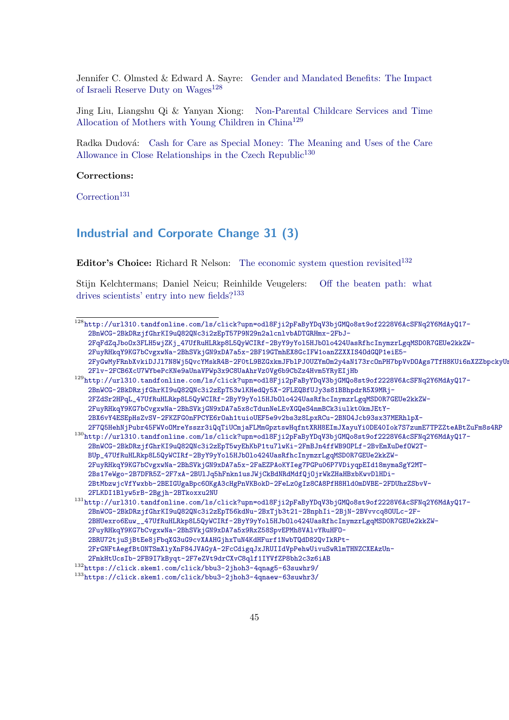Jennifer C. Olmsted & Edward A. Sayre: [Gender and Mandated Benefits: The Impact](http://url310.tandfonline.com/ls/click?upn=odl8Fji2pFaByYDqV3bjGMQo8st9of2228V6AcSFNq2Y6MdAyQ17-2BnWCG-2BkDRzjfGhrKI9uQ82QNc3i2zEpT57P9N29n2alcnlvbADTGRHmx-2FbJ-2FqFdZqJboOx3FLH5wjZKj_47UfRuHLRkp8L5QyWCIRf-2ByY9yYol5HJbOlo424UasRfhcInymzrLgqMSD0R7GEUe2kkZW-2FuyRHkqY9KG7bCvgxwNa-2BhSVkjGN9xDA7a5x-2BF19GTmhEX8GcIFW1oanZZXXIS4OdGQP1eiE5-2FyGwMyFRnbXvkiDJJl7N8Wj5QvcYMskR4B-2F0tL9BZGxkmJFblPJ0UZYmOm2y4aN173rcOnPH7bpVvDOAgs7TfH8KUi6nXZZbpckyUnBcXEn1ZVAht-2Flv-2FCB6XcU7WYbePcKNe9aUnaVPWp3x9C8UaAhrVz0Vg6b9CbZz4Hvm5YRyEIjHb) [of Israeli Reserve Duty on Wages](http://url310.tandfonline.com/ls/click?upn=odl8Fji2pFaByYDqV3bjGMQo8st9of2228V6AcSFNq2Y6MdAyQ17-2BnWCG-2BkDRzjfGhrKI9uQ82QNc3i2zEpT57P9N29n2alcnlvbADTGRHmx-2FbJ-2FqFdZqJboOx3FLH5wjZKj_47UfRuHLRkp8L5QyWCIRf-2ByY9yYol5HJbOlo424UasRfhcInymzrLgqMSD0R7GEUe2kkZW-2FuyRHkqY9KG7bCvgxwNa-2BhSVkjGN9xDA7a5x-2BF19GTmhEX8GcIFW1oanZZXXIS4OdGQP1eiE5-2FyGwMyFRnbXvkiDJJl7N8Wj5QvcYMskR4B-2F0tL9BZGxkmJFblPJ0UZYmOm2y4aN173rcOnPH7bpVvDOAgs7TfH8KUi6nXZZbpckyUnBcXEn1ZVAht-2Flv-2FCB6XcU7WYbePcKNe9aUnaVPWp3x9C8UaAhrVz0Vg6b9CbZz4Hvm5YRyEIjHb)<sup>[128](#page-44-1)</sup>

Jing Liu, Liangshu Qi & Yanyan Xiong: [Non-Parental Childcare Services and Time](http://url310.tandfonline.com/ls/click?upn=odl8Fji2pFaByYDqV3bjGMQo8st9of2228V6AcSFNq2Y6MdAyQ17-2BnWCG-2BkDRzjfGhrKI9uQ82QNc3i2zEpT53wlKHedQy5X-2FLEQBfUJy3s81BBhpdrR5X9MRj-2FZdSr2HPqL_47UfRuHLRkp8L5QyWCIRf-2ByY9yYol5HJbOlo424UasRfhcInymzrLgqMSD0R7GEUe2kkZW-2FuyRHkqY9KG7bCvgxwNa-2BhSVkjGN9xDA7a5x8cTdunNeLEvXGQeS4nmBCk3iulkt0kmJEtY-2BX6vY4ESEpHsZvSV-2FKZFG0nFPCYE6rOah1tuioUEF5e9v2bs3z8LpxRCu-2BNO4Jcb93sx37MERhlpX-2F7Q5HehNjPubr45FWVoOMreYsszr3iQqTiUCmjaFLMmGpztswHqfntXRH8EImJXayuYi0DE40Iok7S7zumE7TPZZteABtZuFm8s4RP) [Allocation of Mothers with Young Children in China](http://url310.tandfonline.com/ls/click?upn=odl8Fji2pFaByYDqV3bjGMQo8st9of2228V6AcSFNq2Y6MdAyQ17-2BnWCG-2BkDRzjfGhrKI9uQ82QNc3i2zEpT53wlKHedQy5X-2FLEQBfUJy3s81BBhpdrR5X9MRj-2FZdSr2HPqL_47UfRuHLRkp8L5QyWCIRf-2ByY9yYol5HJbOlo424UasRfhcInymzrLgqMSD0R7GEUe2kkZW-2FuyRHkqY9KG7bCvgxwNa-2BhSVkjGN9xDA7a5x8cTdunNeLEvXGQeS4nmBCk3iulkt0kmJEtY-2BX6vY4ESEpHsZvSV-2FKZFG0nFPCYE6rOah1tuioUEF5e9v2bs3z8LpxRCu-2BNO4Jcb93sx37MERhlpX-2F7Q5HehNjPubr45FWVoOMreYsszr3iQqTiUCmjaFLMmGpztswHqfntXRH8EImJXayuYi0DE40Iok7S7zumE7TPZZteABtZuFm8s4RP)[129](#page-44-2)

Radka Dudová: [Cash for Care as Special Money: The Meaning and Uses of the Care](http://url310.tandfonline.com/ls/click?upn=odl8Fji2pFaByYDqV3bjGMQo8st9of2228V6AcSFNq2Y6MdAyQ17-2BnWCG-2BkDRzjfGhrKI9uQ82QNc3i2zEpT5wyEhKbP1tu7lwKi-2FmBJn4ffWB9OPLf-2BvEmXuDefOW2T-BUp_47UfRuHLRkp8L5QyWCIRf-2ByY9yYol5HJbOlo424UasRfhcInymzrLgqMSD0R7GEUe2kkZW-2FuyRHkqY9KG7bCvgxwNa-2BhSVkjGN9xDA7a5x-2FaEZPAoKYIeg7PGPu06P7VDiyqpEId18mymaSgY2MT-2Bs17eWgo-2B7DFR5Z-2F7xA-2BUlJq5hFnkn1usJWjCkBdNRdMdfQjOjrWkZHaHBxbKwvDlHDi-2BtMbzwjcVfYwxbb-2BEIGUgaBpc6OKgA3cHgPnVKBokD-2FeLz0gIz8CA8PfH8Hld0mDVBE-2FDUhzZSbvV-2FLKDI1Blyw5rB-2Bgjh-2BTkoxxu2NU) [Allowance in Close Relationships in the Czech Republic](http://url310.tandfonline.com/ls/click?upn=odl8Fji2pFaByYDqV3bjGMQo8st9of2228V6AcSFNq2Y6MdAyQ17-2BnWCG-2BkDRzjfGhrKI9uQ82QNc3i2zEpT5wyEhKbP1tu7lwKi-2FmBJn4ffWB9OPLf-2BvEmXuDefOW2T-BUp_47UfRuHLRkp8L5QyWCIRf-2ByY9yYol5HJbOlo424UasRfhcInymzrLgqMSD0R7GEUe2kkZW-2FuyRHkqY9KG7bCvgxwNa-2BhSVkjGN9xDA7a5x-2FaEZPAoKYIeg7PGPu06P7VDiyqpEId18mymaSgY2MT-2Bs17eWgo-2B7DFR5Z-2F7xA-2BUlJq5hFnkn1usJWjCkBdNRdMdfQjOjrWkZHaHBxbKwvDlHDi-2BtMbzwjcVfYwxbb-2BEIGUgaBpc6OKgA3cHgPnVKBokD-2FeLz0gIz8CA8PfH8Hld0mDVBE-2FDUhzZSbvV-2FLKDI1Blyw5rB-2Bgjh-2BTkoxxu2NU)<sup>[130](#page-44-3)</sup>

### Corrections:

 $\text{Correction}^{131}$  $\text{Correction}^{131}$  $\text{Correction}^{131}$  $\text{Correction}^{131}$  $\text{Correction}^{131}$ 

### <span id="page-44-0"></span>Industrial and Corporate Change 31 (3)

Editor's Choice: Richard R Nelson: [The economic system question revisited](https://click.skem1.com/click/bbu3-2jhoh3-4qnag5-63suwhr9/)<sup>[132](#page-44-5)</sup>

Stijn Kelchtermans; Daniel Neicu; Reinhilde Veugelers: [Off the beaten path: what](https://click.skem1.com/click/bbu3-2jhoh3-4qnaew-63suwhr3/) [drives scientists' entry into new fields?](https://click.skem1.com/click/bbu3-2jhoh3-4qnaew-63suwhr3/)<sup>[133](#page-44-6)</sup>

<span id="page-44-3"></span><span id="page-44-2"></span><span id="page-44-1"></span><sup>128</sup>[http://url310.tandfonline.com/ls/click?upn=odl8Fji2pFaByYDqV3bjGMQo8st9of2228V6AcSFNq2Y](http://url310.tandfonline.com/ls/click?upn=odl8Fji2pFaByYDqV3bjGMQo8st9of2228V6AcSFNq2Y6MdAyQ17-2BnWCG-2BkDRzjfGhrKI9uQ82QNc3i2zEpT57P9N29n2alcnlvbADTGRHmx-2FbJ-2FqFdZqJboOx3FLH5wjZKj_47UfRuHLRkp8L5QyWCIRf-2ByY9yYol5HJbOlo424UasRfhcInymzrLgqMSD0R7GEUe2kkZW-2FuyRHkqY9KG7bCvgxwNa-2BhSVkjGN9xDA7a5x-2BF19GTmhEX8GcIFW1oanZZXXIS4OdGQP1eiE5-2FyGwMyFRnbXvkiDJJl7N8Wj5QvcYMskR4B-2F0tL9BZGxkmJFblPJ0UZYmOm2y4aN173rcOnPH7bpVvDOAgs7TfH8KUi6nXZZbpckyUnBcXEn1ZVAht-2Flv-2FCB6XcU7WYbePcKNe9aUnaVPWp3x9C8UaAhrVz0Vg6b9CbZz4Hvm5YRyEIjHb)6MdAyQ17- [2BnWCG-2BkDRzjfGhrKI9uQ82QNc3i2zEpT57P9N29n2alcnlvbADTGRHmx-2FbJ-](http://url310.tandfonline.com/ls/click?upn=odl8Fji2pFaByYDqV3bjGMQo8st9of2228V6AcSFNq2Y6MdAyQ17-2BnWCG-2BkDRzjfGhrKI9uQ82QNc3i2zEpT57P9N29n2alcnlvbADTGRHmx-2FbJ-2FqFdZqJboOx3FLH5wjZKj_47UfRuHLRkp8L5QyWCIRf-2ByY9yYol5HJbOlo424UasRfhcInymzrLgqMSD0R7GEUe2kkZW-2FuyRHkqY9KG7bCvgxwNa-2BhSVkjGN9xDA7a5x-2BF19GTmhEX8GcIFW1oanZZXXIS4OdGQP1eiE5-2FyGwMyFRnbXvkiDJJl7N8Wj5QvcYMskR4B-2F0tL9BZGxkmJFblPJ0UZYmOm2y4aN173rcOnPH7bpVvDOAgs7TfH8KUi6nXZZbpckyUnBcXEn1ZVAht-2Flv-2FCB6XcU7WYbePcKNe9aUnaVPWp3x9C8UaAhrVz0Vg6b9CbZz4Hvm5YRyEIjHb)[2FqFdZqJboOx3FLH5wjZKj\\_47UfRuHLRkp8L5QyWCIRf-2ByY9yYol5HJbOlo424UasRfhcInymzrLgqMSD0R7](http://url310.tandfonline.com/ls/click?upn=odl8Fji2pFaByYDqV3bjGMQo8st9of2228V6AcSFNq2Y6MdAyQ17-2BnWCG-2BkDRzjfGhrKI9uQ82QNc3i2zEpT57P9N29n2alcnlvbADTGRHmx-2FbJ-2FqFdZqJboOx3FLH5wjZKj_47UfRuHLRkp8L5QyWCIRf-2ByY9yYol5HJbOlo424UasRfhcInymzrLgqMSD0R7GEUe2kkZW-2FuyRHkqY9KG7bCvgxwNa-2BhSVkjGN9xDA7a5x-2BF19GTmhEX8GcIFW1oanZZXXIS4OdGQP1eiE5-2FyGwMyFRnbXvkiDJJl7N8Wj5QvcYMskR4B-2F0tL9BZGxkmJFblPJ0UZYmOm2y4aN173rcOnPH7bpVvDOAgs7TfH8KUi6nXZZbpckyUnBcXEn1ZVAht-2Flv-2FCB6XcU7WYbePcKNe9aUnaVPWp3x9C8UaAhrVz0Vg6b9CbZz4Hvm5YRyEIjHb)GEUe2kkZW-[2FuyRHkqY9KG7bCvgxwNa-2BhSVkjGN9xDA7a5x-2BF19GTmhEX8GcIFW1oanZZXXIS4OdGQP1eiE5-](http://url310.tandfonline.com/ls/click?upn=odl8Fji2pFaByYDqV3bjGMQo8st9of2228V6AcSFNq2Y6MdAyQ17-2BnWCG-2BkDRzjfGhrKI9uQ82QNc3i2zEpT57P9N29n2alcnlvbADTGRHmx-2FbJ-2FqFdZqJboOx3FLH5wjZKj_47UfRuHLRkp8L5QyWCIRf-2ByY9yYol5HJbOlo424UasRfhcInymzrLgqMSD0R7GEUe2kkZW-2FuyRHkqY9KG7bCvgxwNa-2BhSVkjGN9xDA7a5x-2BF19GTmhEX8GcIFW1oanZZXXIS4OdGQP1eiE5-2FyGwMyFRnbXvkiDJJl7N8Wj5QvcYMskR4B-2F0tL9BZGxkmJFblPJ0UZYmOm2y4aN173rcOnPH7bpVvDOAgs7TfH8KUi6nXZZbpckyUnBcXEn1ZVAht-2Flv-2FCB6XcU7WYbePcKNe9aUnaVPWp3x9C8UaAhrVz0Vg6b9CbZz4Hvm5YRyEIjHb) 2FyGwMyFRnbXvkiDJJ17N8Wj5QvcYMskR4B-2F0tL9BZGxkmJFblPJ0UZYmOm2y4aN173rcOnPH7bpVvDOAgs7TfH8KUi6nXZZbpckyUi [2Flv-2FCB6XcU7WYbePcKNe9aUnaVPWp3x9C8UaAhrVz0Vg6b9CbZz4Hvm5YRyEIjHb](http://url310.tandfonline.com/ls/click?upn=odl8Fji2pFaByYDqV3bjGMQo8st9of2228V6AcSFNq2Y6MdAyQ17-2BnWCG-2BkDRzjfGhrKI9uQ82QNc3i2zEpT57P9N29n2alcnlvbADTGRHmx-2FbJ-2FqFdZqJboOx3FLH5wjZKj_47UfRuHLRkp8L5QyWCIRf-2ByY9yYol5HJbOlo424UasRfhcInymzrLgqMSD0R7GEUe2kkZW-2FuyRHkqY9KG7bCvgxwNa-2BhSVkjGN9xDA7a5x-2BF19GTmhEX8GcIFW1oanZZXXIS4OdGQP1eiE5-2FyGwMyFRnbXvkiDJJl7N8Wj5QvcYMskR4B-2F0tL9BZGxkmJFblPJ0UZYmOm2y4aN173rcOnPH7bpVvDOAgs7TfH8KUi6nXZZbpckyUnBcXEn1ZVAht-2Flv-2FCB6XcU7WYbePcKNe9aUnaVPWp3x9C8UaAhrVz0Vg6b9CbZz4Hvm5YRyEIjHb) <sup>129</sup>[http://url310.tandfonline.com/ls/click?upn=odl8Fji2pFaByYDqV3bjGMQo8st9of2228V6AcSFNq2Y](http://url310.tandfonline.com/ls/click?upn=odl8Fji2pFaByYDqV3bjGMQo8st9of2228V6AcSFNq2Y6MdAyQ17-2BnWCG-2BkDRzjfGhrKI9uQ82QNc3i2zEpT53wlKHedQy5X-2FLEQBfUJy3s81BBhpdrR5X9MRj-2FZdSr2HPqL_47UfRuHLRkp8L5QyWCIRf-2ByY9yYol5HJbOlo424UasRfhcInymzrLgqMSD0R7GEUe2kkZW-2FuyRHkqY9KG7bCvgxwNa-2BhSVkjGN9xDA7a5x8cTdunNeLEvXGQeS4nmBCk3iulkt0kmJEtY-2BX6vY4ESEpHsZvSV-2FKZFG0nFPCYE6rOah1tuioUEF5e9v2bs3z8LpxRCu-2BNO4Jcb93sx37MERhlpX-2F7Q5HehNjPubr45FWVoOMreYsszr3iQqTiUCmjaFLMmGpztswHqfntXRH8EImJXayuYi0DE40Iok7S7zumE7TPZZteABtZuFm8s4RP)6MdAyQ17- [2BnWCG-2BkDRzjfGhrKI9uQ82QNc3i2zEpT53wlKHedQy5X-2FLEQBfUJy3s81BBhpdrR5X9MRj-](http://url310.tandfonline.com/ls/click?upn=odl8Fji2pFaByYDqV3bjGMQo8st9of2228V6AcSFNq2Y6MdAyQ17-2BnWCG-2BkDRzjfGhrKI9uQ82QNc3i2zEpT53wlKHedQy5X-2FLEQBfUJy3s81BBhpdrR5X9MRj-2FZdSr2HPqL_47UfRuHLRkp8L5QyWCIRf-2ByY9yYol5HJbOlo424UasRfhcInymzrLgqMSD0R7GEUe2kkZW-2FuyRHkqY9KG7bCvgxwNa-2BhSVkjGN9xDA7a5x8cTdunNeLEvXGQeS4nmBCk3iulkt0kmJEtY-2BX6vY4ESEpHsZvSV-2FKZFG0nFPCYE6rOah1tuioUEF5e9v2bs3z8LpxRCu-2BNO4Jcb93sx37MERhlpX-2F7Q5HehNjPubr45FWVoOMreYsszr3iQqTiUCmjaFLMmGpztswHqfntXRH8EImJXayuYi0DE40Iok7S7zumE7TPZZteABtZuFm8s4RP)[2FZdSr2HPqL\\_47UfRuHLRkp8L5QyWCIRf-2ByY9yYol5HJbOlo424UasRfhcInymzrLgqMSD0R7GEUe2kkZW-](http://url310.tandfonline.com/ls/click?upn=odl8Fji2pFaByYDqV3bjGMQo8st9of2228V6AcSFNq2Y6MdAyQ17-2BnWCG-2BkDRzjfGhrKI9uQ82QNc3i2zEpT53wlKHedQy5X-2FLEQBfUJy3s81BBhpdrR5X9MRj-2FZdSr2HPqL_47UfRuHLRkp8L5QyWCIRf-2ByY9yYol5HJbOlo424UasRfhcInymzrLgqMSD0R7GEUe2kkZW-2FuyRHkqY9KG7bCvgxwNa-2BhSVkjGN9xDA7a5x8cTdunNeLEvXGQeS4nmBCk3iulkt0kmJEtY-2BX6vY4ESEpHsZvSV-2FKZFG0nFPCYE6rOah1tuioUEF5e9v2bs3z8LpxRCu-2BNO4Jcb93sx37MERhlpX-2F7Q5HehNjPubr45FWVoOMreYsszr3iQqTiUCmjaFLMmGpztswHqfntXRH8EImJXayuYi0DE40Iok7S7zumE7TPZZteABtZuFm8s4RP)[2FuyRHkqY9KG7bCvgxwNa-2BhSVkjGN9xDA7a5x8cTdunNeLEvXGQeS4nmBCk3iulkt0kmJEtY-](http://url310.tandfonline.com/ls/click?upn=odl8Fji2pFaByYDqV3bjGMQo8st9of2228V6AcSFNq2Y6MdAyQ17-2BnWCG-2BkDRzjfGhrKI9uQ82QNc3i2zEpT53wlKHedQy5X-2FLEQBfUJy3s81BBhpdrR5X9MRj-2FZdSr2HPqL_47UfRuHLRkp8L5QyWCIRf-2ByY9yYol5HJbOlo424UasRfhcInymzrLgqMSD0R7GEUe2kkZW-2FuyRHkqY9KG7bCvgxwNa-2BhSVkjGN9xDA7a5x8cTdunNeLEvXGQeS4nmBCk3iulkt0kmJEtY-2BX6vY4ESEpHsZvSV-2FKZFG0nFPCYE6rOah1tuioUEF5e9v2bs3z8LpxRCu-2BNO4Jcb93sx37MERhlpX-2F7Q5HehNjPubr45FWVoOMreYsszr3iQqTiUCmjaFLMmGpztswHqfntXRH8EImJXayuYi0DE40Iok7S7zumE7TPZZteABtZuFm8s4RP)[2BX6vY4ESEpHsZvSV-2FKZFG0nFPCYE6rOah1tuioUEF5e9v2bs3z8LpxRCu-2BNO4Jcb93sx37MERhlpX-](http://url310.tandfonline.com/ls/click?upn=odl8Fji2pFaByYDqV3bjGMQo8st9of2228V6AcSFNq2Y6MdAyQ17-2BnWCG-2BkDRzjfGhrKI9uQ82QNc3i2zEpT53wlKHedQy5X-2FLEQBfUJy3s81BBhpdrR5X9MRj-2FZdSr2HPqL_47UfRuHLRkp8L5QyWCIRf-2ByY9yYol5HJbOlo424UasRfhcInymzrLgqMSD0R7GEUe2kkZW-2FuyRHkqY9KG7bCvgxwNa-2BhSVkjGN9xDA7a5x8cTdunNeLEvXGQeS4nmBCk3iulkt0kmJEtY-2BX6vY4ESEpHsZvSV-2FKZFG0nFPCYE6rOah1tuioUEF5e9v2bs3z8LpxRCu-2BNO4Jcb93sx37MERhlpX-2F7Q5HehNjPubr45FWVoOMreYsszr3iQqTiUCmjaFLMmGpztswHqfntXRH8EImJXayuYi0DE40Iok7S7zumE7TPZZteABtZuFm8s4RP)[2F7Q5HehNjPubr45FWVoOMreYsszr3iQqTiUCmjaFLMmGpztswHqfntXRH8EImJXayuYi0DE40Iok7S7zumE7TPZZteABtZuFm8s4RP](http://url310.tandfonline.com/ls/click?upn=odl8Fji2pFaByYDqV3bjGMQo8st9of2228V6AcSFNq2Y6MdAyQ17-2BnWCG-2BkDRzjfGhrKI9uQ82QNc3i2zEpT53wlKHedQy5X-2FLEQBfUJy3s81BBhpdrR5X9MRj-2FZdSr2HPqL_47UfRuHLRkp8L5QyWCIRf-2ByY9yYol5HJbOlo424UasRfhcInymzrLgqMSD0R7GEUe2kkZW-2FuyRHkqY9KG7bCvgxwNa-2BhSVkjGN9xDA7a5x8cTdunNeLEvXGQeS4nmBCk3iulkt0kmJEtY-2BX6vY4ESEpHsZvSV-2FKZFG0nFPCYE6rOah1tuioUEF5e9v2bs3z8LpxRCu-2BNO4Jcb93sx37MERhlpX-2F7Q5HehNjPubr45FWVoOMreYsszr3iQqTiUCmjaFLMmGpztswHqfntXRH8EImJXayuYi0DE40Iok7S7zumE7TPZZteABtZuFm8s4RP) <sup>130</sup>[http://url310.tandfonline.com/ls/click?upn=odl8Fji2pFaByYDqV3bjGMQo8st9of2228V6AcSFNq2Y](http://url310.tandfonline.com/ls/click?upn=odl8Fji2pFaByYDqV3bjGMQo8st9of2228V6AcSFNq2Y6MdAyQ17-2BnWCG-2BkDRzjfGhrKI9uQ82QNc3i2zEpT5wyEhKbP1tu7lwKi-2FmBJn4ffWB9OPLf-2BvEmXuDefOW2T-BUp_47UfRuHLRkp8L5QyWCIRf-2ByY9yYol5HJbOlo424UasRfhcInymzrLgqMSD0R7GEUe2kkZW-2FuyRHkqY9KG7bCvgxwNa-2BhSVkjGN9xDA7a5x-2FaEZPAoKYIeg7PGPu06P7VDiyqpEId18mymaSgY2MT-2Bs17eWgo-2B7DFR5Z-2F7xA-2BUlJq5hFnkn1usJWjCkBdNRdMdfQjOjrWkZHaHBxbKwvDlHDi-2BtMbzwjcVfYwxbb-2BEIGUgaBpc6OKgA3cHgPnVKBokD-2FeLz0gIz8CA8PfH8Hld0mDVBE-2FDUhzZSbvV-2FLKDI1Blyw5rB-2Bgjh-2BTkoxxu2NU)6MdAyQ17- [2BnWCG-2BkDRzjfGhrKI9uQ82QNc3i2zEpT5wyEhKbP1tu7lwKi-2FmBJn4ffWB9OPLf-2BvEmXuDefOW2T-](http://url310.tandfonline.com/ls/click?upn=odl8Fji2pFaByYDqV3bjGMQo8st9of2228V6AcSFNq2Y6MdAyQ17-2BnWCG-2BkDRzjfGhrKI9uQ82QNc3i2zEpT5wyEhKbP1tu7lwKi-2FmBJn4ffWB9OPLf-2BvEmXuDefOW2T-BUp_47UfRuHLRkp8L5QyWCIRf-2ByY9yYol5HJbOlo424UasRfhcInymzrLgqMSD0R7GEUe2kkZW-2FuyRHkqY9KG7bCvgxwNa-2BhSVkjGN9xDA7a5x-2FaEZPAoKYIeg7PGPu06P7VDiyqpEId18mymaSgY2MT-2Bs17eWgo-2B7DFR5Z-2F7xA-2BUlJq5hFnkn1usJWjCkBdNRdMdfQjOjrWkZHaHBxbKwvDlHDi-2BtMbzwjcVfYwxbb-2BEIGUgaBpc6OKgA3cHgPnVKBokD-2FeLz0gIz8CA8PfH8Hld0mDVBE-2FDUhzZSbvV-2FLKDI1Blyw5rB-2Bgjh-2BTkoxxu2NU)[BUp\\_47UfRuHLRkp8L5QyWCIRf-2ByY9yYol5HJbOlo424UasRfhcInymzrLgqMSD0R7GEUe2kkZW-](http://url310.tandfonline.com/ls/click?upn=odl8Fji2pFaByYDqV3bjGMQo8st9of2228V6AcSFNq2Y6MdAyQ17-2BnWCG-2BkDRzjfGhrKI9uQ82QNc3i2zEpT5wyEhKbP1tu7lwKi-2FmBJn4ffWB9OPLf-2BvEmXuDefOW2T-BUp_47UfRuHLRkp8L5QyWCIRf-2ByY9yYol5HJbOlo424UasRfhcInymzrLgqMSD0R7GEUe2kkZW-2FuyRHkqY9KG7bCvgxwNa-2BhSVkjGN9xDA7a5x-2FaEZPAoKYIeg7PGPu06P7VDiyqpEId18mymaSgY2MT-2Bs17eWgo-2B7DFR5Z-2F7xA-2BUlJq5hFnkn1usJWjCkBdNRdMdfQjOjrWkZHaHBxbKwvDlHDi-2BtMbzwjcVfYwxbb-2BEIGUgaBpc6OKgA3cHgPnVKBokD-2FeLz0gIz8CA8PfH8Hld0mDVBE-2FDUhzZSbvV-2FLKDI1Blyw5rB-2Bgjh-2BTkoxxu2NU)[2FuyRHkqY9KG7bCvgxwNa-2BhSVkjGN9xDA7a5x-2FaEZPAoKYIeg7PGPu06P7VDiyqpEId18mymaSgY2MT-](http://url310.tandfonline.com/ls/click?upn=odl8Fji2pFaByYDqV3bjGMQo8st9of2228V6AcSFNq2Y6MdAyQ17-2BnWCG-2BkDRzjfGhrKI9uQ82QNc3i2zEpT5wyEhKbP1tu7lwKi-2FmBJn4ffWB9OPLf-2BvEmXuDefOW2T-BUp_47UfRuHLRkp8L5QyWCIRf-2ByY9yYol5HJbOlo424UasRfhcInymzrLgqMSD0R7GEUe2kkZW-2FuyRHkqY9KG7bCvgxwNa-2BhSVkjGN9xDA7a5x-2FaEZPAoKYIeg7PGPu06P7VDiyqpEId18mymaSgY2MT-2Bs17eWgo-2B7DFR5Z-2F7xA-2BUlJq5hFnkn1usJWjCkBdNRdMdfQjOjrWkZHaHBxbKwvDlHDi-2BtMbzwjcVfYwxbb-2BEIGUgaBpc6OKgA3cHgPnVKBokD-2FeLz0gIz8CA8PfH8Hld0mDVBE-2FDUhzZSbvV-2FLKDI1Blyw5rB-2Bgjh-2BTkoxxu2NU)[2Bs17eWgo-2B7DFR5Z-2F7xA-2BUlJq5hFnkn1usJWjCkBdNRdMdfQjOjrWkZHaHBxbKwvDlHDi-](http://url310.tandfonline.com/ls/click?upn=odl8Fji2pFaByYDqV3bjGMQo8st9of2228V6AcSFNq2Y6MdAyQ17-2BnWCG-2BkDRzjfGhrKI9uQ82QNc3i2zEpT5wyEhKbP1tu7lwKi-2FmBJn4ffWB9OPLf-2BvEmXuDefOW2T-BUp_47UfRuHLRkp8L5QyWCIRf-2ByY9yYol5HJbOlo424UasRfhcInymzrLgqMSD0R7GEUe2kkZW-2FuyRHkqY9KG7bCvgxwNa-2BhSVkjGN9xDA7a5x-2FaEZPAoKYIeg7PGPu06P7VDiyqpEId18mymaSgY2MT-2Bs17eWgo-2B7DFR5Z-2F7xA-2BUlJq5hFnkn1usJWjCkBdNRdMdfQjOjrWkZHaHBxbKwvDlHDi-2BtMbzwjcVfYwxbb-2BEIGUgaBpc6OKgA3cHgPnVKBokD-2FeLz0gIz8CA8PfH8Hld0mDVBE-2FDUhzZSbvV-2FLKDI1Blyw5rB-2Bgjh-2BTkoxxu2NU)[2BtMbzwjcVfYwxbb-2BEIGUgaBpc6OKgA3cHgPnVKBokD-2FeLz0gIz8CA8PfH8Hld0mDVBE-2FDUhzZSbvV-](http://url310.tandfonline.com/ls/click?upn=odl8Fji2pFaByYDqV3bjGMQo8st9of2228V6AcSFNq2Y6MdAyQ17-2BnWCG-2BkDRzjfGhrKI9uQ82QNc3i2zEpT5wyEhKbP1tu7lwKi-2FmBJn4ffWB9OPLf-2BvEmXuDefOW2T-BUp_47UfRuHLRkp8L5QyWCIRf-2ByY9yYol5HJbOlo424UasRfhcInymzrLgqMSD0R7GEUe2kkZW-2FuyRHkqY9KG7bCvgxwNa-2BhSVkjGN9xDA7a5x-2FaEZPAoKYIeg7PGPu06P7VDiyqpEId18mymaSgY2MT-2Bs17eWgo-2B7DFR5Z-2F7xA-2BUlJq5hFnkn1usJWjCkBdNRdMdfQjOjrWkZHaHBxbKwvDlHDi-2BtMbzwjcVfYwxbb-2BEIGUgaBpc6OKgA3cHgPnVKBokD-2FeLz0gIz8CA8PfH8Hld0mDVBE-2FDUhzZSbvV-2FLKDI1Blyw5rB-2Bgjh-2BTkoxxu2NU)[2FLKDI1Blyw5rB-2Bgjh-2BTkoxxu2NU](http://url310.tandfonline.com/ls/click?upn=odl8Fji2pFaByYDqV3bjGMQo8st9of2228V6AcSFNq2Y6MdAyQ17-2BnWCG-2BkDRzjfGhrKI9uQ82QNc3i2zEpT5wyEhKbP1tu7lwKi-2FmBJn4ffWB9OPLf-2BvEmXuDefOW2T-BUp_47UfRuHLRkp8L5QyWCIRf-2ByY9yYol5HJbOlo424UasRfhcInymzrLgqMSD0R7GEUe2kkZW-2FuyRHkqY9KG7bCvgxwNa-2BhSVkjGN9xDA7a5x-2FaEZPAoKYIeg7PGPu06P7VDiyqpEId18mymaSgY2MT-2Bs17eWgo-2B7DFR5Z-2F7xA-2BUlJq5hFnkn1usJWjCkBdNRdMdfQjOjrWkZHaHBxbKwvDlHDi-2BtMbzwjcVfYwxbb-2BEIGUgaBpc6OKgA3cHgPnVKBokD-2FeLz0gIz8CA8PfH8Hld0mDVBE-2FDUhzZSbvV-2FLKDI1Blyw5rB-2Bgjh-2BTkoxxu2NU) <sup>131</sup>[http://url310.tandfonline.com/ls/click?upn=odl8Fji2pFaByYDqV3bjGMQo8st9of2228V6AcSFNq2Y](http://url310.tandfonline.com/ls/click?upn=odl8Fji2pFaByYDqV3bjGMQo8st9of2228V6AcSFNq2Y6MdAyQ17-2BnWCG-2BkDRzjfGhrKI9uQ82QNc3i2zEpT56kdNu-2BxTjb3t21-2BnphIi-2BjN-2BVvvcq8OULc-2F-2BHUexro6Euw__47UfRuHLRkp8L5QyWCIRf-2ByY9yYol5HJbOlo424UasRfhcInymzrLgqMSD0R7GEUe2kkZW-2FuyRHkqY9KG7bCvgxwNa-2BhSVkjGN9xDA7a5x9RxZ58SpvEPMh8VAlvYRuHFO-2BRU72tjuSjBtEe8jFbqXG3uG9cvXAAHGjhxTuN4KdHFurf1NwbTQdD82QvIkRPt-2FrGNFtAegfBtONTSmXlyXnF84JVAGyA-2FcCdigqJxJRUIIdVpPehwUivuSwRlmTHNZCXEAzUn-2FmkHtUcsIb-2FB9I7kByqt-2F7eZVt9drCXvC8qlf1IYVfZP8bh2c3z6iAB)6MdAyQ17- [2BnWCG-2BkDRzjfGhrKI9uQ82QNc3i2zEpT56kdNu-2BxTjb3t21-2BnphIi-2BjN-2BVvvcq8OULc-2F-](http://url310.tandfonline.com/ls/click?upn=odl8Fji2pFaByYDqV3bjGMQo8st9of2228V6AcSFNq2Y6MdAyQ17-2BnWCG-2BkDRzjfGhrKI9uQ82QNc3i2zEpT56kdNu-2BxTjb3t21-2BnphIi-2BjN-2BVvvcq8OULc-2F-2BHUexro6Euw__47UfRuHLRkp8L5QyWCIRf-2ByY9yYol5HJbOlo424UasRfhcInymzrLgqMSD0R7GEUe2kkZW-2FuyRHkqY9KG7bCvgxwNa-2BhSVkjGN9xDA7a5x9RxZ58SpvEPMh8VAlvYRuHFO-2BRU72tjuSjBtEe8jFbqXG3uG9cvXAAHGjhxTuN4KdHFurf1NwbTQdD82QvIkRPt-2FrGNFtAegfBtONTSmXlyXnF84JVAGyA-2FcCdigqJxJRUIIdVpPehwUivuSwRlmTHNZCXEAzUn-2FmkHtUcsIb-2FB9I7kByqt-2F7eZVt9drCXvC8qlf1IYVfZP8bh2c3z6iAB)[2BHUexro6Euw\\_\\_47UfRuHLRkp8L5QyWCIRf-2ByY9yYol5HJbOlo424UasRfhcInymzrLgqMSD0R7GEUe2kkZW](http://url310.tandfonline.com/ls/click?upn=odl8Fji2pFaByYDqV3bjGMQo8st9of2228V6AcSFNq2Y6MdAyQ17-2BnWCG-2BkDRzjfGhrKI9uQ82QNc3i2zEpT56kdNu-2BxTjb3t21-2BnphIi-2BjN-2BVvvcq8OULc-2F-2BHUexro6Euw__47UfRuHLRkp8L5QyWCIRf-2ByY9yYol5HJbOlo424UasRfhcInymzrLgqMSD0R7GEUe2kkZW-2FuyRHkqY9KG7bCvgxwNa-2BhSVkjGN9xDA7a5x9RxZ58SpvEPMh8VAlvYRuHFO-2BRU72tjuSjBtEe8jFbqXG3uG9cvXAAHGjhxTuN4KdHFurf1NwbTQdD82QvIkRPt-2FrGNFtAegfBtONTSmXlyXnF84JVAGyA-2FcCdigqJxJRUIIdVpPehwUivuSwRlmTHNZCXEAzUn-2FmkHtUcsIb-2FB9I7kByqt-2F7eZVt9drCXvC8qlf1IYVfZP8bh2c3z6iAB)-[2FuyRHkqY9KG7bCvgxwNa-2BhSVkjGN9xDA7a5x9RxZ58SpvEPMh8VAlvYRuHFO-](http://url310.tandfonline.com/ls/click?upn=odl8Fji2pFaByYDqV3bjGMQo8st9of2228V6AcSFNq2Y6MdAyQ17-2BnWCG-2BkDRzjfGhrKI9uQ82QNc3i2zEpT56kdNu-2BxTjb3t21-2BnphIi-2BjN-2BVvvcq8OULc-2F-2BHUexro6Euw__47UfRuHLRkp8L5QyWCIRf-2ByY9yYol5HJbOlo424UasRfhcInymzrLgqMSD0R7GEUe2kkZW-2FuyRHkqY9KG7bCvgxwNa-2BhSVkjGN9xDA7a5x9RxZ58SpvEPMh8VAlvYRuHFO-2BRU72tjuSjBtEe8jFbqXG3uG9cvXAAHGjhxTuN4KdHFurf1NwbTQdD82QvIkRPt-2FrGNFtAegfBtONTSmXlyXnF84JVAGyA-2FcCdigqJxJRUIIdVpPehwUivuSwRlmTHNZCXEAzUn-2FmkHtUcsIb-2FB9I7kByqt-2F7eZVt9drCXvC8qlf1IYVfZP8bh2c3z6iAB)[2BRU72tjuSjBtEe8jFbqXG3uG9cvXAAHGjhxTuN4KdHFurf1NwbTQdD82QvIkRPt-](http://url310.tandfonline.com/ls/click?upn=odl8Fji2pFaByYDqV3bjGMQo8st9of2228V6AcSFNq2Y6MdAyQ17-2BnWCG-2BkDRzjfGhrKI9uQ82QNc3i2zEpT56kdNu-2BxTjb3t21-2BnphIi-2BjN-2BVvvcq8OULc-2F-2BHUexro6Euw__47UfRuHLRkp8L5QyWCIRf-2ByY9yYol5HJbOlo424UasRfhcInymzrLgqMSD0R7GEUe2kkZW-2FuyRHkqY9KG7bCvgxwNa-2BhSVkjGN9xDA7a5x9RxZ58SpvEPMh8VAlvYRuHFO-2BRU72tjuSjBtEe8jFbqXG3uG9cvXAAHGjhxTuN4KdHFurf1NwbTQdD82QvIkRPt-2FrGNFtAegfBtONTSmXlyXnF84JVAGyA-2FcCdigqJxJRUIIdVpPehwUivuSwRlmTHNZCXEAzUn-2FmkHtUcsIb-2FB9I7kByqt-2F7eZVt9drCXvC8qlf1IYVfZP8bh2c3z6iAB)[2FrGNFtAegfBtONTSmXlyXnF84JVAGyA-2FcCdigqJxJRUIIdVpPehwUivuSwRlmTHNZCXEAzUn-](http://url310.tandfonline.com/ls/click?upn=odl8Fji2pFaByYDqV3bjGMQo8st9of2228V6AcSFNq2Y6MdAyQ17-2BnWCG-2BkDRzjfGhrKI9uQ82QNc3i2zEpT56kdNu-2BxTjb3t21-2BnphIi-2BjN-2BVvvcq8OULc-2F-2BHUexro6Euw__47UfRuHLRkp8L5QyWCIRf-2ByY9yYol5HJbOlo424UasRfhcInymzrLgqMSD0R7GEUe2kkZW-2FuyRHkqY9KG7bCvgxwNa-2BhSVkjGN9xDA7a5x9RxZ58SpvEPMh8VAlvYRuHFO-2BRU72tjuSjBtEe8jFbqXG3uG9cvXAAHGjhxTuN4KdHFurf1NwbTQdD82QvIkRPt-2FrGNFtAegfBtONTSmXlyXnF84JVAGyA-2FcCdigqJxJRUIIdVpPehwUivuSwRlmTHNZCXEAzUn-2FmkHtUcsIb-2FB9I7kByqt-2F7eZVt9drCXvC8qlf1IYVfZP8bh2c3z6iAB)[2FmkHtUcsIb-2FB9I7kByqt-2F7eZVt9drCXvC8qlf1IYVfZP8bh2c3z6iAB](http://url310.tandfonline.com/ls/click?upn=odl8Fji2pFaByYDqV3bjGMQo8st9of2228V6AcSFNq2Y6MdAyQ17-2BnWCG-2BkDRzjfGhrKI9uQ82QNc3i2zEpT56kdNu-2BxTjb3t21-2BnphIi-2BjN-2BVvvcq8OULc-2F-2BHUexro6Euw__47UfRuHLRkp8L5QyWCIRf-2ByY9yYol5HJbOlo424UasRfhcInymzrLgqMSD0R7GEUe2kkZW-2FuyRHkqY9KG7bCvgxwNa-2BhSVkjGN9xDA7a5x9RxZ58SpvEPMh8VAlvYRuHFO-2BRU72tjuSjBtEe8jFbqXG3uG9cvXAAHGjhxTuN4KdHFurf1NwbTQdD82QvIkRPt-2FrGNFtAegfBtONTSmXlyXnF84JVAGyA-2FcCdigqJxJRUIIdVpPehwUivuSwRlmTHNZCXEAzUn-2FmkHtUcsIb-2FB9I7kByqt-2F7eZVt9drCXvC8qlf1IYVfZP8bh2c3z6iAB) <sup>132</sup><https://click.skem1.com/click/bbu3-2jhoh3-4qnag5-63suwhr9/>

<span id="page-44-6"></span><span id="page-44-5"></span><span id="page-44-4"></span><sup>133</sup><https://click.skem1.com/click/bbu3-2jhoh3-4qnaew-63suwhr3/>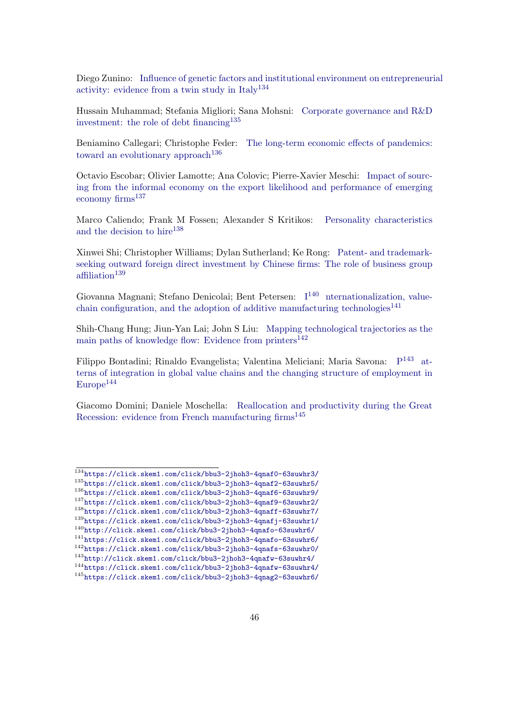Diego Zunino: [Influence of genetic factors and institutional environment on entrepreneuri](https://click.skem1.com/click/bbu3-2jhoh3-4qnaf0-63suwhr3/)al activity: evidence from a twin study in  $Italy<sup>134</sup>$  $Italy<sup>134</sup>$  $Italy<sup>134</sup>$ 

Hussain Muhammad; Stefania Migliori; Sana Mohsni: [Corporate governance and R&D](https://click.skem1.com/click/bbu3-2jhoh3-4qnaf2-63suwhr5/) [investment: the role of debt financing](https://click.skem1.com/click/bbu3-2jhoh3-4qnaf2-63suwhr5/)<sup>[135](#page-45-2)</sup>

Beniamino Callegari; Christophe Feder: [The long-term economic effects of pandemics:](https://click.skem1.com/click/bbu3-2jhoh3-4qnaf6-63suwhr9/) [toward an evolutionary approach](https://click.skem1.com/click/bbu3-2jhoh3-4qnaf6-63suwhr9/)<sup>[136](#page-45-3)</sup>

Octavio Escobar; Olivier Lamotte; Ana Colovic; Pierre-Xavier Meschi: [Impact of sourc](https://click.skem1.com/click/bbu3-2jhoh3-4qnaf9-63suwhr2/)[ing from the informal economy on the export likelihood and performance of emerging](https://click.skem1.com/click/bbu3-2jhoh3-4qnaf9-63suwhr2/) [economy firms](https://click.skem1.com/click/bbu3-2jhoh3-4qnaf9-63suwhr2/)<sup>[137](#page-45-4)</sup>

Marco Caliendo; Frank M Fossen; Alexander S Kritikos: [Personality characteristics](https://click.skem1.com/click/bbu3-2jhoh3-4qnaff-63suwhr7/) [and the decision to hire](https://click.skem1.com/click/bbu3-2jhoh3-4qnaff-63suwhr7/)<sup>[138](#page-45-5)</sup>

Xinwei Shi; Christopher Williams; Dylan Sutherland; Ke Rong: [Patent- and trademark](https://click.skem1.com/click/bbu3-2jhoh3-4qnafj-63suwhr1/)[seeking outward foreign direct investment by Chinese firms: The role of business group](https://click.skem1.com/click/bbu3-2jhoh3-4qnafj-63suwhr1/) [affiliation](https://click.skem1.com/click/bbu3-2jhoh3-4qnafj-63suwhr1/)<sup>[139](#page-45-6)</sup>

Giovanna Magnani; Stefano Denicolai; Bent Petersen:  $I^{140}$  $I^{140}$  $I^{140}$  $I^{140}$  [nternationalization, value](https://click.skem1.com/click/bbu3-2jhoh3-4qnafo-63suwhr6/)[chain configuration, and the adoption of additive manufacturing technologies](https://click.skem1.com/click/bbu3-2jhoh3-4qnafo-63suwhr6/)<sup>[141](#page-45-8)</sup>

Shih-Chang Hung; Jiun-Yan Lai; John S Liu: [Mapping technological trajectories as the](https://click.skem1.com/click/bbu3-2jhoh3-4qnafs-63suwhr0/) [main paths of knowledge flow: Evidence from printers](https://click.skem1.com/click/bbu3-2jhoh3-4qnafs-63suwhr0/) $^{142}$  $^{142}$  $^{142}$ 

Filippo Bontadini; Rinaldo Evangelista; Valentina Meliciani; Maria Savona: [P](http://click.skem1.com/click/bbu3-2jhoh3-4qnafw-63suwhr4/)<sup>[143](#page-45-10)</sup> [at](https://click.skem1.com/click/bbu3-2jhoh3-4qnafw-63suwhr4/)[terns of integration in global value chains and the changing structure of employment in](https://click.skem1.com/click/bbu3-2jhoh3-4qnafw-63suwhr4/)  $Europe<sup>144</sup>$  $Europe<sup>144</sup>$  $Europe<sup>144</sup>$  $Europe<sup>144</sup>$ 

Giacomo Domini; Daniele Moschella: [Reallocation and productivity during the Great](https://click.skem1.com/click/bbu3-2jhoh3-4qnag2-63suwhr6/) Recession: evidence from French manufacturing  $f_{\text{rms}}^{145}$  $f_{\text{rms}}^{145}$  $f_{\text{rms}}^{145}$ 

<span id="page-45-1"></span><span id="page-45-0"></span><sup>134</sup><https://click.skem1.com/click/bbu3-2jhoh3-4qnaf0-63suwhr3/>

<span id="page-45-2"></span><sup>135</sup><https://click.skem1.com/click/bbu3-2jhoh3-4qnaf2-63suwhr5/>

<span id="page-45-4"></span><span id="page-45-3"></span><sup>136</sup><https://click.skem1.com/click/bbu3-2jhoh3-4qnaf6-63suwhr9/> <sup>137</sup><https://click.skem1.com/click/bbu3-2jhoh3-4qnaf9-63suwhr2/>

<span id="page-45-5"></span><sup>138</sup><https://click.skem1.com/click/bbu3-2jhoh3-4qnaff-63suwhr7/>

<span id="page-45-6"></span><sup>139</sup><https://click.skem1.com/click/bbu3-2jhoh3-4qnafj-63suwhr1/>

<span id="page-45-7"></span><sup>140</sup><http://click.skem1.com/click/bbu3-2jhoh3-4qnafo-63suwhr6/>

<span id="page-45-8"></span><sup>141</sup><https://click.skem1.com/click/bbu3-2jhoh3-4qnafo-63suwhr6/>

<span id="page-45-9"></span><sup>142</sup><https://click.skem1.com/click/bbu3-2jhoh3-4qnafs-63suwhr0/>

<span id="page-45-11"></span><span id="page-45-10"></span> $^{143}\text{http://click.stem1.com/click/bbu3-2jhoh3-4qnafw-63suvhr4/}$ <sup>144</sup><https://click.skem1.com/click/bbu3-2jhoh3-4qnafw-63suwhr4/>

<span id="page-45-12"></span><sup>145</sup><https://click.skem1.com/click/bbu3-2jhoh3-4qnag2-63suwhr6/>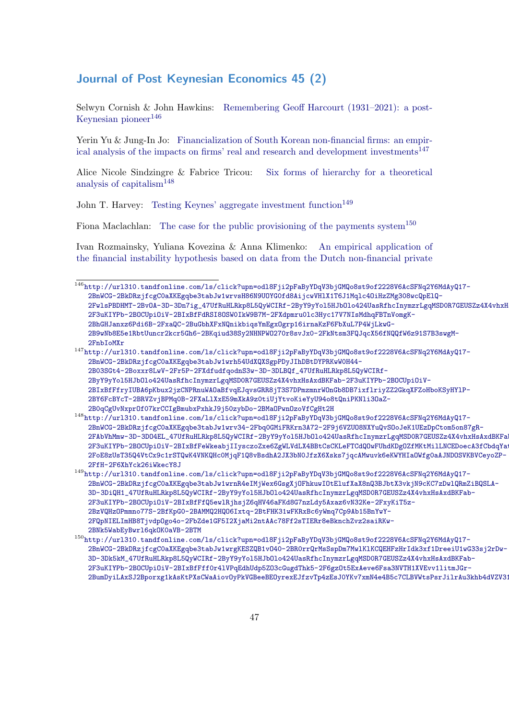### Journal of Post Keynesian Economics 45 (2)

Selwyn Cornish & John Hawkins: [Remembering Geoff Harcourt \(1931–2021\): a post-](http://url310.tandfonline.com/ls/click?upn=odl8Fji2pFaByYDqV3bjGMQo8st9of2228V6AcSFNq2Y6MdAyQ17-2BnWCG-2BkDRzjfcgC0aXKEgqbe3tabJw1wrvsH86N9UOYG0fd8AijcwVHlX1T6J1Mqlc4OiHzZMg308wcQpElQ-2FwlsPBDHMT-2BvOA-3D-3Dn7ig_47UfRuHLRkp8L5QyWCIRf-2ByY9yYol5HJbOlo424UasRfhcInymzrLgqMSD0R7GEUSZz4X4vhxHsAxdBKFab-2F3uKIYPb-2BOCUpiOiV-2BIxBfFdRSI8OSW0IkW9B7M-2FXdpmru0lc3Hyc17V7NIsMdhqFBTnVomgK-2BhGHJanxz6Pdi6B-2FxaQC-2BuGbhXFxNQnikbiqsYmEgxOgrp16irnaKzF6FbXuL7P4WjLkwG-2B9wNb8E5e1RbtUuncr2kcr5Gh6-2BKqiud38Sy2NHNPWO270r8svJx0-2FkNtsm3FQJqcX56fNQQfW6z91S7B3swgM-2FnbIoMXr)[Keynesian pioneer](http://url310.tandfonline.com/ls/click?upn=odl8Fji2pFaByYDqV3bjGMQo8st9of2228V6AcSFNq2Y6MdAyQ17-2BnWCG-2BkDRzjfcgC0aXKEgqbe3tabJw1wrvsH86N9UOYG0fd8AijcwVHlX1T6J1Mqlc4OiHzZMg308wcQpElQ-2FwlsPBDHMT-2BvOA-3D-3Dn7ig_47UfRuHLRkp8L5QyWCIRf-2ByY9yYol5HJbOlo424UasRfhcInymzrLgqMSD0R7GEUSZz4X4vhxHsAxdBKFab-2F3uKIYPb-2BOCUpiOiV-2BIxBfFdRSI8OSW0IkW9B7M-2FXdpmru0lc3Hyc17V7NIsMdhqFBTnVomgK-2BhGHJanxz6Pdi6B-2FxaQC-2BuGbhXFxNQnikbiqsYmEgxOgrp16irnaKzF6FbXuL7P4WjLkwG-2B9wNb8E5e1RbtUuncr2kcr5Gh6-2BKqiud38Sy2NHNPWO270r8svJx0-2FkNtsm3FQJqcX56fNQQfW6z91S7B3swgM-2FnbIoMXr) $146$ 

Yerin Yu & Jung-In Jo: [Financialization of South Korean non-financial firms: an empir](http://url310.tandfonline.com/ls/click?upn=odl8Fji2pFaByYDqV3bjGMQo8st9of2228V6AcSFNq2Y6MdAyQ17-2BnWCG-2BkDRzjfcgC0aXKEgqbe3tabJw1wrh54UdXQXSgpPDyJIhDBtDYPRKwW0H44-2B03SGt4-2Boxxr8LwV-2Fr5P-2FXdfudfqodnS3w-3D-3DLBQf_47UfRuHLRkp8L5QyWCIRf-2ByY9yYol5HJbOlo424UasRfhcInymzrLgqMSD0R7GEUSZz4X4vhxHsAxdBKFab-2F3uKIYPb-2BOCUpiOiV-2BIxBfFfryIUBA6pKbux2jzCNPRnuWAOaBfvqEJqvsGRR8jT3S7DPmzmnrWOnGb8DB7ixflriyZZ2GkqXFZoHboKSyHYlP-2BY6FcBYcT-2BRVZvjBPMq0B-2FXaLlXxE59mXkA9z0tiUjYtvoKieYyU94o8tQniPKNli3OaZ-2B0qCgUvNxprOf07krCCIgBmubxPxhkJ9j50zybDo-2BMaOPwnOzoVfCgHt2H)[ical analysis of the impacts on firms' real and research and development investments](http://url310.tandfonline.com/ls/click?upn=odl8Fji2pFaByYDqV3bjGMQo8st9of2228V6AcSFNq2Y6MdAyQ17-2BnWCG-2BkDRzjfcgC0aXKEgqbe3tabJw1wrh54UdXQXSgpPDyJIhDBtDYPRKwW0H44-2B03SGt4-2Boxxr8LwV-2Fr5P-2FXdfudfqodnS3w-3D-3DLBQf_47UfRuHLRkp8L5QyWCIRf-2ByY9yYol5HJbOlo424UasRfhcInymzrLgqMSD0R7GEUSZz4X4vhxHsAxdBKFab-2F3uKIYPb-2BOCUpiOiV-2BIxBfFfryIUBA6pKbux2jzCNPRnuWAOaBfvqEJqvsGRR8jT3S7DPmzmnrWOnGb8DB7ixflriyZZ2GkqXFZoHboKSyHYlP-2BY6FcBYcT-2BRVZvjBPMq0B-2FXaLlXxE59mXkA9z0tiUjYtvoKieYyU94o8tQniPKNli3OaZ-2B0qCgUvNxprOf07krCCIgBmubxPxhkJ9j50zybDo-2BMaOPwnOzoVfCgHt2H)<sup>[147](#page-46-1)</sup>

Alice Nicole Sindzingre & Fabrice Tricou: [Six forms of hierarchy for a theoretical](http://url310.tandfonline.com/ls/click?upn=odl8Fji2pFaByYDqV3bjGMQo8st9of2228V6AcSFNq2Y6MdAyQ17-2BnWCG-2BkDRzjfcgC0aXKEgqbe3tabJw1wrv34-2Fbq0GMiFRKrn3A72-2F9j6VZUO8NXYuQvSOoJeK1UEzDpCtom5on87gR-2FAbVhMmw-3D-3DO4EL_47UfRuHLRkp8L5QyWCIRf-2ByY9yYol5HJbOlo424UasRfhcInymzrLgqMSD0R7GEUSZz4X4vhxHsAxdBKFab-2F3uKIYPb-2BOCUpiOiV-2BIxBfFeWkeabjIIysczoZxe6ZgWLVdLX4BBtCsCKLeFTCdQOwFUhdKDgOZfMKtMilLNCEDoecA3fCbdqYatU3HbyAyI6IcX8qH-2FoE8zUsT35Q4VtCx9c1rSTQwK4VNKQHc0MjqF1Q8vBsdhA2JX3bN0JfzX6Xsks7jqcAMwuvk6eKWYHIaOWfg0aAJNDOSVKBVCeyoZP-2FfH-2F6XhYck26iWkecY8J) [analysis of capitalism](http://url310.tandfonline.com/ls/click?upn=odl8Fji2pFaByYDqV3bjGMQo8st9of2228V6AcSFNq2Y6MdAyQ17-2BnWCG-2BkDRzjfcgC0aXKEgqbe3tabJw1wrv34-2Fbq0GMiFRKrn3A72-2F9j6VZUO8NXYuQvSOoJeK1UEzDpCtom5on87gR-2FAbVhMmw-3D-3DO4EL_47UfRuHLRkp8L5QyWCIRf-2ByY9yYol5HJbOlo424UasRfhcInymzrLgqMSD0R7GEUSZz4X4vhxHsAxdBKFab-2F3uKIYPb-2BOCUpiOiV-2BIxBfFeWkeabjIIysczoZxe6ZgWLVdLX4BBtCsCKLeFTCdQOwFUhdKDgOZfMKtMilLNCEDoecA3fCbdqYatU3HbyAyI6IcX8qH-2FoE8zUsT35Q4VtCx9c1rSTQwK4VNKQHc0MjqF1Q8vBsdhA2JX3bN0JfzX6Xsks7jqcAMwuvk6eKWYHIaOWfg0aAJNDOSVKBVCeyoZP-2FfH-2F6XhYck26iWkecY8J)[148](#page-46-2)

John T. Harvey: [Testing Keynes' aggregate investment function](http://url310.tandfonline.com/ls/click?upn=odl8Fji2pFaByYDqV3bjGMQo8st9of2228V6AcSFNq2Y6MdAyQ17-2BnWCG-2BkDRzjfcgC0aXKEgqbe3tabJw1wrnR4eIMjWex6GsgXjOFhkuwIOtElufXaX8nQ3BJbtX3vkjN9cKC7zDwlQRmZiBQSLA-3D-3DiQH1_47UfRuHLRkp8L5QyWCIRf-2ByY9yYol5HJbOlo424UasRfhcInymzrLgqMSD0R7GEUSZz4X4vhxHsAxdBKFab-2F3uKIYPb-2BOCUpiOiV-2BIxBfFfQ5ewlRjhsjZ6qHV46aFKd8G7nzLdy5Axaz6vN32Ke-2FxyKiT5z-2BzVQHzOPmmno77S-2BfKpG0-2BAMMQ2HQO6Ixtq-2BtFHK31wFKRxBc6yWmq7Cp9Ab15BnYwY-2FQpNIELImHB8TjvdpOgo4o-2FbZde1GF5I2XjaMi2ntAAc78Ff2sTIERr8eBknchZvz2saiRKw-2BNk5WabEyBwrl6qkOK0aVB-2BTM)<sup>[149](#page-46-3)</sup>

Fiona Maclachlan: [The case for the public provisioning of the payments system](http://url310.tandfonline.com/ls/click?upn=odl8Fji2pFaByYDqV3bjGMQo8st9of2228V6AcSFNq2Y6MdAyQ17-2BnWCG-2BkDRzjfcgC0aXKEgqbe3tabJw1wrgKESZQB1vO40-2BR0rrQrMsSspDm7MwlKlKCQEHFzHrIdk3xf1DreeiU1wG33sj2rDw-3D-3Dk5kM_47UfRuHLRkp8L5QyWCIRf-2ByY9yYol5HJbOlo424UasRfhcInymzrLgqMSD0R7GEUSZz4X4vhxHsAxdBKFab-2F3uKIYPb-2BOCUpiOiV-2BIxBfFff0r4lVPqEdhUdp5ZO3cGugdThk5-2F6gzOt5ExAeve6Fsa3NVTH1XVEvv1litmJGr-2BumDyiLAxSJ2Bporxg1kAsKtPXsCWaAiovOyPkVGBeeBEOyrexEJfzvTp4zEsJ0YKv7xmN4e4B5c7CLBVWtsPsrJilrAu3khb4dVZV31VEbuWIvSsZLC2H4aFPXfmUvbFPLsBvvyrfpGDXYbbhiF25)<sup>[150](#page-46-4)</sup>

Ivan Rozmainsky, Yuliana Kovezina & Anna Klimenko: [An empirical application of](http://url310.tandfonline.com/ls/click?upn=odl8Fji2pFaByYDqV3bjGMQo8st9of2228V6AcSFNq2Y6MdAyQ17-2BnWCG-2BkDRzjfcgC0aXKEgqbe3tabJw1wrnI8WBZbw807cPN4f-2B0srywCtdtiweEce6-2FUYBIt60NaK5LDV0RJiLRFL6R8Vi29Vg-3D-3DYwBl_47UfRuHLRkp8L5QyWCIRf-2ByY9yYol5HJbOlo424UasRfhcInymzrLgqMSD0R7GEUSZz4X4vhxHsAxdBKFab-2F3uKIYPb-2BOCUpiOiV-2BIxBfFdFMB3Q3-2FuXxfBhA4IT-2Fr7Grc1KMuZoGLT4YH4l4eq8uBH-2Fiz8LoHjICU7p6W-2FQ-2BPMyEcisCAN2gKnZVDsv-2B6BGM-2B9P9Dt46lcJLhOmYxCtAdvyqGtiUW0eIzEB1M48XBMJrr1vF3MSc7B8vPVhPo02KXRYNlVyDv-2FErypDQ-2FI9scqJ99ELxHCiceEPYQeP6Thi9XGdWeKE52K-2Fk-2BgCHwio) [the financial instability hypothesis based on data from the Dutch non-financial private](http://url310.tandfonline.com/ls/click?upn=odl8Fji2pFaByYDqV3bjGMQo8st9of2228V6AcSFNq2Y6MdAyQ17-2BnWCG-2BkDRzjfcgC0aXKEgqbe3tabJw1wrnI8WBZbw807cPN4f-2B0srywCtdtiweEce6-2FUYBIt60NaK5LDV0RJiLRFL6R8Vi29Vg-3D-3DYwBl_47UfRuHLRkp8L5QyWCIRf-2ByY9yYol5HJbOlo424UasRfhcInymzrLgqMSD0R7GEUSZz4X4vhxHsAxdBKFab-2F3uKIYPb-2BOCUpiOiV-2BIxBfFdFMB3Q3-2FuXxfBhA4IT-2Fr7Grc1KMuZoGLT4YH4l4eq8uBH-2Fiz8LoHjICU7p6W-2FQ-2BPMyEcisCAN2gKnZVDsv-2B6BGM-2B9P9Dt46lcJLhOmYxCtAdvyqGtiUW0eIzEB1M48XBMJrr1vF3MSc7B8vPVhPo02KXRYNlVyDv-2FErypDQ-2FI9scqJ99ELxHCiceEPYQeP6Thi9XGdWeKE52K-2Fk-2BgCHwio)

<span id="page-46-0"></span> $\frac{146}{146}$  [http://url310.tandfonline.com/ls/click?upn=odl8Fji2pFaByYDqV3bjGMQo8st9of2228V6AcSFNq2Y](http://url310.tandfonline.com/ls/click?upn=odl8Fji2pFaByYDqV3bjGMQo8st9of2228V6AcSFNq2Y6MdAyQ17-2BnWCG-2BkDRzjfcgC0aXKEgqbe3tabJw1wrnI8WBZbw807cPN4f-2B0srywCtdtiweEce6-2FUYBIt60NaK5LDV0RJiLRFL6R8Vi29Vg-3D-3DYwBl_47UfRuHLRkp8L5QyWCIRf-2ByY9yYol5HJbOlo424UasRfhcInymzrLgqMSD0R7GEUSZz4X4vhxHsAxdBKFab-2F3uKIYPb-2BOCUpiOiV-2BIxBfFdFMB3Q3-2FuXxfBhA4IT-2Fr7Grc1KMuZoGLT4YH4l4eq8uBH-2Fiz8LoHjICU7p6W-2FQ-2BPMyEcisCAN2gKnZVDsv-2B6BGM-2B9P9Dt46lcJLhOmYxCtAdvyqGtiUW0eIzEB1M48XBMJrr1vF3MSc7B8vPVhPo02KXRYNlVyDv-2FErypDQ-2FI9scqJ99ELxHCiceEPYQeP6Thi9XGdWeKE52K-2Fk-2BgCHwio)6MdAyQ17-[2BnWCG-2BkDRzjfcgC0aXKEgqbe3tabJw1wrvsH86N9UOYG0fd8AijcwVHlX1T6J1Mqlc4OiHzZMg308wcQpEl](http://url310.tandfonline.com/ls/click?upn=odl8Fji2pFaByYDqV3bjGMQo8st9of2228V6AcSFNq2Y6MdAyQ17-2BnWCG-2BkDRzjfcgC0aXKEgqbe3tabJw1wrnI8WBZbw807cPN4f-2B0srywCtdtiweEce6-2FUYBIt60NaK5LDV0RJiLRFL6R8Vi29Vg-3D-3DYwBl_47UfRuHLRkp8L5QyWCIRf-2ByY9yYol5HJbOlo424UasRfhcInymzrLgqMSD0R7GEUSZz4X4vhxHsAxdBKFab-2F3uKIYPb-2BOCUpiOiV-2BIxBfFdFMB3Q3-2FuXxfBhA4IT-2Fr7Grc1KMuZoGLT4YH4l4eq8uBH-2Fiz8LoHjICU7p6W-2FQ-2BPMyEcisCAN2gKnZVDsv-2B6BGM-2B9P9Dt46lcJLhOmYxCtAdvyqGtiUW0eIzEB1M48XBMJrr1vF3MSc7B8vPVhPo02KXRYNlVyDv-2FErypDQ-2FI9scqJ99ELxHCiceEPYQeP6Thi9XGdWeKE52K-2Fk-2BgCHwio)Q-[2FwlsPBDHMT-2BvOA-3D-3Dn7ig\\_47UfRuHLRkp8L5QyWCIRf-2ByY9yYol5HJbOlo424UasRfhcInymzrLgqM](http://url310.tandfonline.com/ls/click?upn=odl8Fji2pFaByYDqV3bjGMQo8st9of2228V6AcSFNq2Y6MdAyQ17-2BnWCG-2BkDRzjfcgC0aXKEgqbe3tabJw1wrnI8WBZbw807cPN4f-2B0srywCtdtiweEce6-2FUYBIt60NaK5LDV0RJiLRFL6R8Vi29Vg-3D-3DYwBl_47UfRuHLRkp8L5QyWCIRf-2ByY9yYol5HJbOlo424UasRfhcInymzrLgqMSD0R7GEUSZz4X4vhxHsAxdBKFab-2F3uKIYPb-2BOCUpiOiV-2BIxBfFdFMB3Q3-2FuXxfBhA4IT-2Fr7Grc1KMuZoGLT4YH4l4eq8uBH-2Fiz8LoHjICU7p6W-2FQ-2BPMyEcisCAN2gKnZVDsv-2B6BGM-2B9P9Dt46lcJLhOmYxCtAdvyqGtiUW0eIzEB1M48XBMJrr1vF3MSc7B8vPVhPo02KXRYNlVyDv-2FErypDQ-2FI9scqJ99ELxHCiceEPYQeP6Thi9XGdWeKE52K-2Fk-2BgCHwio)SDOR7GEUSZz4X4vhxH [2F3uKIYPb-2BOCUpiOiV-2BIxBfFdRSI8OSW0IkW9B7M-2FXdpmru0lc3Hyc17V7NIsMdhqFBTnVomgK-](http://url310.tandfonline.com/ls/click?upn=odl8Fji2pFaByYDqV3bjGMQo8st9of2228V6AcSFNq2Y6MdAyQ17-2BnWCG-2BkDRzjfcgC0aXKEgqbe3tabJw1wrnI8WBZbw807cPN4f-2B0srywCtdtiweEce6-2FUYBIt60NaK5LDV0RJiLRFL6R8Vi29Vg-3D-3DYwBl_47UfRuHLRkp8L5QyWCIRf-2ByY9yYol5HJbOlo424UasRfhcInymzrLgqMSD0R7GEUSZz4X4vhxHsAxdBKFab-2F3uKIYPb-2BOCUpiOiV-2BIxBfFdFMB3Q3-2FuXxfBhA4IT-2Fr7Grc1KMuZoGLT4YH4l4eq8uBH-2Fiz8LoHjICU7p6W-2FQ-2BPMyEcisCAN2gKnZVDsv-2B6BGM-2B9P9Dt46lcJLhOmYxCtAdvyqGtiUW0eIzEB1M48XBMJrr1vF3MSc7B8vPVhPo02KXRYNlVyDv-2FErypDQ-2FI9scqJ99ELxHCiceEPYQeP6Thi9XGdWeKE52K-2Fk-2BgCHwio)[2BhGHJanxz6Pdi6B-2FxaQC-2BuGbhXFxNQnikbiqsYmEgxOgrp16irnaKzF6FbXuL7P4WjLkwG-](http://url310.tandfonline.com/ls/click?upn=odl8Fji2pFaByYDqV3bjGMQo8st9of2228V6AcSFNq2Y6MdAyQ17-2BnWCG-2BkDRzjfcgC0aXKEgqbe3tabJw1wrnI8WBZbw807cPN4f-2B0srywCtdtiweEce6-2FUYBIt60NaK5LDV0RJiLRFL6R8Vi29Vg-3D-3DYwBl_47UfRuHLRkp8L5QyWCIRf-2ByY9yYol5HJbOlo424UasRfhcInymzrLgqMSD0R7GEUSZz4X4vhxHsAxdBKFab-2F3uKIYPb-2BOCUpiOiV-2BIxBfFdFMB3Q3-2FuXxfBhA4IT-2Fr7Grc1KMuZoGLT4YH4l4eq8uBH-2Fiz8LoHjICU7p6W-2FQ-2BPMyEcisCAN2gKnZVDsv-2B6BGM-2B9P9Dt46lcJLhOmYxCtAdvyqGtiUW0eIzEB1M48XBMJrr1vF3MSc7B8vPVhPo02KXRYNlVyDv-2FErypDQ-2FI9scqJ99ELxHCiceEPYQeP6Thi9XGdWeKE52K-2Fk-2BgCHwio)[2B9wNb8E5e1RbtUuncr2kcr5Gh6-2BKqiud38Sy2NHNPWO270r8svJx0-2FkNtsm3FQJqcX56fNQQfW6z91S7B](http://url310.tandfonline.com/ls/click?upn=odl8Fji2pFaByYDqV3bjGMQo8st9of2228V6AcSFNq2Y6MdAyQ17-2BnWCG-2BkDRzjfcgC0aXKEgqbe3tabJw1wrnI8WBZbw807cPN4f-2B0srywCtdtiweEce6-2FUYBIt60NaK5LDV0RJiLRFL6R8Vi29Vg-3D-3DYwBl_47UfRuHLRkp8L5QyWCIRf-2ByY9yYol5HJbOlo424UasRfhcInymzrLgqMSD0R7GEUSZz4X4vhxHsAxdBKFab-2F3uKIYPb-2BOCUpiOiV-2BIxBfFdFMB3Q3-2FuXxfBhA4IT-2Fr7Grc1KMuZoGLT4YH4l4eq8uBH-2Fiz8LoHjICU7p6W-2FQ-2BPMyEcisCAN2gKnZVDsv-2B6BGM-2B9P9Dt46lcJLhOmYxCtAdvyqGtiUW0eIzEB1M48XBMJrr1vF3MSc7B8vPVhPo02KXRYNlVyDv-2FErypDQ-2FI9scqJ99ELxHCiceEPYQeP6Thi9XGdWeKE52K-2Fk-2BgCHwio)3swgM-[2FnbIoMXr](http://url310.tandfonline.com/ls/click?upn=odl8Fji2pFaByYDqV3bjGMQo8st9of2228V6AcSFNq2Y6MdAyQ17-2BnWCG-2BkDRzjfcgC0aXKEgqbe3tabJw1wrnI8WBZbw807cPN4f-2B0srywCtdtiweEce6-2FUYBIt60NaK5LDV0RJiLRFL6R8Vi29Vg-3D-3DYwBl_47UfRuHLRkp8L5QyWCIRf-2ByY9yYol5HJbOlo424UasRfhcInymzrLgqMSD0R7GEUSZz4X4vhxHsAxdBKFab-2F3uKIYPb-2BOCUpiOiV-2BIxBfFdFMB3Q3-2FuXxfBhA4IT-2Fr7Grc1KMuZoGLT4YH4l4eq8uBH-2Fiz8LoHjICU7p6W-2FQ-2BPMyEcisCAN2gKnZVDsv-2B6BGM-2B9P9Dt46lcJLhOmYxCtAdvyqGtiUW0eIzEB1M48XBMJrr1vF3MSc7B8vPVhPo02KXRYNlVyDv-2FErypDQ-2FI9scqJ99ELxHCiceEPYQeP6Thi9XGdWeKE52K-2Fk-2BgCHwio)

<span id="page-46-1"></span> $^{147}\text{http://url310.tandfonline.com/ls/click?upn=od18Fji2pFaByYDqV3bjGMQo8st9of2228V6ACSFNq2Y6MdAyQ17-$ [2BnWCG-2BkDRzjfcgC0aXKEgqbe3tabJw1wrh54UdXQXSgpPDyJIhDBtDYPRKwW0H44-](http://url310.tandfonline.com/ls/click?upn=odl8Fji2pFaByYDqV3bjGMQo8st9of2228V6AcSFNq2Y6MdAyQ17-2BnWCG-2BkDRzjfcgC0aXKEgqbe3tabJw1wrnI8WBZbw807cPN4f-2B0srywCtdtiweEce6-2FUYBIt60NaK5LDV0RJiLRFL6R8Vi29Vg-3D-3DYwBl_47UfRuHLRkp8L5QyWCIRf-2ByY9yYol5HJbOlo424UasRfhcInymzrLgqMSD0R7GEUSZz4X4vhxHsAxdBKFab-2F3uKIYPb-2BOCUpiOiV-2BIxBfFdFMB3Q3-2FuXxfBhA4IT-2Fr7Grc1KMuZoGLT4YH4l4eq8uBH-2Fiz8LoHjICU7p6W-2FQ-2BPMyEcisCAN2gKnZVDsv-2B6BGM-2B9P9Dt46lcJLhOmYxCtAdvyqGtiUW0eIzEB1M48XBMJrr1vF3MSc7B8vPVhPo02KXRYNlVyDv-2FErypDQ-2FI9scqJ99ELxHCiceEPYQeP6Thi9XGdWeKE52K-2Fk-2BgCHwio) [2B03SGt4-2Boxxr8LwV-2Fr5P-2FXdfudfqodnS3w-3D-3DLBQf\\_47UfRuHLRkp8L5QyWCIRf-](http://url310.tandfonline.com/ls/click?upn=odl8Fji2pFaByYDqV3bjGMQo8st9of2228V6AcSFNq2Y6MdAyQ17-2BnWCG-2BkDRzjfcgC0aXKEgqbe3tabJw1wrnI8WBZbw807cPN4f-2B0srywCtdtiweEce6-2FUYBIt60NaK5LDV0RJiLRFL6R8Vi29Vg-3D-3DYwBl_47UfRuHLRkp8L5QyWCIRf-2ByY9yYol5HJbOlo424UasRfhcInymzrLgqMSD0R7GEUSZz4X4vhxHsAxdBKFab-2F3uKIYPb-2BOCUpiOiV-2BIxBfFdFMB3Q3-2FuXxfBhA4IT-2Fr7Grc1KMuZoGLT4YH4l4eq8uBH-2Fiz8LoHjICU7p6W-2FQ-2BPMyEcisCAN2gKnZVDsv-2B6BGM-2B9P9Dt46lcJLhOmYxCtAdvyqGtiUW0eIzEB1M48XBMJrr1vF3MSc7B8vPVhPo02KXRYNlVyDv-2FErypDQ-2FI9scqJ99ELxHCiceEPYQeP6Thi9XGdWeKE52K-2Fk-2BgCHwio)[2ByY9yYol5HJbOlo424UasRfhcInymzrLgqMSD0R7GEUSZz4X4vhxHsAxdBKFab-2F3uKIYPb-2BOCUpiOiV-](http://url310.tandfonline.com/ls/click?upn=odl8Fji2pFaByYDqV3bjGMQo8st9of2228V6AcSFNq2Y6MdAyQ17-2BnWCG-2BkDRzjfcgC0aXKEgqbe3tabJw1wrnI8WBZbw807cPN4f-2B0srywCtdtiweEce6-2FUYBIt60NaK5LDV0RJiLRFL6R8Vi29Vg-3D-3DYwBl_47UfRuHLRkp8L5QyWCIRf-2ByY9yYol5HJbOlo424UasRfhcInymzrLgqMSD0R7GEUSZz4X4vhxHsAxdBKFab-2F3uKIYPb-2BOCUpiOiV-2BIxBfFdFMB3Q3-2FuXxfBhA4IT-2Fr7Grc1KMuZoGLT4YH4l4eq8uBH-2Fiz8LoHjICU7p6W-2FQ-2BPMyEcisCAN2gKnZVDsv-2B6BGM-2B9P9Dt46lcJLhOmYxCtAdvyqGtiUW0eIzEB1M48XBMJrr1vF3MSc7B8vPVhPo02KXRYNlVyDv-2FErypDQ-2FI9scqJ99ELxHCiceEPYQeP6Thi9XGdWeKE52K-2Fk-2BgCHwio)[2BIxBfFfryIUBA6pKbux2jzCNPRnuWAOaBfvqEJqvsGRR8jT3S7DPmzmnrWOnGb8DB7ixflriyZZ2GkqXFZoHb](http://url310.tandfonline.com/ls/click?upn=odl8Fji2pFaByYDqV3bjGMQo8st9of2228V6AcSFNq2Y6MdAyQ17-2BnWCG-2BkDRzjfcgC0aXKEgqbe3tabJw1wrnI8WBZbw807cPN4f-2B0srywCtdtiweEce6-2FUYBIt60NaK5LDV0RJiLRFL6R8Vi29Vg-3D-3DYwBl_47UfRuHLRkp8L5QyWCIRf-2ByY9yYol5HJbOlo424UasRfhcInymzrLgqMSD0R7GEUSZz4X4vhxHsAxdBKFab-2F3uKIYPb-2BOCUpiOiV-2BIxBfFdFMB3Q3-2FuXxfBhA4IT-2Fr7Grc1KMuZoGLT4YH4l4eq8uBH-2Fiz8LoHjICU7p6W-2FQ-2BPMyEcisCAN2gKnZVDsv-2B6BGM-2B9P9Dt46lcJLhOmYxCtAdvyqGtiUW0eIzEB1M48XBMJrr1vF3MSc7B8vPVhPo02KXRYNlVyDv-2FErypDQ-2FI9scqJ99ELxHCiceEPYQeP6Thi9XGdWeKE52K-2Fk-2BgCHwio)oKSyHYlP-[2BY6FcBYcT-2BRVZvjBPMq0B-2FXaLlXxE59mXkA9z0tiUjYtvoKieYyU94o8tQniPKNli3OaZ-](http://url310.tandfonline.com/ls/click?upn=odl8Fji2pFaByYDqV3bjGMQo8st9of2228V6AcSFNq2Y6MdAyQ17-2BnWCG-2BkDRzjfcgC0aXKEgqbe3tabJw1wrnI8WBZbw807cPN4f-2B0srywCtdtiweEce6-2FUYBIt60NaK5LDV0RJiLRFL6R8Vi29Vg-3D-3DYwBl_47UfRuHLRkp8L5QyWCIRf-2ByY9yYol5HJbOlo424UasRfhcInymzrLgqMSD0R7GEUSZz4X4vhxHsAxdBKFab-2F3uKIYPb-2BOCUpiOiV-2BIxBfFdFMB3Q3-2FuXxfBhA4IT-2Fr7Grc1KMuZoGLT4YH4l4eq8uBH-2Fiz8LoHjICU7p6W-2FQ-2BPMyEcisCAN2gKnZVDsv-2B6BGM-2B9P9Dt46lcJLhOmYxCtAdvyqGtiUW0eIzEB1M48XBMJrr1vF3MSc7B8vPVhPo02KXRYNlVyDv-2FErypDQ-2FI9scqJ99ELxHCiceEPYQeP6Thi9XGdWeKE52K-2Fk-2BgCHwio)[2B0qCgUvNxprOf07krCCIgBmubxPxhkJ9j50zybDo-2BMaOPwnOzoVfCgHt2H](http://url310.tandfonline.com/ls/click?upn=odl8Fji2pFaByYDqV3bjGMQo8st9of2228V6AcSFNq2Y6MdAyQ17-2BnWCG-2BkDRzjfcgC0aXKEgqbe3tabJw1wrnI8WBZbw807cPN4f-2B0srywCtdtiweEce6-2FUYBIt60NaK5LDV0RJiLRFL6R8Vi29Vg-3D-3DYwBl_47UfRuHLRkp8L5QyWCIRf-2ByY9yYol5HJbOlo424UasRfhcInymzrLgqMSD0R7GEUSZz4X4vhxHsAxdBKFab-2F3uKIYPb-2BOCUpiOiV-2BIxBfFdFMB3Q3-2FuXxfBhA4IT-2Fr7Grc1KMuZoGLT4YH4l4eq8uBH-2Fiz8LoHjICU7p6W-2FQ-2BPMyEcisCAN2gKnZVDsv-2B6BGM-2B9P9Dt46lcJLhOmYxCtAdvyqGtiUW0eIzEB1M48XBMJrr1vF3MSc7B8vPVhPo02KXRYNlVyDv-2FErypDQ-2FI9scqJ99ELxHCiceEPYQeP6Thi9XGdWeKE52K-2Fk-2BgCHwio)

<span id="page-46-2"></span><sup>148</sup>[http://url310.tandfonline.com/ls/click?upn=odl8Fji2pFaByYDqV3bjGMQo8st9of2228V6AcSFNq2Y](http://url310.tandfonline.com/ls/click?upn=odl8Fji2pFaByYDqV3bjGMQo8st9of2228V6AcSFNq2Y6MdAyQ17-2BnWCG-2BkDRzjfcgC0aXKEgqbe3tabJw1wrnI8WBZbw807cPN4f-2B0srywCtdtiweEce6-2FUYBIt60NaK5LDV0RJiLRFL6R8Vi29Vg-3D-3DYwBl_47UfRuHLRkp8L5QyWCIRf-2ByY9yYol5HJbOlo424UasRfhcInymzrLgqMSD0R7GEUSZz4X4vhxHsAxdBKFab-2F3uKIYPb-2BOCUpiOiV-2BIxBfFdFMB3Q3-2FuXxfBhA4IT-2Fr7Grc1KMuZoGLT4YH4l4eq8uBH-2Fiz8LoHjICU7p6W-2FQ-2BPMyEcisCAN2gKnZVDsv-2B6BGM-2B9P9Dt46lcJLhOmYxCtAdvyqGtiUW0eIzEB1M48XBMJrr1vF3MSc7B8vPVhPo02KXRYNlVyDv-2FErypDQ-2FI9scqJ99ELxHCiceEPYQeP6Thi9XGdWeKE52K-2Fk-2BgCHwio)6MdAyQ17- [2BnWCG-2BkDRzjfcgC0aXKEgqbe3tabJw1wrv34-2Fbq0GMiFRKrn3A72-2F9j6VZUO8NXYuQvSOoJeK1UEzDp](http://url310.tandfonline.com/ls/click?upn=odl8Fji2pFaByYDqV3bjGMQo8st9of2228V6AcSFNq2Y6MdAyQ17-2BnWCG-2BkDRzjfcgC0aXKEgqbe3tabJw1wrnI8WBZbw807cPN4f-2B0srywCtdtiweEce6-2FUYBIt60NaK5LDV0RJiLRFL6R8Vi29Vg-3D-3DYwBl_47UfRuHLRkp8L5QyWCIRf-2ByY9yYol5HJbOlo424UasRfhcInymzrLgqMSD0R7GEUSZz4X4vhxHsAxdBKFab-2F3uKIYPb-2BOCUpiOiV-2BIxBfFdFMB3Q3-2FuXxfBhA4IT-2Fr7Grc1KMuZoGLT4YH4l4eq8uBH-2Fiz8LoHjICU7p6W-2FQ-2BPMyEcisCAN2gKnZVDsv-2B6BGM-2B9P9Dt46lcJLhOmYxCtAdvyqGtiUW0eIzEB1M48XBMJrr1vF3MSc7B8vPVhPo02KXRYNlVyDv-2FErypDQ-2FI9scqJ99ELxHCiceEPYQeP6Thi9XGdWeKE52K-2Fk-2BgCHwio)Ctom5on87gR-[2FAbVhMmw-3D-3DO4EL\\_47UfRuHLRkp8L5QyWCIRf-2ByY9yYol5HJbOlo424UasRfhcInymzrLgqMSD0R7GEU](http://url310.tandfonline.com/ls/click?upn=odl8Fji2pFaByYDqV3bjGMQo8st9of2228V6AcSFNq2Y6MdAyQ17-2BnWCG-2BkDRzjfcgC0aXKEgqbe3tabJw1wrnI8WBZbw807cPN4f-2B0srywCtdtiweEce6-2FUYBIt60NaK5LDV0RJiLRFL6R8Vi29Vg-3D-3DYwBl_47UfRuHLRkp8L5QyWCIRf-2ByY9yYol5HJbOlo424UasRfhcInymzrLgqMSD0R7GEUSZz4X4vhxHsAxdBKFab-2F3uKIYPb-2BOCUpiOiV-2BIxBfFdFMB3Q3-2FuXxfBhA4IT-2Fr7Grc1KMuZoGLT4YH4l4eq8uBH-2Fiz8LoHjICU7p6W-2FQ-2BPMyEcisCAN2gKnZVDsv-2B6BGM-2B9P9Dt46lcJLhOmYxCtAdvyqGtiUW0eIzEB1M48XBMJrr1vF3MSc7B8vPVhPo02KXRYNlVyDv-2FErypDQ-2FI9scqJ99ELxHCiceEPYQeP6Thi9XGdWeKE52K-2Fk-2BgCHwio)SZz4X4vhxHsAxdBKFab-[2F3uKIYPb-2BOCUpiOiV-2BIxBfFeWkeabjIIysczoZxe6ZgWLVdLX4BBtCsCKLeFTCdQOwFUhdKDgOZfMKtMi](http://url310.tandfonline.com/ls/click?upn=odl8Fji2pFaByYDqV3bjGMQo8st9of2228V6AcSFNq2Y6MdAyQ17-2BnWCG-2BkDRzjfcgC0aXKEgqbe3tabJw1wrnI8WBZbw807cPN4f-2B0srywCtdtiweEce6-2FUYBIt60NaK5LDV0RJiLRFL6R8Vi29Vg-3D-3DYwBl_47UfRuHLRkp8L5QyWCIRf-2ByY9yYol5HJbOlo424UasRfhcInymzrLgqMSD0R7GEUSZz4X4vhxHsAxdBKFab-2F3uKIYPb-2BOCUpiOiV-2BIxBfFdFMB3Q3-2FuXxfBhA4IT-2Fr7Grc1KMuZoGLT4YH4l4eq8uBH-2Fiz8LoHjICU7p6W-2FQ-2BPMyEcisCAN2gKnZVDsv-2B6BGM-2B9P9Dt46lcJLhOmYxCtAdvyqGtiUW0eIzEB1M48XBMJrr1vF3MSc7B8vPVhPo02KXRYNlVyDv-2FErypDQ-2FI9scqJ99ELxHCiceEPYQeP6Thi9XGdWeKE52K-2Fk-2BgCHwio)lLNCEDoecA3fCbdqYa [2FoE8zUsT35Q4VtCx9c1rSTQwK4VNKQHc0MjqF1Q8vBsdhA2JX3bN0JfzX6Xsks7jqcAMwuvk6eKWYHIaOWfg0](http://url310.tandfonline.com/ls/click?upn=odl8Fji2pFaByYDqV3bjGMQo8st9of2228V6AcSFNq2Y6MdAyQ17-2BnWCG-2BkDRzjfcgC0aXKEgqbe3tabJw1wrnI8WBZbw807cPN4f-2B0srywCtdtiweEce6-2FUYBIt60NaK5LDV0RJiLRFL6R8Vi29Vg-3D-3DYwBl_47UfRuHLRkp8L5QyWCIRf-2ByY9yYol5HJbOlo424UasRfhcInymzrLgqMSD0R7GEUSZz4X4vhxHsAxdBKFab-2F3uKIYPb-2BOCUpiOiV-2BIxBfFdFMB3Q3-2FuXxfBhA4IT-2Fr7Grc1KMuZoGLT4YH4l4eq8uBH-2Fiz8LoHjICU7p6W-2FQ-2BPMyEcisCAN2gKnZVDsv-2B6BGM-2B9P9Dt46lcJLhOmYxCtAdvyqGtiUW0eIzEB1M48XBMJrr1vF3MSc7B8vPVhPo02KXRYNlVyDv-2FErypDQ-2FI9scqJ99ELxHCiceEPYQeP6Thi9XGdWeKE52K-2Fk-2BgCHwio)aAJNDOSVKBVCeyoZP-[2FfH-2F6XhYck26iWkecY8J](http://url310.tandfonline.com/ls/click?upn=odl8Fji2pFaByYDqV3bjGMQo8st9of2228V6AcSFNq2Y6MdAyQ17-2BnWCG-2BkDRzjfcgC0aXKEgqbe3tabJw1wrnI8WBZbw807cPN4f-2B0srywCtdtiweEce6-2FUYBIt60NaK5LDV0RJiLRFL6R8Vi29Vg-3D-3DYwBl_47UfRuHLRkp8L5QyWCIRf-2ByY9yYol5HJbOlo424UasRfhcInymzrLgqMSD0R7GEUSZz4X4vhxHsAxdBKFab-2F3uKIYPb-2BOCUpiOiV-2BIxBfFdFMB3Q3-2FuXxfBhA4IT-2Fr7Grc1KMuZoGLT4YH4l4eq8uBH-2Fiz8LoHjICU7p6W-2FQ-2BPMyEcisCAN2gKnZVDsv-2B6BGM-2B9P9Dt46lcJLhOmYxCtAdvyqGtiUW0eIzEB1M48XBMJrr1vF3MSc7B8vPVhPo02KXRYNlVyDv-2FErypDQ-2FI9scqJ99ELxHCiceEPYQeP6Thi9XGdWeKE52K-2Fk-2BgCHwio)

<span id="page-46-3"></span> $^{149}\rm{http://ur1310.tandfonline.com/ls/click?upn=od18Fji2pFaByYDqV3bjGMQo8st9of2228V6ACSFNq2Y6MdAyQ17-$ [2BnWCG-2BkDRzjfcgC0aXKEgqbe3tabJw1wrnR4eIMjWex6GsgXjOFhkuwIOtElufXaX8nQ3BJbtX3vkjN9cKC](http://url310.tandfonline.com/ls/click?upn=odl8Fji2pFaByYDqV3bjGMQo8st9of2228V6AcSFNq2Y6MdAyQ17-2BnWCG-2BkDRzjfcgC0aXKEgqbe3tabJw1wrnI8WBZbw807cPN4f-2B0srywCtdtiweEce6-2FUYBIt60NaK5LDV0RJiLRFL6R8Vi29Vg-3D-3DYwBl_47UfRuHLRkp8L5QyWCIRf-2ByY9yYol5HJbOlo424UasRfhcInymzrLgqMSD0R7GEUSZz4X4vhxHsAxdBKFab-2F3uKIYPb-2BOCUpiOiV-2BIxBfFdFMB3Q3-2FuXxfBhA4IT-2Fr7Grc1KMuZoGLT4YH4l4eq8uBH-2Fiz8LoHjICU7p6W-2FQ-2BPMyEcisCAN2gKnZVDsv-2B6BGM-2B9P9Dt46lcJLhOmYxCtAdvyqGtiUW0eIzEB1M48XBMJrr1vF3MSc7B8vPVhPo02KXRYNlVyDv-2FErypDQ-2FI9scqJ99ELxHCiceEPYQeP6Thi9XGdWeKE52K-2Fk-2BgCHwio)7zDwlQRmZiBQSLA-[3D-3DiQH1\\_47UfRuHLRkp8L5QyWCIRf-2ByY9yYol5HJbOlo424UasRfhcInymzrLgqMSD0R7GEUSZz4X4vhxH](http://url310.tandfonline.com/ls/click?upn=odl8Fji2pFaByYDqV3bjGMQo8st9of2228V6AcSFNq2Y6MdAyQ17-2BnWCG-2BkDRzjfcgC0aXKEgqbe3tabJw1wrnI8WBZbw807cPN4f-2B0srywCtdtiweEce6-2FUYBIt60NaK5LDV0RJiLRFL6R8Vi29Vg-3D-3DYwBl_47UfRuHLRkp8L5QyWCIRf-2ByY9yYol5HJbOlo424UasRfhcInymzrLgqMSD0R7GEUSZz4X4vhxHsAxdBKFab-2F3uKIYPb-2BOCUpiOiV-2BIxBfFdFMB3Q3-2FuXxfBhA4IT-2Fr7Grc1KMuZoGLT4YH4l4eq8uBH-2Fiz8LoHjICU7p6W-2FQ-2BPMyEcisCAN2gKnZVDsv-2B6BGM-2B9P9Dt46lcJLhOmYxCtAdvyqGtiUW0eIzEB1M48XBMJrr1vF3MSc7B8vPVhPo02KXRYNlVyDv-2FErypDQ-2FI9scqJ99ELxHCiceEPYQeP6Thi9XGdWeKE52K-2Fk-2BgCHwio)sAxdBKFab-[2F3uKIYPb-2BOCUpiOiV-2BIxBfFfQ5ewlRjhsjZ6qHV46aFKd8G7nzLdy5Axaz6vN32Ke-2FxyKiT5z-](http://url310.tandfonline.com/ls/click?upn=odl8Fji2pFaByYDqV3bjGMQo8st9of2228V6AcSFNq2Y6MdAyQ17-2BnWCG-2BkDRzjfcgC0aXKEgqbe3tabJw1wrnI8WBZbw807cPN4f-2B0srywCtdtiweEce6-2FUYBIt60NaK5LDV0RJiLRFL6R8Vi29Vg-3D-3DYwBl_47UfRuHLRkp8L5QyWCIRf-2ByY9yYol5HJbOlo424UasRfhcInymzrLgqMSD0R7GEUSZz4X4vhxHsAxdBKFab-2F3uKIYPb-2BOCUpiOiV-2BIxBfFdFMB3Q3-2FuXxfBhA4IT-2Fr7Grc1KMuZoGLT4YH4l4eq8uBH-2Fiz8LoHjICU7p6W-2FQ-2BPMyEcisCAN2gKnZVDsv-2B6BGM-2B9P9Dt46lcJLhOmYxCtAdvyqGtiUW0eIzEB1M48XBMJrr1vF3MSc7B8vPVhPo02KXRYNlVyDv-2FErypDQ-2FI9scqJ99ELxHCiceEPYQeP6Thi9XGdWeKE52K-2Fk-2BgCHwio)[2BzVQHzOPmmno77S-2BfKpG0-2BAMMQ2HQO6Ixtq-2BtFHK31wFKRxBc6yWmq7Cp9Ab15BnYwY-](http://url310.tandfonline.com/ls/click?upn=odl8Fji2pFaByYDqV3bjGMQo8st9of2228V6AcSFNq2Y6MdAyQ17-2BnWCG-2BkDRzjfcgC0aXKEgqbe3tabJw1wrnI8WBZbw807cPN4f-2B0srywCtdtiweEce6-2FUYBIt60NaK5LDV0RJiLRFL6R8Vi29Vg-3D-3DYwBl_47UfRuHLRkp8L5QyWCIRf-2ByY9yYol5HJbOlo424UasRfhcInymzrLgqMSD0R7GEUSZz4X4vhxHsAxdBKFab-2F3uKIYPb-2BOCUpiOiV-2BIxBfFdFMB3Q3-2FuXxfBhA4IT-2Fr7Grc1KMuZoGLT4YH4l4eq8uBH-2Fiz8LoHjICU7p6W-2FQ-2BPMyEcisCAN2gKnZVDsv-2B6BGM-2B9P9Dt46lcJLhOmYxCtAdvyqGtiUW0eIzEB1M48XBMJrr1vF3MSc7B8vPVhPo02KXRYNlVyDv-2FErypDQ-2FI9scqJ99ELxHCiceEPYQeP6Thi9XGdWeKE52K-2Fk-2BgCHwio)[2FQpNIELImHB8TjvdpOgo4o-2FbZde1GF5I2XjaMi2ntAAc78Ff2sTIERr8eBknchZvz2saiRKw-](http://url310.tandfonline.com/ls/click?upn=odl8Fji2pFaByYDqV3bjGMQo8st9of2228V6AcSFNq2Y6MdAyQ17-2BnWCG-2BkDRzjfcgC0aXKEgqbe3tabJw1wrnI8WBZbw807cPN4f-2B0srywCtdtiweEce6-2FUYBIt60NaK5LDV0RJiLRFL6R8Vi29Vg-3D-3DYwBl_47UfRuHLRkp8L5QyWCIRf-2ByY9yYol5HJbOlo424UasRfhcInymzrLgqMSD0R7GEUSZz4X4vhxHsAxdBKFab-2F3uKIYPb-2BOCUpiOiV-2BIxBfFdFMB3Q3-2FuXxfBhA4IT-2Fr7Grc1KMuZoGLT4YH4l4eq8uBH-2Fiz8LoHjICU7p6W-2FQ-2BPMyEcisCAN2gKnZVDsv-2B6BGM-2B9P9Dt46lcJLhOmYxCtAdvyqGtiUW0eIzEB1M48XBMJrr1vF3MSc7B8vPVhPo02KXRYNlVyDv-2FErypDQ-2FI9scqJ99ELxHCiceEPYQeP6Thi9XGdWeKE52K-2Fk-2BgCHwio)[2BNk5WabEyBwrl6qkOK0aVB-2BTM](http://url310.tandfonline.com/ls/click?upn=odl8Fji2pFaByYDqV3bjGMQo8st9of2228V6AcSFNq2Y6MdAyQ17-2BnWCG-2BkDRzjfcgC0aXKEgqbe3tabJw1wrnI8WBZbw807cPN4f-2B0srywCtdtiweEce6-2FUYBIt60NaK5LDV0RJiLRFL6R8Vi29Vg-3D-3DYwBl_47UfRuHLRkp8L5QyWCIRf-2ByY9yYol5HJbOlo424UasRfhcInymzrLgqMSD0R7GEUSZz4X4vhxHsAxdBKFab-2F3uKIYPb-2BOCUpiOiV-2BIxBfFdFMB3Q3-2FuXxfBhA4IT-2Fr7Grc1KMuZoGLT4YH4l4eq8uBH-2Fiz8LoHjICU7p6W-2FQ-2BPMyEcisCAN2gKnZVDsv-2B6BGM-2B9P9Dt46lcJLhOmYxCtAdvyqGtiUW0eIzEB1M48XBMJrr1vF3MSc7B8vPVhPo02KXRYNlVyDv-2FErypDQ-2FI9scqJ99ELxHCiceEPYQeP6Thi9XGdWeKE52K-2Fk-2BgCHwio)

<span id="page-46-4"></span><sup>150</sup>[http://url310.tandfonline.com/ls/click?upn=odl8Fji2pFaByYDqV3bjGMQo8st9of2228V6AcSFNq2Y](http://url310.tandfonline.com/ls/click?upn=odl8Fji2pFaByYDqV3bjGMQo8st9of2228V6AcSFNq2Y6MdAyQ17-2BnWCG-2BkDRzjfcgC0aXKEgqbe3tabJw1wrnI8WBZbw807cPN4f-2B0srywCtdtiweEce6-2FUYBIt60NaK5LDV0RJiLRFL6R8Vi29Vg-3D-3DYwBl_47UfRuHLRkp8L5QyWCIRf-2ByY9yYol5HJbOlo424UasRfhcInymzrLgqMSD0R7GEUSZz4X4vhxHsAxdBKFab-2F3uKIYPb-2BOCUpiOiV-2BIxBfFdFMB3Q3-2FuXxfBhA4IT-2Fr7Grc1KMuZoGLT4YH4l4eq8uBH-2Fiz8LoHjICU7p6W-2FQ-2BPMyEcisCAN2gKnZVDsv-2B6BGM-2B9P9Dt46lcJLhOmYxCtAdvyqGtiUW0eIzEB1M48XBMJrr1vF3MSc7B8vPVhPo02KXRYNlVyDv-2FErypDQ-2FI9scqJ99ELxHCiceEPYQeP6Thi9XGdWeKE52K-2Fk-2BgCHwio)6MdAyQ17- [2BnWCG-2BkDRzjfcgC0aXKEgqbe3tabJw1wrgKESZQB1vO40-2BR0rrQrMsSspDm7MwlKlKCQEHFzHrIdk3xf1](http://url310.tandfonline.com/ls/click?upn=odl8Fji2pFaByYDqV3bjGMQo8st9of2228V6AcSFNq2Y6MdAyQ17-2BnWCG-2BkDRzjfcgC0aXKEgqbe3tabJw1wrnI8WBZbw807cPN4f-2B0srywCtdtiweEce6-2FUYBIt60NaK5LDV0RJiLRFL6R8Vi29Vg-3D-3DYwBl_47UfRuHLRkp8L5QyWCIRf-2ByY9yYol5HJbOlo424UasRfhcInymzrLgqMSD0R7GEUSZz4X4vhxHsAxdBKFab-2F3uKIYPb-2BOCUpiOiV-2BIxBfFdFMB3Q3-2FuXxfBhA4IT-2Fr7Grc1KMuZoGLT4YH4l4eq8uBH-2Fiz8LoHjICU7p6W-2FQ-2BPMyEcisCAN2gKnZVDsv-2B6BGM-2B9P9Dt46lcJLhOmYxCtAdvyqGtiUW0eIzEB1M48XBMJrr1vF3MSc7B8vPVhPo02KXRYNlVyDv-2FErypDQ-2FI9scqJ99ELxHCiceEPYQeP6Thi9XGdWeKE52K-2Fk-2BgCHwio)DreeiU1wG33sj2rDw-[3D-3Dk5kM\\_47UfRuHLRkp8L5QyWCIRf-2ByY9yYol5HJbOlo424UasRfhcInymzrLgqMSD0R7GEUSZz4X4vhxH](http://url310.tandfonline.com/ls/click?upn=odl8Fji2pFaByYDqV3bjGMQo8st9of2228V6AcSFNq2Y6MdAyQ17-2BnWCG-2BkDRzjfcgC0aXKEgqbe3tabJw1wrnI8WBZbw807cPN4f-2B0srywCtdtiweEce6-2FUYBIt60NaK5LDV0RJiLRFL6R8Vi29Vg-3D-3DYwBl_47UfRuHLRkp8L5QyWCIRf-2ByY9yYol5HJbOlo424UasRfhcInymzrLgqMSD0R7GEUSZz4X4vhxHsAxdBKFab-2F3uKIYPb-2BOCUpiOiV-2BIxBfFdFMB3Q3-2FuXxfBhA4IT-2Fr7Grc1KMuZoGLT4YH4l4eq8uBH-2Fiz8LoHjICU7p6W-2FQ-2BPMyEcisCAN2gKnZVDsv-2B6BGM-2B9P9Dt46lcJLhOmYxCtAdvyqGtiUW0eIzEB1M48XBMJrr1vF3MSc7B8vPVhPo02KXRYNlVyDv-2FErypDQ-2FI9scqJ99ELxHCiceEPYQeP6Thi9XGdWeKE52K-2Fk-2BgCHwio)sAxdBKFab-[2F3uKIYPb-2BOCUpiOiV-2BIxBfFff0r4lVPqEdhUdp5ZO3cGugdThk5-2F6gzOt5ExAeve6Fsa3NVTH1XVEvv](http://url310.tandfonline.com/ls/click?upn=odl8Fji2pFaByYDqV3bjGMQo8st9of2228V6AcSFNq2Y6MdAyQ17-2BnWCG-2BkDRzjfcgC0aXKEgqbe3tabJw1wrnI8WBZbw807cPN4f-2B0srywCtdtiweEce6-2FUYBIt60NaK5LDV0RJiLRFL6R8Vi29Vg-3D-3DYwBl_47UfRuHLRkp8L5QyWCIRf-2ByY9yYol5HJbOlo424UasRfhcInymzrLgqMSD0R7GEUSZz4X4vhxHsAxdBKFab-2F3uKIYPb-2BOCUpiOiV-2BIxBfFdFMB3Q3-2FuXxfBhA4IT-2Fr7Grc1KMuZoGLT4YH4l4eq8uBH-2Fiz8LoHjICU7p6W-2FQ-2BPMyEcisCAN2gKnZVDsv-2B6BGM-2B9P9Dt46lcJLhOmYxCtAdvyqGtiUW0eIzEB1M48XBMJrr1vF3MSc7B8vPVhPo02KXRYNlVyDv-2FErypDQ-2FI9scqJ99ELxHCiceEPYQeP6Thi9XGdWeKE52K-2Fk-2BgCHwio)1litmJGr-[2BumDyiLAxSJ2Bporxg1kAsKtPXsCWaAiovOyPkVGBeeBEOyrexEJfzvTp4zEsJ0YKv7xmN4e4B5c7CLBVWts](http://url310.tandfonline.com/ls/click?upn=odl8Fji2pFaByYDqV3bjGMQo8st9of2228V6AcSFNq2Y6MdAyQ17-2BnWCG-2BkDRzjfcgC0aXKEgqbe3tabJw1wrnI8WBZbw807cPN4f-2B0srywCtdtiweEce6-2FUYBIt60NaK5LDV0RJiLRFL6R8Vi29Vg-3D-3DYwBl_47UfRuHLRkp8L5QyWCIRf-2ByY9yYol5HJbOlo424UasRfhcInymzrLgqMSD0R7GEUSZz4X4vhxHsAxdBKFab-2F3uKIYPb-2BOCUpiOiV-2BIxBfFdFMB3Q3-2FuXxfBhA4IT-2Fr7Grc1KMuZoGLT4YH4l4eq8uBH-2Fiz8LoHjICU7p6W-2FQ-2BPMyEcisCAN2gKnZVDsv-2B6BGM-2B9P9Dt46lcJLhOmYxCtAdvyqGtiUW0eIzEB1M48XBMJrr1vF3MSc7B8vPVhPo02KXRYNlVyDv-2FErypDQ-2FI9scqJ99ELxHCiceEPYQeP6Thi9XGdWeKE52K-2Fk-2BgCHwio)PsrJilrAu3khb4dVZV3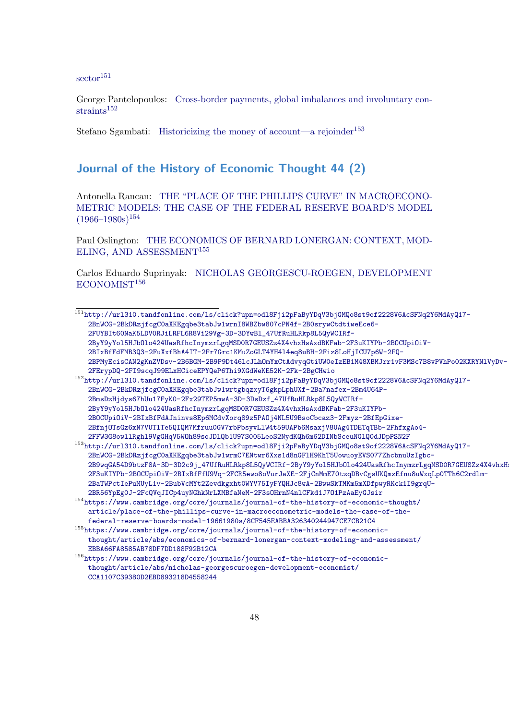[sector](http://url310.tandfonline.com/ls/click?upn=odl8Fji2pFaByYDqV3bjGMQo8st9of2228V6AcSFNq2Y6MdAyQ17-2BnWCG-2BkDRzjfcgC0aXKEgqbe3tabJw1wrnI8WBZbw807cPN4f-2B0srywCtdtiweEce6-2FUYBIt60NaK5LDV0RJiLRFL6R8Vi29Vg-3D-3DYwBl_47UfRuHLRkp8L5QyWCIRf-2ByY9yYol5HJbOlo424UasRfhcInymzrLgqMSD0R7GEUSZz4X4vhxHsAxdBKFab-2F3uKIYPb-2BOCUpiOiV-2BIxBfFdFMB3Q3-2FuXxfBhA4IT-2Fr7Grc1KMuZoGLT4YH4l4eq8uBH-2Fiz8LoHjICU7p6W-2FQ-2BPMyEcisCAN2gKnZVDsv-2B6BGM-2B9P9Dt46lcJLhOmYxCtAdvyqGtiUW0eIzEB1M48XBMJrr1vF3MSc7B8vPVhPo02KXRYNlVyDv-2FErypDQ-2FI9scqJ99ELxHCiceEPYQeP6Thi9XGdWeKE52K-2Fk-2BgCHwio)<sup>[151](#page-47-1)</sup>

George Pantelopoulos: [Cross-border payments, global imbalances and involuntary con-](http://url310.tandfonline.com/ls/click?upn=odl8Fji2pFaByYDqV3bjGMQo8st9of2228V6AcSFNq2Y6MdAyQ17-2BnWCG-2BkDRzjfcgC0aXKEgqbe3tabJw1wrtgbqzxyT6gkpLphUXf-2Ba7nafex-2Bm4U64P-2BmsDzHjdys67hUu17FyK0-2Fx29TEP5mwA-3D-3DsDzf_47UfRuHLRkp8L5QyWCIRf-2ByY9yYol5HJbOlo424UasRfhcInymzrLgqMSD0R7GEUSZz4X4vhxHsAxdBKFab-2F3uKIYPb-2BOCUpiOiV-2BIxBfFdAJninvs8Ep6MCdvXorq89z5PAOj4NL5U9BsoCbcaz3-2Fmyz-2BfEpGixe-2BfnjOTsGz6xN7VUTlTe5QIQM7Mfruu0GV7rbPbsyvLlW4t59UAPb6MsaxjV8UAg4TDETqTBb-2FhfxgAo4-2FFW3G8owllRghl9VgGHqV5WOh89soJDlQb1U97S005LeoS2NydKQh6m62DINbSceuNGlQ0dJDpPSN2F) $strains<sup>152</sup>$  $strains<sup>152</sup>$  $strains<sup>152</sup>$ 

Stefano Sgambati: [Historicizing the money of account—a rejoinder](http://url310.tandfonline.com/ls/click?upn=odl8Fji2pFaByYDqV3bjGMQo8st9of2228V6AcSFNq2Y6MdAyQ17-2BnWCG-2BkDRzjfcgC0aXKEgqbe3tabJw1wrmC7ENtwr6Xxs1d8nGFlH9KhT5UowuoyEVS077ZhcbnuUzIgbc-2B9wqGA54D9btzF8A-3D-3D2c9j_47UfRuHLRkp8L5QyWCIRf-2ByY9yYol5HJbOlo424UasRfhcInymzrLgqMSD0R7GEUSZz4X4vhxHsAxdBKFab-2F3uKIYPb-2BOCUpiOiV-2BIxBfFfU9Vq-2FCR5ewo8oVurJaXE-2FjCnMmE70tzqDBvCgsUKQmzEfnu8uWxqLp0TTh6C2rdlm-2BaTWPctIePuMUyL1v-2BubVcMYt2Zevdkgxht0WYV75IyFYQHJc8wA-2BwwSkTMKm5mXDfpwyRKck1I9grqU-2BR56YpEg0J-2FcQVqJICp4uyNGhkNrLXMBfaNeM-2F3sOHrnN4nlCFkd1J7O1PzAaEyGJsir)<sup>[153](#page-47-3)</sup>

### <span id="page-47-0"></span>Journal of the History of Economic Thought 44 (2)

Antonella Rancan: [THE "PLACE OF THE PHILLIPS CURVE" IN MACROECONO-](https://www.cambridge.org/core/journals/journal-of-the-history-of-economic-thought/article/place-of-the-phillips-curve-in-macroeconometric-models-the-case-of-the-federal-reserve-boards-model-19661980s/8CF545EABBA326340244947CE7CB21C4)[METRIC MODELS: THE CASE OF THE FEDERAL RESERVE BOARD'S MODEL](https://www.cambridge.org/core/journals/journal-of-the-history-of-economic-thought/article/place-of-the-phillips-curve-in-macroeconometric-models-the-case-of-the-federal-reserve-boards-model-19661980s/8CF545EABBA326340244947CE7CB21C4)  $(1966-1980s)^{154}$  $(1966-1980s)^{154}$  $(1966-1980s)^{154}$ 

Paul Oslington: [THE ECONOMICS OF BERNARD LONERGAN: CONTEXT, MOD-](https://www.cambridge.org/core/journals/journal-of-the-history-of-economic-thought/article/abs/economics-of-bernard-lonergan-context-modeling-and-assessment/EBBA66FA8585AB78DF7DD188F92B12CA)[ELING, AND ASSESSMENT](https://www.cambridge.org/core/journals/journal-of-the-history-of-economic-thought/article/abs/economics-of-bernard-lonergan-context-modeling-and-assessment/EBBA66FA8585AB78DF7DD188F92B12CA)[155](#page-47-5)

Carlos Eduardo Suprinyak: [NICHOLAS GEORGESCU-ROEGEN, DEVELOPMENT](https://www.cambridge.org/core/journals/journal-of-the-history-of-economic-thought/article/abs/nicholas-georgescuroegen-development-economist/CCA1107C39380D2EBD893218D4558244) [ECONOMIST](https://www.cambridge.org/core/journals/journal-of-the-history-of-economic-thought/article/abs/nicholas-georgescuroegen-development-economist/CCA1107C39380D2EBD893218D4558244)<sup>[156](#page-47-6)</sup>

<span id="page-47-1"></span><sup>151</sup>[http://url310.tandfonline.com/ls/click?upn=odl8Fji2pFaByYDqV3bjGMQo8st9of2228V6AcSFNq2Y](http://url310.tandfonline.com/ls/click?upn=odl8Fji2pFaByYDqV3bjGMQo8st9of2228V6AcSFNq2Y6MdAyQ17-2BnWCG-2BkDRzjfcgC0aXKEgqbe3tabJw1wrnI8WBZbw807cPN4f-2B0srywCtdtiweEce6-2FUYBIt60NaK5LDV0RJiLRFL6R8Vi29Vg-3D-3DYwBl_47UfRuHLRkp8L5QyWCIRf-2ByY9yYol5HJbOlo424UasRfhcInymzrLgqMSD0R7GEUSZz4X4vhxHsAxdBKFab-2F3uKIYPb-2BOCUpiOiV-2BIxBfFdFMB3Q3-2FuXxfBhA4IT-2Fr7Grc1KMuZoGLT4YH4l4eq8uBH-2Fiz8LoHjICU7p6W-2FQ-2BPMyEcisCAN2gKnZVDsv-2B6BGM-2B9P9Dt46lcJLhOmYxCtAdvyqGtiUW0eIzEB1M48XBMJrr1vF3MSc7B8vPVhPo02KXRYNlVyDv-2FErypDQ-2FI9scqJ99ELxHCiceEPYQeP6Thi9XGdWeKE52K-2Fk-2BgCHwio)6MdAyQ17- [2BnWCG-2BkDRzjfcgC0aXKEgqbe3tabJw1wrnI8WBZbw807cPN4f-2B0srywCtdtiweEce6-](http://url310.tandfonline.com/ls/click?upn=odl8Fji2pFaByYDqV3bjGMQo8st9of2228V6AcSFNq2Y6MdAyQ17-2BnWCG-2BkDRzjfcgC0aXKEgqbe3tabJw1wrnI8WBZbw807cPN4f-2B0srywCtdtiweEce6-2FUYBIt60NaK5LDV0RJiLRFL6R8Vi29Vg-3D-3DYwBl_47UfRuHLRkp8L5QyWCIRf-2ByY9yYol5HJbOlo424UasRfhcInymzrLgqMSD0R7GEUSZz4X4vhxHsAxdBKFab-2F3uKIYPb-2BOCUpiOiV-2BIxBfFdFMB3Q3-2FuXxfBhA4IT-2Fr7Grc1KMuZoGLT4YH4l4eq8uBH-2Fiz8LoHjICU7p6W-2FQ-2BPMyEcisCAN2gKnZVDsv-2B6BGM-2B9P9Dt46lcJLhOmYxCtAdvyqGtiUW0eIzEB1M48XBMJrr1vF3MSc7B8vPVhPo02KXRYNlVyDv-2FErypDQ-2FI9scqJ99ELxHCiceEPYQeP6Thi9XGdWeKE52K-2Fk-2BgCHwio) [2FUYBIt60NaK5LDV0RJiLRFL6R8Vi29Vg-3D-3DYwBl\\_47UfRuHLRkp8L5QyWCIRf-](http://url310.tandfonline.com/ls/click?upn=odl8Fji2pFaByYDqV3bjGMQo8st9of2228V6AcSFNq2Y6MdAyQ17-2BnWCG-2BkDRzjfcgC0aXKEgqbe3tabJw1wrnI8WBZbw807cPN4f-2B0srywCtdtiweEce6-2FUYBIt60NaK5LDV0RJiLRFL6R8Vi29Vg-3D-3DYwBl_47UfRuHLRkp8L5QyWCIRf-2ByY9yYol5HJbOlo424UasRfhcInymzrLgqMSD0R7GEUSZz4X4vhxHsAxdBKFab-2F3uKIYPb-2BOCUpiOiV-2BIxBfFdFMB3Q3-2FuXxfBhA4IT-2Fr7Grc1KMuZoGLT4YH4l4eq8uBH-2Fiz8LoHjICU7p6W-2FQ-2BPMyEcisCAN2gKnZVDsv-2B6BGM-2B9P9Dt46lcJLhOmYxCtAdvyqGtiUW0eIzEB1M48XBMJrr1vF3MSc7B8vPVhPo02KXRYNlVyDv-2FErypDQ-2FI9scqJ99ELxHCiceEPYQeP6Thi9XGdWeKE52K-2Fk-2BgCHwio)[2ByY9yYol5HJbOlo424UasRfhcInymzrLgqMSD0R7GEUSZz4X4vhxHsAxdBKFab-2F3uKIYPb-2BOCUpiOiV-](http://url310.tandfonline.com/ls/click?upn=odl8Fji2pFaByYDqV3bjGMQo8st9of2228V6AcSFNq2Y6MdAyQ17-2BnWCG-2BkDRzjfcgC0aXKEgqbe3tabJw1wrnI8WBZbw807cPN4f-2B0srywCtdtiweEce6-2FUYBIt60NaK5LDV0RJiLRFL6R8Vi29Vg-3D-3DYwBl_47UfRuHLRkp8L5QyWCIRf-2ByY9yYol5HJbOlo424UasRfhcInymzrLgqMSD0R7GEUSZz4X4vhxHsAxdBKFab-2F3uKIYPb-2BOCUpiOiV-2BIxBfFdFMB3Q3-2FuXxfBhA4IT-2Fr7Grc1KMuZoGLT4YH4l4eq8uBH-2Fiz8LoHjICU7p6W-2FQ-2BPMyEcisCAN2gKnZVDsv-2B6BGM-2B9P9Dt46lcJLhOmYxCtAdvyqGtiUW0eIzEB1M48XBMJrr1vF3MSc7B8vPVhPo02KXRYNlVyDv-2FErypDQ-2FI9scqJ99ELxHCiceEPYQeP6Thi9XGdWeKE52K-2Fk-2BgCHwio)[2BIxBfFdFMB3Q3-2FuXxfBhA4IT-2Fr7Grc1KMuZoGLT4YH4l4eq8uBH-2Fiz8LoHjICU7p6W-2FQ-](http://url310.tandfonline.com/ls/click?upn=odl8Fji2pFaByYDqV3bjGMQo8st9of2228V6AcSFNq2Y6MdAyQ17-2BnWCG-2BkDRzjfcgC0aXKEgqbe3tabJw1wrnI8WBZbw807cPN4f-2B0srywCtdtiweEce6-2FUYBIt60NaK5LDV0RJiLRFL6R8Vi29Vg-3D-3DYwBl_47UfRuHLRkp8L5QyWCIRf-2ByY9yYol5HJbOlo424UasRfhcInymzrLgqMSD0R7GEUSZz4X4vhxHsAxdBKFab-2F3uKIYPb-2BOCUpiOiV-2BIxBfFdFMB3Q3-2FuXxfBhA4IT-2Fr7Grc1KMuZoGLT4YH4l4eq8uBH-2Fiz8LoHjICU7p6W-2FQ-2BPMyEcisCAN2gKnZVDsv-2B6BGM-2B9P9Dt46lcJLhOmYxCtAdvyqGtiUW0eIzEB1M48XBMJrr1vF3MSc7B8vPVhPo02KXRYNlVyDv-2FErypDQ-2FI9scqJ99ELxHCiceEPYQeP6Thi9XGdWeKE52K-2Fk-2BgCHwio)[2BPMyEcisCAN2gKnZVDsv-2B6BGM-2B9P9Dt46lcJLhOmYxCtAdvyqGtiUW0eIzEB1M48XBMJrr1vF3MSc7B8v](http://url310.tandfonline.com/ls/click?upn=odl8Fji2pFaByYDqV3bjGMQo8st9of2228V6AcSFNq2Y6MdAyQ17-2BnWCG-2BkDRzjfcgC0aXKEgqbe3tabJw1wrnI8WBZbw807cPN4f-2B0srywCtdtiweEce6-2FUYBIt60NaK5LDV0RJiLRFL6R8Vi29Vg-3D-3DYwBl_47UfRuHLRkp8L5QyWCIRf-2ByY9yYol5HJbOlo424UasRfhcInymzrLgqMSD0R7GEUSZz4X4vhxHsAxdBKFab-2F3uKIYPb-2BOCUpiOiV-2BIxBfFdFMB3Q3-2FuXxfBhA4IT-2Fr7Grc1KMuZoGLT4YH4l4eq8uBH-2Fiz8LoHjICU7p6W-2FQ-2BPMyEcisCAN2gKnZVDsv-2B6BGM-2B9P9Dt46lcJLhOmYxCtAdvyqGtiUW0eIzEB1M48XBMJrr1vF3MSc7B8vPVhPo02KXRYNlVyDv-2FErypDQ-2FI9scqJ99ELxHCiceEPYQeP6Thi9XGdWeKE52K-2Fk-2BgCHwio)PVhPo02KXRYNlVyDv-[2FErypDQ-2FI9scqJ99ELxHCiceEPYQeP6Thi9XGdWeKE52K-2Fk-2BgCHwio](http://url310.tandfonline.com/ls/click?upn=odl8Fji2pFaByYDqV3bjGMQo8st9of2228V6AcSFNq2Y6MdAyQ17-2BnWCG-2BkDRzjfcgC0aXKEgqbe3tabJw1wrnI8WBZbw807cPN4f-2B0srywCtdtiweEce6-2FUYBIt60NaK5LDV0RJiLRFL6R8Vi29Vg-3D-3DYwBl_47UfRuHLRkp8L5QyWCIRf-2ByY9yYol5HJbOlo424UasRfhcInymzrLgqMSD0R7GEUSZz4X4vhxHsAxdBKFab-2F3uKIYPb-2BOCUpiOiV-2BIxBfFdFMB3Q3-2FuXxfBhA4IT-2Fr7Grc1KMuZoGLT4YH4l4eq8uBH-2Fiz8LoHjICU7p6W-2FQ-2BPMyEcisCAN2gKnZVDsv-2B6BGM-2B9P9Dt46lcJLhOmYxCtAdvyqGtiUW0eIzEB1M48XBMJrr1vF3MSc7B8vPVhPo02KXRYNlVyDv-2FErypDQ-2FI9scqJ99ELxHCiceEPYQeP6Thi9XGdWeKE52K-2Fk-2BgCHwio)

<span id="page-47-2"></span><sup>152</sup>[http://url310.tandfonline.com/ls/click?upn=odl8Fji2pFaByYDqV3bjGMQo8st9of2228V6AcSFNq2Y](http://url310.tandfonline.com/ls/click?upn=odl8Fji2pFaByYDqV3bjGMQo8st9of2228V6AcSFNq2Y6MdAyQ17-2BnWCG-2BkDRzjfcgC0aXKEgqbe3tabJw1wrtgbqzxyT6gkpLphUXf-2Ba7nafex-2Bm4U64P-2BmsDzHjdys67hUu17FyK0-2Fx29TEP5mwA-3D-3DsDzf_47UfRuHLRkp8L5QyWCIRf-2ByY9yYol5HJbOlo424UasRfhcInymzrLgqMSD0R7GEUSZz4X4vhxHsAxdBKFab-2F3uKIYPb-2BOCUpiOiV-2BIxBfFdAJninvs8Ep6MCdvXorq89z5PAOj4NL5U9BsoCbcaz3-2Fmyz-2BfEpGixe-2BfnjOTsGz6xN7VUTlTe5QIQM7Mfruu0GV7rbPbsyvLlW4t59UAPb6MsaxjV8UAg4TDETqTBb-2FhfxgAo4-2FFW3G8owllRghl9VgGHqV5WOh89soJDlQb1U97S005LeoS2NydKQh6m62DINbSceuNGlQ0dJDpPSN2F)6MdAyQ17- [2BnWCG-2BkDRzjfcgC0aXKEgqbe3tabJw1wrtgbqzxyT6gkpLphUXf-2Ba7nafex-2Bm4U64P-](http://url310.tandfonline.com/ls/click?upn=odl8Fji2pFaByYDqV3bjGMQo8st9of2228V6AcSFNq2Y6MdAyQ17-2BnWCG-2BkDRzjfcgC0aXKEgqbe3tabJw1wrtgbqzxyT6gkpLphUXf-2Ba7nafex-2Bm4U64P-2BmsDzHjdys67hUu17FyK0-2Fx29TEP5mwA-3D-3DsDzf_47UfRuHLRkp8L5QyWCIRf-2ByY9yYol5HJbOlo424UasRfhcInymzrLgqMSD0R7GEUSZz4X4vhxHsAxdBKFab-2F3uKIYPb-2BOCUpiOiV-2BIxBfFdAJninvs8Ep6MCdvXorq89z5PAOj4NL5U9BsoCbcaz3-2Fmyz-2BfEpGixe-2BfnjOTsGz6xN7VUTlTe5QIQM7Mfruu0GV7rbPbsyvLlW4t59UAPb6MsaxjV8UAg4TDETqTBb-2FhfxgAo4-2FFW3G8owllRghl9VgGHqV5WOh89soJDlQb1U97S005LeoS2NydKQh6m62DINbSceuNGlQ0dJDpPSN2F)[2BmsDzHjdys67hUu17FyK0-2Fx29TEP5mwA-3D-3DsDzf\\_47UfRuHLRkp8L5QyWCIRf-](http://url310.tandfonline.com/ls/click?upn=odl8Fji2pFaByYDqV3bjGMQo8st9of2228V6AcSFNq2Y6MdAyQ17-2BnWCG-2BkDRzjfcgC0aXKEgqbe3tabJw1wrtgbqzxyT6gkpLphUXf-2Ba7nafex-2Bm4U64P-2BmsDzHjdys67hUu17FyK0-2Fx29TEP5mwA-3D-3DsDzf_47UfRuHLRkp8L5QyWCIRf-2ByY9yYol5HJbOlo424UasRfhcInymzrLgqMSD0R7GEUSZz4X4vhxHsAxdBKFab-2F3uKIYPb-2BOCUpiOiV-2BIxBfFdAJninvs8Ep6MCdvXorq89z5PAOj4NL5U9BsoCbcaz3-2Fmyz-2BfEpGixe-2BfnjOTsGz6xN7VUTlTe5QIQM7Mfruu0GV7rbPbsyvLlW4t59UAPb6MsaxjV8UAg4TDETqTBb-2FhfxgAo4-2FFW3G8owllRghl9VgGHqV5WOh89soJDlQb1U97S005LeoS2NydKQh6m62DINbSceuNGlQ0dJDpPSN2F)[2ByY9yYol5HJbOlo424UasRfhcInymzrLgqMSD0R7GEUSZz4X4vhxHsAxdBKFab-2F3uKIYPb-](http://url310.tandfonline.com/ls/click?upn=odl8Fji2pFaByYDqV3bjGMQo8st9of2228V6AcSFNq2Y6MdAyQ17-2BnWCG-2BkDRzjfcgC0aXKEgqbe3tabJw1wrtgbqzxyT6gkpLphUXf-2Ba7nafex-2Bm4U64P-2BmsDzHjdys67hUu17FyK0-2Fx29TEP5mwA-3D-3DsDzf_47UfRuHLRkp8L5QyWCIRf-2ByY9yYol5HJbOlo424UasRfhcInymzrLgqMSD0R7GEUSZz4X4vhxHsAxdBKFab-2F3uKIYPb-2BOCUpiOiV-2BIxBfFdAJninvs8Ep6MCdvXorq89z5PAOj4NL5U9BsoCbcaz3-2Fmyz-2BfEpGixe-2BfnjOTsGz6xN7VUTlTe5QIQM7Mfruu0GV7rbPbsyvLlW4t59UAPb6MsaxjV8UAg4TDETqTBb-2FhfxgAo4-2FFW3G8owllRghl9VgGHqV5WOh89soJDlQb1U97S005LeoS2NydKQh6m62DINbSceuNGlQ0dJDpPSN2F)[2BOCUpiOiV-2BIxBfFdAJninvs8Ep6MCdvXorq89z5PAOj4NL5U9BsoCbcaz3-2Fmyz-2BfEpGixe-](http://url310.tandfonline.com/ls/click?upn=odl8Fji2pFaByYDqV3bjGMQo8st9of2228V6AcSFNq2Y6MdAyQ17-2BnWCG-2BkDRzjfcgC0aXKEgqbe3tabJw1wrtgbqzxyT6gkpLphUXf-2Ba7nafex-2Bm4U64P-2BmsDzHjdys67hUu17FyK0-2Fx29TEP5mwA-3D-3DsDzf_47UfRuHLRkp8L5QyWCIRf-2ByY9yYol5HJbOlo424UasRfhcInymzrLgqMSD0R7GEUSZz4X4vhxHsAxdBKFab-2F3uKIYPb-2BOCUpiOiV-2BIxBfFdAJninvs8Ep6MCdvXorq89z5PAOj4NL5U9BsoCbcaz3-2Fmyz-2BfEpGixe-2BfnjOTsGz6xN7VUTlTe5QIQM7Mfruu0GV7rbPbsyvLlW4t59UAPb6MsaxjV8UAg4TDETqTBb-2FhfxgAo4-2FFW3G8owllRghl9VgGHqV5WOh89soJDlQb1U97S005LeoS2NydKQh6m62DINbSceuNGlQ0dJDpPSN2F)[2BfnjOTsGz6xN7VUTlTe5QIQM7Mfruu0GV7rbPbsyvLlW4t59UAPb6MsaxjV8UAg4TDETqTBb-2FhfxgAo4-](http://url310.tandfonline.com/ls/click?upn=odl8Fji2pFaByYDqV3bjGMQo8st9of2228V6AcSFNq2Y6MdAyQ17-2BnWCG-2BkDRzjfcgC0aXKEgqbe3tabJw1wrtgbqzxyT6gkpLphUXf-2Ba7nafex-2Bm4U64P-2BmsDzHjdys67hUu17FyK0-2Fx29TEP5mwA-3D-3DsDzf_47UfRuHLRkp8L5QyWCIRf-2ByY9yYol5HJbOlo424UasRfhcInymzrLgqMSD0R7GEUSZz4X4vhxHsAxdBKFab-2F3uKIYPb-2BOCUpiOiV-2BIxBfFdAJninvs8Ep6MCdvXorq89z5PAOj4NL5U9BsoCbcaz3-2Fmyz-2BfEpGixe-2BfnjOTsGz6xN7VUTlTe5QIQM7Mfruu0GV7rbPbsyvLlW4t59UAPb6MsaxjV8UAg4TDETqTBb-2FhfxgAo4-2FFW3G8owllRghl9VgGHqV5WOh89soJDlQb1U97S005LeoS2NydKQh6m62DINbSceuNGlQ0dJDpPSN2F) [2FFW3G8owllRghl9VgGHqV5WOh89soJDlQb1U97S005LeoS2NydKQh6m62DINbSceuNGlQ0dJDpPSN2F](http://url310.tandfonline.com/ls/click?upn=odl8Fji2pFaByYDqV3bjGMQo8st9of2228V6AcSFNq2Y6MdAyQ17-2BnWCG-2BkDRzjfcgC0aXKEgqbe3tabJw1wrtgbqzxyT6gkpLphUXf-2Ba7nafex-2Bm4U64P-2BmsDzHjdys67hUu17FyK0-2Fx29TEP5mwA-3D-3DsDzf_47UfRuHLRkp8L5QyWCIRf-2ByY9yYol5HJbOlo424UasRfhcInymzrLgqMSD0R7GEUSZz4X4vhxHsAxdBKFab-2F3uKIYPb-2BOCUpiOiV-2BIxBfFdAJninvs8Ep6MCdvXorq89z5PAOj4NL5U9BsoCbcaz3-2Fmyz-2BfEpGixe-2BfnjOTsGz6xN7VUTlTe5QIQM7Mfruu0GV7rbPbsyvLlW4t59UAPb6MsaxjV8UAg4TDETqTBb-2FhfxgAo4-2FFW3G8owllRghl9VgGHqV5WOh89soJDlQb1U97S005LeoS2NydKQh6m62DINbSceuNGlQ0dJDpPSN2F)

<span id="page-47-3"></span><sup>153</sup>[http://url310.tandfonline.com/ls/click?upn=odl8Fji2pFaByYDqV3bjGMQo8st9of2228V6AcSFNq2Y](http://url310.tandfonline.com/ls/click?upn=odl8Fji2pFaByYDqV3bjGMQo8st9of2228V6AcSFNq2Y6MdAyQ17-2BnWCG-2BkDRzjfcgC0aXKEgqbe3tabJw1wrmC7ENtwr6Xxs1d8nGFlH9KhT5UowuoyEVS077ZhcbnuUzIgbc-2B9wqGA54D9btzF8A-3D-3D2c9j_47UfRuHLRkp8L5QyWCIRf-2ByY9yYol5HJbOlo424UasRfhcInymzrLgqMSD0R7GEUSZz4X4vhxHsAxdBKFab-2F3uKIYPb-2BOCUpiOiV-2BIxBfFfU9Vq-2FCR5ewo8oVurJaXE-2FjCnMmE70tzqDBvCgsUKQmzEfnu8uWxqLp0TTh6C2rdlm-2BaTWPctIePuMUyL1v-2BubVcMYt2Zevdkgxht0WYV75IyFYQHJc8wA-2BwwSkTMKm5mXDfpwyRKck1I9grqU-2BR56YpEg0J-2FcQVqJICp4uyNGhkNrLXMBfaNeM-2F3sOHrnN4nlCFkd1J7O1PzAaEyGJsir)6MdAyQ17- [2BnWCG-2BkDRzjfcgC0aXKEgqbe3tabJw1wrmC7ENtwr6Xxs1d8nGFlH9KhT5UowuoyEVS077ZhcbnuUzIgbc-](http://url310.tandfonline.com/ls/click?upn=odl8Fji2pFaByYDqV3bjGMQo8st9of2228V6AcSFNq2Y6MdAyQ17-2BnWCG-2BkDRzjfcgC0aXKEgqbe3tabJw1wrmC7ENtwr6Xxs1d8nGFlH9KhT5UowuoyEVS077ZhcbnuUzIgbc-2B9wqGA54D9btzF8A-3D-3D2c9j_47UfRuHLRkp8L5QyWCIRf-2ByY9yYol5HJbOlo424UasRfhcInymzrLgqMSD0R7GEUSZz4X4vhxHsAxdBKFab-2F3uKIYPb-2BOCUpiOiV-2BIxBfFfU9Vq-2FCR5ewo8oVurJaXE-2FjCnMmE70tzqDBvCgsUKQmzEfnu8uWxqLp0TTh6C2rdlm-2BaTWPctIePuMUyL1v-2BubVcMYt2Zevdkgxht0WYV75IyFYQHJc8wA-2BwwSkTMKm5mXDfpwyRKck1I9grqU-2BR56YpEg0J-2FcQVqJICp4uyNGhkNrLXMBfaNeM-2F3sOHrnN4nlCFkd1J7O1PzAaEyGJsir)2B9wqGA54D9btzF8A-3D-3D2c9j\_47UfRuHLRkp8L5QyWCIRf-2ByY9yYo15HJbOlo424UasRfhcInymzrLgqMSD0R7GEUSZz4X4vhxH [2F3uKIYPb-2BOCUpiOiV-2BIxBfFfU9Vq-2FCR5ewo8oVurJaXE-2FjCnMmE70tzqDBvCgsUKQmzEfnu8uWxqL](http://url310.tandfonline.com/ls/click?upn=odl8Fji2pFaByYDqV3bjGMQo8st9of2228V6AcSFNq2Y6MdAyQ17-2BnWCG-2BkDRzjfcgC0aXKEgqbe3tabJw1wrmC7ENtwr6Xxs1d8nGFlH9KhT5UowuoyEVS077ZhcbnuUzIgbc-2B9wqGA54D9btzF8A-3D-3D2c9j_47UfRuHLRkp8L5QyWCIRf-2ByY9yYol5HJbOlo424UasRfhcInymzrLgqMSD0R7GEUSZz4X4vhxHsAxdBKFab-2F3uKIYPb-2BOCUpiOiV-2BIxBfFfU9Vq-2FCR5ewo8oVurJaXE-2FjCnMmE70tzqDBvCgsUKQmzEfnu8uWxqLp0TTh6C2rdlm-2BaTWPctIePuMUyL1v-2BubVcMYt2Zevdkgxht0WYV75IyFYQHJc8wA-2BwwSkTMKm5mXDfpwyRKck1I9grqU-2BR56YpEg0J-2FcQVqJICp4uyNGhkNrLXMBfaNeM-2F3sOHrnN4nlCFkd1J7O1PzAaEyGJsir)p0TTh6C2rdlm-[2BaTWPctIePuMUyL1v-2BubVcMYt2Zevdkgxht0WYV75IyFYQHJc8wA-2BwwSkTMKm5mXDfpwyRKck1I9grqU-](http://url310.tandfonline.com/ls/click?upn=odl8Fji2pFaByYDqV3bjGMQo8st9of2228V6AcSFNq2Y6MdAyQ17-2BnWCG-2BkDRzjfcgC0aXKEgqbe3tabJw1wrmC7ENtwr6Xxs1d8nGFlH9KhT5UowuoyEVS077ZhcbnuUzIgbc-2B9wqGA54D9btzF8A-3D-3D2c9j_47UfRuHLRkp8L5QyWCIRf-2ByY9yYol5HJbOlo424UasRfhcInymzrLgqMSD0R7GEUSZz4X4vhxHsAxdBKFab-2F3uKIYPb-2BOCUpiOiV-2BIxBfFfU9Vq-2FCR5ewo8oVurJaXE-2FjCnMmE70tzqDBvCgsUKQmzEfnu8uWxqLp0TTh6C2rdlm-2BaTWPctIePuMUyL1v-2BubVcMYt2Zevdkgxht0WYV75IyFYQHJc8wA-2BwwSkTMKm5mXDfpwyRKck1I9grqU-2BR56YpEg0J-2FcQVqJICp4uyNGhkNrLXMBfaNeM-2F3sOHrnN4nlCFkd1J7O1PzAaEyGJsir)[2BR56YpEg0J-2FcQVqJICp4uyNGhkNrLXMBfaNeM-2F3sOHrnN4nlCFkd1J7O1PzAaEyGJsir](http://url310.tandfonline.com/ls/click?upn=odl8Fji2pFaByYDqV3bjGMQo8st9of2228V6AcSFNq2Y6MdAyQ17-2BnWCG-2BkDRzjfcgC0aXKEgqbe3tabJw1wrmC7ENtwr6Xxs1d8nGFlH9KhT5UowuoyEVS077ZhcbnuUzIgbc-2B9wqGA54D9btzF8A-3D-3D2c9j_47UfRuHLRkp8L5QyWCIRf-2ByY9yYol5HJbOlo424UasRfhcInymzrLgqMSD0R7GEUSZz4X4vhxHsAxdBKFab-2F3uKIYPb-2BOCUpiOiV-2BIxBfFfU9Vq-2FCR5ewo8oVurJaXE-2FjCnMmE70tzqDBvCgsUKQmzEfnu8uWxqLp0TTh6C2rdlm-2BaTWPctIePuMUyL1v-2BubVcMYt2Zevdkgxht0WYV75IyFYQHJc8wA-2BwwSkTMKm5mXDfpwyRKck1I9grqU-2BR56YpEg0J-2FcQVqJICp4uyNGhkNrLXMBfaNeM-2F3sOHrnN4nlCFkd1J7O1PzAaEyGJsir)

<span id="page-47-4"></span><sup>154</sup>[https://www.cambridge.org/core/journals/journal-of-the-history-of-economic-thought/](https://www.cambridge.org/core/journals/journal-of-the-history-of-economic-thought/article/place-of-the-phillips-curve-in-macroeconometric-models-the-case-of-the-federal-reserve-boards-model-19661980s/8CF545EABBA326340244947CE7CB21C4) [article/place-of-the-phillips-curve-in-macroeconometric-models-the-case-of-the](https://www.cambridge.org/core/journals/journal-of-the-history-of-economic-thought/article/place-of-the-phillips-curve-in-macroeconometric-models-the-case-of-the-federal-reserve-boards-model-19661980s/8CF545EABBA326340244947CE7CB21C4)[federal-reserve-boards-model-19661980s/8CF545EABBA326340244947CE7CB21C4](https://www.cambridge.org/core/journals/journal-of-the-history-of-economic-thought/article/place-of-the-phillips-curve-in-macroeconometric-models-the-case-of-the-federal-reserve-boards-model-19661980s/8CF545EABBA326340244947CE7CB21C4)

<span id="page-47-5"></span> $^{155}\mathrm{https://www.cambridge.org/core/journals/journal-of-the-history-of-economic-}$ [thought/article/abs/economics-of-bernard-lonergan-context-modeling-and-assessment/](https://www.cambridge.org/core/journals/journal-of-the-history-of-economic-thought/article/abs/economics-of-bernard-lonergan-context-modeling-and-assessment/EBBA66FA8585AB78DF7DD188F92B12CA) [EBBA66FA8585AB78DF7DD188F92B12CA](https://www.cambridge.org/core/journals/journal-of-the-history-of-economic-thought/article/abs/economics-of-bernard-lonergan-context-modeling-and-assessment/EBBA66FA8585AB78DF7DD188F92B12CA)

<span id="page-47-6"></span> $^{156}\rm{https://www.cambridge.org/core/journals/journal-of-the-history-of-economic-}$ [thought/article/abs/nicholas-georgescuroegen-development-economist/](https://www.cambridge.org/core/journals/journal-of-the-history-of-economic-thought/article/abs/nicholas-georgescuroegen-development-economist/CCA1107C39380D2EBD893218D4558244) [CCA1107C39380D2EBD893218D4558244](https://www.cambridge.org/core/journals/journal-of-the-history-of-economic-thought/article/abs/nicholas-georgescuroegen-development-economist/CCA1107C39380D2EBD893218D4558244)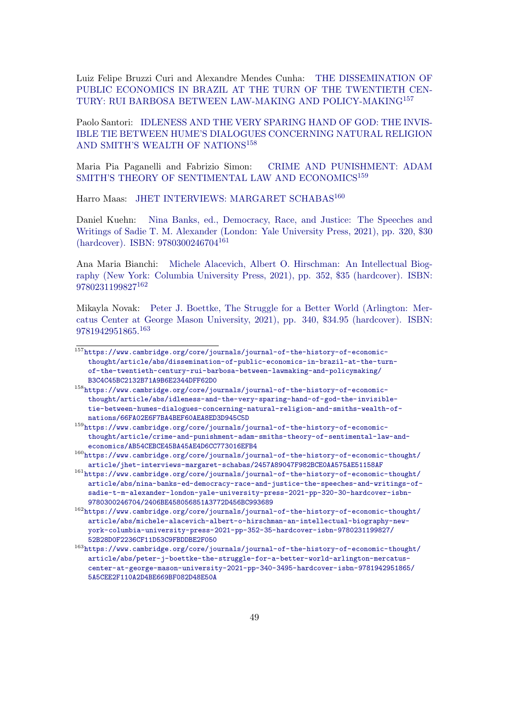Luiz Felipe Bruzzi Curi and Alexandre Mendes Cunha: [THE DISSEMINATION OF](https://www.cambridge.org/core/journals/journal-of-the-history-of-economic-thought/article/abs/dissemination-of-public-economics-in-brazil-at-the-turn-of-the-twentieth-century-rui-barbosa-between-lawmaking-and-policymaking/B3C4C45BC2132B71A9B6E2344DFF62D0) [PUBLIC ECONOMICS IN BRAZIL AT THE TURN OF THE TWENTIETH CEN-](https://www.cambridge.org/core/journals/journal-of-the-history-of-economic-thought/article/abs/dissemination-of-public-economics-in-brazil-at-the-turn-of-the-twentieth-century-rui-barbosa-between-lawmaking-and-policymaking/B3C4C45BC2132B71A9B6E2344DFF62D0)[TURY: RUI BARBOSA BETWEEN LAW-MAKING AND POLICY-MAKING](https://www.cambridge.org/core/journals/journal-of-the-history-of-economic-thought/article/abs/dissemination-of-public-economics-in-brazil-at-the-turn-of-the-twentieth-century-rui-barbosa-between-lawmaking-and-policymaking/B3C4C45BC2132B71A9B6E2344DFF62D0)[157](#page-48-0)

Paolo Santori: [IDLENESS AND THE VERY SPARING HAND OF GOD: THE INVIS-](https://www.cambridge.org/core/journals/journal-of-the-history-of-economic-thought/article/abs/idleness-and-the-very-sparing-hand-of-god-the-invisible-tie-between-humes-dialogues-concerning-natural-religion-and-smiths-wealth-of-nations/66FA02E6F7BA4BEF60AEA8ED3D945C5D)[IBLE TIE BETWEEN HUME'S DIALOGUES CONCERNING NATURAL RELIGION](https://www.cambridge.org/core/journals/journal-of-the-history-of-economic-thought/article/abs/idleness-and-the-very-sparing-hand-of-god-the-invisible-tie-between-humes-dialogues-concerning-natural-religion-and-smiths-wealth-of-nations/66FA02E6F7BA4BEF60AEA8ED3D945C5D) [AND SMITH'S WEALTH OF NATIONS](https://www.cambridge.org/core/journals/journal-of-the-history-of-economic-thought/article/abs/idleness-and-the-very-sparing-hand-of-god-the-invisible-tie-between-humes-dialogues-concerning-natural-religion-and-smiths-wealth-of-nations/66FA02E6F7BA4BEF60AEA8ED3D945C5D)<sup>[158](#page-48-1)</sup>

Maria Pia Paganelli and Fabrizio Simon: [CRIME AND PUNISHMENT: ADAM](https://www.cambridge.org/core/journals/journal-of-the-history-of-economic-thought/article/crime-and-punishment-adam-smiths-theory-of-sentimental-law-and-economics/AB54CEBCE45BA45AE4D6CC773016EFB4) [SMITH'S THEORY OF SENTIMENTAL LAW AND ECONOMICS](https://www.cambridge.org/core/journals/journal-of-the-history-of-economic-thought/article/crime-and-punishment-adam-smiths-theory-of-sentimental-law-and-economics/AB54CEBCE45BA45AE4D6CC773016EFB4)<sup>[159](#page-48-2)</sup>

Harro Maas: [JHET INTERVIEWS: MARGARET SCHABAS](https://www.cambridge.org/core/journals/journal-of-the-history-of-economic-thought/article/jhet-interviews-margaret-schabas/2457A89047F982BCE0AA575AE51158AF)<sup>[160](#page-48-3)</sup>

Daniel Kuehn: [Nina Banks, ed., Democracy, Race, and Justice: The Speeches and](https://www.cambridge.org/core/journals/journal-of-the-history-of-economic-thought/article/abs/nina-banks-ed-democracy-race-and-justice-the-speeches-and-writings-of-sadie-t-m-alexander-london-yale-university-press-2021-pp-320-30-hardcover-isbn-9780300246704/2406BE458056851A3772D456BC993689) [Writings of Sadie T. M. Alexander \(London: Yale University Press, 2021\), pp. 320, \\$30](https://www.cambridge.org/core/journals/journal-of-the-history-of-economic-thought/article/abs/nina-banks-ed-democracy-race-and-justice-the-speeches-and-writings-of-sadie-t-m-alexander-london-yale-university-press-2021-pp-320-30-hardcover-isbn-9780300246704/2406BE458056851A3772D456BC993689) [\(hardcover\). ISBN: 9780300246704](https://www.cambridge.org/core/journals/journal-of-the-history-of-economic-thought/article/abs/nina-banks-ed-democracy-race-and-justice-the-speeches-and-writings-of-sadie-t-m-alexander-london-yale-university-press-2021-pp-320-30-hardcover-isbn-9780300246704/2406BE458056851A3772D456BC993689)[161](#page-48-4)

Ana Maria Bianchi: [Michele Alacevich, Albert O. Hirschman: An Intellectual Biog](https://www.cambridge.org/core/journals/journal-of-the-history-of-economic-thought/article/abs/michele-alacevich-albert-o-hirschman-an-intellectual-biography-new-york-columbia-university-press-2021-pp-352-35-hardcover-isbn-9780231199827/52B28D0F2236CF11D53C9FBDDBE2F050)[raphy \(New York: Columbia University Press, 2021\), pp. 352, \\$35 \(hardcover\). ISBN:](https://www.cambridge.org/core/journals/journal-of-the-history-of-economic-thought/article/abs/michele-alacevich-albert-o-hirschman-an-intellectual-biography-new-york-columbia-university-press-2021-pp-352-35-hardcover-isbn-9780231199827/52B28D0F2236CF11D53C9FBDDBE2F050) [9780231199827](https://www.cambridge.org/core/journals/journal-of-the-history-of-economic-thought/article/abs/michele-alacevich-albert-o-hirschman-an-intellectual-biography-new-york-columbia-university-press-2021-pp-352-35-hardcover-isbn-9780231199827/52B28D0F2236CF11D53C9FBDDBE2F050)[162](#page-48-5)

Mikayla Novak: [Peter J. Boettke, The Struggle for a Better World \(Arlington: Mer](https://www.cambridge.org/core/journals/journal-of-the-history-of-economic-thought/article/abs/peter-j-boettke-the-struggle-for-a-better-world-arlington-mercatus-center-at-george-mason-university-2021-pp-340-3495-hardcover-isbn-9781942951865/5A5CEE2F110A2D4BE669BF082D48E50A)[catus Center at George Mason University, 2021\), pp. 340, \\$34.95 \(hardcover\). ISBN:](https://www.cambridge.org/core/journals/journal-of-the-history-of-economic-thought/article/abs/peter-j-boettke-the-struggle-for-a-better-world-arlington-mercatus-center-at-george-mason-university-2021-pp-340-3495-hardcover-isbn-9781942951865/5A5CEE2F110A2D4BE669BF082D48E50A) [9781942951865.](https://www.cambridge.org/core/journals/journal-of-the-history-of-economic-thought/article/abs/peter-j-boettke-the-struggle-for-a-better-world-arlington-mercatus-center-at-george-mason-university-2021-pp-340-3495-hardcover-isbn-9781942951865/5A5CEE2F110A2D4BE669BF082D48E50A)[163](#page-48-6)

<span id="page-48-3"></span> $^{160}\rm{https://www.cambridge.org/core/journals/journal-of-the-history-of-economic-thought/}$  $^{160}\rm{https://www.cambridge.org/core/journals/journal-of-the-history-of-economic-thought/}$  $^{160}\rm{https://www.cambridge.org/core/journals/journal-of-the-history-of-economic-thought/}$ [article/jhet-interviews-margaret-schabas/2457A89047F982BCE0AA575AE51158AF](https://www.cambridge.org/core/journals/journal-of-the-history-of-economic-thought/article/jhet-interviews-margaret-schabas/2457A89047F982BCE0AA575AE51158AF)

<span id="page-48-4"></span><sup>161</sup>[https://www.cambridge.org/core/journals/journal-of-the-history-of-economic-thought/](https://www.cambridge.org/core/journals/journal-of-the-history-of-economic-thought/article/abs/nina-banks-ed-democracy-race-and-justice-the-speeches-and-writings-of-sadie-t-m-alexander-london-yale-university-press-2021-pp-320-30-hardcover-isbn-9780300246704/2406BE458056851A3772D456BC993689) [article/abs/nina-banks-ed-democracy-race-and-justice-the-speeches-and-writings-of](https://www.cambridge.org/core/journals/journal-of-the-history-of-economic-thought/article/abs/nina-banks-ed-democracy-race-and-justice-the-speeches-and-writings-of-sadie-t-m-alexander-london-yale-university-press-2021-pp-320-30-hardcover-isbn-9780300246704/2406BE458056851A3772D456BC993689)[sadie-t-m-alexander-london-yale-university-press-2021-pp-320-30-hardcover-isbn-](https://www.cambridge.org/core/journals/journal-of-the-history-of-economic-thought/article/abs/nina-banks-ed-democracy-race-and-justice-the-speeches-and-writings-of-sadie-t-m-alexander-london-yale-university-press-2021-pp-320-30-hardcover-isbn-9780300246704/2406BE458056851A3772D456BC993689)[9780300246704/2406BE458056851A3772D456BC993689](https://www.cambridge.org/core/journals/journal-of-the-history-of-economic-thought/article/abs/nina-banks-ed-democracy-race-and-justice-the-speeches-and-writings-of-sadie-t-m-alexander-london-yale-university-press-2021-pp-320-30-hardcover-isbn-9780300246704/2406BE458056851A3772D456BC993689)

<span id="page-48-5"></span> $^{162}\rm{https://www.cambridge.org/core/journals/journal-of-the-history-of-economic-thought/}$  $^{162}\rm{https://www.cambridge.org/core/journals/journal-of-the-history-of-economic-thought/}$  $^{162}\rm{https://www.cambridge.org/core/journals/journal-of-the-history-of-economic-thought/}$ [article/abs/michele-alacevich-albert-o-hirschman-an-intellectual-biography-new](https://www.cambridge.org/core/journals/journal-of-the-history-of-economic-thought/article/abs/michele-alacevich-albert-o-hirschman-an-intellectual-biography-new-york-columbia-university-press-2021-pp-352-35-hardcover-isbn-9780231199827/52B28D0F2236CF11D53C9FBDDBE2F050)[york-columbia-university-press-2021-pp-352-35-hardcover-isbn-9780231199827/](https://www.cambridge.org/core/journals/journal-of-the-history-of-economic-thought/article/abs/michele-alacevich-albert-o-hirschman-an-intellectual-biography-new-york-columbia-university-press-2021-pp-352-35-hardcover-isbn-9780231199827/52B28D0F2236CF11D53C9FBDDBE2F050) [52B28D0F2236CF11D53C9FBDDBE2F050](https://www.cambridge.org/core/journals/journal-of-the-history-of-economic-thought/article/abs/michele-alacevich-albert-o-hirschman-an-intellectual-biography-new-york-columbia-university-press-2021-pp-352-35-hardcover-isbn-9780231199827/52B28D0F2236CF11D53C9FBDDBE2F050)

<span id="page-48-6"></span> $^{163}\rm{https://www.cambridge.org/core/journals/journal-of-the-history-of-economic-thought/}$  $^{163}\rm{https://www.cambridge.org/core/journals/journal-of-the-history-of-economic-thought/}$  $^{163}\rm{https://www.cambridge.org/core/journals/journal-of-the-history-of-economic-thought/}$ [article/abs/peter-j-boettke-the-struggle-for-a-better-world-arlington-mercatus](https://www.cambridge.org/core/journals/journal-of-the-history-of-economic-thought/article/abs/peter-j-boettke-the-struggle-for-a-better-world-arlington-mercatus-center-at-george-mason-university-2021-pp-340-3495-hardcover-isbn-9781942951865/5A5CEE2F110A2D4BE669BF082D48E50A)[center-at-george-mason-university-2021-pp-340-3495-hardcover-isbn-9781942951865/](https://www.cambridge.org/core/journals/journal-of-the-history-of-economic-thought/article/abs/peter-j-boettke-the-struggle-for-a-better-world-arlington-mercatus-center-at-george-mason-university-2021-pp-340-3495-hardcover-isbn-9781942951865/5A5CEE2F110A2D4BE669BF082D48E50A) [5A5CEE2F110A2D4BE669BF082D48E50A](https://www.cambridge.org/core/journals/journal-of-the-history-of-economic-thought/article/abs/peter-j-boettke-the-struggle-for-a-better-world-arlington-mercatus-center-at-george-mason-university-2021-pp-340-3495-hardcover-isbn-9781942951865/5A5CEE2F110A2D4BE669BF082D48E50A)

<span id="page-48-0"></span><sup>157</sup>[https://www.cambridge.org/core/journals/journal-of-the-history-of-economic](https://www.cambridge.org/core/journals/journal-of-the-history-of-economic-thought/article/abs/dissemination-of-public-economics-in-brazil-at-the-turn-of-the-twentieth-century-rui-barbosa-between-lawmaking-and-policymaking/B3C4C45BC2132B71A9B6E2344DFF62D0)[thought/article/abs/dissemination-of-public-economics-in-brazil-at-the-turn](https://www.cambridge.org/core/journals/journal-of-the-history-of-economic-thought/article/abs/dissemination-of-public-economics-in-brazil-at-the-turn-of-the-twentieth-century-rui-barbosa-between-lawmaking-and-policymaking/B3C4C45BC2132B71A9B6E2344DFF62D0)[of-the-twentieth-century-rui-barbosa-between-lawmaking-and-policymaking/](https://www.cambridge.org/core/journals/journal-of-the-history-of-economic-thought/article/abs/dissemination-of-public-economics-in-brazil-at-the-turn-of-the-twentieth-century-rui-barbosa-between-lawmaking-and-policymaking/B3C4C45BC2132B71A9B6E2344DFF62D0) [B3C4C45BC2132B71A9B6E2344DFF62D0](https://www.cambridge.org/core/journals/journal-of-the-history-of-economic-thought/article/abs/dissemination-of-public-economics-in-brazil-at-the-turn-of-the-twentieth-century-rui-barbosa-between-lawmaking-and-policymaking/B3C4C45BC2132B71A9B6E2344DFF62D0)

<span id="page-48-1"></span><sup>158</sup>[https://www.cambridge.org/core/journals/journal-of-the-history-of-economic](https://www.cambridge.org/core/journals/journal-of-the-history-of-economic-thought/article/abs/idleness-and-the-very-sparing-hand-of-god-the-invisible-tie-between-humes-dialogues-concerning-natural-religion-and-smiths-wealth-of-nations/66FA02E6F7BA4BEF60AEA8ED3D945C5D)[thought/article/abs/idleness-and-the-very-sparing-hand-of-god-the-invisible](https://www.cambridge.org/core/journals/journal-of-the-history-of-economic-thought/article/abs/idleness-and-the-very-sparing-hand-of-god-the-invisible-tie-between-humes-dialogues-concerning-natural-religion-and-smiths-wealth-of-nations/66FA02E6F7BA4BEF60AEA8ED3D945C5D)[tie-between-humes-dialogues-concerning-natural-religion-and-smiths-wealth-of](https://www.cambridge.org/core/journals/journal-of-the-history-of-economic-thought/article/abs/idleness-and-the-very-sparing-hand-of-god-the-invisible-tie-between-humes-dialogues-concerning-natural-religion-and-smiths-wealth-of-nations/66FA02E6F7BA4BEF60AEA8ED3D945C5D)[nations/66FA02E6F7BA4BEF60AEA8ED3D945C5D](https://www.cambridge.org/core/journals/journal-of-the-history-of-economic-thought/article/abs/idleness-and-the-very-sparing-hand-of-god-the-invisible-tie-between-humes-dialogues-concerning-natural-religion-and-smiths-wealth-of-nations/66FA02E6F7BA4BEF60AEA8ED3D945C5D)

<span id="page-48-2"></span> $^{159}\rm{https://www.cambridge.org/core/journals/journal-of-the-history-of-economic-}$ [thought/article/crime-and-punishment-adam-smiths-theory-of-sentimental-law-and](https://www.cambridge.org/core/journals/journal-of-the-history-of-economic-thought/article/crime-and-punishment-adam-smiths-theory-of-sentimental-law-and-economics/AB54CEBCE45BA45AE4D6CC773016EFB4)[economics/AB54CEBCE45BA45AE4D6CC773016EFB4](https://www.cambridge.org/core/journals/journal-of-the-history-of-economic-thought/article/crime-and-punishment-adam-smiths-theory-of-sentimental-law-and-economics/AB54CEBCE45BA45AE4D6CC773016EFB4)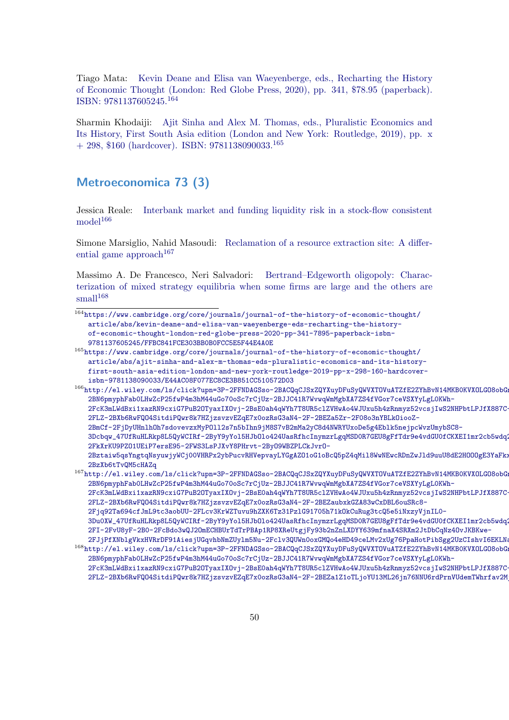Tiago Mata: [Kevin Deane and Elisa van Waeyenberge, eds., Recharting the History](https://www.cambridge.org/core/journals/journal-of-the-history-of-economic-thought/article/abs/kevin-deane-and-elisa-van-waeyenberge-eds-recharting-the-history-of-economic-thought-london-red-globe-press-2020-pp-341-7895-paperback-isbn-9781137605245/FFBC841FCE303BB0B0FCC5E5F44E4A0E) [of Economic Thought \(London: Red Globe Press, 2020\), pp. 341, \\$78.95 \(paperback\).](https://www.cambridge.org/core/journals/journal-of-the-history-of-economic-thought/article/abs/kevin-deane-and-elisa-van-waeyenberge-eds-recharting-the-history-of-economic-thought-london-red-globe-press-2020-pp-341-7895-paperback-isbn-9781137605245/FFBC841FCE303BB0B0FCC5E5F44E4A0E) [ISBN: 9781137605245.](https://www.cambridge.org/core/journals/journal-of-the-history-of-economic-thought/article/abs/kevin-deane-and-elisa-van-waeyenberge-eds-recharting-the-history-of-economic-thought-london-red-globe-press-2020-pp-341-7895-paperback-isbn-9781137605245/FFBC841FCE303BB0B0FCC5E5F44E4A0E)[164](#page-49-1)

Sharmin Khodaiji: [Ajit Sinha and Alex M. Thomas, eds., Pluralistic Economics and](https://www.cambridge.org/core/journals/journal-of-the-history-of-economic-thought/article/abs/ajit-sinha-and-alex-m-thomas-eds-pluralistic-economics-and-its-history-first-south-asia-edition-london-and-new-york-routledge-2019-pp-x-298-160-hardcover-isbn-9781138090033/E44AC08F077EC8CE3B851CC510572D03) [Its History, First South Asia edition \(London and New York: Routledge, 2019\), pp. x](https://www.cambridge.org/core/journals/journal-of-the-history-of-economic-thought/article/abs/ajit-sinha-and-alex-m-thomas-eds-pluralistic-economics-and-its-history-first-south-asia-edition-london-and-new-york-routledge-2019-pp-x-298-160-hardcover-isbn-9781138090033/E44AC08F077EC8CE3B851CC510572D03)  $+$  298, \$160 (hardcover). ISBN: 9781138090033.<sup>[165](#page-49-2)</sup>

### <span id="page-49-0"></span>Metroeconomica 73 (3)

Jessica Reale: [Interbank market and funding liquidity risk in a stock-flow consistent](http://el.wiley.com/ls/click?upn=3P-2FFNDAGSso-2BACQqCJSxZQYXuyDFuSyQWVXTOVuATZfE2ZYhBvN14MKB0KVXOLGO8obGng7vSyli3t-2BN6pmyphFab0LHwZcP25fwP4m3hM44uGo70oSc7rCjUz-2BJJC41R7WvwqWmMgbXA7ZS4fVGor7ceVSXYyLgL0KWh-2FcK3mLWdBxi1xazRN9cxiG7PuB2OTyaxIXOvj-2BsE0ah4qWYh7T8UR5clZVHwAo4WJUxu5h4zRnmyz52vcsjIwS2NHPbtLPJfX887C-2FLZ-2BXb6RwFQO4SitdiPQwr8k7HZjzsvzvEZqE7x0ozRsG3aN4-2F-2BEZa5Zr-2F08o3nYBLkOiooZ-2BmCf-2FjDyUHnlhOh7sdovevzxMyPOll2s7n5bIhn9jM8S7vB2mMa2yC8d4NWRYUxoDe5g4Eblk5nejpcWvzUmybSC8-3Dcbqw_47UfRuHLRkp8L5QyWCIRf-2ByY9yYol5HJbOlo424UasRfhcInymzrLgqMSD0R7GEU8gFfTdr9e4vdGU0fCKXEI1mr2cb5wdq2vXxLBZwpAIzBcEAhfBP-2FkXrKU9PZO1UEiP7ersE95-2FWS3LsPJXvY8PHrvt-2ByO9WBZPLCkJvrO-2Bztaiw5qsYngtqNsyuwjyWCj00VHRPx2ybPucvRHVepvayLYGgAZO1oG1oBcQ5pZ4qMil8WwNEwcRDnZwJld9uuU8dE2HOOOgE3YaFkxV9i1slDmvVhMSGKibPlb1hTCgh1K7cJ-2BzXb6tTvQM5cHAZq)  $model<sup>166</sup>$  $model<sup>166</sup>$  $model<sup>166</sup>$  $model<sup>166</sup>$ 

Simone Marsiglio, Nahid Masoudi: [Reclamation of a resource extraction site: A differ](http://el.wiley.com/ls/click?upn=3P-2FFNDAGSso-2BACQqCJSxZQYXuyDFuSyQWVXTOVuATZfE2ZYhBvN14MKB0KVXOLGO8obGng7vSyli3t-2BN6pmyphFab0LHwZcP25fwP4m3hM44uGo70oSc7rCjUz-2BJJC41R7WvwqWmMgbXA7ZS4fVGor7ceVSXYyLgL0KWh-2FcK3mLWdBxi1xazRN9cxiG7PuB2OTyaxIXOvj-2BsE0ah4qWYh7T8UR5clZVHwAo4WJUxu5h4zRnmyz52vcsjIwS2NHPbtLPJfX887C-2FLZ-2BXb6RwFQO4SitdiPQwr8k7HZjzsvzvEZqE7x0ozRsG3aN4-2F-2BEZaubxkGZA83wCxDBL6ouSRc8-2Fjq92Ta694cfJmL9tc3aobUU-2FLcv3KrWZTuvu9hZXK6Tz31PzlG91705h71kOkCuRug3tcQ5e5iNxzyVjnIL0-3Du0XW_47UfRuHLRkp8L5QyWCIRf-2ByY9yYol5HJbOlo424UasRfhcInymzrLgqMSD0R7GEU8gFfTdr9e4vdGU0fCKXEI1mr2cb5wdq2vXxLBZwpAIw7ECPmIjN5VxzhIiyX7-2FI-2FvU8yF-2B0-2FcBdo3wQJ2OmECHBUrTdTrPBAp1RP8XReUtgjFy93b2nZnLXDYY639mfnaX4SRXm2JtDbCqNz4OvJKBKwe-2FJjPfXNblgVkxHVRrDF91AiesjUGqvhbNmZUylm5Nu-2Fclv3QUWn0oxGMQo4eHD49ceLMv2xUg76PpaHotPibSgg2UzCIshvI6EKLNa8)[ential game approach](http://el.wiley.com/ls/click?upn=3P-2FFNDAGSso-2BACQqCJSxZQYXuyDFuSyQWVXTOVuATZfE2ZYhBvN14MKB0KVXOLGO8obGng7vSyli3t-2BN6pmyphFab0LHwZcP25fwP4m3hM44uGo70oSc7rCjUz-2BJJC41R7WvwqWmMgbXA7ZS4fVGor7ceVSXYyLgL0KWh-2FcK3mLWdBxi1xazRN9cxiG7PuB2OTyaxIXOvj-2BsE0ah4qWYh7T8UR5clZVHwAo4WJUxu5h4zRnmyz52vcsjIwS2NHPbtLPJfX887C-2FLZ-2BXb6RwFQO4SitdiPQwr8k7HZjzsvzvEZqE7x0ozRsG3aN4-2F-2BEZaubxkGZA83wCxDBL6ouSRc8-2Fjq92Ta694cfJmL9tc3aobUU-2FLcv3KrWZTuvu9hZXK6Tz31PzlG91705h71kOkCuRug3tcQ5e5iNxzyVjnIL0-3Du0XW_47UfRuHLRkp8L5QyWCIRf-2ByY9yYol5HJbOlo424UasRfhcInymzrLgqMSD0R7GEU8gFfTdr9e4vdGU0fCKXEI1mr2cb5wdq2vXxLBZwpAIw7ECPmIjN5VxzhIiyX7-2FI-2FvU8yF-2B0-2FcBdo3wQJ2OmECHBUrTdTrPBAp1RP8XReUtgjFy93b2nZnLXDYY639mfnaX4SRXm2JtDbCqNz4OvJKBKwe-2FJjPfXNblgVkxHVRrDF91AiesjUGqvhbNmZUylm5Nu-2Fclv3QUWn0oxGMQo4eHD49ceLMv2xUg76PpaHotPibSgg2UzCIshvI6EKLNa8)<sup>[167](#page-49-4)</sup>

Massimo A. De Francesco, Neri Salvadori: [Bertrand–Edgeworth oligopoly: Charac](http://el.wiley.com/ls/click?upn=3P-2FFNDAGSso-2BACQqCJSxZQYXuyDFuSyQWVXTOVuATZfE2ZYhBvN14MKB0KVXOLGO8obGng7vSyli3t-2BN6pmyphFab0LHwZcP25fwP4m3hM44uGo70oSc7rCjUz-2BJJC41R7WvwqWmMgbXA7ZS4fVGor7ceVSXYyLgL0KWh-2FcK3mLWdBxi1xazRN9cxiG7PuB2OTyaxIXOvj-2BsE0ah4qWYh7T8UR5clZVHwAo4WJUxu5h4zRnmyz52vcsjIwS2NHPbtLPJfX887C-2FLZ-2BXb6RwFQO4SitdiPQwr8k7HZjzsvzvEZqE7x0ozRsG3aN4-2F-2BEZa1Z1oTLjoYU13ML26jn76NNU6rdPrnVUdemTWhrfav2MjSE9QALc2dbglBy3Nj9C-2FfWr4PZLa9-2B3tUGGII5sf-2Frfot4vQEhG28BshLq-2FgEMY-3DFRo3_47UfRuHLRkp8L5QyWCIRf-2ByY9yYol5HJbOlo424UasRfhcInymzrLgqMSD0R7GEU8gFfTdr9e4vdGU0fCKXEI1mr2cb5wdq2vXxLBZwpAIwJLMJtoIuphLDncVsjrEdNs9oJchk8g4k6JO53V7QiqkN0oDBAyKxMhyfiSUIxL1p8du-2FJQpUxWFEJ4k5nWdX0crnBBaNf1BQLCwcDdh9CinWWVZrGxfZqeNFmuClz8Y4WB2eCDu-2FvysizG5O19dEEYaCg8HnV9JpwlaGMBYW0lNAHf8YhhtDCTO3N8x9dFISfgrkSA5-2FXSqKCdgPB-2BuhY)[terization of mixed strategy equilibria when some firms are large and the others are](http://el.wiley.com/ls/click?upn=3P-2FFNDAGSso-2BACQqCJSxZQYXuyDFuSyQWVXTOVuATZfE2ZYhBvN14MKB0KVXOLGO8obGng7vSyli3t-2BN6pmyphFab0LHwZcP25fwP4m3hM44uGo70oSc7rCjUz-2BJJC41R7WvwqWmMgbXA7ZS4fVGor7ceVSXYyLgL0KWh-2FcK3mLWdBxi1xazRN9cxiG7PuB2OTyaxIXOvj-2BsE0ah4qWYh7T8UR5clZVHwAo4WJUxu5h4zRnmyz52vcsjIwS2NHPbtLPJfX887C-2FLZ-2BXb6RwFQO4SitdiPQwr8k7HZjzsvzvEZqE7x0ozRsG3aN4-2F-2BEZa1Z1oTLjoYU13ML26jn76NNU6rdPrnVUdemTWhrfav2MjSE9QALc2dbglBy3Nj9C-2FfWr4PZLa9-2B3tUGGII5sf-2Frfot4vQEhG28BshLq-2FgEMY-3DFRo3_47UfRuHLRkp8L5QyWCIRf-2ByY9yYol5HJbOlo424UasRfhcInymzrLgqMSD0R7GEU8gFfTdr9e4vdGU0fCKXEI1mr2cb5wdq2vXxLBZwpAIwJLMJtoIuphLDncVsjrEdNs9oJchk8g4k6JO53V7QiqkN0oDBAyKxMhyfiSUIxL1p8du-2FJQpUxWFEJ4k5nWdX0crnBBaNf1BQLCwcDdh9CinWWVZrGxfZqeNFmuClz8Y4WB2eCDu-2FvysizG5O19dEEYaCg8HnV9JpwlaGMBYW0lNAHf8YhhtDCTO3N8x9dFISfgrkSA5-2FXSqKCdgPB-2BuhY)  $small<sup>168</sup>$  $small<sup>168</sup>$  $small<sup>168</sup>$  $small<sup>168</sup>$ 

<span id="page-49-1"></span> $^{164}\rm{https://www.cambridge.org/core/journals/journal-of-the-history-of-economic-thought/}$  $^{164}\rm{https://www.cambridge.org/core/journals/journal-of-the-history-of-economic-thought/}$  $^{164}\rm{https://www.cambridge.org/core/journals/journal-of-the-history-of-economic-thought/}$ [article/abs/kevin-deane-and-elisa-van-waeyenberge-eds-recharting-the-history](https://www.cambridge.org/core/journals/journal-of-the-history-of-economic-thought/article/abs/kevin-deane-and-elisa-van-waeyenberge-eds-recharting-the-history-of-economic-thought-london-red-globe-press-2020-pp-341-7895-paperback-isbn-9781137605245/FFBC841FCE303BB0B0FCC5E5F44E4A0E)[of-economic-thought-london-red-globe-press-2020-pp-341-7895-paperback-isbn-](https://www.cambridge.org/core/journals/journal-of-the-history-of-economic-thought/article/abs/kevin-deane-and-elisa-van-waeyenberge-eds-recharting-the-history-of-economic-thought-london-red-globe-press-2020-pp-341-7895-paperback-isbn-9781137605245/FFBC841FCE303BB0B0FCC5E5F44E4A0E)[9781137605245/FFBC841FCE303BB0B0FCC5E5F44E4A0E](https://www.cambridge.org/core/journals/journal-of-the-history-of-economic-thought/article/abs/kevin-deane-and-elisa-van-waeyenberge-eds-recharting-the-history-of-economic-thought-london-red-globe-press-2020-pp-341-7895-paperback-isbn-9781137605245/FFBC841FCE303BB0B0FCC5E5F44E4A0E)

<span id="page-49-2"></span> $^{165}\rm{https://www.cambridge.org/core/journals/journal-of-the-history-of-economic-thought/}$  $^{165}\rm{https://www.cambridge.org/core/journals/journal-of-the-history-of-economic-thought/}$  $^{165}\rm{https://www.cambridge.org/core/journals/journal-of-the-history-of-economic-thought/}$ [article/abs/ajit-sinha-and-alex-m-thomas-eds-pluralistic-economics-and-its-history](https://www.cambridge.org/core/journals/journal-of-the-history-of-economic-thought/article/abs/ajit-sinha-and-alex-m-thomas-eds-pluralistic-economics-and-its-history-first-south-asia-edition-london-and-new-york-routledge-2019-pp-x-298-160-hardcover-isbn-9781138090033/E44AC08F077EC8CE3B851CC510572D03)[first-south-asia-edition-london-and-new-york-routledge-2019-pp-x-298-160-hardcover](https://www.cambridge.org/core/journals/journal-of-the-history-of-economic-thought/article/abs/ajit-sinha-and-alex-m-thomas-eds-pluralistic-economics-and-its-history-first-south-asia-edition-london-and-new-york-routledge-2019-pp-x-298-160-hardcover-isbn-9781138090033/E44AC08F077EC8CE3B851CC510572D03)[isbn-9781138090033/E44AC08F077EC8CE3B851CC510572D03](https://www.cambridge.org/core/journals/journal-of-the-history-of-economic-thought/article/abs/ajit-sinha-and-alex-m-thomas-eds-pluralistic-economics-and-its-history-first-south-asia-edition-london-and-new-york-routledge-2019-pp-x-298-160-hardcover-isbn-9781138090033/E44AC08F077EC8CE3B851CC510572D03)

<span id="page-49-3"></span> $^{166}$ [http://el.wiley.com/ls/click?upn=3P-2FFNDAGSso-2BACQqCJSxZQYXuyDFuSyQWVXTOVuATZfE2ZYhBv](http://el.wiley.com/ls/click?upn=3P-2FFNDAGSso-2BACQqCJSxZQYXuyDFuSyQWVXTOVuATZfE2ZYhBvN14MKB0KVXOLGO8obGng7vSyli3t-2BN6pmyphFab0LHwZcP25fwP4m3hM44uGo70oSc7rCjUz-2BJJC41R7WvwqWmMgbXA7ZS4fVGor7ceVSXYyLgL0KWh-2FcK3mLWdBxi1xazRN9cxiG7PuB2OTyaxIXOvj-2BsE0ah4qWYh7T8UR5clZVHwAo4WJUxu5h4zRnmyz52vcsjIwS2NHPbtLPJfX887C-2FLZ-2BXb6RwFQO4SitdiPQwr8k7HZjzsvzvEZqE7x0ozRsG3aN4-2F-2BEZa5Zr-2F08o3nYBLkOiooZ-2BmCf-2FjDyUHnlhOh7sdovevzxMyPOll2s7n5bIhn9jM8S7vB2mMa2yC8d4NWRYUxoDe5g4Eblk5nejpcWvzUmybSC8-3Dcbqw_47UfRuHLRkp8L5QyWCIRf-2ByY9yYol5HJbOlo424UasRfhcInymzrLgqMSD0R7GEU8gFfTdr9e4vdGU0fCKXEI1mr2cb5wdq2vXxLBZwpAIzBcEAhfBP-2FkXrKU9PZO1UEiP7ersE95-2FWS3LsPJXvY8PHrvt-2ByO9WBZPLCkJvrO-2Bztaiw5qsYngtqNsyuwjyWCj00VHRPx2ybPucvRHVepvayLYGgAZO1oG1oBcQ5pZ4qMil8WwNEwcRDnZwJld9uuU8dE2HOOOgE3YaFkxV9i1slDmvVhMSGKibPlb1hTCgh1K7cJ-2BzXb6tTvQM5cHAZq)N14MKB0KVXOLGO8obG [2BN6pmyphFab0LHwZcP25fwP4m3hM44uGo70oSc7rCjUz-2BJJC41R7WvwqWmMgbXA7ZS4fVGor7ceVSXYyLgL](http://el.wiley.com/ls/click?upn=3P-2FFNDAGSso-2BACQqCJSxZQYXuyDFuSyQWVXTOVuATZfE2ZYhBvN14MKB0KVXOLGO8obGng7vSyli3t-2BN6pmyphFab0LHwZcP25fwP4m3hM44uGo70oSc7rCjUz-2BJJC41R7WvwqWmMgbXA7ZS4fVGor7ceVSXYyLgL0KWh-2FcK3mLWdBxi1xazRN9cxiG7PuB2OTyaxIXOvj-2BsE0ah4qWYh7T8UR5clZVHwAo4WJUxu5h4zRnmyz52vcsjIwS2NHPbtLPJfX887C-2FLZ-2BXb6RwFQO4SitdiPQwr8k7HZjzsvzvEZqE7x0ozRsG3aN4-2F-2BEZa5Zr-2F08o3nYBLkOiooZ-2BmCf-2FjDyUHnlhOh7sdovevzxMyPOll2s7n5bIhn9jM8S7vB2mMa2yC8d4NWRYUxoDe5g4Eblk5nejpcWvzUmybSC8-3Dcbqw_47UfRuHLRkp8L5QyWCIRf-2ByY9yYol5HJbOlo424UasRfhcInymzrLgqMSD0R7GEU8gFfTdr9e4vdGU0fCKXEI1mr2cb5wdq2vXxLBZwpAIzBcEAhfBP-2FkXrKU9PZO1UEiP7ersE95-2FWS3LsPJXvY8PHrvt-2ByO9WBZPLCkJvrO-2Bztaiw5qsYngtqNsyuwjyWCj00VHRPx2ybPucvRHVepvayLYGgAZO1oG1oBcQ5pZ4qMil8WwNEwcRDnZwJld9uuU8dE2HOOOgE3YaFkxV9i1slDmvVhMSGKibPlb1hTCgh1K7cJ-2BzXb6tTvQM5cHAZq)0KWh-[2FcK3mLWdBxi1xazRN9cxiG7PuB2OTyaxIXOvj-2BsE0ah4qWYh7T8UR5clZVHwAo4WJUxu5h4zRnmyz52vcsj](http://el.wiley.com/ls/click?upn=3P-2FFNDAGSso-2BACQqCJSxZQYXuyDFuSyQWVXTOVuATZfE2ZYhBvN14MKB0KVXOLGO8obGng7vSyli3t-2BN6pmyphFab0LHwZcP25fwP4m3hM44uGo70oSc7rCjUz-2BJJC41R7WvwqWmMgbXA7ZS4fVGor7ceVSXYyLgL0KWh-2FcK3mLWdBxi1xazRN9cxiG7PuB2OTyaxIXOvj-2BsE0ah4qWYh7T8UR5clZVHwAo4WJUxu5h4zRnmyz52vcsjIwS2NHPbtLPJfX887C-2FLZ-2BXb6RwFQO4SitdiPQwr8k7HZjzsvzvEZqE7x0ozRsG3aN4-2F-2BEZa5Zr-2F08o3nYBLkOiooZ-2BmCf-2FjDyUHnlhOh7sdovevzxMyPOll2s7n5bIhn9jM8S7vB2mMa2yC8d4NWRYUxoDe5g4Eblk5nejpcWvzUmybSC8-3Dcbqw_47UfRuHLRkp8L5QyWCIRf-2ByY9yYol5HJbOlo424UasRfhcInymzrLgqMSD0R7GEU8gFfTdr9e4vdGU0fCKXEI1mr2cb5wdq2vXxLBZwpAIzBcEAhfBP-2FkXrKU9PZO1UEiP7ersE95-2FWS3LsPJXvY8PHrvt-2ByO9WBZPLCkJvrO-2Bztaiw5qsYngtqNsyuwjyWCj00VHRPx2ybPucvRHVepvayLYGgAZO1oG1oBcQ5pZ4qMil8WwNEwcRDnZwJld9uuU8dE2HOOOgE3YaFkxV9i1slDmvVhMSGKibPlb1hTCgh1K7cJ-2BzXb6tTvQM5cHAZq)IwS2NHPbtLPJfX887C-[2FLZ-2BXb6RwFQO4SitdiPQwr8k7HZjzsvzvEZqE7x0ozRsG3aN4-2F-2BEZa5Zr-2F08o3nYBLkOiooZ-](http://el.wiley.com/ls/click?upn=3P-2FFNDAGSso-2BACQqCJSxZQYXuyDFuSyQWVXTOVuATZfE2ZYhBvN14MKB0KVXOLGO8obGng7vSyli3t-2BN6pmyphFab0LHwZcP25fwP4m3hM44uGo70oSc7rCjUz-2BJJC41R7WvwqWmMgbXA7ZS4fVGor7ceVSXYyLgL0KWh-2FcK3mLWdBxi1xazRN9cxiG7PuB2OTyaxIXOvj-2BsE0ah4qWYh7T8UR5clZVHwAo4WJUxu5h4zRnmyz52vcsjIwS2NHPbtLPJfX887C-2FLZ-2BXb6RwFQO4SitdiPQwr8k7HZjzsvzvEZqE7x0ozRsG3aN4-2F-2BEZa5Zr-2F08o3nYBLkOiooZ-2BmCf-2FjDyUHnlhOh7sdovevzxMyPOll2s7n5bIhn9jM8S7vB2mMa2yC8d4NWRYUxoDe5g4Eblk5nejpcWvzUmybSC8-3Dcbqw_47UfRuHLRkp8L5QyWCIRf-2ByY9yYol5HJbOlo424UasRfhcInymzrLgqMSD0R7GEU8gFfTdr9e4vdGU0fCKXEI1mr2cb5wdq2vXxLBZwpAIzBcEAhfBP-2FkXrKU9PZO1UEiP7ersE95-2FWS3LsPJXvY8PHrvt-2ByO9WBZPLCkJvrO-2Bztaiw5qsYngtqNsyuwjyWCj00VHRPx2ybPucvRHVepvayLYGgAZO1oG1oBcQ5pZ4qMil8WwNEwcRDnZwJld9uuU8dE2HOOOgE3YaFkxV9i1slDmvVhMSGKibPlb1hTCgh1K7cJ-2BzXb6tTvQM5cHAZq)[2BmCf-2FjDyUHnlhOh7sdovevzxMyPOll2s7n5bIhn9jM8S7vB2mMa2yC8d4NWRYUxoDe5g4Eblk5nejpcWvzU](http://el.wiley.com/ls/click?upn=3P-2FFNDAGSso-2BACQqCJSxZQYXuyDFuSyQWVXTOVuATZfE2ZYhBvN14MKB0KVXOLGO8obGng7vSyli3t-2BN6pmyphFab0LHwZcP25fwP4m3hM44uGo70oSc7rCjUz-2BJJC41R7WvwqWmMgbXA7ZS4fVGor7ceVSXYyLgL0KWh-2FcK3mLWdBxi1xazRN9cxiG7PuB2OTyaxIXOvj-2BsE0ah4qWYh7T8UR5clZVHwAo4WJUxu5h4zRnmyz52vcsjIwS2NHPbtLPJfX887C-2FLZ-2BXb6RwFQO4SitdiPQwr8k7HZjzsvzvEZqE7x0ozRsG3aN4-2F-2BEZa5Zr-2F08o3nYBLkOiooZ-2BmCf-2FjDyUHnlhOh7sdovevzxMyPOll2s7n5bIhn9jM8S7vB2mMa2yC8d4NWRYUxoDe5g4Eblk5nejpcWvzUmybSC8-3Dcbqw_47UfRuHLRkp8L5QyWCIRf-2ByY9yYol5HJbOlo424UasRfhcInymzrLgqMSD0R7GEU8gFfTdr9e4vdGU0fCKXEI1mr2cb5wdq2vXxLBZwpAIzBcEAhfBP-2FkXrKU9PZO1UEiP7ersE95-2FWS3LsPJXvY8PHrvt-2ByO9WBZPLCkJvrO-2Bztaiw5qsYngtqNsyuwjyWCj00VHRPx2ybPucvRHVepvayLYGgAZO1oG1oBcQ5pZ4qMil8WwNEwcRDnZwJld9uuU8dE2HOOOgE3YaFkxV9i1slDmvVhMSGKibPlb1hTCgh1K7cJ-2BzXb6tTvQM5cHAZq)mybSC8- 3Dcbqw\_47UfRuHLRkp8L5QyWCIRf-2ByY9yYo15HJb0lo424UasRfhcInymzrLgqMSD0R7GEU8gFfTdr9e4vdGU0fCKXEI1mr2cb5wdq [2FkXrKU9PZO1UEiP7ersE95-2FWS3LsPJXvY8PHrvt-2ByO9WBZPLCkJvrO-](http://el.wiley.com/ls/click?upn=3P-2FFNDAGSso-2BACQqCJSxZQYXuyDFuSyQWVXTOVuATZfE2ZYhBvN14MKB0KVXOLGO8obGng7vSyli3t-2BN6pmyphFab0LHwZcP25fwP4m3hM44uGo70oSc7rCjUz-2BJJC41R7WvwqWmMgbXA7ZS4fVGor7ceVSXYyLgL0KWh-2FcK3mLWdBxi1xazRN9cxiG7PuB2OTyaxIXOvj-2BsE0ah4qWYh7T8UR5clZVHwAo4WJUxu5h4zRnmyz52vcsjIwS2NHPbtLPJfX887C-2FLZ-2BXb6RwFQO4SitdiPQwr8k7HZjzsvzvEZqE7x0ozRsG3aN4-2F-2BEZa5Zr-2F08o3nYBLkOiooZ-2BmCf-2FjDyUHnlhOh7sdovevzxMyPOll2s7n5bIhn9jM8S7vB2mMa2yC8d4NWRYUxoDe5g4Eblk5nejpcWvzUmybSC8-3Dcbqw_47UfRuHLRkp8L5QyWCIRf-2ByY9yYol5HJbOlo424UasRfhcInymzrLgqMSD0R7GEU8gFfTdr9e4vdGU0fCKXEI1mr2cb5wdq2vXxLBZwpAIzBcEAhfBP-2FkXrKU9PZO1UEiP7ersE95-2FWS3LsPJXvY8PHrvt-2ByO9WBZPLCkJvrO-2Bztaiw5qsYngtqNsyuwjyWCj00VHRPx2ybPucvRHVepvayLYGgAZO1oG1oBcQ5pZ4qMil8WwNEwcRDnZwJld9uuU8dE2HOOOgE3YaFkxV9i1slDmvVhMSGKibPlb1hTCgh1K7cJ-2BzXb6tTvQM5cHAZq)[2Bztaiw5qsYngtqNsyuwjyWCj00VHRPx2ybPucvRHVepvayLYGgAZO1oG1oBcQ5pZ4qMil8WwNEwcRDnZwJld9](http://el.wiley.com/ls/click?upn=3P-2FFNDAGSso-2BACQqCJSxZQYXuyDFuSyQWVXTOVuATZfE2ZYhBvN14MKB0KVXOLGO8obGng7vSyli3t-2BN6pmyphFab0LHwZcP25fwP4m3hM44uGo70oSc7rCjUz-2BJJC41R7WvwqWmMgbXA7ZS4fVGor7ceVSXYyLgL0KWh-2FcK3mLWdBxi1xazRN9cxiG7PuB2OTyaxIXOvj-2BsE0ah4qWYh7T8UR5clZVHwAo4WJUxu5h4zRnmyz52vcsjIwS2NHPbtLPJfX887C-2FLZ-2BXb6RwFQO4SitdiPQwr8k7HZjzsvzvEZqE7x0ozRsG3aN4-2F-2BEZa5Zr-2F08o3nYBLkOiooZ-2BmCf-2FjDyUHnlhOh7sdovevzxMyPOll2s7n5bIhn9jM8S7vB2mMa2yC8d4NWRYUxoDe5g4Eblk5nejpcWvzUmybSC8-3Dcbqw_47UfRuHLRkp8L5QyWCIRf-2ByY9yYol5HJbOlo424UasRfhcInymzrLgqMSD0R7GEU8gFfTdr9e4vdGU0fCKXEI1mr2cb5wdq2vXxLBZwpAIzBcEAhfBP-2FkXrKU9PZO1UEiP7ersE95-2FWS3LsPJXvY8PHrvt-2ByO9WBZPLCkJvrO-2Bztaiw5qsYngtqNsyuwjyWCj00VHRPx2ybPucvRHVepvayLYGgAZO1oG1oBcQ5pZ4qMil8WwNEwcRDnZwJld9uuU8dE2HOOOgE3YaFkxV9i1slDmvVhMSGKibPlb1hTCgh1K7cJ-2BzXb6tTvQM5cHAZq)uuU8dE2H000gE3YaFk: [2BzXb6tTvQM5cHAZq](http://el.wiley.com/ls/click?upn=3P-2FFNDAGSso-2BACQqCJSxZQYXuyDFuSyQWVXTOVuATZfE2ZYhBvN14MKB0KVXOLGO8obGng7vSyli3t-2BN6pmyphFab0LHwZcP25fwP4m3hM44uGo70oSc7rCjUz-2BJJC41R7WvwqWmMgbXA7ZS4fVGor7ceVSXYyLgL0KWh-2FcK3mLWdBxi1xazRN9cxiG7PuB2OTyaxIXOvj-2BsE0ah4qWYh7T8UR5clZVHwAo4WJUxu5h4zRnmyz52vcsjIwS2NHPbtLPJfX887C-2FLZ-2BXb6RwFQO4SitdiPQwr8k7HZjzsvzvEZqE7x0ozRsG3aN4-2F-2BEZa5Zr-2F08o3nYBLkOiooZ-2BmCf-2FjDyUHnlhOh7sdovevzxMyPOll2s7n5bIhn9jM8S7vB2mMa2yC8d4NWRYUxoDe5g4Eblk5nejpcWvzUmybSC8-3Dcbqw_47UfRuHLRkp8L5QyWCIRf-2ByY9yYol5HJbOlo424UasRfhcInymzrLgqMSD0R7GEU8gFfTdr9e4vdGU0fCKXEI1mr2cb5wdq2vXxLBZwpAIzBcEAhfBP-2FkXrKU9PZO1UEiP7ersE95-2FWS3LsPJXvY8PHrvt-2ByO9WBZPLCkJvrO-2Bztaiw5qsYngtqNsyuwjyWCj00VHRPx2ybPucvRHVepvayLYGgAZO1oG1oBcQ5pZ4qMil8WwNEwcRDnZwJld9uuU8dE2HOOOgE3YaFkxV9i1slDmvVhMSGKibPlb1hTCgh1K7cJ-2BzXb6tTvQM5cHAZq)

<span id="page-49-4"></span><sup>167</sup>[http://el.wiley.com/ls/click?upn=3P-2FFNDAGSso-2BACQqCJSxZQYXuyDFuSyQWVXTOVuATZfE2ZYhBv](http://el.wiley.com/ls/click?upn=3P-2FFNDAGSso-2BACQqCJSxZQYXuyDFuSyQWVXTOVuATZfE2ZYhBvN14MKB0KVXOLGO8obGng7vSyli3t-2BN6pmyphFab0LHwZcP25fwP4m3hM44uGo70oSc7rCjUz-2BJJC41R7WvwqWmMgbXA7ZS4fVGor7ceVSXYyLgL0KWh-2FcK3mLWdBxi1xazRN9cxiG7PuB2OTyaxIXOvj-2BsE0ah4qWYh7T8UR5clZVHwAo4WJUxu5h4zRnmyz52vcsjIwS2NHPbtLPJfX887C-2FLZ-2BXb6RwFQO4SitdiPQwr8k7HZjzsvzvEZqE7x0ozRsG3aN4-2F-2BEZaubxkGZA83wCxDBL6ouSRc8-2Fjq92Ta694cfJmL9tc3aobUU-2FLcv3KrWZTuvu9hZXK6Tz31PzlG91705h71kOkCuRug3tcQ5e5iNxzyVjnIL0-3Du0XW_47UfRuHLRkp8L5QyWCIRf-2ByY9yYol5HJbOlo424UasRfhcInymzrLgqMSD0R7GEU8gFfTdr9e4vdGU0fCKXEI1mr2cb5wdq2vXxLBZwpAIw7ECPmIjN5VxzhIiyX7-2FI-2FvU8yF-2B0-2FcBdo3wQJ2OmECHBUrTdTrPBAp1RP8XReUtgjFy93b2nZnLXDYY639mfnaX4SRXm2JtDbCqNz4OvJKBKwe-2FJjPfXNblgVkxHVRrDF91AiesjUGqvhbNmZUylm5Nu-2Fclv3QUWn0oxGMQo4eHD49ceLMv2xUg76PpaHotPibSgg2UzCIshvI6EKLNa8)N14MKB0KVXOLGO8obG [2BN6pmyphFab0LHwZcP25fwP4m3hM44uGo70oSc7rCjUz-2BJJC41R7WvwqWmMgbXA7ZS4fVGor7ceVSXYyLgL](http://el.wiley.com/ls/click?upn=3P-2FFNDAGSso-2BACQqCJSxZQYXuyDFuSyQWVXTOVuATZfE2ZYhBvN14MKB0KVXOLGO8obGng7vSyli3t-2BN6pmyphFab0LHwZcP25fwP4m3hM44uGo70oSc7rCjUz-2BJJC41R7WvwqWmMgbXA7ZS4fVGor7ceVSXYyLgL0KWh-2FcK3mLWdBxi1xazRN9cxiG7PuB2OTyaxIXOvj-2BsE0ah4qWYh7T8UR5clZVHwAo4WJUxu5h4zRnmyz52vcsjIwS2NHPbtLPJfX887C-2FLZ-2BXb6RwFQO4SitdiPQwr8k7HZjzsvzvEZqE7x0ozRsG3aN4-2F-2BEZaubxkGZA83wCxDBL6ouSRc8-2Fjq92Ta694cfJmL9tc3aobUU-2FLcv3KrWZTuvu9hZXK6Tz31PzlG91705h71kOkCuRug3tcQ5e5iNxzyVjnIL0-3Du0XW_47UfRuHLRkp8L5QyWCIRf-2ByY9yYol5HJbOlo424UasRfhcInymzrLgqMSD0R7GEU8gFfTdr9e4vdGU0fCKXEI1mr2cb5wdq2vXxLBZwpAIw7ECPmIjN5VxzhIiyX7-2FI-2FvU8yF-2B0-2FcBdo3wQJ2OmECHBUrTdTrPBAp1RP8XReUtgjFy93b2nZnLXDYY639mfnaX4SRXm2JtDbCqNz4OvJKBKwe-2FJjPfXNblgVkxHVRrDF91AiesjUGqvhbNmZUylm5Nu-2Fclv3QUWn0oxGMQo4eHD49ceLMv2xUg76PpaHotPibSgg2UzCIshvI6EKLNa8)0KWh-[2FcK3mLWdBxi1xazRN9cxiG7PuB2OTyaxIXOvj-2BsE0ah4qWYh7T8UR5clZVHwAo4WJUxu5h4zRnmyz52vcsj](http://el.wiley.com/ls/click?upn=3P-2FFNDAGSso-2BACQqCJSxZQYXuyDFuSyQWVXTOVuATZfE2ZYhBvN14MKB0KVXOLGO8obGng7vSyli3t-2BN6pmyphFab0LHwZcP25fwP4m3hM44uGo70oSc7rCjUz-2BJJC41R7WvwqWmMgbXA7ZS4fVGor7ceVSXYyLgL0KWh-2FcK3mLWdBxi1xazRN9cxiG7PuB2OTyaxIXOvj-2BsE0ah4qWYh7T8UR5clZVHwAo4WJUxu5h4zRnmyz52vcsjIwS2NHPbtLPJfX887C-2FLZ-2BXb6RwFQO4SitdiPQwr8k7HZjzsvzvEZqE7x0ozRsG3aN4-2F-2BEZaubxkGZA83wCxDBL6ouSRc8-2Fjq92Ta694cfJmL9tc3aobUU-2FLcv3KrWZTuvu9hZXK6Tz31PzlG91705h71kOkCuRug3tcQ5e5iNxzyVjnIL0-3Du0XW_47UfRuHLRkp8L5QyWCIRf-2ByY9yYol5HJbOlo424UasRfhcInymzrLgqMSD0R7GEU8gFfTdr9e4vdGU0fCKXEI1mr2cb5wdq2vXxLBZwpAIw7ECPmIjN5VxzhIiyX7-2FI-2FvU8yF-2B0-2FcBdo3wQJ2OmECHBUrTdTrPBAp1RP8XReUtgjFy93b2nZnLXDYY639mfnaX4SRXm2JtDbCqNz4OvJKBKwe-2FJjPfXNblgVkxHVRrDF91AiesjUGqvhbNmZUylm5Nu-2Fclv3QUWn0oxGMQo4eHD49ceLMv2xUg76PpaHotPibSgg2UzCIshvI6EKLNa8)IwS2NHPbtLPJfX887C-[2FLZ-2BXb6RwFQO4SitdiPQwr8k7HZjzsvzvEZqE7x0ozRsG3aN4-2F-2BEZaubxkGZA83wCxDBL6ouSRc8-](http://el.wiley.com/ls/click?upn=3P-2FFNDAGSso-2BACQqCJSxZQYXuyDFuSyQWVXTOVuATZfE2ZYhBvN14MKB0KVXOLGO8obGng7vSyli3t-2BN6pmyphFab0LHwZcP25fwP4m3hM44uGo70oSc7rCjUz-2BJJC41R7WvwqWmMgbXA7ZS4fVGor7ceVSXYyLgL0KWh-2FcK3mLWdBxi1xazRN9cxiG7PuB2OTyaxIXOvj-2BsE0ah4qWYh7T8UR5clZVHwAo4WJUxu5h4zRnmyz52vcsjIwS2NHPbtLPJfX887C-2FLZ-2BXb6RwFQO4SitdiPQwr8k7HZjzsvzvEZqE7x0ozRsG3aN4-2F-2BEZaubxkGZA83wCxDBL6ouSRc8-2Fjq92Ta694cfJmL9tc3aobUU-2FLcv3KrWZTuvu9hZXK6Tz31PzlG91705h71kOkCuRug3tcQ5e5iNxzyVjnIL0-3Du0XW_47UfRuHLRkp8L5QyWCIRf-2ByY9yYol5HJbOlo424UasRfhcInymzrLgqMSD0R7GEU8gFfTdr9e4vdGU0fCKXEI1mr2cb5wdq2vXxLBZwpAIw7ECPmIjN5VxzhIiyX7-2FI-2FvU8yF-2B0-2FcBdo3wQJ2OmECHBUrTdTrPBAp1RP8XReUtgjFy93b2nZnLXDYY639mfnaX4SRXm2JtDbCqNz4OvJKBKwe-2FJjPfXNblgVkxHVRrDF91AiesjUGqvhbNmZUylm5Nu-2Fclv3QUWn0oxGMQo4eHD49ceLMv2xUg76PpaHotPibSgg2UzCIshvI6EKLNa8) [2Fjq92Ta694cfJmL9tc3aobUU-2FLcv3KrWZTuvu9hZXK6Tz31PzlG91705h71kOkCuRug3tcQ5e5iNxzyVjnI](http://el.wiley.com/ls/click?upn=3P-2FFNDAGSso-2BACQqCJSxZQYXuyDFuSyQWVXTOVuATZfE2ZYhBvN14MKB0KVXOLGO8obGng7vSyli3t-2BN6pmyphFab0LHwZcP25fwP4m3hM44uGo70oSc7rCjUz-2BJJC41R7WvwqWmMgbXA7ZS4fVGor7ceVSXYyLgL0KWh-2FcK3mLWdBxi1xazRN9cxiG7PuB2OTyaxIXOvj-2BsE0ah4qWYh7T8UR5clZVHwAo4WJUxu5h4zRnmyz52vcsjIwS2NHPbtLPJfX887C-2FLZ-2BXb6RwFQO4SitdiPQwr8k7HZjzsvzvEZqE7x0ozRsG3aN4-2F-2BEZaubxkGZA83wCxDBL6ouSRc8-2Fjq92Ta694cfJmL9tc3aobUU-2FLcv3KrWZTuvu9hZXK6Tz31PzlG91705h71kOkCuRug3tcQ5e5iNxzyVjnIL0-3Du0XW_47UfRuHLRkp8L5QyWCIRf-2ByY9yYol5HJbOlo424UasRfhcInymzrLgqMSD0R7GEU8gFfTdr9e4vdGU0fCKXEI1mr2cb5wdq2vXxLBZwpAIw7ECPmIjN5VxzhIiyX7-2FI-2FvU8yF-2B0-2FcBdo3wQJ2OmECHBUrTdTrPBAp1RP8XReUtgjFy93b2nZnLXDYY639mfnaX4SRXm2JtDbCqNz4OvJKBKwe-2FJjPfXNblgVkxHVRrDF91AiesjUGqvhbNmZUylm5Nu-2Fclv3QUWn0oxGMQo4eHD49ceLMv2xUg76PpaHotPibSgg2UzCIshvI6EKLNa8)L0- [3Du0XW\\_47UfRuHLRkp8L5QyWCIRf-2ByY9yYol5HJbOlo424UasRfhcInymzrLgqMSD0R7GEU8gFfTdr9e4vdG](http://el.wiley.com/ls/click?upn=3P-2FFNDAGSso-2BACQqCJSxZQYXuyDFuSyQWVXTOVuATZfE2ZYhBvN14MKB0KVXOLGO8obGng7vSyli3t-2BN6pmyphFab0LHwZcP25fwP4m3hM44uGo70oSc7rCjUz-2BJJC41R7WvwqWmMgbXA7ZS4fVGor7ceVSXYyLgL0KWh-2FcK3mLWdBxi1xazRN9cxiG7PuB2OTyaxIXOvj-2BsE0ah4qWYh7T8UR5clZVHwAo4WJUxu5h4zRnmyz52vcsjIwS2NHPbtLPJfX887C-2FLZ-2BXb6RwFQO4SitdiPQwr8k7HZjzsvzvEZqE7x0ozRsG3aN4-2F-2BEZaubxkGZA83wCxDBL6ouSRc8-2Fjq92Ta694cfJmL9tc3aobUU-2FLcv3KrWZTuvu9hZXK6Tz31PzlG91705h71kOkCuRug3tcQ5e5iNxzyVjnIL0-3Du0XW_47UfRuHLRkp8L5QyWCIRf-2ByY9yYol5HJbOlo424UasRfhcInymzrLgqMSD0R7GEU8gFfTdr9e4vdGU0fCKXEI1mr2cb5wdq2vXxLBZwpAIw7ECPmIjN5VxzhIiyX7-2FI-2FvU8yF-2B0-2FcBdo3wQJ2OmECHBUrTdTrPBAp1RP8XReUtgjFy93b2nZnLXDYY639mfnaX4SRXm2JtDbCqNz4OvJKBKwe-2FJjPfXNblgVkxHVRrDF91AiesjUGqvhbNmZUylm5Nu-2Fclv3QUWn0oxGMQo4eHD49ceLMv2xUg76PpaHotPibSgg2UzCIshvI6EKLNa8)U0fCKXEI1mr2cb5wdq; [2FI-2FvU8yF-2B0-2FcBdo3wQJ2OmECHBUrTdTrPBAp1RP8XReUtgjFy93b2nZnLXDYY639mfnaX4SRXm2JtDb](http://el.wiley.com/ls/click?upn=3P-2FFNDAGSso-2BACQqCJSxZQYXuyDFuSyQWVXTOVuATZfE2ZYhBvN14MKB0KVXOLGO8obGng7vSyli3t-2BN6pmyphFab0LHwZcP25fwP4m3hM44uGo70oSc7rCjUz-2BJJC41R7WvwqWmMgbXA7ZS4fVGor7ceVSXYyLgL0KWh-2FcK3mLWdBxi1xazRN9cxiG7PuB2OTyaxIXOvj-2BsE0ah4qWYh7T8UR5clZVHwAo4WJUxu5h4zRnmyz52vcsjIwS2NHPbtLPJfX887C-2FLZ-2BXb6RwFQO4SitdiPQwr8k7HZjzsvzvEZqE7x0ozRsG3aN4-2F-2BEZaubxkGZA83wCxDBL6ouSRc8-2Fjq92Ta694cfJmL9tc3aobUU-2FLcv3KrWZTuvu9hZXK6Tz31PzlG91705h71kOkCuRug3tcQ5e5iNxzyVjnIL0-3Du0XW_47UfRuHLRkp8L5QyWCIRf-2ByY9yYol5HJbOlo424UasRfhcInymzrLgqMSD0R7GEU8gFfTdr9e4vdGU0fCKXEI1mr2cb5wdq2vXxLBZwpAIw7ECPmIjN5VxzhIiyX7-2FI-2FvU8yF-2B0-2FcBdo3wQJ2OmECHBUrTdTrPBAp1RP8XReUtgjFy93b2nZnLXDYY639mfnaX4SRXm2JtDbCqNz4OvJKBKwe-2FJjPfXNblgVkxHVRrDF91AiesjUGqvhbNmZUylm5Nu-2Fclv3QUWn0oxGMQo4eHD49ceLMv2xUg76PpaHotPibSgg2UzCIshvI6EKLNa8)CqNz4OvJKBKwe-[2FJjPfXNblgVkxHVRrDF91AiesjUGqvhbNmZUylm5Nu-2Fclv3QUWn0oxGMQo4eHD49ceLMv2xUg76PpaHotPibSgg2UzCIshvI6EKLNa8](http://el.wiley.com/ls/click?upn=3P-2FFNDAGSso-2BACQqCJSxZQYXuyDFuSyQWVXTOVuATZfE2ZYhBvN14MKB0KVXOLGO8obGng7vSyli3t-2BN6pmyphFab0LHwZcP25fwP4m3hM44uGo70oSc7rCjUz-2BJJC41R7WvwqWmMgbXA7ZS4fVGor7ceVSXYyLgL0KWh-2FcK3mLWdBxi1xazRN9cxiG7PuB2OTyaxIXOvj-2BsE0ah4qWYh7T8UR5clZVHwAo4WJUxu5h4zRnmyz52vcsjIwS2NHPbtLPJfX887C-2FLZ-2BXb6RwFQO4SitdiPQwr8k7HZjzsvzvEZqE7x0ozRsG3aN4-2F-2BEZaubxkGZA83wCxDBL6ouSRc8-2Fjq92Ta694cfJmL9tc3aobUU-2FLcv3KrWZTuvu9hZXK6Tz31PzlG91705h71kOkCuRug3tcQ5e5iNxzyVjnIL0-3Du0XW_47UfRuHLRkp8L5QyWCIRf-2ByY9yYol5HJbOlo424UasRfhcInymzrLgqMSD0R7GEU8gFfTdr9e4vdGU0fCKXEI1mr2cb5wdq2vXxLBZwpAIw7ECPmIjN5VxzhIiyX7-2FI-2FvU8yF-2B0-2FcBdo3wQJ2OmECHBUrTdTrPBAp1RP8XReUtgjFy93b2nZnLXDYY639mfnaX4SRXm2JtDbCqNz4OvJKBKwe-2FJjPfXNblgVkxHVRrDF91AiesjUGqvhbNmZUylm5Nu-2Fclv3QUWn0oxGMQo4eHD49ceLMv2xUg76PpaHotPibSgg2UzCIshvI6EKLNa8)

<span id="page-49-5"></span> $168$ [http://el.wiley.com/ls/click?upn=3P-2FFNDAGSso-2BACQqCJSxZQYXuyDFuSyQWVXTOVuATZfE2ZYhBv](http://el.wiley.com/ls/click?upn=3P-2FFNDAGSso-2BACQqCJSxZQYXuyDFuSyQWVXTOVuATZfE2ZYhBvN14MKB0KVXOLGO8obGng7vSyli3t-2BN6pmyphFab0LHwZcP25fwP4m3hM44uGo70oSc7rCjUz-2BJJC41R7WvwqWmMgbXA7ZS4fVGor7ceVSXYyLgL0KWh-2FcK3mLWdBxi1xazRN9cxiG7PuB2OTyaxIXOvj-2BsE0ah4qWYh7T8UR5clZVHwAo4WJUxu5h4zRnmyz52vcsjIwS2NHPbtLPJfX887C-2FLZ-2BXb6RwFQO4SitdiPQwr8k7HZjzsvzvEZqE7x0ozRsG3aN4-2F-2BEZa1Z1oTLjoYU13ML26jn76NNU6rdPrnVUdemTWhrfav2MjSE9QALc2dbglBy3Nj9C-2FfWr4PZLa9-2B3tUGGII5sf-2Frfot4vQEhG28BshLq-2FgEMY-3DFRo3_47UfRuHLRkp8L5QyWCIRf-2ByY9yYol5HJbOlo424UasRfhcInymzrLgqMSD0R7GEU8gFfTdr9e4vdGU0fCKXEI1mr2cb5wdq2vXxLBZwpAIwJLMJtoIuphLDncVsjrEdNs9oJchk8g4k6JO53V7QiqkN0oDBAyKxMhyfiSUIxL1p8du-2FJQpUxWFEJ4k5nWdX0crnBBaNf1BQLCwcDdh9CinWWVZrGxfZqeNFmuClz8Y4WB2eCDu-2FvysizG5O19dEEYaCg8HnV9JpwlaGMBYW0lNAHf8YhhtDCTO3N8x9dFISfgrkSA5-2FXSqKCdgPB-2BuhY)N14MKB0KVXOLGO8obG [2BN6pmyphFab0LHwZcP25fwP4m3hM44uGo70oSc7rCjUz-2BJJC41R7WvwqWmMgbXA7ZS4fVGor7ceVSXYyLgL](http://el.wiley.com/ls/click?upn=3P-2FFNDAGSso-2BACQqCJSxZQYXuyDFuSyQWVXTOVuATZfE2ZYhBvN14MKB0KVXOLGO8obGng7vSyli3t-2BN6pmyphFab0LHwZcP25fwP4m3hM44uGo70oSc7rCjUz-2BJJC41R7WvwqWmMgbXA7ZS4fVGor7ceVSXYyLgL0KWh-2FcK3mLWdBxi1xazRN9cxiG7PuB2OTyaxIXOvj-2BsE0ah4qWYh7T8UR5clZVHwAo4WJUxu5h4zRnmyz52vcsjIwS2NHPbtLPJfX887C-2FLZ-2BXb6RwFQO4SitdiPQwr8k7HZjzsvzvEZqE7x0ozRsG3aN4-2F-2BEZa1Z1oTLjoYU13ML26jn76NNU6rdPrnVUdemTWhrfav2MjSE9QALc2dbglBy3Nj9C-2FfWr4PZLa9-2B3tUGGII5sf-2Frfot4vQEhG28BshLq-2FgEMY-3DFRo3_47UfRuHLRkp8L5QyWCIRf-2ByY9yYol5HJbOlo424UasRfhcInymzrLgqMSD0R7GEU8gFfTdr9e4vdGU0fCKXEI1mr2cb5wdq2vXxLBZwpAIwJLMJtoIuphLDncVsjrEdNs9oJchk8g4k6JO53V7QiqkN0oDBAyKxMhyfiSUIxL1p8du-2FJQpUxWFEJ4k5nWdX0crnBBaNf1BQLCwcDdh9CinWWVZrGxfZqeNFmuClz8Y4WB2eCDu-2FvysizG5O19dEEYaCg8HnV9JpwlaGMBYW0lNAHf8YhhtDCTO3N8x9dFISfgrkSA5-2FXSqKCdgPB-2BuhY)0KWh-[2FcK3mLWdBxi1xazRN9cxiG7PuB2OTyaxIXOvj-2BsE0ah4qWYh7T8UR5clZVHwAo4WJUxu5h4zRnmyz52vcsj](http://el.wiley.com/ls/click?upn=3P-2FFNDAGSso-2BACQqCJSxZQYXuyDFuSyQWVXTOVuATZfE2ZYhBvN14MKB0KVXOLGO8obGng7vSyli3t-2BN6pmyphFab0LHwZcP25fwP4m3hM44uGo70oSc7rCjUz-2BJJC41R7WvwqWmMgbXA7ZS4fVGor7ceVSXYyLgL0KWh-2FcK3mLWdBxi1xazRN9cxiG7PuB2OTyaxIXOvj-2BsE0ah4qWYh7T8UR5clZVHwAo4WJUxu5h4zRnmyz52vcsjIwS2NHPbtLPJfX887C-2FLZ-2BXb6RwFQO4SitdiPQwr8k7HZjzsvzvEZqE7x0ozRsG3aN4-2F-2BEZa1Z1oTLjoYU13ML26jn76NNU6rdPrnVUdemTWhrfav2MjSE9QALc2dbglBy3Nj9C-2FfWr4PZLa9-2B3tUGGII5sf-2Frfot4vQEhG28BshLq-2FgEMY-3DFRo3_47UfRuHLRkp8L5QyWCIRf-2ByY9yYol5HJbOlo424UasRfhcInymzrLgqMSD0R7GEU8gFfTdr9e4vdGU0fCKXEI1mr2cb5wdq2vXxLBZwpAIwJLMJtoIuphLDncVsjrEdNs9oJchk8g4k6JO53V7QiqkN0oDBAyKxMhyfiSUIxL1p8du-2FJQpUxWFEJ4k5nWdX0crnBBaNf1BQLCwcDdh9CinWWVZrGxfZqeNFmuClz8Y4WB2eCDu-2FvysizG5O19dEEYaCg8HnV9JpwlaGMBYW0lNAHf8YhhtDCTO3N8x9dFISfgrkSA5-2FXSqKCdgPB-2BuhY)IwS2NHPbtLPJfX887C-2FLZ-2BXb6RwFQ04SitdiPQwr8k7HZjzsvzvEZqE7x0ozRsG3aN4-2F-2BEZa1Z1oTLjoYU13ML26jn76NNU6rdPrnVUdemTWhrfav2M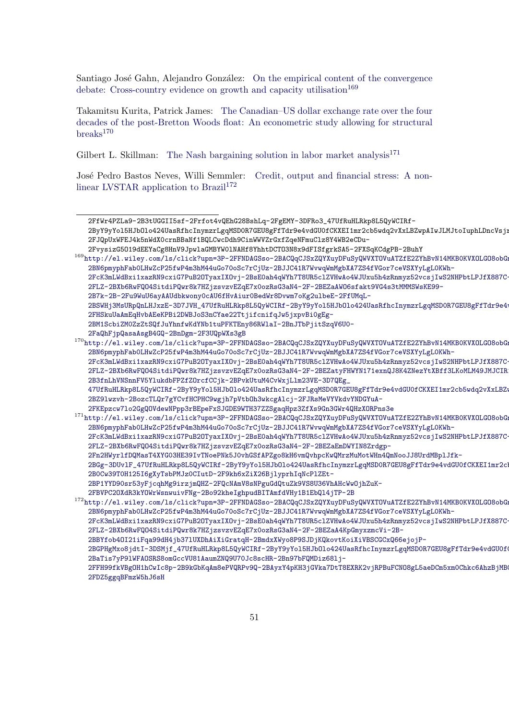Santiago José Gahn, Alejandro González: [On the empirical content of the convergence](http://el.wiley.com/ls/click?upn=3P-2FFNDAGSso-2BACQqCJSxZQYXuyDFuSyQWVXTOVuATZfE2ZYhBvN14MKB0KVXOLGO8obGng7vSyli3t-2BN6pmyphFab0LHwZcP25fwP4m3hM44uGo70oSc7rCjUz-2BJJC41R7WvwqWmMgbXA7ZS4fVGor7ceVSXYyLgL0KWh-2FcK3mLWdBxi1xazRN9cxiG7PuB2OTyaxIXOvj-2BsE0ah4qWYh7T8UR5clZVHwAo4WJUxu5h4zRnmyz52vcsjIwS2NHPbtLPJfX887C-2FLZ-2BXb6RwFQO4SitdiPQwr8k7HZjzsvzvEZqE7x0ozRsG3aN4-2F-2BEZa1Z1oTLjoYU13ML26jn76NNU6rdPrnVUdemTWhrfav2MjSE9QALc2dbglBy3Nj9C-2FfWr4PZLa9-2B3tUGGII5sf-2Frfot4vQEhG28BshLq-2FgEMY-3DFRo3_47UfRuHLRkp8L5QyWCIRf-2ByY9yYol5HJbOlo424UasRfhcInymzrLgqMSD0R7GEU8gFfTdr9e4vdGU0fCKXEI1mr2cb5wdq2vXxLBZwpAIwJLMJtoIuphLDncVsjrEdNs9oJchk8g4k6JO53V7QiqkN0oDBAyKxMhyfiSUIxL1p8du-2FJQpUxWFEJ4k5nWdX0crnBBaNf1BQLCwcDdh9CinWWVZrGxfZqeNFmuClz8Y4WB2eCDu-2FvysizG5O19dEEYaCg8HnV9JpwlaGMBYW0lNAHf8YhhtDCTO3N8x9dFISfgrkSA5-2FXSqKCdgPB-2BuhY) [debate: Cross-country evidence on growth and capacity utilisation](http://el.wiley.com/ls/click?upn=3P-2FFNDAGSso-2BACQqCJSxZQYXuyDFuSyQWVXTOVuATZfE2ZYhBvN14MKB0KVXOLGO8obGng7vSyli3t-2BN6pmyphFab0LHwZcP25fwP4m3hM44uGo70oSc7rCjUz-2BJJC41R7WvwqWmMgbXA7ZS4fVGor7ceVSXYyLgL0KWh-2FcK3mLWdBxi1xazRN9cxiG7PuB2OTyaxIXOvj-2BsE0ah4qWYh7T8UR5clZVHwAo4WJUxu5h4zRnmyz52vcsjIwS2NHPbtLPJfX887C-2FLZ-2BXb6RwFQO4SitdiPQwr8k7HZjzsvzvEZqE7x0ozRsG3aN4-2F-2BEZa1Z1oTLjoYU13ML26jn76NNU6rdPrnVUdemTWhrfav2MjSE9QALc2dbglBy3Nj9C-2FfWr4PZLa9-2B3tUGGII5sf-2Frfot4vQEhG28BshLq-2FgEMY-3DFRo3_47UfRuHLRkp8L5QyWCIRf-2ByY9yYol5HJbOlo424UasRfhcInymzrLgqMSD0R7GEU8gFfTdr9e4vdGU0fCKXEI1mr2cb5wdq2vXxLBZwpAIwJLMJtoIuphLDncVsjrEdNs9oJchk8g4k6JO53V7QiqkN0oDBAyKxMhyfiSUIxL1p8du-2FJQpUxWFEJ4k5nWdX0crnBBaNf1BQLCwcDdh9CinWWVZrGxfZqeNFmuClz8Y4WB2eCDu-2FvysizG5O19dEEYaCg8HnV9JpwlaGMBYW0lNAHf8YhhtDCTO3N8x9dFISfgrkSA5-2FXSqKCdgPB-2BuhY)<sup>[169](#page-50-0)</sup>

Takamitsu Kurita, Patrick James: [The Canadian–US dollar exchange rate over the four](http://el.wiley.com/ls/click?upn=3P-2FFNDAGSso-2BACQqCJSxZQYXuyDFuSyQWVXTOVuATZfE2ZYhBvN14MKB0KVXOLGO8obGng7vSyli3t-2BN6pmyphFab0LHwZcP25fwP4m3hM44uGo70oSc7rCjUz-2BJJC41R7WvwqWmMgbXA7ZS4fVGor7ceVSXYyLgL0KWh-2FcK3mLWdBxi1xazRN9cxiG7PuB2OTyaxIXOvj-2BsE0ah4qWYh7T8UR5clZVHwAo4WJUxu5h4zRnmyz52vcsjIwS2NHPbtLPJfX887C-2FLZ-2BXb6RwFQO4SitdiPQwr8k7HZjzsvzvEZqE7x0ozRsG3aN4-2F-2BEZa1Z1oTLjoYU13ML26jn76NNU6rdPrnVUdemTWhrfav2MjSE9QALc2dbglBy3Nj9C-2FfWr4PZLa9-2B3tUGGII5sf-2Frfot4vQEhG28BshLq-2FgEMY-3DFRo3_47UfRuHLRkp8L5QyWCIRf-2ByY9yYol5HJbOlo424UasRfhcInymzrLgqMSD0R7GEU8gFfTdr9e4vdGU0fCKXEI1mr2cb5wdq2vXxLBZwpAIwJLMJtoIuphLDncVsjrEdNs9oJchk8g4k6JO53V7QiqkN0oDBAyKxMhyfiSUIxL1p8du-2FJQpUxWFEJ4k5nWdX0crnBBaNf1BQLCwcDdh9CinWWVZrGxfZqeNFmuClz8Y4WB2eCDu-2FvysizG5O19dEEYaCg8HnV9JpwlaGMBYW0lNAHf8YhhtDCTO3N8x9dFISfgrkSA5-2FXSqKCdgPB-2BuhY) [decades of the post-Bretton Woods float: An econometric study allowing for structural](http://el.wiley.com/ls/click?upn=3P-2FFNDAGSso-2BACQqCJSxZQYXuyDFuSyQWVXTOVuATZfE2ZYhBvN14MKB0KVXOLGO8obGng7vSyli3t-2BN6pmyphFab0LHwZcP25fwP4m3hM44uGo70oSc7rCjUz-2BJJC41R7WvwqWmMgbXA7ZS4fVGor7ceVSXYyLgL0KWh-2FcK3mLWdBxi1xazRN9cxiG7PuB2OTyaxIXOvj-2BsE0ah4qWYh7T8UR5clZVHwAo4WJUxu5h4zRnmyz52vcsjIwS2NHPbtLPJfX887C-2FLZ-2BXb6RwFQO4SitdiPQwr8k7HZjzsvzvEZqE7x0ozRsG3aN4-2F-2BEZa1Z1oTLjoYU13ML26jn76NNU6rdPrnVUdemTWhrfav2MjSE9QALc2dbglBy3Nj9C-2FfWr4PZLa9-2B3tUGGII5sf-2Frfot4vQEhG28BshLq-2FgEMY-3DFRo3_47UfRuHLRkp8L5QyWCIRf-2ByY9yYol5HJbOlo424UasRfhcInymzrLgqMSD0R7GEU8gFfTdr9e4vdGU0fCKXEI1mr2cb5wdq2vXxLBZwpAIwJLMJtoIuphLDncVsjrEdNs9oJchk8g4k6JO53V7QiqkN0oDBAyKxMhyfiSUIxL1p8du-2FJQpUxWFEJ4k5nWdX0crnBBaNf1BQLCwcDdh9CinWWVZrGxfZqeNFmuClz8Y4WB2eCDu-2FvysizG5O19dEEYaCg8HnV9JpwlaGMBYW0lNAHf8YhhtDCTO3N8x9dFISfgrkSA5-2FXSqKCdgPB-2BuhY)  $breaks<sup>170</sup>$  $breaks<sup>170</sup>$  $breaks<sup>170</sup>$  $breaks<sup>170</sup>$ 

Gilbert L. Skillman: [The Nash bargaining solution in labor market analysis](http://el.wiley.com/ls/click?upn=3P-2FFNDAGSso-2BACQqCJSxZQYXuyDFuSyQWVXTOVuATZfE2ZYhBvN14MKB0KVXOLGO8obGng7vSyli3t-2BN6pmyphFab0LHwZcP25fwP4m3hM44uGo70oSc7rCjUz-2BJJC41R7WvwqWmMgbXA7ZS4fVGor7ceVSXYyLgL0KWh-2FcK3mLWdBxi1xazRN9cxiG7PuB2OTyaxIXOvj-2BsE0ah4qWYh7T8UR5clZVHwAo4WJUxu5h4zRnmyz52vcsjIwS2NHPbtLPJfX887C-2FLZ-2BXb6RwFQO4SitdiPQwr8k7HZjzsvzvEZqE7x0ozRsG3aN4-2F-2BEZa1Z1oTLjoYU13ML26jn76NNU6rdPrnVUdemTWhrfav2MjSE9QALc2dbglBy3Nj9C-2FfWr4PZLa9-2B3tUGGII5sf-2Frfot4vQEhG28BshLq-2FgEMY-3DFRo3_47UfRuHLRkp8L5QyWCIRf-2ByY9yYol5HJbOlo424UasRfhcInymzrLgqMSD0R7GEU8gFfTdr9e4vdGU0fCKXEI1mr2cb5wdq2vXxLBZwpAIwJLMJtoIuphLDncVsjrEdNs9oJchk8g4k6JO53V7QiqkN0oDBAyKxMhyfiSUIxL1p8du-2FJQpUxWFEJ4k5nWdX0crnBBaNf1BQLCwcDdh9CinWWVZrGxfZqeNFmuClz8Y4WB2eCDu-2FvysizG5O19dEEYaCg8HnV9JpwlaGMBYW0lNAHf8YhhtDCTO3N8x9dFISfgrkSA5-2FXSqKCdgPB-2BuhY)<sup>[171](#page-50-2)</sup>

José Pedro Bastos Neves, Willi Semmler: [Credit, output and financial stress: A non](http://el.wiley.com/ls/click?upn=3P-2FFNDAGSso-2BACQqCJSxZQYXuyDFuSyQWVXTOVuATZfE2ZYhBvN14MKB0KVXOLGO8obGng7vSyli3t-2BN6pmyphFab0LHwZcP25fwP4m3hM44uGo70oSc7rCjUz-2BJJC41R7WvwqWmMgbXA7ZS4fVGor7ceVSXYyLgL0KWh-2FcK3mLWdBxi1xazRN9cxiG7PuB2OTyaxIXOvj-2BsE0ah4qWYh7T8UR5clZVHwAo4WJUxu5h4zRnmyz52vcsjIwS2NHPbtLPJfX887C-2FLZ-2BXb6RwFQO4SitdiPQwr8k7HZjzsvzvEZqE7x0ozRsG3aN4-2F-2BEZa1Z1oTLjoYU13ML26jn76NNU6rdPrnVUdemTWhrfav2MjSE9QALc2dbglBy3Nj9C-2FfWr4PZLa9-2B3tUGGII5sf-2Frfot4vQEhG28BshLq-2FgEMY-3DFRo3_47UfRuHLRkp8L5QyWCIRf-2ByY9yYol5HJbOlo424UasRfhcInymzrLgqMSD0R7GEU8gFfTdr9e4vdGU0fCKXEI1mr2cb5wdq2vXxLBZwpAIwJLMJtoIuphLDncVsjrEdNs9oJchk8g4k6JO53V7QiqkN0oDBAyKxMhyfiSUIxL1p8du-2FJQpUxWFEJ4k5nWdX0crnBBaNf1BQLCwcDdh9CinWWVZrGxfZqeNFmuClz8Y4WB2eCDu-2FvysizG5O19dEEYaCg8HnV9JpwlaGMBYW0lNAHf8YhhtDCTO3N8x9dFISfgrkSA5-2FXSqKCdgPB-2BuhY)[linear LVSTAR application to Brazil](http://el.wiley.com/ls/click?upn=3P-2FFNDAGSso-2BACQqCJSxZQYXuyDFuSyQWVXTOVuATZfE2ZYhBvN14MKB0KVXOLGO8obGng7vSyli3t-2BN6pmyphFab0LHwZcP25fwP4m3hM44uGo70oSc7rCjUz-2BJJC41R7WvwqWmMgbXA7ZS4fVGor7ceVSXYyLgL0KWh-2FcK3mLWdBxi1xazRN9cxiG7PuB2OTyaxIXOvj-2BsE0ah4qWYh7T8UR5clZVHwAo4WJUxu5h4zRnmyz52vcsjIwS2NHPbtLPJfX887C-2FLZ-2BXb6RwFQO4SitdiPQwr8k7HZjzsvzvEZqE7x0ozRsG3aN4-2F-2BEZa1Z1oTLjoYU13ML26jn76NNU6rdPrnVUdemTWhrfav2MjSE9QALc2dbglBy3Nj9C-2FfWr4PZLa9-2B3tUGGII5sf-2Frfot4vQEhG28BshLq-2FgEMY-3DFRo3_47UfRuHLRkp8L5QyWCIRf-2ByY9yYol5HJbOlo424UasRfhcInymzrLgqMSD0R7GEU8gFfTdr9e4vdGU0fCKXEI1mr2cb5wdq2vXxLBZwpAIwJLMJtoIuphLDncVsjrEdNs9oJchk8g4k6JO53V7QiqkN0oDBAyKxMhyfiSUIxL1p8du-2FJQpUxWFEJ4k5nWdX0crnBBaNf1BQLCwcDdh9CinWWVZrGxfZqeNFmuClz8Y4WB2eCDu-2FvysizG5O19dEEYaCg8HnV9JpwlaGMBYW0lNAHf8YhhtDCTO3N8x9dFISfgrkSA5-2FXSqKCdgPB-2BuhY)<sup>[172](#page-50-3)</sup>

<span id="page-50-2"></span>[2FKEpzcw7lo2GgQOVdewNPpp3rBEpeFxSJGDE9WTH37ZZSgaqHpz3ZfXs9Gn3GWr4QHzXORPns3e](http://el.wiley.com/ls/click?upn=3P-2FFNDAGSso-2BACQqCJSxZQYXuyDFuSyQWVXTOVuATZfE2ZYhBvN14MKB0KVXOLGO8obGng7vSyli3t-2BN6pmyphFab0LHwZcP25fwP4m3hM44uGo70oSc7rCjUz-2BJJC41R7WvwqWmMgbXA7ZS4fVGor7ceVSXYyLgL0KWh-2FcK3mLWdBxi1xazRN9cxiG7PuB2OTyaxIXOvj-2BsE0ah4qWYh7T8UR5clZVHwAo4WJUxu5h4zRnmyz52vcsjIwS2NHPbtLPJfX887C-2FLZ-2BXb6RwFQO4SitdiPQwr8k7HZjzsvzvEZqE7x0ozRsG3aN4-2F-2BEZatyFHWYN171exnQJ8K4ZNezYtXBff3LKoMLM49JMJCIR1yVIxWzzDT-2B3fnLhVNSnnFV5YlukdbFPZfZOrcfCCjk-2BPvkUtuM4CvWxjLlm23VE-3D7QEg_47UfRuHLRkp8L5QyWCIRf-2ByY9yYol5HJbOlo424UasRfhcInymzrLgqMSD0R7GEU8gFfTdr9e4vdGU0fCKXEI1mr2cb5wdq2vXxLBZwpAIzJ2VoYSTH3hzwfIegow3EyuhQxgbmJfzIKcQSoc7YaEfFNRLTI3LoiCJCYOGfDyJ8qoTLLo4-2BZ9lwzvh-2BozcTLQr7gYCvfHCPHC9wgjh7pVtbOh3wkcgAlcj-2FJRsMeVYVkdvYNDGYuA-2FKEpzcw7lo2GgQOVdewNPpp3rBEpeFxSJGDE9WTH37ZZSgaqHpz3ZfXs9Gn3GWr4QHzXORPns3e)

[<sup>2</sup>FfWr4PZLa9-2B3tUGGII5sf-2Frfot4vQEhG28BshLq-2FgEMY-3DFRo3\\_47UfRuHLRkp8L5QyWCIRf-](http://el.wiley.com/ls/click?upn=3P-2FFNDAGSso-2BACQqCJSxZQYXuyDFuSyQWVXTOVuATZfE2ZYhBvN14MKB0KVXOLGO8obGng7vSyli3t-2BN6pmyphFab0LHwZcP25fwP4m3hM44uGo70oSc7rCjUz-2BJJC41R7WvwqWmMgbXA7ZS4fVGor7ceVSXYyLgL0KWh-2FcK3mLWdBxi1xazRN9cxiG7PuB2OTyaxIXOvj-2BsE0ah4qWYh7T8UR5clZVHwAo4WJUxu5h4zRnmyz52vcsjIwS2NHPbtLPJfX887C-2FLZ-2BXb6RwFQO4SitdiPQwr8k7HZjzsvzvEZqE7x0ozRsG3aN4-2F-2BEZa1Z1oTLjoYU13ML26jn76NNU6rdPrnVUdemTWhrfav2MjSE9QALc2dbglBy3Nj9C-2FfWr4PZLa9-2B3tUGGII5sf-2Frfot4vQEhG28BshLq-2FgEMY-3DFRo3_47UfRuHLRkp8L5QyWCIRf-2ByY9yYol5HJbOlo424UasRfhcInymzrLgqMSD0R7GEU8gFfTdr9e4vdGU0fCKXEI1mr2cb5wdq2vXxLBZwpAIwJLMJtoIuphLDncVsjrEdNs9oJchk8g4k6JO53V7QiqkN0oDBAyKxMhyfiSUIxL1p8du-2FJQpUxWFEJ4k5nWdX0crnBBaNf1BQLCwcDdh9CinWWVZrGxfZqeNFmuClz8Y4WB2eCDu-2FvysizG5O19dEEYaCg8HnV9JpwlaGMBYW0lNAHf8YhhtDCTO3N8x9dFISfgrkSA5-2FXSqKCdgPB-2BuhY)

<sup>2</sup>ByY9yYo15HJbOlo424UasRfhcInymzrLgqMSDOR7GEU8gFfTdr9e4vdGU0fCKXEI1mr2cb5wdq2vXxLBZwpAIwJLMJtoIuphLDncVsj1 [2FJQpUxWFEJ4k5nWdX0crnBBaNf1BQLCwcDdh9CinWWVZrGxfZqeNFmuClz8Y4WB2eCDu-](http://el.wiley.com/ls/click?upn=3P-2FFNDAGSso-2BACQqCJSxZQYXuyDFuSyQWVXTOVuATZfE2ZYhBvN14MKB0KVXOLGO8obGng7vSyli3t-2BN6pmyphFab0LHwZcP25fwP4m3hM44uGo70oSc7rCjUz-2BJJC41R7WvwqWmMgbXA7ZS4fVGor7ceVSXYyLgL0KWh-2FcK3mLWdBxi1xazRN9cxiG7PuB2OTyaxIXOvj-2BsE0ah4qWYh7T8UR5clZVHwAo4WJUxu5h4zRnmyz52vcsjIwS2NHPbtLPJfX887C-2FLZ-2BXb6RwFQO4SitdiPQwr8k7HZjzsvzvEZqE7x0ozRsG3aN4-2F-2BEZa1Z1oTLjoYU13ML26jn76NNU6rdPrnVUdemTWhrfav2MjSE9QALc2dbglBy3Nj9C-2FfWr4PZLa9-2B3tUGGII5sf-2Frfot4vQEhG28BshLq-2FgEMY-3DFRo3_47UfRuHLRkp8L5QyWCIRf-2ByY9yYol5HJbOlo424UasRfhcInymzrLgqMSD0R7GEU8gFfTdr9e4vdGU0fCKXEI1mr2cb5wdq2vXxLBZwpAIwJLMJtoIuphLDncVsjrEdNs9oJchk8g4k6JO53V7QiqkN0oDBAyKxMhyfiSUIxL1p8du-2FJQpUxWFEJ4k5nWdX0crnBBaNf1BQLCwcDdh9CinWWVZrGxfZqeNFmuClz8Y4WB2eCDu-2FvysizG5O19dEEYaCg8HnV9JpwlaGMBYW0lNAHf8YhhtDCTO3N8x9dFISfgrkSA5-2FXSqKCdgPB-2BuhY)

<span id="page-50-0"></span>[<sup>2</sup>FvysizG5O19dEEYaCg8HnV9JpwlaGMBYW0lNAHf8YhhtDCTO3N8x9dFISfgrkSA5-2FXSqKCdgPB-2BuhY](http://el.wiley.com/ls/click?upn=3P-2FFNDAGSso-2BACQqCJSxZQYXuyDFuSyQWVXTOVuATZfE2ZYhBvN14MKB0KVXOLGO8obGng7vSyli3t-2BN6pmyphFab0LHwZcP25fwP4m3hM44uGo70oSc7rCjUz-2BJJC41R7WvwqWmMgbXA7ZS4fVGor7ceVSXYyLgL0KWh-2FcK3mLWdBxi1xazRN9cxiG7PuB2OTyaxIXOvj-2BsE0ah4qWYh7T8UR5clZVHwAo4WJUxu5h4zRnmyz52vcsjIwS2NHPbtLPJfX887C-2FLZ-2BXb6RwFQO4SitdiPQwr8k7HZjzsvzvEZqE7x0ozRsG3aN4-2F-2BEZa1Z1oTLjoYU13ML26jn76NNU6rdPrnVUdemTWhrfav2MjSE9QALc2dbglBy3Nj9C-2FfWr4PZLa9-2B3tUGGII5sf-2Frfot4vQEhG28BshLq-2FgEMY-3DFRo3_47UfRuHLRkp8L5QyWCIRf-2ByY9yYol5HJbOlo424UasRfhcInymzrLgqMSD0R7GEU8gFfTdr9e4vdGU0fCKXEI1mr2cb5wdq2vXxLBZwpAIwJLMJtoIuphLDncVsjrEdNs9oJchk8g4k6JO53V7QiqkN0oDBAyKxMhyfiSUIxL1p8du-2FJQpUxWFEJ4k5nWdX0crnBBaNf1BQLCwcDdh9CinWWVZrGxfZqeNFmuClz8Y4WB2eCDu-2FvysizG5O19dEEYaCg8HnV9JpwlaGMBYW0lNAHf8YhhtDCTO3N8x9dFISfgrkSA5-2FXSqKCdgPB-2BuhY)

<sup>169</sup>[http://el.wiley.com/ls/click?upn=3P-2FFNDAGSso-2BACQqCJSxZQYXuyDFuSyQWVXTOVuATZfE2ZYhBv](http://el.wiley.com/ls/click?upn=3P-2FFNDAGSso-2BACQqCJSxZQYXuyDFuSyQWVXTOVuATZfE2ZYhBvN14MKB0KVXOLGO8obGng7vSyli3t-2BN6pmyphFab0LHwZcP25fwP4m3hM44uGo70oSc7rCjUz-2BJJC41R7WvwqWmMgbXA7ZS4fVGor7ceVSXYyLgL0KWh-2FcK3mLWdBxi1xazRN9cxiG7PuB2OTyaxIXOvj-2BsE0ah4qWYh7T8UR5clZVHwAo4WJUxu5h4zRnmyz52vcsjIwS2NHPbtLPJfX887C-2FLZ-2BXb6RwFQO4SitdiPQwr8k7HZjzsvzvEZqE7x0ozRsG3aN4-2F-2BEZaAWO6sfakt9VG4s3tMMMSWsKE99-2B7k-2B-2Fu9WuU6ayAAUdbkwony0cAU6fHvAiur0BedWr8Dvwm7oKg2ulbeE-2FfUMqL-2BSWHj3MsURpQnLHJxzE-3D7JVH_47UfRuHLRkp8L5QyWCIRf-2ByY9yYol5HJbOlo424UasRfhcInymzrLgqMSD0R7GEU8gFfTdr9e4vdGU0fCKXEI1mr2cb5wdq2vXxLBZwpAIz2Owv4tQpshO7cnmeTGice8B7zluZEirxl9nD8zH39LXr2xkxTMpyL8xhUP-2FHSkuUaAmEqHvbAEeKPBi2DWBJoS3nCYae22TtjifcnifqJw5jxpvBi0gEg-2BM1ScbiZM0ZzZtSQfJuYhnfwKdYNb1tuPFKTEny86RWlaI-2BnJTbPjitSzqV6U0-2FaQhFjpQasaAsgB4GQ-2BnDgm-2F3UQpWXs3gB)N14MKB0KVXOLGO8obG [2BN6pmyphFab0LHwZcP25fwP4m3hM44uGo70oSc7rCjUz-2BJJC41R7WvwqWmMgbXA7ZS4fVGor7ceVSXYyLgL](http://el.wiley.com/ls/click?upn=3P-2FFNDAGSso-2BACQqCJSxZQYXuyDFuSyQWVXTOVuATZfE2ZYhBvN14MKB0KVXOLGO8obGng7vSyli3t-2BN6pmyphFab0LHwZcP25fwP4m3hM44uGo70oSc7rCjUz-2BJJC41R7WvwqWmMgbXA7ZS4fVGor7ceVSXYyLgL0KWh-2FcK3mLWdBxi1xazRN9cxiG7PuB2OTyaxIXOvj-2BsE0ah4qWYh7T8UR5clZVHwAo4WJUxu5h4zRnmyz52vcsjIwS2NHPbtLPJfX887C-2FLZ-2BXb6RwFQO4SitdiPQwr8k7HZjzsvzvEZqE7x0ozRsG3aN4-2F-2BEZaAWO6sfakt9VG4s3tMMMSWsKE99-2B7k-2B-2Fu9WuU6ayAAUdbkwony0cAU6fHvAiur0BedWr8Dvwm7oKg2ulbeE-2FfUMqL-2BSWHj3MsURpQnLHJxzE-3D7JVH_47UfRuHLRkp8L5QyWCIRf-2ByY9yYol5HJbOlo424UasRfhcInymzrLgqMSD0R7GEU8gFfTdr9e4vdGU0fCKXEI1mr2cb5wdq2vXxLBZwpAIz2Owv4tQpshO7cnmeTGice8B7zluZEirxl9nD8zH39LXr2xkxTMpyL8xhUP-2FHSkuUaAmEqHvbAEeKPBi2DWBJoS3nCYae22TtjifcnifqJw5jxpvBi0gEg-2BM1ScbiZM0ZzZtSQfJuYhnfwKdYNb1tuPFKTEny86RWlaI-2BnJTbPjitSzqV6U0-2FaQhFjpQasaAsgB4GQ-2BnDgm-2F3UQpWXs3gB)0KWh-

[<sup>2</sup>FcK3mLWdBxi1xazRN9cxiG7PuB2OTyaxIXOvj-2BsE0ah4qWYh7T8UR5clZVHwAo4WJUxu5h4zRnmyz52vcsj](http://el.wiley.com/ls/click?upn=3P-2FFNDAGSso-2BACQqCJSxZQYXuyDFuSyQWVXTOVuATZfE2ZYhBvN14MKB0KVXOLGO8obGng7vSyli3t-2BN6pmyphFab0LHwZcP25fwP4m3hM44uGo70oSc7rCjUz-2BJJC41R7WvwqWmMgbXA7ZS4fVGor7ceVSXYyLgL0KWh-2FcK3mLWdBxi1xazRN9cxiG7PuB2OTyaxIXOvj-2BsE0ah4qWYh7T8UR5clZVHwAo4WJUxu5h4zRnmyz52vcsjIwS2NHPbtLPJfX887C-2FLZ-2BXb6RwFQO4SitdiPQwr8k7HZjzsvzvEZqE7x0ozRsG3aN4-2F-2BEZaAWO6sfakt9VG4s3tMMMSWsKE99-2B7k-2B-2Fu9WuU6ayAAUdbkwony0cAU6fHvAiur0BedWr8Dvwm7oKg2ulbeE-2FfUMqL-2BSWHj3MsURpQnLHJxzE-3D7JVH_47UfRuHLRkp8L5QyWCIRf-2ByY9yYol5HJbOlo424UasRfhcInymzrLgqMSD0R7GEU8gFfTdr9e4vdGU0fCKXEI1mr2cb5wdq2vXxLBZwpAIz2Owv4tQpshO7cnmeTGice8B7zluZEirxl9nD8zH39LXr2xkxTMpyL8xhUP-2FHSkuUaAmEqHvbAEeKPBi2DWBJoS3nCYae22TtjifcnifqJw5jxpvBi0gEg-2BM1ScbiZM0ZzZtSQfJuYhnfwKdYNb1tuPFKTEny86RWlaI-2BnJTbPjitSzqV6U0-2FaQhFjpQasaAsgB4GQ-2BnDgm-2F3UQpWXs3gB)IwS2NHPbtLPJfX887C-[2FLZ-2BXb6RwFQO4SitdiPQwr8k7HZjzsvzvEZqE7x0ozRsG3aN4-2F-2BEZaAWO6sfakt9VG4s3tMMMSWsKE9](http://el.wiley.com/ls/click?upn=3P-2FFNDAGSso-2BACQqCJSxZQYXuyDFuSyQWVXTOVuATZfE2ZYhBvN14MKB0KVXOLGO8obGng7vSyli3t-2BN6pmyphFab0LHwZcP25fwP4m3hM44uGo70oSc7rCjUz-2BJJC41R7WvwqWmMgbXA7ZS4fVGor7ceVSXYyLgL0KWh-2FcK3mLWdBxi1xazRN9cxiG7PuB2OTyaxIXOvj-2BsE0ah4qWYh7T8UR5clZVHwAo4WJUxu5h4zRnmyz52vcsjIwS2NHPbtLPJfX887C-2FLZ-2BXb6RwFQO4SitdiPQwr8k7HZjzsvzvEZqE7x0ozRsG3aN4-2F-2BEZaAWO6sfakt9VG4s3tMMMSWsKE99-2B7k-2B-2Fu9WuU6ayAAUdbkwony0cAU6fHvAiur0BedWr8Dvwm7oKg2ulbeE-2FfUMqL-2BSWHj3MsURpQnLHJxzE-3D7JVH_47UfRuHLRkp8L5QyWCIRf-2ByY9yYol5HJbOlo424UasRfhcInymzrLgqMSD0R7GEU8gFfTdr9e4vdGU0fCKXEI1mr2cb5wdq2vXxLBZwpAIz2Owv4tQpshO7cnmeTGice8B7zluZEirxl9nD8zH39LXr2xkxTMpyL8xhUP-2FHSkuUaAmEqHvbAEeKPBi2DWBJoS3nCYae22TtjifcnifqJw5jxpvBi0gEg-2BM1ScbiZM0ZzZtSQfJuYhnfwKdYNb1tuPFKTEny86RWlaI-2BnJTbPjitSzqV6U0-2FaQhFjpQasaAsgB4GQ-2BnDgm-2F3UQpWXs3gB)9-

[<sup>2</sup>B7k-2B-2Fu9WuU6ayAAUdbkwony0cAU6fHvAiur0BedWr8Dvwm7oKg2ulbeE-2FfUMqL-](http://el.wiley.com/ls/click?upn=3P-2FFNDAGSso-2BACQqCJSxZQYXuyDFuSyQWVXTOVuATZfE2ZYhBvN14MKB0KVXOLGO8obGng7vSyli3t-2BN6pmyphFab0LHwZcP25fwP4m3hM44uGo70oSc7rCjUz-2BJJC41R7WvwqWmMgbXA7ZS4fVGor7ceVSXYyLgL0KWh-2FcK3mLWdBxi1xazRN9cxiG7PuB2OTyaxIXOvj-2BsE0ah4qWYh7T8UR5clZVHwAo4WJUxu5h4zRnmyz52vcsjIwS2NHPbtLPJfX887C-2FLZ-2BXb6RwFQO4SitdiPQwr8k7HZjzsvzvEZqE7x0ozRsG3aN4-2F-2BEZaAWO6sfakt9VG4s3tMMMSWsKE99-2B7k-2B-2Fu9WuU6ayAAUdbkwony0cAU6fHvAiur0BedWr8Dvwm7oKg2ulbeE-2FfUMqL-2BSWHj3MsURpQnLHJxzE-3D7JVH_47UfRuHLRkp8L5QyWCIRf-2ByY9yYol5HJbOlo424UasRfhcInymzrLgqMSD0R7GEU8gFfTdr9e4vdGU0fCKXEI1mr2cb5wdq2vXxLBZwpAIz2Owv4tQpshO7cnmeTGice8B7zluZEirxl9nD8zH39LXr2xkxTMpyL8xhUP-2FHSkuUaAmEqHvbAEeKPBi2DWBJoS3nCYae22TtjifcnifqJw5jxpvBi0gEg-2BM1ScbiZM0ZzZtSQfJuYhnfwKdYNb1tuPFKTEny86RWlaI-2BnJTbPjitSzqV6U0-2FaQhFjpQasaAsgB4GQ-2BnDgm-2F3UQpWXs3gB)

<sup>2</sup>BSWHj3MsURpQnLHJxzE-3D7JVH\_47UfRuHLRkp8L5QyWCIRf-2ByY9yYo15HJbOlo424UasRfhcInymzrLgqMSDOR7GEU8gFfTdr9e4 [2FHSkuUaAmEqHvbAEeKPBi2DWBJoS3nCYae22TtjifcnifqJw5jxpvBi0gEg-](http://el.wiley.com/ls/click?upn=3P-2FFNDAGSso-2BACQqCJSxZQYXuyDFuSyQWVXTOVuATZfE2ZYhBvN14MKB0KVXOLGO8obGng7vSyli3t-2BN6pmyphFab0LHwZcP25fwP4m3hM44uGo70oSc7rCjUz-2BJJC41R7WvwqWmMgbXA7ZS4fVGor7ceVSXYyLgL0KWh-2FcK3mLWdBxi1xazRN9cxiG7PuB2OTyaxIXOvj-2BsE0ah4qWYh7T8UR5clZVHwAo4WJUxu5h4zRnmyz52vcsjIwS2NHPbtLPJfX887C-2FLZ-2BXb6RwFQO4SitdiPQwr8k7HZjzsvzvEZqE7x0ozRsG3aN4-2F-2BEZaAWO6sfakt9VG4s3tMMMSWsKE99-2B7k-2B-2Fu9WuU6ayAAUdbkwony0cAU6fHvAiur0BedWr8Dvwm7oKg2ulbeE-2FfUMqL-2BSWHj3MsURpQnLHJxzE-3D7JVH_47UfRuHLRkp8L5QyWCIRf-2ByY9yYol5HJbOlo424UasRfhcInymzrLgqMSD0R7GEU8gFfTdr9e4vdGU0fCKXEI1mr2cb5wdq2vXxLBZwpAIz2Owv4tQpshO7cnmeTGice8B7zluZEirxl9nD8zH39LXr2xkxTMpyL8xhUP-2FHSkuUaAmEqHvbAEeKPBi2DWBJoS3nCYae22TtjifcnifqJw5jxpvBi0gEg-2BM1ScbiZM0ZzZtSQfJuYhnfwKdYNb1tuPFKTEny86RWlaI-2BnJTbPjitSzqV6U0-2FaQhFjpQasaAsgB4GQ-2BnDgm-2F3UQpWXs3gB)

[<sup>2</sup>BM1ScbiZM0ZzZtSQfJuYhnfwKdYNb1tuPFKTEny86RWlaI-2BnJTbPjitSzqV6U0-](http://el.wiley.com/ls/click?upn=3P-2FFNDAGSso-2BACQqCJSxZQYXuyDFuSyQWVXTOVuATZfE2ZYhBvN14MKB0KVXOLGO8obGng7vSyli3t-2BN6pmyphFab0LHwZcP25fwP4m3hM44uGo70oSc7rCjUz-2BJJC41R7WvwqWmMgbXA7ZS4fVGor7ceVSXYyLgL0KWh-2FcK3mLWdBxi1xazRN9cxiG7PuB2OTyaxIXOvj-2BsE0ah4qWYh7T8UR5clZVHwAo4WJUxu5h4zRnmyz52vcsjIwS2NHPbtLPJfX887C-2FLZ-2BXb6RwFQO4SitdiPQwr8k7HZjzsvzvEZqE7x0ozRsG3aN4-2F-2BEZaAWO6sfakt9VG4s3tMMMSWsKE99-2B7k-2B-2Fu9WuU6ayAAUdbkwony0cAU6fHvAiur0BedWr8Dvwm7oKg2ulbeE-2FfUMqL-2BSWHj3MsURpQnLHJxzE-3D7JVH_47UfRuHLRkp8L5QyWCIRf-2ByY9yYol5HJbOlo424UasRfhcInymzrLgqMSD0R7GEU8gFfTdr9e4vdGU0fCKXEI1mr2cb5wdq2vXxLBZwpAIz2Owv4tQpshO7cnmeTGice8B7zluZEirxl9nD8zH39LXr2xkxTMpyL8xhUP-2FHSkuUaAmEqHvbAEeKPBi2DWBJoS3nCYae22TtjifcnifqJw5jxpvBi0gEg-2BM1ScbiZM0ZzZtSQfJuYhnfwKdYNb1tuPFKTEny86RWlaI-2BnJTbPjitSzqV6U0-2FaQhFjpQasaAsgB4GQ-2BnDgm-2F3UQpWXs3gB)

[<sup>2</sup>FaQhFjpQasaAsgB4GQ-2BnDgm-2F3UQpWXs3gB](http://el.wiley.com/ls/click?upn=3P-2FFNDAGSso-2BACQqCJSxZQYXuyDFuSyQWVXTOVuATZfE2ZYhBvN14MKB0KVXOLGO8obGng7vSyli3t-2BN6pmyphFab0LHwZcP25fwP4m3hM44uGo70oSc7rCjUz-2BJJC41R7WvwqWmMgbXA7ZS4fVGor7ceVSXYyLgL0KWh-2FcK3mLWdBxi1xazRN9cxiG7PuB2OTyaxIXOvj-2BsE0ah4qWYh7T8UR5clZVHwAo4WJUxu5h4zRnmyz52vcsjIwS2NHPbtLPJfX887C-2FLZ-2BXb6RwFQO4SitdiPQwr8k7HZjzsvzvEZqE7x0ozRsG3aN4-2F-2BEZaAWO6sfakt9VG4s3tMMMSWsKE99-2B7k-2B-2Fu9WuU6ayAAUdbkwony0cAU6fHvAiur0BedWr8Dvwm7oKg2ulbeE-2FfUMqL-2BSWHj3MsURpQnLHJxzE-3D7JVH_47UfRuHLRkp8L5QyWCIRf-2ByY9yYol5HJbOlo424UasRfhcInymzrLgqMSD0R7GEU8gFfTdr9e4vdGU0fCKXEI1mr2cb5wdq2vXxLBZwpAIz2Owv4tQpshO7cnmeTGice8B7zluZEirxl9nD8zH39LXr2xkxTMpyL8xhUP-2FHSkuUaAmEqHvbAEeKPBi2DWBJoS3nCYae22TtjifcnifqJw5jxpvBi0gEg-2BM1ScbiZM0ZzZtSQfJuYhnfwKdYNb1tuPFKTEny86RWlaI-2BnJTbPjitSzqV6U0-2FaQhFjpQasaAsgB4GQ-2BnDgm-2F3UQpWXs3gB)

<span id="page-50-1"></span><sup>170</sup>[http://el.wiley.com/ls/click?upn=3P-2FFNDAGSso-2BACQqCJSxZQYXuyDFuSyQWVXTOVuATZfE2ZYhBv](http://el.wiley.com/ls/click?upn=3P-2FFNDAGSso-2BACQqCJSxZQYXuyDFuSyQWVXTOVuATZfE2ZYhBvN14MKB0KVXOLGO8obGng7vSyli3t-2BN6pmyphFab0LHwZcP25fwP4m3hM44uGo70oSc7rCjUz-2BJJC41R7WvwqWmMgbXA7ZS4fVGor7ceVSXYyLgL0KWh-2FcK3mLWdBxi1xazRN9cxiG7PuB2OTyaxIXOvj-2BsE0ah4qWYh7T8UR5clZVHwAo4WJUxu5h4zRnmyz52vcsjIwS2NHPbtLPJfX887C-2FLZ-2BXb6RwFQO4SitdiPQwr8k7HZjzsvzvEZqE7x0ozRsG3aN4-2F-2BEZatyFHWYN171exnQJ8K4ZNezYtXBff3LKoMLM49JMJCIR1yVIxWzzDT-2B3fnLhVNSnnFV5YlukdbFPZfZOrcfCCjk-2BPvkUtuM4CvWxjLlm23VE-3D7QEg_47UfRuHLRkp8L5QyWCIRf-2ByY9yYol5HJbOlo424UasRfhcInymzrLgqMSD0R7GEU8gFfTdr9e4vdGU0fCKXEI1mr2cb5wdq2vXxLBZwpAIzJ2VoYSTH3hzwfIegow3EyuhQxgbmJfzIKcQSoc7YaEfFNRLTI3LoiCJCYOGfDyJ8qoTLLo4-2BZ9lwzvh-2BozcTLQr7gYCvfHCPHC9wgjh7pVtbOh3wkcgAlcj-2FJRsMeVYVkdvYNDGYuA-2FKEpzcw7lo2GgQOVdewNPpp3rBEpeFxSJGDE9WTH37ZZSgaqHpz3ZfXs9Gn3GWr4QHzXORPns3e)N14MKB0KVXOLGO8obG [2BN6pmyphFab0LHwZcP25fwP4m3hM44uGo70oSc7rCjUz-2BJJC41R7WvwqWmMgbXA7ZS4fVGor7ceVSXYyLgL](http://el.wiley.com/ls/click?upn=3P-2FFNDAGSso-2BACQqCJSxZQYXuyDFuSyQWVXTOVuATZfE2ZYhBvN14MKB0KVXOLGO8obGng7vSyli3t-2BN6pmyphFab0LHwZcP25fwP4m3hM44uGo70oSc7rCjUz-2BJJC41R7WvwqWmMgbXA7ZS4fVGor7ceVSXYyLgL0KWh-2FcK3mLWdBxi1xazRN9cxiG7PuB2OTyaxIXOvj-2BsE0ah4qWYh7T8UR5clZVHwAo4WJUxu5h4zRnmyz52vcsjIwS2NHPbtLPJfX887C-2FLZ-2BXb6RwFQO4SitdiPQwr8k7HZjzsvzvEZqE7x0ozRsG3aN4-2F-2BEZatyFHWYN171exnQJ8K4ZNezYtXBff3LKoMLM49JMJCIR1yVIxWzzDT-2B3fnLhVNSnnFV5YlukdbFPZfZOrcfCCjk-2BPvkUtuM4CvWxjLlm23VE-3D7QEg_47UfRuHLRkp8L5QyWCIRf-2ByY9yYol5HJbOlo424UasRfhcInymzrLgqMSD0R7GEU8gFfTdr9e4vdGU0fCKXEI1mr2cb5wdq2vXxLBZwpAIzJ2VoYSTH3hzwfIegow3EyuhQxgbmJfzIKcQSoc7YaEfFNRLTI3LoiCJCYOGfDyJ8qoTLLo4-2BZ9lwzvh-2BozcTLQr7gYCvfHCPHC9wgjh7pVtbOh3wkcgAlcj-2FJRsMeVYVkdvYNDGYuA-2FKEpzcw7lo2GgQOVdewNPpp3rBEpeFxSJGDE9WTH37ZZSgaqHpz3ZfXs9Gn3GWr4QHzXORPns3e)0KWh-[2FcK3mLWdBxi1xazRN9cxiG7PuB2OTyaxIXOvj-2BsE0ah4qWYh7T8UR5clZVHwAo4WJUxu5h4zRnmyz52vcsj](http://el.wiley.com/ls/click?upn=3P-2FFNDAGSso-2BACQqCJSxZQYXuyDFuSyQWVXTOVuATZfE2ZYhBvN14MKB0KVXOLGO8obGng7vSyli3t-2BN6pmyphFab0LHwZcP25fwP4m3hM44uGo70oSc7rCjUz-2BJJC41R7WvwqWmMgbXA7ZS4fVGor7ceVSXYyLgL0KWh-2FcK3mLWdBxi1xazRN9cxiG7PuB2OTyaxIXOvj-2BsE0ah4qWYh7T8UR5clZVHwAo4WJUxu5h4zRnmyz52vcsjIwS2NHPbtLPJfX887C-2FLZ-2BXb6RwFQO4SitdiPQwr8k7HZjzsvzvEZqE7x0ozRsG3aN4-2F-2BEZatyFHWYN171exnQJ8K4ZNezYtXBff3LKoMLM49JMJCIR1yVIxWzzDT-2B3fnLhVNSnnFV5YlukdbFPZfZOrcfCCjk-2BPvkUtuM4CvWxjLlm23VE-3D7QEg_47UfRuHLRkp8L5QyWCIRf-2ByY9yYol5HJbOlo424UasRfhcInymzrLgqMSD0R7GEU8gFfTdr9e4vdGU0fCKXEI1mr2cb5wdq2vXxLBZwpAIzJ2VoYSTH3hzwfIegow3EyuhQxgbmJfzIKcQSoc7YaEfFNRLTI3LoiCJCYOGfDyJ8qoTLLo4-2BZ9lwzvh-2BozcTLQr7gYCvfHCPHC9wgjh7pVtbOh3wkcgAlcj-2FJRsMeVYVkdvYNDGYuA-2FKEpzcw7lo2GgQOVdewNPpp3rBEpeFxSJGDE9WTH37ZZSgaqHpz3ZfXs9Gn3GWr4QHzXORPns3e)IwS2NHPbtLPJfX887C-2FLZ-2BXb6RwFQ04SitdiPQwr8k7HZjzsvzvEZqE7x0ozRsG3aN4-2F-2BEZatyFHWYN171exnQJ8K4ZNezYtXBff3LKoMLM49JMJCIR [2B3fnLhVNSnnFV5YlukdbFPZfZOrcfCCjk-2BPvkUtuM4CvWxjLlm23VE-3D7QEg\\_](http://el.wiley.com/ls/click?upn=3P-2FFNDAGSso-2BACQqCJSxZQYXuyDFuSyQWVXTOVuATZfE2ZYhBvN14MKB0KVXOLGO8obGng7vSyli3t-2BN6pmyphFab0LHwZcP25fwP4m3hM44uGo70oSc7rCjUz-2BJJC41R7WvwqWmMgbXA7ZS4fVGor7ceVSXYyLgL0KWh-2FcK3mLWdBxi1xazRN9cxiG7PuB2OTyaxIXOvj-2BsE0ah4qWYh7T8UR5clZVHwAo4WJUxu5h4zRnmyz52vcsjIwS2NHPbtLPJfX887C-2FLZ-2BXb6RwFQO4SitdiPQwr8k7HZjzsvzvEZqE7x0ozRsG3aN4-2F-2BEZatyFHWYN171exnQJ8K4ZNezYtXBff3LKoMLM49JMJCIR1yVIxWzzDT-2B3fnLhVNSnnFV5YlukdbFPZfZOrcfCCjk-2BPvkUtuM4CvWxjLlm23VE-3D7QEg_47UfRuHLRkp8L5QyWCIRf-2ByY9yYol5HJbOlo424UasRfhcInymzrLgqMSD0R7GEU8gFfTdr9e4vdGU0fCKXEI1mr2cb5wdq2vXxLBZwpAIzJ2VoYSTH3hzwfIegow3EyuhQxgbmJfzIKcQSoc7YaEfFNRLTI3LoiCJCYOGfDyJ8qoTLLo4-2BZ9lwzvh-2BozcTLQr7gYCvfHCPHC9wgjh7pVtbOh3wkcgAlcj-2FJRsMeVYVkdvYNDGYuA-2FKEpzcw7lo2GgQOVdewNPpp3rBEpeFxSJGDE9WTH37ZZSgaqHpz3ZfXs9Gn3GWr4QHzXORPns3e) 47UfRuHLRkp8L5QyWCIRf-2ByY9yYo15HJb01o424UasRfhcInymzrLgqMSD0R7GEU8gFfTdr9e4vdGU0fCKXEI1mr2cb5wdq2vXxLBZ [2BZ9lwzvh-2BozcTLQr7gYCvfHCPHC9wgjh7pVtbOh3wkcgAlcj-2FJRsMeVYVkdvYNDGYuA-](http://el.wiley.com/ls/click?upn=3P-2FFNDAGSso-2BACQqCJSxZQYXuyDFuSyQWVXTOVuATZfE2ZYhBvN14MKB0KVXOLGO8obGng7vSyli3t-2BN6pmyphFab0LHwZcP25fwP4m3hM44uGo70oSc7rCjUz-2BJJC41R7WvwqWmMgbXA7ZS4fVGor7ceVSXYyLgL0KWh-2FcK3mLWdBxi1xazRN9cxiG7PuB2OTyaxIXOvj-2BsE0ah4qWYh7T8UR5clZVHwAo4WJUxu5h4zRnmyz52vcsjIwS2NHPbtLPJfX887C-2FLZ-2BXb6RwFQO4SitdiPQwr8k7HZjzsvzvEZqE7x0ozRsG3aN4-2F-2BEZatyFHWYN171exnQJ8K4ZNezYtXBff3LKoMLM49JMJCIR1yVIxWzzDT-2B3fnLhVNSnnFV5YlukdbFPZfZOrcfCCjk-2BPvkUtuM4CvWxjLlm23VE-3D7QEg_47UfRuHLRkp8L5QyWCIRf-2ByY9yYol5HJbOlo424UasRfhcInymzrLgqMSD0R7GEU8gFfTdr9e4vdGU0fCKXEI1mr2cb5wdq2vXxLBZwpAIzJ2VoYSTH3hzwfIegow3EyuhQxgbmJfzIKcQSoc7YaEfFNRLTI3LoiCJCYOGfDyJ8qoTLLo4-2BZ9lwzvh-2BozcTLQr7gYCvfHCPHC9wgjh7pVtbOh3wkcgAlcj-2FJRsMeVYVkdvYNDGYuA-2FKEpzcw7lo2GgQOVdewNPpp3rBEpeFxSJGDE9WTH37ZZSgaqHpz3ZfXs9Gn3GWr4QHzXORPns3e)

<sup>171</sup>[http://el.wiley.com/ls/click?upn=3P-2FFNDAGSso-2BACQqCJSxZQYXuyDFuSyQWVXTOVuATZfE2ZYhBv](http://el.wiley.com/ls/click?upn=3P-2FFNDAGSso-2BACQqCJSxZQYXuyDFuSyQWVXTOVuATZfE2ZYhBvN14MKB0KVXOLGO8obGng7vSyli3t-2BN6pmyphFab0LHwZcP25fwP4m3hM44uGo70oSc7rCjUz-2BJJC41R7WvwqWmMgbXA7ZS4fVGor7ceVSXYyLgL0KWh-2FcK3mLWdBxi1xazRN9cxiG7PuB2OTyaxIXOvj-2BsE0ah4qWYh7T8UR5clZVHwAo4WJUxu5h4zRnmyz52vcsjIwS2NHPbtLPJfX887C-2FLZ-2BXb6RwFQO4SitdiPQwr8k7HZjzsvzvEZqE7x0ozRsG3aN4-2F-2BEZaEmDWYIN8Zrdgp-2Fn2HWyrlfDQMasT4XYG03HE39IvTNoePNk5J0vhGSfAPZgo8kH6vmQvhpcKwQMrzMuMotWHn4QmNooJJ8UrdMBplJfk-2BGg-3DUvlF_47UfRuHLRkp8L5QyWCIRf-2ByY9yYol5HJbOlo424UasRfhcInymzrLgqMSD0R7GEU8gFfTdr9e4vdGU0fCKXEI1mr2cb5wdq2vXxLBZwpAIwine2PYSDKjDVnwDSYQjm5nn6Qf-2B0Cw39T0H125I6gXyTsbPMJz0CIutD-2F9kh6xZiX26BjlyprhIqNcPlZEt-2BP1YYD90sr53yFjcqhMg9irzjmQHZ-2FQcNAmV8sNPguGdQtuZk9VS8U36VhAHcWwOjhZuK-2FBVPC2OXdR3kYOWrWsnwuivFNg-2Bo92kheIghpudBITAmfdVHy1B1EbQl4jTP-2B)N14MKB0KVXOLGO8obG [2BN6pmyphFab0LHwZcP25fwP4m3hM44uGo70oSc7rCjUz-2BJJC41R7WvwqWmMgbXA7ZS4fVGor7ceVSXYyLgL](http://el.wiley.com/ls/click?upn=3P-2FFNDAGSso-2BACQqCJSxZQYXuyDFuSyQWVXTOVuATZfE2ZYhBvN14MKB0KVXOLGO8obGng7vSyli3t-2BN6pmyphFab0LHwZcP25fwP4m3hM44uGo70oSc7rCjUz-2BJJC41R7WvwqWmMgbXA7ZS4fVGor7ceVSXYyLgL0KWh-2FcK3mLWdBxi1xazRN9cxiG7PuB2OTyaxIXOvj-2BsE0ah4qWYh7T8UR5clZVHwAo4WJUxu5h4zRnmyz52vcsjIwS2NHPbtLPJfX887C-2FLZ-2BXb6RwFQO4SitdiPQwr8k7HZjzsvzvEZqE7x0ozRsG3aN4-2F-2BEZaEmDWYIN8Zrdgp-2Fn2HWyrlfDQMasT4XYG03HE39IvTNoePNk5J0vhGSfAPZgo8kH6vmQvhpcKwQMrzMuMotWHn4QmNooJJ8UrdMBplJfk-2BGg-3DUvlF_47UfRuHLRkp8L5QyWCIRf-2ByY9yYol5HJbOlo424UasRfhcInymzrLgqMSD0R7GEU8gFfTdr9e4vdGU0fCKXEI1mr2cb5wdq2vXxLBZwpAIwine2PYSDKjDVnwDSYQjm5nn6Qf-2B0Cw39T0H125I6gXyTsbPMJz0CIutD-2F9kh6xZiX26BjlyprhIqNcPlZEt-2BP1YYD90sr53yFjcqhMg9irzjmQHZ-2FQcNAmV8sNPguGdQtuZk9VS8U36VhAHcWwOjhZuK-2FBVPC2OXdR3kYOWrWsnwuivFNg-2Bo92kheIghpudBITAmfdVHy1B1EbQl4jTP-2B)0KWh-[2FcK3mLWdBxi1xazRN9cxiG7PuB2OTyaxIXOvj-2BsE0ah4qWYh7T8UR5clZVHwAo4WJUxu5h4zRnmyz52vcsj](http://el.wiley.com/ls/click?upn=3P-2FFNDAGSso-2BACQqCJSxZQYXuyDFuSyQWVXTOVuATZfE2ZYhBvN14MKB0KVXOLGO8obGng7vSyli3t-2BN6pmyphFab0LHwZcP25fwP4m3hM44uGo70oSc7rCjUz-2BJJC41R7WvwqWmMgbXA7ZS4fVGor7ceVSXYyLgL0KWh-2FcK3mLWdBxi1xazRN9cxiG7PuB2OTyaxIXOvj-2BsE0ah4qWYh7T8UR5clZVHwAo4WJUxu5h4zRnmyz52vcsjIwS2NHPbtLPJfX887C-2FLZ-2BXb6RwFQO4SitdiPQwr8k7HZjzsvzvEZqE7x0ozRsG3aN4-2F-2BEZaEmDWYIN8Zrdgp-2Fn2HWyrlfDQMasT4XYG03HE39IvTNoePNk5J0vhGSfAPZgo8kH6vmQvhpcKwQMrzMuMotWHn4QmNooJJ8UrdMBplJfk-2BGg-3DUvlF_47UfRuHLRkp8L5QyWCIRf-2ByY9yYol5HJbOlo424UasRfhcInymzrLgqMSD0R7GEU8gFfTdr9e4vdGU0fCKXEI1mr2cb5wdq2vXxLBZwpAIwine2PYSDKjDVnwDSYQjm5nn6Qf-2B0Cw39T0H125I6gXyTsbPMJz0CIutD-2F9kh6xZiX26BjlyprhIqNcPlZEt-2BP1YYD90sr53yFjcqhMg9irzjmQHZ-2FQcNAmV8sNPguGdQtuZk9VS8U36VhAHcWwOjhZuK-2FBVPC2OXdR3kYOWrWsnwuivFNg-2Bo92kheIghpudBITAmfdVHy1B1EbQl4jTP-2B)IwS2NHPbtLPJfX887C-[2FLZ-2BXb6RwFQO4SitdiPQwr8k7HZjzsvzvEZqE7x0ozRsG3aN4-2F-2BEZaEmDWYIN8Zrdgp-](http://el.wiley.com/ls/click?upn=3P-2FFNDAGSso-2BACQqCJSxZQYXuyDFuSyQWVXTOVuATZfE2ZYhBvN14MKB0KVXOLGO8obGng7vSyli3t-2BN6pmyphFab0LHwZcP25fwP4m3hM44uGo70oSc7rCjUz-2BJJC41R7WvwqWmMgbXA7ZS4fVGor7ceVSXYyLgL0KWh-2FcK3mLWdBxi1xazRN9cxiG7PuB2OTyaxIXOvj-2BsE0ah4qWYh7T8UR5clZVHwAo4WJUxu5h4zRnmyz52vcsjIwS2NHPbtLPJfX887C-2FLZ-2BXb6RwFQO4SitdiPQwr8k7HZjzsvzvEZqE7x0ozRsG3aN4-2F-2BEZaEmDWYIN8Zrdgp-2Fn2HWyrlfDQMasT4XYG03HE39IvTNoePNk5J0vhGSfAPZgo8kH6vmQvhpcKwQMrzMuMotWHn4QmNooJJ8UrdMBplJfk-2BGg-3DUvlF_47UfRuHLRkp8L5QyWCIRf-2ByY9yYol5HJbOlo424UasRfhcInymzrLgqMSD0R7GEU8gFfTdr9e4vdGU0fCKXEI1mr2cb5wdq2vXxLBZwpAIwine2PYSDKjDVnwDSYQjm5nn6Qf-2B0Cw39T0H125I6gXyTsbPMJz0CIutD-2F9kh6xZiX26BjlyprhIqNcPlZEt-2BP1YYD90sr53yFjcqhMg9irzjmQHZ-2FQcNAmV8sNPguGdQtuZk9VS8U36VhAHcWwOjhZuK-2FBVPC2OXdR3kYOWrWsnwuivFNg-2Bo92kheIghpudBITAmfdVHy1B1EbQl4jTP-2B)[2Fn2HWyrlfDQMasT4XYG03HE39IvTNoePNk5J0vhGSfAPZgo8kH6vmQvhpcKwQMrzMuMotWHn4QmNooJJ8UrdM](http://el.wiley.com/ls/click?upn=3P-2FFNDAGSso-2BACQqCJSxZQYXuyDFuSyQWVXTOVuATZfE2ZYhBvN14MKB0KVXOLGO8obGng7vSyli3t-2BN6pmyphFab0LHwZcP25fwP4m3hM44uGo70oSc7rCjUz-2BJJC41R7WvwqWmMgbXA7ZS4fVGor7ceVSXYyLgL0KWh-2FcK3mLWdBxi1xazRN9cxiG7PuB2OTyaxIXOvj-2BsE0ah4qWYh7T8UR5clZVHwAo4WJUxu5h4zRnmyz52vcsjIwS2NHPbtLPJfX887C-2FLZ-2BXb6RwFQO4SitdiPQwr8k7HZjzsvzvEZqE7x0ozRsG3aN4-2F-2BEZaEmDWYIN8Zrdgp-2Fn2HWyrlfDQMasT4XYG03HE39IvTNoePNk5J0vhGSfAPZgo8kH6vmQvhpcKwQMrzMuMotWHn4QmNooJJ8UrdMBplJfk-2BGg-3DUvlF_47UfRuHLRkp8L5QyWCIRf-2ByY9yYol5HJbOlo424UasRfhcInymzrLgqMSD0R7GEU8gFfTdr9e4vdGU0fCKXEI1mr2cb5wdq2vXxLBZwpAIwine2PYSDKjDVnwDSYQjm5nn6Qf-2B0Cw39T0H125I6gXyTsbPMJz0CIutD-2F9kh6xZiX26BjlyprhIqNcPlZEt-2BP1YYD90sr53yFjcqhMg9irzjmQHZ-2FQcNAmV8sNPguGdQtuZk9VS8U36VhAHcWwOjhZuK-2FBVPC2OXdR3kYOWrWsnwuivFNg-2Bo92kheIghpudBITAmfdVHy1B1EbQl4jTP-2B)BplJfk-2BGg-3DUvlF\_47UfRuHLRkp8L5QyWCIRf-2ByY9yYol5HJb0lo424UasRfhcInymzrLgqMSD0R7GEU8gFfTdr9e4vdGU0fCKXEI1mr2c [2B0Cw39T0H125I6gXyTsbPMJz0CIutD-2F9kh6xZiX26BjlyprhIqNcPlZEt-](http://el.wiley.com/ls/click?upn=3P-2FFNDAGSso-2BACQqCJSxZQYXuyDFuSyQWVXTOVuATZfE2ZYhBvN14MKB0KVXOLGO8obGng7vSyli3t-2BN6pmyphFab0LHwZcP25fwP4m3hM44uGo70oSc7rCjUz-2BJJC41R7WvwqWmMgbXA7ZS4fVGor7ceVSXYyLgL0KWh-2FcK3mLWdBxi1xazRN9cxiG7PuB2OTyaxIXOvj-2BsE0ah4qWYh7T8UR5clZVHwAo4WJUxu5h4zRnmyz52vcsjIwS2NHPbtLPJfX887C-2FLZ-2BXb6RwFQO4SitdiPQwr8k7HZjzsvzvEZqE7x0ozRsG3aN4-2F-2BEZaEmDWYIN8Zrdgp-2Fn2HWyrlfDQMasT4XYG03HE39IvTNoePNk5J0vhGSfAPZgo8kH6vmQvhpcKwQMrzMuMotWHn4QmNooJJ8UrdMBplJfk-2BGg-3DUvlF_47UfRuHLRkp8L5QyWCIRf-2ByY9yYol5HJbOlo424UasRfhcInymzrLgqMSD0R7GEU8gFfTdr9e4vdGU0fCKXEI1mr2cb5wdq2vXxLBZwpAIwine2PYSDKjDVnwDSYQjm5nn6Qf-2B0Cw39T0H125I6gXyTsbPMJz0CIutD-2F9kh6xZiX26BjlyprhIqNcPlZEt-2BP1YYD90sr53yFjcqhMg9irzjmQHZ-2FQcNAmV8sNPguGdQtuZk9VS8U36VhAHcWwOjhZuK-2FBVPC2OXdR3kYOWrWsnwuivFNg-2Bo92kheIghpudBITAmfdVHy1B1EbQl4jTP-2B)[2BP1YYD90sr53yFjcqhMg9irzjmQHZ-2FQcNAmV8sNPguGdQtuZk9VS8U36VhAHcWwOjhZuK-](http://el.wiley.com/ls/click?upn=3P-2FFNDAGSso-2BACQqCJSxZQYXuyDFuSyQWVXTOVuATZfE2ZYhBvN14MKB0KVXOLGO8obGng7vSyli3t-2BN6pmyphFab0LHwZcP25fwP4m3hM44uGo70oSc7rCjUz-2BJJC41R7WvwqWmMgbXA7ZS4fVGor7ceVSXYyLgL0KWh-2FcK3mLWdBxi1xazRN9cxiG7PuB2OTyaxIXOvj-2BsE0ah4qWYh7T8UR5clZVHwAo4WJUxu5h4zRnmyz52vcsjIwS2NHPbtLPJfX887C-2FLZ-2BXb6RwFQO4SitdiPQwr8k7HZjzsvzvEZqE7x0ozRsG3aN4-2F-2BEZaEmDWYIN8Zrdgp-2Fn2HWyrlfDQMasT4XYG03HE39IvTNoePNk5J0vhGSfAPZgo8kH6vmQvhpcKwQMrzMuMotWHn4QmNooJJ8UrdMBplJfk-2BGg-3DUvlF_47UfRuHLRkp8L5QyWCIRf-2ByY9yYol5HJbOlo424UasRfhcInymzrLgqMSD0R7GEU8gFfTdr9e4vdGU0fCKXEI1mr2cb5wdq2vXxLBZwpAIwine2PYSDKjDVnwDSYQjm5nn6Qf-2B0Cw39T0H125I6gXyTsbPMJz0CIutD-2F9kh6xZiX26BjlyprhIqNcPlZEt-2BP1YYD90sr53yFjcqhMg9irzjmQHZ-2FQcNAmV8sNPguGdQtuZk9VS8U36VhAHcWwOjhZuK-2FBVPC2OXdR3kYOWrWsnwuivFNg-2Bo92kheIghpudBITAmfdVHy1B1EbQl4jTP-2B)[2FBVPC2OXdR3kYOWrWsnwuivFNg-2Bo92kheIghpudBITAmfdVHy1B1EbQl4jTP-2B](http://el.wiley.com/ls/click?upn=3P-2FFNDAGSso-2BACQqCJSxZQYXuyDFuSyQWVXTOVuATZfE2ZYhBvN14MKB0KVXOLGO8obGng7vSyli3t-2BN6pmyphFab0LHwZcP25fwP4m3hM44uGo70oSc7rCjUz-2BJJC41R7WvwqWmMgbXA7ZS4fVGor7ceVSXYyLgL0KWh-2FcK3mLWdBxi1xazRN9cxiG7PuB2OTyaxIXOvj-2BsE0ah4qWYh7T8UR5clZVHwAo4WJUxu5h4zRnmyz52vcsjIwS2NHPbtLPJfX887C-2FLZ-2BXb6RwFQO4SitdiPQwr8k7HZjzsvzvEZqE7x0ozRsG3aN4-2F-2BEZaEmDWYIN8Zrdgp-2Fn2HWyrlfDQMasT4XYG03HE39IvTNoePNk5J0vhGSfAPZgo8kH6vmQvhpcKwQMrzMuMotWHn4QmNooJJ8UrdMBplJfk-2BGg-3DUvlF_47UfRuHLRkp8L5QyWCIRf-2ByY9yYol5HJbOlo424UasRfhcInymzrLgqMSD0R7GEU8gFfTdr9e4vdGU0fCKXEI1mr2cb5wdq2vXxLBZwpAIwine2PYSDKjDVnwDSYQjm5nn6Qf-2B0Cw39T0H125I6gXyTsbPMJz0CIutD-2F9kh6xZiX26BjlyprhIqNcPlZEt-2BP1YYD90sr53yFjcqhMg9irzjmQHZ-2FQcNAmV8sNPguGdQtuZk9VS8U36VhAHcWwOjhZuK-2FBVPC2OXdR3kYOWrWsnwuivFNg-2Bo92kheIghpudBITAmfdVHy1B1EbQl4jTP-2B)

<span id="page-50-3"></span><sup>172</sup>[http://el.wiley.com/ls/click?upn=3P-2FFNDAGSso-2BACQqCJSxZQYXuyDFuSyQWVXTOVuATZfE2ZYhBv](http://el.wiley.com/ls/click?upn=3P-2FFNDAGSso-2BACQqCJSxZQYXuyDFuSyQWVXTOVuATZfE2ZYhBvN14MKB0KVXOLGO8obGng7vSyli3t-2BN6pmyphFab0LHwZcP25fwP4m3hM44uGo70oSc7rCjUz-2BJJC41R7WvwqWmMgbXA7ZS4fVGor7ceVSXYyLgL0KWh-2FcK3mLWdBxi1xazRN9cxiG7PuB2OTyaxIXOvj-2BsE0ah4qWYh7T8UR5clZVHwAo4WJUxu5h4zRnmyz52vcsjIwS2NHPbtLPJfX887C-2FLZ-2BXb6RwFQO4SitdiPQwr8k7HZjzsvzvEZqE7x0ozRsG3aN4-2F-2BEZaA4KpGmyxzmcVi-2B-2BBYfob4OI21iFqa99dH4jb37lUXDhAiXiGratqH-2BmdxXWyo8P9SJDjKQkovtKoiXiVBSCGCxQ66ejojP-2BGPHgMxo8jdtI-3DSMjf_47UfRuHLRkp8L5QyWCIRf-2ByY9yYol5HJbOlo424UasRfhcInymzrLgqMSD0R7GEU8gFfTdr9e4vdGU0fCKXEI1mr2cb5wdq2vXxLBZwpAIyCAapKW5Z5mYmwXhWLqdhDH4d-2BaTis7yP9lWFAOSRS8omGccVU81AaumZNQ9U70Jc8scHR-2Bn97bFQMDiz68lj-2FFH99fkVBgOH1hCwIc8p-2B9kGbKqAm8ePVQRPv9Q-2BAyxY4pKH3jGVka7DtT8EXRK2vjRPBuFCNO8gL5aeDCm5xm0Chkc6AhzBjMBCn7BIx2GmQpD-2FDZ5ggqBFmzW5hJ6sH)N14MKB0KVXOLGO8obG [2BN6pmyphFab0LHwZcP25fwP4m3hM44uGo70oSc7rCjUz-2BJJC41R7WvwqWmMgbXA7ZS4fVGor7ceVSXYyLgL](http://el.wiley.com/ls/click?upn=3P-2FFNDAGSso-2BACQqCJSxZQYXuyDFuSyQWVXTOVuATZfE2ZYhBvN14MKB0KVXOLGO8obGng7vSyli3t-2BN6pmyphFab0LHwZcP25fwP4m3hM44uGo70oSc7rCjUz-2BJJC41R7WvwqWmMgbXA7ZS4fVGor7ceVSXYyLgL0KWh-2FcK3mLWdBxi1xazRN9cxiG7PuB2OTyaxIXOvj-2BsE0ah4qWYh7T8UR5clZVHwAo4WJUxu5h4zRnmyz52vcsjIwS2NHPbtLPJfX887C-2FLZ-2BXb6RwFQO4SitdiPQwr8k7HZjzsvzvEZqE7x0ozRsG3aN4-2F-2BEZaA4KpGmyxzmcVi-2B-2BBYfob4OI21iFqa99dH4jb37lUXDhAiXiGratqH-2BmdxXWyo8P9SJDjKQkovtKoiXiVBSCGCxQ66ejojP-2BGPHgMxo8jdtI-3DSMjf_47UfRuHLRkp8L5QyWCIRf-2ByY9yYol5HJbOlo424UasRfhcInymzrLgqMSD0R7GEU8gFfTdr9e4vdGU0fCKXEI1mr2cb5wdq2vXxLBZwpAIyCAapKW5Z5mYmwXhWLqdhDH4d-2BaTis7yP9lWFAOSRS8omGccVU81AaumZNQ9U70Jc8scHR-2Bn97bFQMDiz68lj-2FFH99fkVBgOH1hCwIc8p-2B9kGbKqAm8ePVQRPv9Q-2BAyxY4pKH3jGVka7DtT8EXRK2vjRPBuFCNO8gL5aeDCm5xm0Chkc6AhzBjMBCn7BIx2GmQpD-2FDZ5ggqBFmzW5hJ6sH)0KWh-[2FcK3mLWdBxi1xazRN9cxiG7PuB2OTyaxIXOvj-2BsE0ah4qWYh7T8UR5clZVHwAo4WJUxu5h4zRnmyz52vcsj](http://el.wiley.com/ls/click?upn=3P-2FFNDAGSso-2BACQqCJSxZQYXuyDFuSyQWVXTOVuATZfE2ZYhBvN14MKB0KVXOLGO8obGng7vSyli3t-2BN6pmyphFab0LHwZcP25fwP4m3hM44uGo70oSc7rCjUz-2BJJC41R7WvwqWmMgbXA7ZS4fVGor7ceVSXYyLgL0KWh-2FcK3mLWdBxi1xazRN9cxiG7PuB2OTyaxIXOvj-2BsE0ah4qWYh7T8UR5clZVHwAo4WJUxu5h4zRnmyz52vcsjIwS2NHPbtLPJfX887C-2FLZ-2BXb6RwFQO4SitdiPQwr8k7HZjzsvzvEZqE7x0ozRsG3aN4-2F-2BEZaA4KpGmyxzmcVi-2B-2BBYfob4OI21iFqa99dH4jb37lUXDhAiXiGratqH-2BmdxXWyo8P9SJDjKQkovtKoiXiVBSCGCxQ66ejojP-2BGPHgMxo8jdtI-3DSMjf_47UfRuHLRkp8L5QyWCIRf-2ByY9yYol5HJbOlo424UasRfhcInymzrLgqMSD0R7GEU8gFfTdr9e4vdGU0fCKXEI1mr2cb5wdq2vXxLBZwpAIyCAapKW5Z5mYmwXhWLqdhDH4d-2BaTis7yP9lWFAOSRS8omGccVU81AaumZNQ9U70Jc8scHR-2Bn97bFQMDiz68lj-2FFH99fkVBgOH1hCwIc8p-2B9kGbKqAm8ePVQRPv9Q-2BAyxY4pKH3jGVka7DtT8EXRK2vjRPBuFCNO8gL5aeDCm5xm0Chkc6AhzBjMBCn7BIx2GmQpD-2FDZ5ggqBFmzW5hJ6sH)IwS2NHPbtLPJfX887C-[2FLZ-2BXb6RwFQO4SitdiPQwr8k7HZjzsvzvEZqE7x0ozRsG3aN4-2F-2BEZaA4KpGmyxzmcVi-2B-](http://el.wiley.com/ls/click?upn=3P-2FFNDAGSso-2BACQqCJSxZQYXuyDFuSyQWVXTOVuATZfE2ZYhBvN14MKB0KVXOLGO8obGng7vSyli3t-2BN6pmyphFab0LHwZcP25fwP4m3hM44uGo70oSc7rCjUz-2BJJC41R7WvwqWmMgbXA7ZS4fVGor7ceVSXYyLgL0KWh-2FcK3mLWdBxi1xazRN9cxiG7PuB2OTyaxIXOvj-2BsE0ah4qWYh7T8UR5clZVHwAo4WJUxu5h4zRnmyz52vcsjIwS2NHPbtLPJfX887C-2FLZ-2BXb6RwFQO4SitdiPQwr8k7HZjzsvzvEZqE7x0ozRsG3aN4-2F-2BEZaA4KpGmyxzmcVi-2B-2BBYfob4OI21iFqa99dH4jb37lUXDhAiXiGratqH-2BmdxXWyo8P9SJDjKQkovtKoiXiVBSCGCxQ66ejojP-2BGPHgMxo8jdtI-3DSMjf_47UfRuHLRkp8L5QyWCIRf-2ByY9yYol5HJbOlo424UasRfhcInymzrLgqMSD0R7GEU8gFfTdr9e4vdGU0fCKXEI1mr2cb5wdq2vXxLBZwpAIyCAapKW5Z5mYmwXhWLqdhDH4d-2BaTis7yP9lWFAOSRS8omGccVU81AaumZNQ9U70Jc8scHR-2Bn97bFQMDiz68lj-2FFH99fkVBgOH1hCwIc8p-2B9kGbKqAm8ePVQRPv9Q-2BAyxY4pKH3jGVka7DtT8EXRK2vjRPBuFCNO8gL5aeDCm5xm0Chkc6AhzBjMBCn7BIx2GmQpD-2FDZ5ggqBFmzW5hJ6sH)[2BBYfob4OI21iFqa99dH4jb37lUXDhAiXiGratqH-2BmdxXWyo8P9SJDjKQkovtKoiXiVBSCGCxQ66ejojP-](http://el.wiley.com/ls/click?upn=3P-2FFNDAGSso-2BACQqCJSxZQYXuyDFuSyQWVXTOVuATZfE2ZYhBvN14MKB0KVXOLGO8obGng7vSyli3t-2BN6pmyphFab0LHwZcP25fwP4m3hM44uGo70oSc7rCjUz-2BJJC41R7WvwqWmMgbXA7ZS4fVGor7ceVSXYyLgL0KWh-2FcK3mLWdBxi1xazRN9cxiG7PuB2OTyaxIXOvj-2BsE0ah4qWYh7T8UR5clZVHwAo4WJUxu5h4zRnmyz52vcsjIwS2NHPbtLPJfX887C-2FLZ-2BXb6RwFQO4SitdiPQwr8k7HZjzsvzvEZqE7x0ozRsG3aN4-2F-2BEZaA4KpGmyxzmcVi-2B-2BBYfob4OI21iFqa99dH4jb37lUXDhAiXiGratqH-2BmdxXWyo8P9SJDjKQkovtKoiXiVBSCGCxQ66ejojP-2BGPHgMxo8jdtI-3DSMjf_47UfRuHLRkp8L5QyWCIRf-2ByY9yYol5HJbOlo424UasRfhcInymzrLgqMSD0R7GEU8gFfTdr9e4vdGU0fCKXEI1mr2cb5wdq2vXxLBZwpAIyCAapKW5Z5mYmwXhWLqdhDH4d-2BaTis7yP9lWFAOSRS8omGccVU81AaumZNQ9U70Jc8scHR-2Bn97bFQMDiz68lj-2FFH99fkVBgOH1hCwIc8p-2B9kGbKqAm8ePVQRPv9Q-2BAyxY4pKH3jGVka7DtT8EXRK2vjRPBuFCNO8gL5aeDCm5xm0Chkc6AhzBjMBCn7BIx2GmQpD-2FDZ5ggqBFmzW5hJ6sH)

<sup>2</sup>BGPHgMxo8jdtI-3DSMjf\_47UfRuHLRkp8L5QyWCIRf-2ByY9yYol5HJb0lo424UasRfhcInymzrLgqMSD0R7GEU8gFfTdr9e4vdGU0f [2BaTis7yP9lWFAOSRS8omGccVU81AaumZNQ9U70Jc8scHR-2Bn97bFQMDiz68lj-](http://el.wiley.com/ls/click?upn=3P-2FFNDAGSso-2BACQqCJSxZQYXuyDFuSyQWVXTOVuATZfE2ZYhBvN14MKB0KVXOLGO8obGng7vSyli3t-2BN6pmyphFab0LHwZcP25fwP4m3hM44uGo70oSc7rCjUz-2BJJC41R7WvwqWmMgbXA7ZS4fVGor7ceVSXYyLgL0KWh-2FcK3mLWdBxi1xazRN9cxiG7PuB2OTyaxIXOvj-2BsE0ah4qWYh7T8UR5clZVHwAo4WJUxu5h4zRnmyz52vcsjIwS2NHPbtLPJfX887C-2FLZ-2BXb6RwFQO4SitdiPQwr8k7HZjzsvzvEZqE7x0ozRsG3aN4-2F-2BEZaA4KpGmyxzmcVi-2B-2BBYfob4OI21iFqa99dH4jb37lUXDhAiXiGratqH-2BmdxXWyo8P9SJDjKQkovtKoiXiVBSCGCxQ66ejojP-2BGPHgMxo8jdtI-3DSMjf_47UfRuHLRkp8L5QyWCIRf-2ByY9yYol5HJbOlo424UasRfhcInymzrLgqMSD0R7GEU8gFfTdr9e4vdGU0fCKXEI1mr2cb5wdq2vXxLBZwpAIyCAapKW5Z5mYmwXhWLqdhDH4d-2BaTis7yP9lWFAOSRS8omGccVU81AaumZNQ9U70Jc8scHR-2Bn97bFQMDiz68lj-2FFH99fkVBgOH1hCwIc8p-2B9kGbKqAm8ePVQRPv9Q-2BAyxY4pKH3jGVka7DtT8EXRK2vjRPBuFCNO8gL5aeDCm5xm0Chkc6AhzBjMBCn7BIx2GmQpD-2FDZ5ggqBFmzW5hJ6sH)

[<sup>2</sup>FFH99fkVBgOH1hCwIc8p-2B9kGbKqAm8ePVQRPv9Q-2BAyxY4pKH3jGVka7DtT8EXRK2vjRPBuFCNO8gL5aeD](http://el.wiley.com/ls/click?upn=3P-2FFNDAGSso-2BACQqCJSxZQYXuyDFuSyQWVXTOVuATZfE2ZYhBvN14MKB0KVXOLGO8obGng7vSyli3t-2BN6pmyphFab0LHwZcP25fwP4m3hM44uGo70oSc7rCjUz-2BJJC41R7WvwqWmMgbXA7ZS4fVGor7ceVSXYyLgL0KWh-2FcK3mLWdBxi1xazRN9cxiG7PuB2OTyaxIXOvj-2BsE0ah4qWYh7T8UR5clZVHwAo4WJUxu5h4zRnmyz52vcsjIwS2NHPbtLPJfX887C-2FLZ-2BXb6RwFQO4SitdiPQwr8k7HZjzsvzvEZqE7x0ozRsG3aN4-2F-2BEZaA4KpGmyxzmcVi-2B-2BBYfob4OI21iFqa99dH4jb37lUXDhAiXiGratqH-2BmdxXWyo8P9SJDjKQkovtKoiXiVBSCGCxQ66ejojP-2BGPHgMxo8jdtI-3DSMjf_47UfRuHLRkp8L5QyWCIRf-2ByY9yYol5HJbOlo424UasRfhcInymzrLgqMSD0R7GEU8gFfTdr9e4vdGU0fCKXEI1mr2cb5wdq2vXxLBZwpAIyCAapKW5Z5mYmwXhWLqdhDH4d-2BaTis7yP9lWFAOSRS8omGccVU81AaumZNQ9U70Jc8scHR-2Bn97bFQMDiz68lj-2FFH99fkVBgOH1hCwIc8p-2B9kGbKqAm8ePVQRPv9Q-2BAyxY4pKH3jGVka7DtT8EXRK2vjRPBuFCNO8gL5aeDCm5xm0Chkc6AhzBjMBCn7BIx2GmQpD-2FDZ5ggqBFmzW5hJ6sH)Cm5xm0Chkc6AhzBjMB [2FDZ5ggqBFmzW5hJ6sH](http://el.wiley.com/ls/click?upn=3P-2FFNDAGSso-2BACQqCJSxZQYXuyDFuSyQWVXTOVuATZfE2ZYhBvN14MKB0KVXOLGO8obGng7vSyli3t-2BN6pmyphFab0LHwZcP25fwP4m3hM44uGo70oSc7rCjUz-2BJJC41R7WvwqWmMgbXA7ZS4fVGor7ceVSXYyLgL0KWh-2FcK3mLWdBxi1xazRN9cxiG7PuB2OTyaxIXOvj-2BsE0ah4qWYh7T8UR5clZVHwAo4WJUxu5h4zRnmyz52vcsjIwS2NHPbtLPJfX887C-2FLZ-2BXb6RwFQO4SitdiPQwr8k7HZjzsvzvEZqE7x0ozRsG3aN4-2F-2BEZaA4KpGmyxzmcVi-2B-2BBYfob4OI21iFqa99dH4jb37lUXDhAiXiGratqH-2BmdxXWyo8P9SJDjKQkovtKoiXiVBSCGCxQ66ejojP-2BGPHgMxo8jdtI-3DSMjf_47UfRuHLRkp8L5QyWCIRf-2ByY9yYol5HJbOlo424UasRfhcInymzrLgqMSD0R7GEU8gFfTdr9e4vdGU0fCKXEI1mr2cb5wdq2vXxLBZwpAIyCAapKW5Z5mYmwXhWLqdhDH4d-2BaTis7yP9lWFAOSRS8omGccVU81AaumZNQ9U70Jc8scHR-2Bn97bFQMDiz68lj-2FFH99fkVBgOH1hCwIc8p-2B9kGbKqAm8ePVQRPv9Q-2BAyxY4pKH3jGVka7DtT8EXRK2vjRPBuFCNO8gL5aeDCm5xm0Chkc6AhzBjMBCn7BIx2GmQpD-2FDZ5ggqBFmzW5hJ6sH)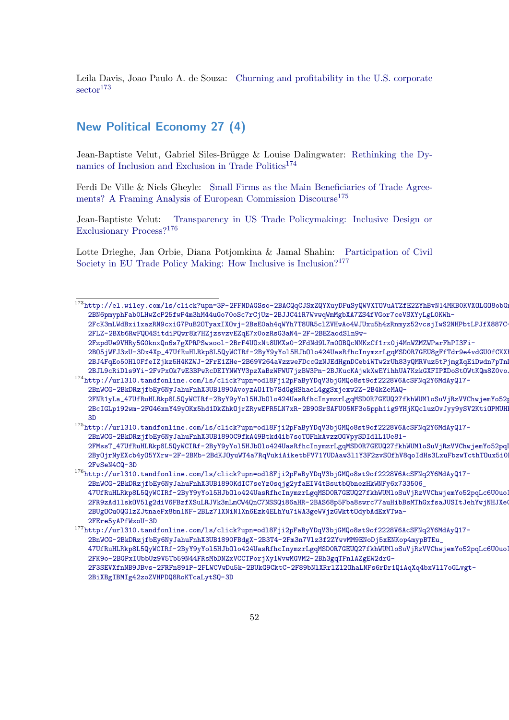Leila Davis, Joao Paulo A. de Souza: [Churning and profitability in the U.S. corporate](http://el.wiley.com/ls/click?upn=3P-2FFNDAGSso-2BACQqCJSxZQYXuyDFuSyQWVXTOVuATZfE2ZYhBvN14MKB0KVXOLGO8obGng7vSyli3t-2BN6pmyphFab0LHwZcP25fwP4m3hM44uGo70oSc7rCjUz-2BJJC41R7WvwqWmMgbXA7ZS4fVGor7ceVSXYyLgL0KWh-2FcK3mLWdBxi1xazRN9cxiG7PuB2OTyaxIXOvj-2BsE0ah4qWYh7T8UR5clZVHwAo4WJUxu5h4zRnmyz52vcsjIwS2NHPbtLPJfX887C-2FLZ-2BXb6RwFQO4SitdiPQwr8k7HZjzsvzvEZqE7x0ozRsG3aN4-2F-2BEZaodSln9w-2FzpdUe9VHRy5G0knxQn6s7gXPRPSwsool-2BrF4UOxNt8UMXs0-2FdNd9L7m0OBQcNMKzCf1rx0j4MnWZMZWParFhPI3Fi-2BO5jWFJ3zU-3Dx4Xp_47UfRuHLRkp8L5QyWCIRf-2ByY9yYol5HJbOlo424UasRfhcInymzrLgqMSD0R7GEU8gFfTdr9e4vdGU0fCKXEI1mr2cb5wdq2vXxLBZwpAIwEDNUY-2BJ4FqEo50Hl0FfeIZjkz5H4KZWJ-2FrE1ZHe-2B69V264aVzzweFDccGzNJEdHgnDCebiWTw2rUh83yQMRVuz5tPjmgXqEiDwdn7pTnDdTyYUPoB-2BJL9cRiDls9Yi-2FvPxOk7wE3BPwRcDEIYNWYV3pzXaBzWFWU7jzBW3Pn-2BJKucKAjwkXwEYihhUA7KzkGXFIPXDoStOWtKQm8Z0voJ) [sector](http://el.wiley.com/ls/click?upn=3P-2FFNDAGSso-2BACQqCJSxZQYXuyDFuSyQWVXTOVuATZfE2ZYhBvN14MKB0KVXOLGO8obGng7vSyli3t-2BN6pmyphFab0LHwZcP25fwP4m3hM44uGo70oSc7rCjUz-2BJJC41R7WvwqWmMgbXA7ZS4fVGor7ceVSXYyLgL0KWh-2FcK3mLWdBxi1xazRN9cxiG7PuB2OTyaxIXOvj-2BsE0ah4qWYh7T8UR5clZVHwAo4WJUxu5h4zRnmyz52vcsjIwS2NHPbtLPJfX887C-2FLZ-2BXb6RwFQO4SitdiPQwr8k7HZjzsvzvEZqE7x0ozRsG3aN4-2F-2BEZaodSln9w-2FzpdUe9VHRy5G0knxQn6s7gXPRPSwsool-2BrF4UOxNt8UMXs0-2FdNd9L7m0OBQcNMKzCf1rx0j4MnWZMZWParFhPI3Fi-2BO5jWFJ3zU-3Dx4Xp_47UfRuHLRkp8L5QyWCIRf-2ByY9yYol5HJbOlo424UasRfhcInymzrLgqMSD0R7GEU8gFfTdr9e4vdGU0fCKXEI1mr2cb5wdq2vXxLBZwpAIwEDNUY-2BJ4FqEo50Hl0FfeIZjkz5H4KZWJ-2FrE1ZHe-2B69V264aVzzweFDccGzNJEdHgnDCebiWTw2rUh83yQMRVuz5tPjmgXqEiDwdn7pTnDdTyYUPoB-2BJL9cRiDls9Yi-2FvPxOk7wE3BPwRcDEIYNWYV3pzXaBzWFWU7jzBW3Pn-2BJKucKAjwkXwEYihhUA7KzkGXFIPXDoStOWtKQm8Z0voJ)<sup>[173](#page-51-1)</sup>

## <span id="page-51-0"></span>New Political Economy 27 (4)

Jean-Baptiste Velut, Gabriel Siles-Brügge & Louise Dalingwater: [Rethinking the Dy](http://url310.tandfonline.com/ls/click?upn=odl8Fji2pFaByYDqV3bjGMQo8st9of2228V6AcSFNq2Y6MdAyQ17-2BnWCG-2BkDRzjfbEy6NyJahuFnhX3UB1890AvoyzAO1Tb7SdGgHShaeL4ggSxjexw2Z-2B4kZeMAQ-2FNR1yLa_47UfRuHLRkp8L5QyWCIRf-2ByY9yYol5HJbOlo424UasRfhcInymzrLgqMSD0R7GEUQ27fkhWUMloSuVjRzVVChwjemYo52pqLc6U0uoIOTjVPE0u3czwRYDRhcMIDGiyx9vVuO5mlDUHecpljfbiVTZjPnZ9lZmKDO5FRqfe0GXaSbF3iRXUG-2BcIGLp192wm-2FG46xnY49yOKx5hd1DkZhkOjrZRywEPR5LN7xR-2B90SrSAFU05NF3o5pph1ig9YHjKQcluzOvJyy9ySV2KtiOPMUHPBNIlppNIYP4aKfTGMjs-3D)[namics of Inclusion and Exclusion in Trade Politics](http://url310.tandfonline.com/ls/click?upn=odl8Fji2pFaByYDqV3bjGMQo8st9of2228V6AcSFNq2Y6MdAyQ17-2BnWCG-2BkDRzjfbEy6NyJahuFnhX3UB1890AvoyzAO1Tb7SdGgHShaeL4ggSxjexw2Z-2B4kZeMAQ-2FNR1yLa_47UfRuHLRkp8L5QyWCIRf-2ByY9yYol5HJbOlo424UasRfhcInymzrLgqMSD0R7GEUQ27fkhWUMloSuVjRzVVChwjemYo52pqLc6U0uoIOTjVPE0u3czwRYDRhcMIDGiyx9vVuO5mlDUHecpljfbiVTZjPnZ9lZmKDO5FRqfe0GXaSbF3iRXUG-2BcIGLp192wm-2FG46xnY49yOKx5hd1DkZhkOjrZRywEPR5LN7xR-2B90SrSAFU05NF3o5pph1ig9YHjKQcluzOvJyy9ySV2KtiOPMUHPBNIlppNIYP4aKfTGMjs-3D)<sup>[174](#page-51-2)</sup>

Ferdi De Ville & Niels Gheyle: [Small Firms as the Main Beneficiaries of Trade Agree](http://url310.tandfonline.com/ls/click?upn=odl8Fji2pFaByYDqV3bjGMQo8st9of2228V6AcSFNq2Y6MdAyQ17-2BnWCG-2BkDRzjfbEy6NyJahuFnhX3UB1890C9fkA49Btkd4ib7soTOFhkAvzzOGVpySDIdlL1Ue81-2FMssT_47UfRuHLRkp8L5QyWCIRf-2ByY9yYol5HJbOlo424UasRfhcInymzrLgqMSD0R7GEUQ27fkhWUMloSuVjRzVVChwjemYo52pqLc6U0uoIOTjWRrEEo4dlCc9c4AQkXGXr6U37tFeXZtDn82BtJK8N7r0vMccCISM-2ByOjrNyEXcb4yO5YXrw-2F-2BMb-2BdKJOyuWT4a7RqVukiAiketbFV71YUDAaw3l1Y3F2zvSOfhV8qoIdHs3LxuFbzwTcthTOux5i0PJIfqlyzfcsPlpY4e3KtqLYUBAe6SQWd1lS9-2FwSeN4CQ-3D)[ments? A Framing Analysis of European Commission Discourse](http://url310.tandfonline.com/ls/click?upn=odl8Fji2pFaByYDqV3bjGMQo8st9of2228V6AcSFNq2Y6MdAyQ17-2BnWCG-2BkDRzjfbEy6NyJahuFnhX3UB1890C9fkA49Btkd4ib7soTOFhkAvzzOGVpySDIdlL1Ue81-2FMssT_47UfRuHLRkp8L5QyWCIRf-2ByY9yYol5HJbOlo424UasRfhcInymzrLgqMSD0R7GEUQ27fkhWUMloSuVjRzVVChwjemYo52pqLc6U0uoIOTjWRrEEo4dlCc9c4AQkXGXr6U37tFeXZtDn82BtJK8N7r0vMccCISM-2ByOjrNyEXcb4yO5YXrw-2F-2BMb-2BdKJOyuWT4a7RqVukiAiketbFV71YUDAaw3l1Y3F2zvSOfhV8qoIdHs3LxuFbzwTcthTOux5i0PJIfqlyzfcsPlpY4e3KtqLYUBAe6SQWd1lS9-2FwSeN4CQ-3D)<sup>[175](#page-51-3)</sup>

Jean-Baptiste Velut: [Transparency in US Trade Policymaking: Inclusive Design or](http://url310.tandfonline.com/ls/click?upn=odl8Fji2pFaByYDqV3bjGMQo8st9of2228V6AcSFNq2Y6MdAyQ17-2BnWCG-2BkDRzjfbEy6NyJahuFnhX3UB1890KdIC7seYz0sqjg2yfaEIV4tBsutbQbnezHkWNFy6x733506_47UfRuHLRkp8L5QyWCIRf-2ByY9yYol5HJbOlo424UasRfhcInymzrLgqMSD0R7GEUQ27fkhWUMloSuVjRzVVChwjemYo52pqLc6U0uoIOTjU-2FR9zAd1lskOV5lg2diV6FBzfXSuLRJVk3mLmCW4QnC7NSSQi86aHR-2BAS68p5Fba8swrc77auHibBsMThGxfsaJUSItJehYwjNHJXeCw4-2BUgOCu0QG1zZJtnaeFx8bn1NF-2BLz71XNiN1Xn6Ezk4ELhYu7iWA3geWVjzGWkttOdybAdExVTwa-2FEre5yAPfWzoU-3D) [Exclusionary Process?](http://url310.tandfonline.com/ls/click?upn=odl8Fji2pFaByYDqV3bjGMQo8st9of2228V6AcSFNq2Y6MdAyQ17-2BnWCG-2BkDRzjfbEy6NyJahuFnhX3UB1890KdIC7seYz0sqjg2yfaEIV4tBsutbQbnezHkWNFy6x733506_47UfRuHLRkp8L5QyWCIRf-2ByY9yYol5HJbOlo424UasRfhcInymzrLgqMSD0R7GEUQ27fkhWUMloSuVjRzVVChwjemYo52pqLc6U0uoIOTjU-2FR9zAd1lskOV5lg2diV6FBzfXSuLRJVk3mLmCW4QnC7NSSQi86aHR-2BAS68p5Fba8swrc77auHibBsMThGxfsaJUSItJehYwjNHJXeCw4-2BUgOCu0QG1zZJtnaeFx8bn1NF-2BLz71XNiN1Xn6Ezk4ELhYu7iWA3geWVjzGWkttOdybAdExVTwa-2FEre5yAPfWzoU-3D)[176](#page-51-4)

Lotte Drieghe, Jan Orbie, Diana Potjomkina & Jamal Shahin: [Participation of Civil](http://url310.tandfonline.com/ls/click?upn=odl8Fji2pFaByYDqV3bjGMQo8st9of2228V6AcSFNq2Y6MdAyQ17-2BnWCG-2BkDRzjfbEy6NyJahuFnhX3UB1890FBdgX-2B3T4-2Fm3n7Vlz3f2ZYwvMM9ENoDj5xENKop4mypBTEu_47UfRuHLRkp8L5QyWCIRf-2ByY9yYol5HJbOlo424UasRfhcInymzrLgqMSD0R7GEUQ27fkhWUMloSuVjRzVVChwjemYo52pqLc6U0uoIOTjXMwou-2FK9o-2BGPxIUbbUz9V5Tb59N44FRsMbDNZxVCCTPorjXy1WvwMGVM2-2Bh3gqTFnlAZgEW2drG-2F3SEVXfnNB9JBvs-2FRFn891P-2FLWCVwDu5k-2BUkG9CktC-2F89bNlXRrlZl2OhaLNFs6rDr1QiAqXq4bxVll7oGLvgt-2BiXBgIBMIg42zoZVHPDQ8RoKTcaLytSQ-3D) [Society in EU Trade Policy Making: How Inclusive is Inclusion?](http://url310.tandfonline.com/ls/click?upn=odl8Fji2pFaByYDqV3bjGMQo8st9of2228V6AcSFNq2Y6MdAyQ17-2BnWCG-2BkDRzjfbEy6NyJahuFnhX3UB1890FBdgX-2B3T4-2Fm3n7Vlz3f2ZYwvMM9ENoDj5xENKop4mypBTEu_47UfRuHLRkp8L5QyWCIRf-2ByY9yYol5HJbOlo424UasRfhcInymzrLgqMSD0R7GEUQ27fkhWUMloSuVjRzVVChwjemYo52pqLc6U0uoIOTjXMwou-2FK9o-2BGPxIUbbUz9V5Tb59N44FRsMbDNZxVCCTPorjXy1WvwMGVM2-2Bh3gqTFnlAZgEW2drG-2F3SEVXfnNB9JBvs-2FRFn891P-2FLWCVwDu5k-2BUkG9CktC-2F89bNlXRrlZl2OhaLNFs6rDr1QiAqXq4bxVll7oGLvgt-2BiXBgIBMIg42zoZVHPDQ8RoKTcaLytSQ-3D)[177](#page-51-5)

[2FzpdUe9VHRy5G0knxQn6s7gXPRPSwsool-2BrF4UOxNt8UMXs0-2FdNd9L7m0OBQcNMKzCf1rx0j4MnWZMZWP](http://el.wiley.com/ls/click?upn=3P-2FFNDAGSso-2BACQqCJSxZQYXuyDFuSyQWVXTOVuATZfE2ZYhBvN14MKB0KVXOLGO8obGng7vSyli3t-2BN6pmyphFab0LHwZcP25fwP4m3hM44uGo70oSc7rCjUz-2BJJC41R7WvwqWmMgbXA7ZS4fVGor7ceVSXYyLgL0KWh-2FcK3mLWdBxi1xazRN9cxiG7PuB2OTyaxIXOvj-2BsE0ah4qWYh7T8UR5clZVHwAo4WJUxu5h4zRnmyz52vcsjIwS2NHPbtLPJfX887C-2FLZ-2BXb6RwFQO4SitdiPQwr8k7HZjzsvzvEZqE7x0ozRsG3aN4-2F-2BEZaodSln9w-2FzpdUe9VHRy5G0knxQn6s7gXPRPSwsool-2BrF4UOxNt8UMXs0-2FdNd9L7m0OBQcNMKzCf1rx0j4MnWZMZWParFhPI3Fi-2BO5jWFJ3zU-3Dx4Xp_47UfRuHLRkp8L5QyWCIRf-2ByY9yYol5HJbOlo424UasRfhcInymzrLgqMSD0R7GEU8gFfTdr9e4vdGU0fCKXEI1mr2cb5wdq2vXxLBZwpAIwEDNUY-2BJ4FqEo50Hl0FfeIZjkz5H4KZWJ-2FrE1ZHe-2B69V264aVzzweFDccGzNJEdHgnDCebiWTw2rUh83yQMRVuz5tPjmgXqEiDwdn7pTnDdTyYUPoB-2BJL9cRiDls9Yi-2FvPxOk7wE3BPwRcDEIYNWYV3pzXaBzWFWU7jzBW3Pn-2BJKucKAjwkXwEYihhUA7KzkGXFIPXDoStOWtKQm8Z0voJ)arFhPI3Fi-

2BO5jWFJ3zU-3Dx4Xp\_47UfRuHLRkp8L5QyWCIRf-2ByY9yYo15HJbOlo424UasRfhcInymzrLgqMSD0R7GEU8gFfTdr9e4vdGU0fCKX [2BJ4FqEo50Hl0FfeIZjkz5H4KZWJ-2FrE1ZHe-2B69V264aVzzweFDccGzNJEdHgnDCebiWTw2rUh83yQMRVuz](http://el.wiley.com/ls/click?upn=3P-2FFNDAGSso-2BACQqCJSxZQYXuyDFuSyQWVXTOVuATZfE2ZYhBvN14MKB0KVXOLGO8obGng7vSyli3t-2BN6pmyphFab0LHwZcP25fwP4m3hM44uGo70oSc7rCjUz-2BJJC41R7WvwqWmMgbXA7ZS4fVGor7ceVSXYyLgL0KWh-2FcK3mLWdBxi1xazRN9cxiG7PuB2OTyaxIXOvj-2BsE0ah4qWYh7T8UR5clZVHwAo4WJUxu5h4zRnmyz52vcsjIwS2NHPbtLPJfX887C-2FLZ-2BXb6RwFQO4SitdiPQwr8k7HZjzsvzvEZqE7x0ozRsG3aN4-2F-2BEZaodSln9w-2FzpdUe9VHRy5G0knxQn6s7gXPRPSwsool-2BrF4UOxNt8UMXs0-2FdNd9L7m0OBQcNMKzCf1rx0j4MnWZMZWParFhPI3Fi-2BO5jWFJ3zU-3Dx4Xp_47UfRuHLRkp8L5QyWCIRf-2ByY9yYol5HJbOlo424UasRfhcInymzrLgqMSD0R7GEU8gFfTdr9e4vdGU0fCKXEI1mr2cb5wdq2vXxLBZwpAIwEDNUY-2BJ4FqEo50Hl0FfeIZjkz5H4KZWJ-2FrE1ZHe-2B69V264aVzzweFDccGzNJEdHgnDCebiWTw2rUh83yQMRVuz5tPjmgXqEiDwdn7pTnDdTyYUPoB-2BJL9cRiDls9Yi-2FvPxOk7wE3BPwRcDEIYNWYV3pzXaBzWFWU7jzBW3Pn-2BJKucKAjwkXwEYihhUA7KzkGXFIPXDoStOWtKQm8Z0voJ)5tPjmgXqEiDwdn7pTn [2BJL9cRiDls9Yi-2FvPxOk7wE3BPwRcDEIYNWYV3pzXaBzWFWU7jzBW3Pn-2BJKucKAjwkXwEYihhUA7KzkGXFIPXDoStOWtKQm8Z0voJ](http://el.wiley.com/ls/click?upn=3P-2FFNDAGSso-2BACQqCJSxZQYXuyDFuSyQWVXTOVuATZfE2ZYhBvN14MKB0KVXOLGO8obGng7vSyli3t-2BN6pmyphFab0LHwZcP25fwP4m3hM44uGo70oSc7rCjUz-2BJJC41R7WvwqWmMgbXA7ZS4fVGor7ceVSXYyLgL0KWh-2FcK3mLWdBxi1xazRN9cxiG7PuB2OTyaxIXOvj-2BsE0ah4qWYh7T8UR5clZVHwAo4WJUxu5h4zRnmyz52vcsjIwS2NHPbtLPJfX887C-2FLZ-2BXb6RwFQO4SitdiPQwr8k7HZjzsvzvEZqE7x0ozRsG3aN4-2F-2BEZaodSln9w-2FzpdUe9VHRy5G0knxQn6s7gXPRPSwsool-2BrF4UOxNt8UMXs0-2FdNd9L7m0OBQcNMKzCf1rx0j4MnWZMZWParFhPI3Fi-2BO5jWFJ3zU-3Dx4Xp_47UfRuHLRkp8L5QyWCIRf-2ByY9yYol5HJbOlo424UasRfhcInymzrLgqMSD0R7GEU8gFfTdr9e4vdGU0fCKXEI1mr2cb5wdq2vXxLBZwpAIwEDNUY-2BJ4FqEo50Hl0FfeIZjkz5H4KZWJ-2FrE1ZHe-2B69V264aVzzweFDccGzNJEdHgnDCebiWTw2rUh83yQMRVuz5tPjmgXqEiDwdn7pTnDdTyYUPoB-2BJL9cRiDls9Yi-2FvPxOk7wE3BPwRcDEIYNWYV3pzXaBzWFWU7jzBW3Pn-2BJKucKAjwkXwEYihhUA7KzkGXFIPXDoStOWtKQm8Z0voJ) <sup>174</sup>[http://url310.tandfonline.com/ls/click?upn=odl8Fji2pFaByYDqV3bjGMQo8st9of2228V6AcSFNq2Y](http://url310.tandfonline.com/ls/click?upn=odl8Fji2pFaByYDqV3bjGMQo8st9of2228V6AcSFNq2Y6MdAyQ17-2BnWCG-2BkDRzjfbEy6NyJahuFnhX3UB1890AvoyzAO1Tb7SdGgHShaeL4ggSxjexw2Z-2B4kZeMAQ-2FNR1yLa_47UfRuHLRkp8L5QyWCIRf-2ByY9yYol5HJbOlo424UasRfhcInymzrLgqMSD0R7GEUQ27fkhWUMloSuVjRzVVChwjemYo52pqLc6U0uoIOTjVPE0u3czwRYDRhcMIDGiyx9vVuO5mlDUHecpljfbiVTZjPnZ9lZmKDO5FRqfe0GXaSbF3iRXUG-2BcIGLp192wm-2FG46xnY49yOKx5hd1DkZhkOjrZRywEPR5LN7xR-2B90SrSAFU05NF3o5pph1ig9YHjKQcluzOvJyy9ySV2KtiOPMUHPBNIlppNIYP4aKfTGMjs-3D)6MdAyQ17-

<span id="page-51-2"></span>[2BnWCG-2BkDRzjfbEy6NyJahuFnhX3UB1890AvoyzAO1Tb7SdGgHShaeL4ggSxjexw2Z-2B4kZeMAQ-](http://url310.tandfonline.com/ls/click?upn=odl8Fji2pFaByYDqV3bjGMQo8st9of2228V6AcSFNq2Y6MdAyQ17-2BnWCG-2BkDRzjfbEy6NyJahuFnhX3UB1890AvoyzAO1Tb7SdGgHShaeL4ggSxjexw2Z-2B4kZeMAQ-2FNR1yLa_47UfRuHLRkp8L5QyWCIRf-2ByY9yYol5HJbOlo424UasRfhcInymzrLgqMSD0R7GEUQ27fkhWUMloSuVjRzVVChwjemYo52pqLc6U0uoIOTjVPE0u3czwRYDRhcMIDGiyx9vVuO5mlDUHecpljfbiVTZjPnZ9lZmKDO5FRqfe0GXaSbF3iRXUG-2BcIGLp192wm-2FG46xnY49yOKx5hd1DkZhkOjrZRywEPR5LN7xR-2B90SrSAFU05NF3o5pph1ig9YHjKQcluzOvJyy9ySV2KtiOPMUHPBNIlppNIYP4aKfTGMjs-3D)2FNR1yLa\_47UfRuHLRkp8L5QyWCIRf-2ByY9yYo15HJb0lo424UasRfhcInymzrLgqMSD0R7GEUQ27fkhWUMloSuVjRzVVChwjemYo52p [2BcIGLp192wm-2FG46xnY49yOKx5hd1DkZhkOjrZRywEPR5LN7xR-2B90SrSAFU05NF3o5pph1ig9YHjKQcluz](http://url310.tandfonline.com/ls/click?upn=odl8Fji2pFaByYDqV3bjGMQo8st9of2228V6AcSFNq2Y6MdAyQ17-2BnWCG-2BkDRzjfbEy6NyJahuFnhX3UB1890AvoyzAO1Tb7SdGgHShaeL4ggSxjexw2Z-2B4kZeMAQ-2FNR1yLa_47UfRuHLRkp8L5QyWCIRf-2ByY9yYol5HJbOlo424UasRfhcInymzrLgqMSD0R7GEUQ27fkhWUMloSuVjRzVVChwjemYo52pqLc6U0uoIOTjVPE0u3czwRYDRhcMIDGiyx9vVuO5mlDUHecpljfbiVTZjPnZ9lZmKDO5FRqfe0GXaSbF3iRXUG-2BcIGLp192wm-2FG46xnY49yOKx5hd1DkZhkOjrZRywEPR5LN7xR-2B90SrSAFU05NF3o5pph1ig9YHjKQcluzOvJyy9ySV2KtiOPMUHPBNIlppNIYP4aKfTGMjs-3D)OvJyy9ySV2KtiOPMUH [3D](http://url310.tandfonline.com/ls/click?upn=odl8Fji2pFaByYDqV3bjGMQo8st9of2228V6AcSFNq2Y6MdAyQ17-2BnWCG-2BkDRzjfbEy6NyJahuFnhX3UB1890AvoyzAO1Tb7SdGgHShaeL4ggSxjexw2Z-2B4kZeMAQ-2FNR1yLa_47UfRuHLRkp8L5QyWCIRf-2ByY9yYol5HJbOlo424UasRfhcInymzrLgqMSD0R7GEUQ27fkhWUMloSuVjRzVVChwjemYo52pqLc6U0uoIOTjVPE0u3czwRYDRhcMIDGiyx9vVuO5mlDUHecpljfbiVTZjPnZ9lZmKDO5FRqfe0GXaSbF3iRXUG-2BcIGLp192wm-2FG46xnY49yOKx5hd1DkZhkOjrZRywEPR5LN7xR-2B90SrSAFU05NF3o5pph1ig9YHjKQcluzOvJyy9ySV2KtiOPMUHPBNIlppNIYP4aKfTGMjs-3D)

<span id="page-51-3"></span><sup>175</sup>[http://url310.tandfonline.com/ls/click?upn=odl8Fji2pFaByYDqV3bjGMQo8st9of2228V6AcSFNq2Y](http://url310.tandfonline.com/ls/click?upn=odl8Fji2pFaByYDqV3bjGMQo8st9of2228V6AcSFNq2Y6MdAyQ17-2BnWCG-2BkDRzjfbEy6NyJahuFnhX3UB1890C9fkA49Btkd4ib7soTOFhkAvzzOGVpySDIdlL1Ue81-2FMssT_47UfRuHLRkp8L5QyWCIRf-2ByY9yYol5HJbOlo424UasRfhcInymzrLgqMSD0R7GEUQ27fkhWUMloSuVjRzVVChwjemYo52pqLc6U0uoIOTjWRrEEo4dlCc9c4AQkXGXr6U37tFeXZtDn82BtJK8N7r0vMccCISM-2ByOjrNyEXcb4yO5YXrw-2F-2BMb-2BdKJOyuWT4a7RqVukiAiketbFV71YUDAaw3l1Y3F2zvSOfhV8qoIdHs3LxuFbzwTcthTOux5i0PJIfqlyzfcsPlpY4e3KtqLYUBAe6SQWd1lS9-2FwSeN4CQ-3D)6MdAyQ17- [2BnWCG-2BkDRzjfbEy6NyJahuFnhX3UB1890C9fkA49Btkd4ib7soTOFhkAvzzOGVpySDIdlL1Ue81-](http://url310.tandfonline.com/ls/click?upn=odl8Fji2pFaByYDqV3bjGMQo8st9of2228V6AcSFNq2Y6MdAyQ17-2BnWCG-2BkDRzjfbEy6NyJahuFnhX3UB1890C9fkA49Btkd4ib7soTOFhkAvzzOGVpySDIdlL1Ue81-2FMssT_47UfRuHLRkp8L5QyWCIRf-2ByY9yYol5HJbOlo424UasRfhcInymzrLgqMSD0R7GEUQ27fkhWUMloSuVjRzVVChwjemYo52pqLc6U0uoIOTjWRrEEo4dlCc9c4AQkXGXr6U37tFeXZtDn82BtJK8N7r0vMccCISM-2ByOjrNyEXcb4yO5YXrw-2F-2BMb-2BdKJOyuWT4a7RqVukiAiketbFV71YUDAaw3l1Y3F2zvSOfhV8qoIdHs3LxuFbzwTcthTOux5i0PJIfqlyzfcsPlpY4e3KtqLYUBAe6SQWd1lS9-2FwSeN4CQ-3D) 2FMssT\_47UfRuHLRkp8L5QyWCIRf-2ByY9yYo15HJb0lo424UasRfhcInymzrLgqMSD0R7GEUQ27fkhWUMloSuVjRzVVChwjemYo52pq [2ByOjrNyEXcb4yO5YXrw-2F-2BMb-2BdKJOyuWT4a7RqVukiAiketbFV71YUDAaw3l1Y3F2zvSOfhV8qoIdHs3](http://url310.tandfonline.com/ls/click?upn=odl8Fji2pFaByYDqV3bjGMQo8st9of2228V6AcSFNq2Y6MdAyQ17-2BnWCG-2BkDRzjfbEy6NyJahuFnhX3UB1890C9fkA49Btkd4ib7soTOFhkAvzzOGVpySDIdlL1Ue81-2FMssT_47UfRuHLRkp8L5QyWCIRf-2ByY9yYol5HJbOlo424UasRfhcInymzrLgqMSD0R7GEUQ27fkhWUMloSuVjRzVVChwjemYo52pqLc6U0uoIOTjWRrEEo4dlCc9c4AQkXGXr6U37tFeXZtDn82BtJK8N7r0vMccCISM-2ByOjrNyEXcb4yO5YXrw-2F-2BMb-2BdKJOyuWT4a7RqVukiAiketbFV71YUDAaw3l1Y3F2zvSOfhV8qoIdHs3LxuFbzwTcthTOux5i0PJIfqlyzfcsPlpY4e3KtqLYUBAe6SQWd1lS9-2FwSeN4CQ-3D)LxuFbzwTcthTOux5i0 [2FwSeN4CQ-3D](http://url310.tandfonline.com/ls/click?upn=odl8Fji2pFaByYDqV3bjGMQo8st9of2228V6AcSFNq2Y6MdAyQ17-2BnWCG-2BkDRzjfbEy6NyJahuFnhX3UB1890C9fkA49Btkd4ib7soTOFhkAvzzOGVpySDIdlL1Ue81-2FMssT_47UfRuHLRkp8L5QyWCIRf-2ByY9yYol5HJbOlo424UasRfhcInymzrLgqMSD0R7GEUQ27fkhWUMloSuVjRzVVChwjemYo52pqLc6U0uoIOTjWRrEEo4dlCc9c4AQkXGXr6U37tFeXZtDn82BtJK8N7r0vMccCISM-2ByOjrNyEXcb4yO5YXrw-2F-2BMb-2BdKJOyuWT4a7RqVukiAiketbFV71YUDAaw3l1Y3F2zvSOfhV8qoIdHs3LxuFbzwTcthTOux5i0PJIfqlyzfcsPlpY4e3KtqLYUBAe6SQWd1lS9-2FwSeN4CQ-3D)

<span id="page-51-4"></span> $^{176}\text{http://url310.tandfonline.com/ls/click?upn=od18Fji2pFaByYDqV3bjGMQo8st9of2228V6AcSFMq2Y6MdAyQ17-$ [2BnWCG-2BkDRzjfbEy6NyJahuFnhX3UB1890KdIC7seYz0sqjg2yfaEIV4tBsutbQbnezHkWNFy6x733506\\_](http://url310.tandfonline.com/ls/click?upn=odl8Fji2pFaByYDqV3bjGMQo8st9of2228V6AcSFNq2Y6MdAyQ17-2BnWCG-2BkDRzjfbEy6NyJahuFnhX3UB1890KdIC7seYz0sqjg2yfaEIV4tBsutbQbnezHkWNFy6x733506_47UfRuHLRkp8L5QyWCIRf-2ByY9yYol5HJbOlo424UasRfhcInymzrLgqMSD0R7GEUQ27fkhWUMloSuVjRzVVChwjemYo52pqLc6U0uoIOTjU-2FR9zAd1lskOV5lg2diV6FBzfXSuLRJVk3mLmCW4QnC7NSSQi86aHR-2BAS68p5Fba8swrc77auHibBsMThGxfsaJUSItJehYwjNHJXeCw4-2BUgOCu0QG1zZJtnaeFx8bn1NF-2BLz71XNiN1Xn6Ezk4ELhYu7iWA3geWVjzGWkttOdybAdExVTwa-2FEre5yAPfWzoU-3D) 47UfRuHLRkp8L5QyWCIRf-2ByY9yYo15HJbOlo424UasRfhcInymzrLgqMSD0R7GEUQ27fkhWUMloSuVjRzVVChwjemYo52pqLc6U0uol [2FR9zAd1lskOV5lg2diV6FBzfXSuLRJVk3mLmCW4QnC7NSSQi86aHR-2BAS68p5Fba8swrc77auHibBsMThGxf](http://url310.tandfonline.com/ls/click?upn=odl8Fji2pFaByYDqV3bjGMQo8st9of2228V6AcSFNq2Y6MdAyQ17-2BnWCG-2BkDRzjfbEy6NyJahuFnhX3UB1890KdIC7seYz0sqjg2yfaEIV4tBsutbQbnezHkWNFy6x733506_47UfRuHLRkp8L5QyWCIRf-2ByY9yYol5HJbOlo424UasRfhcInymzrLgqMSD0R7GEUQ27fkhWUMloSuVjRzVVChwjemYo52pqLc6U0uoIOTjU-2FR9zAd1lskOV5lg2diV6FBzfXSuLRJVk3mLmCW4QnC7NSSQi86aHR-2BAS68p5Fba8swrc77auHibBsMThGxfsaJUSItJehYwjNHJXeCw4-2BUgOCu0QG1zZJtnaeFx8bn1NF-2BLz71XNiN1Xn6Ezk4ELhYu7iWA3geWVjzGWkttOdybAdExVTwa-2FEre5yAPfWzoU-3D)saJUSItJehYwjNHJXeCw4- [2BUgOCu0QG1zZJtnaeFx8bn1NF-2BLz71XNiN1Xn6Ezk4ELhYu7iWA3geWVjzGWkttOdybAdExVTwa-](http://url310.tandfonline.com/ls/click?upn=odl8Fji2pFaByYDqV3bjGMQo8st9of2228V6AcSFNq2Y6MdAyQ17-2BnWCG-2BkDRzjfbEy6NyJahuFnhX3UB1890KdIC7seYz0sqjg2yfaEIV4tBsutbQbnezHkWNFy6x733506_47UfRuHLRkp8L5QyWCIRf-2ByY9yYol5HJbOlo424UasRfhcInymzrLgqMSD0R7GEUQ27fkhWUMloSuVjRzVVChwjemYo52pqLc6U0uoIOTjU-2FR9zAd1lskOV5lg2diV6FBzfXSuLRJVk3mLmCW4QnC7NSSQi86aHR-2BAS68p5Fba8swrc77auHibBsMThGxfsaJUSItJehYwjNHJXeCw4-2BUgOCu0QG1zZJtnaeFx8bn1NF-2BLz71XNiN1Xn6Ezk4ELhYu7iWA3geWVjzGWkttOdybAdExVTwa-2FEre5yAPfWzoU-3D)[2FEre5yAPfWzoU-3D](http://url310.tandfonline.com/ls/click?upn=odl8Fji2pFaByYDqV3bjGMQo8st9of2228V6AcSFNq2Y6MdAyQ17-2BnWCG-2BkDRzjfbEy6NyJahuFnhX3UB1890KdIC7seYz0sqjg2yfaEIV4tBsutbQbnezHkWNFy6x733506_47UfRuHLRkp8L5QyWCIRf-2ByY9yYol5HJbOlo424UasRfhcInymzrLgqMSD0R7GEUQ27fkhWUMloSuVjRzVVChwjemYo52pqLc6U0uoIOTjU-2FR9zAd1lskOV5lg2diV6FBzfXSuLRJVk3mLmCW4QnC7NSSQi86aHR-2BAS68p5Fba8swrc77auHibBsMThGxfsaJUSItJehYwjNHJXeCw4-2BUgOCu0QG1zZJtnaeFx8bn1NF-2BLz71XNiN1Xn6Ezk4ELhYu7iWA3geWVjzGWkttOdybAdExVTwa-2FEre5yAPfWzoU-3D)

<span id="page-51-5"></span><sup>177</sup>[http://url310.tandfonline.com/ls/click?upn=odl8Fji2pFaByYDqV3bjGMQo8st9of2228V6AcSFNq2Y](http://url310.tandfonline.com/ls/click?upn=odl8Fji2pFaByYDqV3bjGMQo8st9of2228V6AcSFNq2Y6MdAyQ17-2BnWCG-2BkDRzjfbEy6NyJahuFnhX3UB1890FBdgX-2B3T4-2Fm3n7Vlz3f2ZYwvMM9ENoDj5xENKop4mypBTEu_47UfRuHLRkp8L5QyWCIRf-2ByY9yYol5HJbOlo424UasRfhcInymzrLgqMSD0R7GEUQ27fkhWUMloSuVjRzVVChwjemYo52pqLc6U0uoIOTjXMwou-2FK9o-2BGPxIUbbUz9V5Tb59N44FRsMbDNZxVCCTPorjXy1WvwMGVM2-2Bh3gqTFnlAZgEW2drG-2F3SEVXfnNB9JBvs-2FRFn891P-2FLWCVwDu5k-2BUkG9CktC-2F89bNlXRrlZl2OhaLNFs6rDr1QiAqXq4bxVll7oGLvgt-2BiXBgIBMIg42zoZVHPDQ8RoKTcaLytSQ-3D)6MdAyQ17- [2BnWCG-2BkDRzjfbEy6NyJahuFnhX3UB1890FBdgX-2B3T4-2Fm3n7Vlz3f2ZYwvMM9ENoDj5xENKop4mypBTE](http://url310.tandfonline.com/ls/click?upn=odl8Fji2pFaByYDqV3bjGMQo8st9of2228V6AcSFNq2Y6MdAyQ17-2BnWCG-2BkDRzjfbEy6NyJahuFnhX3UB1890FBdgX-2B3T4-2Fm3n7Vlz3f2ZYwvMM9ENoDj5xENKop4mypBTEu_47UfRuHLRkp8L5QyWCIRf-2ByY9yYol5HJbOlo424UasRfhcInymzrLgqMSD0R7GEUQ27fkhWUMloSuVjRzVVChwjemYo52pqLc6U0uoIOTjXMwou-2FK9o-2BGPxIUbbUz9V5Tb59N44FRsMbDNZxVCCTPorjXy1WvwMGVM2-2Bh3gqTFnlAZgEW2drG-2F3SEVXfnNB9JBvs-2FRFn891P-2FLWCVwDu5k-2BUkG9CktC-2F89bNlXRrlZl2OhaLNFs6rDr1QiAqXq4bxVll7oGLvgt-2BiXBgIBMIg42zoZVHPDQ8RoKTcaLytSQ-3D)u\_ 47UfRuHLRkp8L5QyWCIRf-2ByY9yYo15HJb01o424UasRfhcInymzrLgqMSD0R7GEUQ27fkhWUMloSuVjRzVVChwjemYo52pqLc6U0uo [2FK9o-2BGPxIUbbUz9V5Tb59N44FRsMbDNZxVCCTPorjXy1WvwMGVM2-2Bh3gqTFnlAZgEW2drG-](http://url310.tandfonline.com/ls/click?upn=odl8Fji2pFaByYDqV3bjGMQo8st9of2228V6AcSFNq2Y6MdAyQ17-2BnWCG-2BkDRzjfbEy6NyJahuFnhX3UB1890FBdgX-2B3T4-2Fm3n7Vlz3f2ZYwvMM9ENoDj5xENKop4mypBTEu_47UfRuHLRkp8L5QyWCIRf-2ByY9yYol5HJbOlo424UasRfhcInymzrLgqMSD0R7GEUQ27fkhWUMloSuVjRzVVChwjemYo52pqLc6U0uoIOTjXMwou-2FK9o-2BGPxIUbbUz9V5Tb59N44FRsMbDNZxVCCTPorjXy1WvwMGVM2-2Bh3gqTFnlAZgEW2drG-2F3SEVXfnNB9JBvs-2FRFn891P-2FLWCVwDu5k-2BUkG9CktC-2F89bNlXRrlZl2OhaLNFs6rDr1QiAqXq4bxVll7oGLvgt-2BiXBgIBMIg42zoZVHPDQ8RoKTcaLytSQ-3D)[2F3SEVXfnNB9JBvs-2FRFn891P-2FLWCVwDu5k-2BUkG9CktC-2F89bNlXRrlZl2OhaLNFs6rDr1QiAqXq4bxV](http://url310.tandfonline.com/ls/click?upn=odl8Fji2pFaByYDqV3bjGMQo8st9of2228V6AcSFNq2Y6MdAyQ17-2BnWCG-2BkDRzjfbEy6NyJahuFnhX3UB1890FBdgX-2B3T4-2Fm3n7Vlz3f2ZYwvMM9ENoDj5xENKop4mypBTEu_47UfRuHLRkp8L5QyWCIRf-2ByY9yYol5HJbOlo424UasRfhcInymzrLgqMSD0R7GEUQ27fkhWUMloSuVjRzVVChwjemYo52pqLc6U0uoIOTjXMwou-2FK9o-2BGPxIUbbUz9V5Tb59N44FRsMbDNZxVCCTPorjXy1WvwMGVM2-2Bh3gqTFnlAZgEW2drG-2F3SEVXfnNB9JBvs-2FRFn891P-2FLWCVwDu5k-2BUkG9CktC-2F89bNlXRrlZl2OhaLNFs6rDr1QiAqXq4bxVll7oGLvgt-2BiXBgIBMIg42zoZVHPDQ8RoKTcaLytSQ-3D)ll7oGLvgt-[2BiXBgIBMIg42zoZVHPDQ8RoKTcaLytSQ-3D](http://url310.tandfonline.com/ls/click?upn=odl8Fji2pFaByYDqV3bjGMQo8st9of2228V6AcSFNq2Y6MdAyQ17-2BnWCG-2BkDRzjfbEy6NyJahuFnhX3UB1890FBdgX-2B3T4-2Fm3n7Vlz3f2ZYwvMM9ENoDj5xENKop4mypBTEu_47UfRuHLRkp8L5QyWCIRf-2ByY9yYol5HJbOlo424UasRfhcInymzrLgqMSD0R7GEUQ27fkhWUMloSuVjRzVVChwjemYo52pqLc6U0uoIOTjXMwou-2FK9o-2BGPxIUbbUz9V5Tb59N44FRsMbDNZxVCCTPorjXy1WvwMGVM2-2Bh3gqTFnlAZgEW2drG-2F3SEVXfnNB9JBvs-2FRFn891P-2FLWCVwDu5k-2BUkG9CktC-2F89bNlXRrlZl2OhaLNFs6rDr1QiAqXq4bxVll7oGLvgt-2BiXBgIBMIg42zoZVHPDQ8RoKTcaLytSQ-3D)

<span id="page-51-1"></span> $173$ [http://el.wiley.com/ls/click?upn=3P-2FFNDAGSso-2BACQqCJSxZQYXuyDFuSyQWVXTOVuATZfE2ZYhBv](http://el.wiley.com/ls/click?upn=3P-2FFNDAGSso-2BACQqCJSxZQYXuyDFuSyQWVXTOVuATZfE2ZYhBvN14MKB0KVXOLGO8obGng7vSyli3t-2BN6pmyphFab0LHwZcP25fwP4m3hM44uGo70oSc7rCjUz-2BJJC41R7WvwqWmMgbXA7ZS4fVGor7ceVSXYyLgL0KWh-2FcK3mLWdBxi1xazRN9cxiG7PuB2OTyaxIXOvj-2BsE0ah4qWYh7T8UR5clZVHwAo4WJUxu5h4zRnmyz52vcsjIwS2NHPbtLPJfX887C-2FLZ-2BXb6RwFQO4SitdiPQwr8k7HZjzsvzvEZqE7x0ozRsG3aN4-2F-2BEZaodSln9w-2FzpdUe9VHRy5G0knxQn6s7gXPRPSwsool-2BrF4UOxNt8UMXs0-2FdNd9L7m0OBQcNMKzCf1rx0j4MnWZMZWParFhPI3Fi-2BO5jWFJ3zU-3Dx4Xp_47UfRuHLRkp8L5QyWCIRf-2ByY9yYol5HJbOlo424UasRfhcInymzrLgqMSD0R7GEU8gFfTdr9e4vdGU0fCKXEI1mr2cb5wdq2vXxLBZwpAIwEDNUY-2BJ4FqEo50Hl0FfeIZjkz5H4KZWJ-2FrE1ZHe-2B69V264aVzzweFDccGzNJEdHgnDCebiWTw2rUh83yQMRVuz5tPjmgXqEiDwdn7pTnDdTyYUPoB-2BJL9cRiDls9Yi-2FvPxOk7wE3BPwRcDEIYNWYV3pzXaBzWFWU7jzBW3Pn-2BJKucKAjwkXwEYihhUA7KzkGXFIPXDoStOWtKQm8Z0voJ)N14MKB0KVXOLGO8obG [2BN6pmyphFab0LHwZcP25fwP4m3hM44uGo70oSc7rCjUz-2BJJC41R7WvwqWmMgbXA7ZS4fVGor7ceVSXYyLgL](http://el.wiley.com/ls/click?upn=3P-2FFNDAGSso-2BACQqCJSxZQYXuyDFuSyQWVXTOVuATZfE2ZYhBvN14MKB0KVXOLGO8obGng7vSyli3t-2BN6pmyphFab0LHwZcP25fwP4m3hM44uGo70oSc7rCjUz-2BJJC41R7WvwqWmMgbXA7ZS4fVGor7ceVSXYyLgL0KWh-2FcK3mLWdBxi1xazRN9cxiG7PuB2OTyaxIXOvj-2BsE0ah4qWYh7T8UR5clZVHwAo4WJUxu5h4zRnmyz52vcsjIwS2NHPbtLPJfX887C-2FLZ-2BXb6RwFQO4SitdiPQwr8k7HZjzsvzvEZqE7x0ozRsG3aN4-2F-2BEZaodSln9w-2FzpdUe9VHRy5G0knxQn6s7gXPRPSwsool-2BrF4UOxNt8UMXs0-2FdNd9L7m0OBQcNMKzCf1rx0j4MnWZMZWParFhPI3Fi-2BO5jWFJ3zU-3Dx4Xp_47UfRuHLRkp8L5QyWCIRf-2ByY9yYol5HJbOlo424UasRfhcInymzrLgqMSD0R7GEU8gFfTdr9e4vdGU0fCKXEI1mr2cb5wdq2vXxLBZwpAIwEDNUY-2BJ4FqEo50Hl0FfeIZjkz5H4KZWJ-2FrE1ZHe-2B69V264aVzzweFDccGzNJEdHgnDCebiWTw2rUh83yQMRVuz5tPjmgXqEiDwdn7pTnDdTyYUPoB-2BJL9cRiDls9Yi-2FvPxOk7wE3BPwRcDEIYNWYV3pzXaBzWFWU7jzBW3Pn-2BJKucKAjwkXwEYihhUA7KzkGXFIPXDoStOWtKQm8Z0voJ)0KWh-[2FcK3mLWdBxi1xazRN9cxiG7PuB2OTyaxIXOvj-2BsE0ah4qWYh7T8UR5clZVHwAo4WJUxu5h4zRnmyz52vcsj](http://el.wiley.com/ls/click?upn=3P-2FFNDAGSso-2BACQqCJSxZQYXuyDFuSyQWVXTOVuATZfE2ZYhBvN14MKB0KVXOLGO8obGng7vSyli3t-2BN6pmyphFab0LHwZcP25fwP4m3hM44uGo70oSc7rCjUz-2BJJC41R7WvwqWmMgbXA7ZS4fVGor7ceVSXYyLgL0KWh-2FcK3mLWdBxi1xazRN9cxiG7PuB2OTyaxIXOvj-2BsE0ah4qWYh7T8UR5clZVHwAo4WJUxu5h4zRnmyz52vcsjIwS2NHPbtLPJfX887C-2FLZ-2BXb6RwFQO4SitdiPQwr8k7HZjzsvzvEZqE7x0ozRsG3aN4-2F-2BEZaodSln9w-2FzpdUe9VHRy5G0knxQn6s7gXPRPSwsool-2BrF4UOxNt8UMXs0-2FdNd9L7m0OBQcNMKzCf1rx0j4MnWZMZWParFhPI3Fi-2BO5jWFJ3zU-3Dx4Xp_47UfRuHLRkp8L5QyWCIRf-2ByY9yYol5HJbOlo424UasRfhcInymzrLgqMSD0R7GEU8gFfTdr9e4vdGU0fCKXEI1mr2cb5wdq2vXxLBZwpAIwEDNUY-2BJ4FqEo50Hl0FfeIZjkz5H4KZWJ-2FrE1ZHe-2B69V264aVzzweFDccGzNJEdHgnDCebiWTw2rUh83yQMRVuz5tPjmgXqEiDwdn7pTnDdTyYUPoB-2BJL9cRiDls9Yi-2FvPxOk7wE3BPwRcDEIYNWYV3pzXaBzWFWU7jzBW3Pn-2BJKucKAjwkXwEYihhUA7KzkGXFIPXDoStOWtKQm8Z0voJ)IwS2NHPbtLPJfX887C-[2FLZ-2BXb6RwFQO4SitdiPQwr8k7HZjzsvzvEZqE7x0ozRsG3aN4-2F-2BEZaodSln9w-](http://el.wiley.com/ls/click?upn=3P-2FFNDAGSso-2BACQqCJSxZQYXuyDFuSyQWVXTOVuATZfE2ZYhBvN14MKB0KVXOLGO8obGng7vSyli3t-2BN6pmyphFab0LHwZcP25fwP4m3hM44uGo70oSc7rCjUz-2BJJC41R7WvwqWmMgbXA7ZS4fVGor7ceVSXYyLgL0KWh-2FcK3mLWdBxi1xazRN9cxiG7PuB2OTyaxIXOvj-2BsE0ah4qWYh7T8UR5clZVHwAo4WJUxu5h4zRnmyz52vcsjIwS2NHPbtLPJfX887C-2FLZ-2BXb6RwFQO4SitdiPQwr8k7HZjzsvzvEZqE7x0ozRsG3aN4-2F-2BEZaodSln9w-2FzpdUe9VHRy5G0knxQn6s7gXPRPSwsool-2BrF4UOxNt8UMXs0-2FdNd9L7m0OBQcNMKzCf1rx0j4MnWZMZWParFhPI3Fi-2BO5jWFJ3zU-3Dx4Xp_47UfRuHLRkp8L5QyWCIRf-2ByY9yYol5HJbOlo424UasRfhcInymzrLgqMSD0R7GEU8gFfTdr9e4vdGU0fCKXEI1mr2cb5wdq2vXxLBZwpAIwEDNUY-2BJ4FqEo50Hl0FfeIZjkz5H4KZWJ-2FrE1ZHe-2B69V264aVzzweFDccGzNJEdHgnDCebiWTw2rUh83yQMRVuz5tPjmgXqEiDwdn7pTnDdTyYUPoB-2BJL9cRiDls9Yi-2FvPxOk7wE3BPwRcDEIYNWYV3pzXaBzWFWU7jzBW3Pn-2BJKucKAjwkXwEYihhUA7KzkGXFIPXDoStOWtKQm8Z0voJ)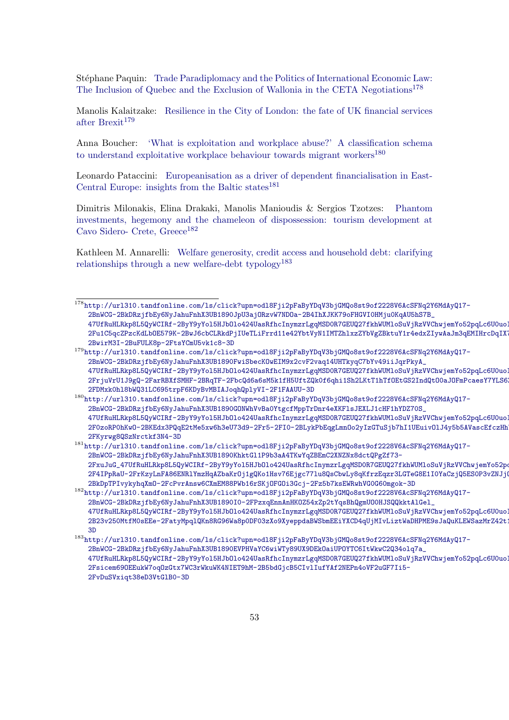Stéphane Paquin: [Trade Paradiplomacy and the Politics of International Economic Law:](http://url310.tandfonline.com/ls/click?upn=odl8Fji2pFaByYDqV3bjGMQo8st9of2228V6AcSFNq2Y6MdAyQ17-2BnWCG-2BkDRzjfbEy6NyJahuFnhX3UB1890JpU3ajORzvW7NDOa-2B4IhXJKK79oFHGVI0HMju0KqAU5hS7B_47UfRuHLRkp8L5QyWCIRf-2ByY9yYol5HJbOlo424UasRfhcInymzrLgqMSD0R7GEUQ27fkhWUMloSuVjRzVVChwjemYo52pqLc6U0uoIOTjXCgC3WiDKUPSL5XgbwI739hE-2Fu1C5qcZPzcKdLbOE579K-2BwJ6cbCLRkdPjIUeTLiFrrd11e42YbtVyN1IMTZhlxzZYbVgZBktuY1r4edxZIywAaJm3qEMIHrcDqIX7tjPd24Kdl5sHWCOSXAwpMllEoM1pCtYBa9aUSV1-2BwirM3I-2BuFULK8p-2FtsYCmU5vk1c8-3D) [The Inclusion of Quebec and the Exclusion of Wallonia in the CETA Negotiations](http://url310.tandfonline.com/ls/click?upn=odl8Fji2pFaByYDqV3bjGMQo8st9of2228V6AcSFNq2Y6MdAyQ17-2BnWCG-2BkDRzjfbEy6NyJahuFnhX3UB1890JpU3ajORzvW7NDOa-2B4IhXJKK79oFHGVI0HMju0KqAU5hS7B_47UfRuHLRkp8L5QyWCIRf-2ByY9yYol5HJbOlo424UasRfhcInymzrLgqMSD0R7GEUQ27fkhWUMloSuVjRzVVChwjemYo52pqLc6U0uoIOTjXCgC3WiDKUPSL5XgbwI739hE-2Fu1C5qcZPzcKdLbOE579K-2BwJ6cbCLRkdPjIUeTLiFrrd11e42YbtVyN1IMTZhlxzZYbVgZBktuY1r4edxZIywAaJm3qEMIHrcDqIX7tjPd24Kdl5sHWCOSXAwpMllEoM1pCtYBa9aUSV1-2BwirM3I-2BuFULK8p-2FtsYCmU5vk1c8-3D)<sup>[178](#page-52-0)</sup>

Manolis Kalaitzake: [Resilience in the City of London: the fate of UK financial services](http://url310.tandfonline.com/ls/click?upn=odl8Fji2pFaByYDqV3bjGMQo8st9of2228V6AcSFNq2Y6MdAyQ17-2BnWCG-2BkDRzjfbEy6NyJahuFnhX3UB1890FwiSbecKOwEIM9x2cvF2vaq14UHTkyqC7bYv49iiJqrPkyA_47UfRuHLRkp8L5QyWCIRf-2ByY9yYol5HJbOlo424UasRfhcInymzrLgqMSD0R7GEUQ27fkhWUMloSuVjRzVVChwjemYo52pqLc6U0uoIOTjXcf7rmw3Dx-2FrjuVrU1J9gQ-2FarRBXfSMHF-2BRqTF-2FbcQd6a6sM5k1fH5UftZQk0f6qhi1Sh2LKtT1hTfOEtGS2IndQtO0aJOFmPcaesY7YLS6ZQ9kogRsb2IaKIk0U5knZcrvQflxi9FHdvPJ-2FDMxk0hl8bWQ31LC695trpF6KDyBvMBIAJoqhQplyVI-2F1FAAUU-3D) [after Brexit](http://url310.tandfonline.com/ls/click?upn=odl8Fji2pFaByYDqV3bjGMQo8st9of2228V6AcSFNq2Y6MdAyQ17-2BnWCG-2BkDRzjfbEy6NyJahuFnhX3UB1890FwiSbecKOwEIM9x2cvF2vaq14UHTkyqC7bYv49iiJqrPkyA_47UfRuHLRkp8L5QyWCIRf-2ByY9yYol5HJbOlo424UasRfhcInymzrLgqMSD0R7GEUQ27fkhWUMloSuVjRzVVChwjemYo52pqLc6U0uoIOTjXcf7rmw3Dx-2FrjuVrU1J9gQ-2FarRBXfSMHF-2BRqTF-2FbcQd6a6sM5k1fH5UftZQk0f6qhi1Sh2LKtT1hTfOEtGS2IndQtO0aJOFmPcaesY7YLS6ZQ9kogRsb2IaKIk0U5knZcrvQflxi9FHdvPJ-2FDMxk0hl8bWQ31LC695trpF6KDyBvMBIAJoqhQplyVI-2F1FAAUU-3D) $^{179}$  $^{179}$  $^{179}$ 

Anna Boucher: ['What is exploitation and workplace abuse?' A classification schema](http://url310.tandfonline.com/ls/click?upn=odl8Fji2pFaByYDqV3bjGMQo8st9of2228V6AcSFNq2Y6MdAyQ17-2BnWCG-2BkDRzjfbEy6NyJahuFnhX3UB1890GONWhVvBa0YtgcfMppTrDnr4eXKFlsJEXLJ1cHF1hYDZ70S_47UfRuHLRkp8L5QyWCIRf-2ByY9yYol5HJbOlo424UasRfhcInymzrLgqMSD0R7GEUQ27fkhWUMloSuVjRzVVChwjemYo52pqLc6U0uoIOTjVcIo5NUiNS7ajzfnOCISOwodKpnKhGYI2eHVeBW8XobzkJlJpapNxsvhJf4r1imB5ukbq-2F0zoRP0hKwO-2BKEdx3PQqE2tMe5xw6h3eU73d9-2Fr5-2FI0-2BLykPbEqgLmnOo2yIzGTuSjb7hI1UEuivOlJ4y5b5AVascEfczHhVXuHWjrO43-2FKyrwg8QSzNrctkf3N4-3D) [to understand exploitative workplace behaviour towards migrant workers](http://url310.tandfonline.com/ls/click?upn=odl8Fji2pFaByYDqV3bjGMQo8st9of2228V6AcSFNq2Y6MdAyQ17-2BnWCG-2BkDRzjfbEy6NyJahuFnhX3UB1890GONWhVvBa0YtgcfMppTrDnr4eXKFlsJEXLJ1cHF1hYDZ70S_47UfRuHLRkp8L5QyWCIRf-2ByY9yYol5HJbOlo424UasRfhcInymzrLgqMSD0R7GEUQ27fkhWUMloSuVjRzVVChwjemYo52pqLc6U0uoIOTjVcIo5NUiNS7ajzfnOCISOwodKpnKhGYI2eHVeBW8XobzkJlJpapNxsvhJf4r1imB5ukbq-2F0zoRP0hKwO-2BKEdx3PQqE2tMe5xw6h3eU73d9-2Fr5-2FI0-2BLykPbEqgLmnOo2yIzGTuSjb7hI1UEuivOlJ4y5b5AVascEfczHhVXuHWjrO43-2FKyrwg8QSzNrctkf3N4-3D)<sup>[180](#page-52-2)</sup>

Leonardo Pataccini: [Europeanisation as a driver of dependent financialisation in East-](http://url310.tandfonline.com/ls/click?upn=odl8Fji2pFaByYDqV3bjGMQo8st9of2228V6AcSFNq2Y6MdAyQ17-2BnWCG-2BkDRzjfbEy6NyJahuFnhX3UB1890KhktGl1P9b3aA4TKwYqZBEmC2XNZNx8dctQPgZf73-2FxuJuG_47UfRuHLRkp8L5QyWCIRf-2ByY9yYol5HJbOlo424UasRfhcInymzrLgqMSD0R7GEUQ27fkhWUMloSuVjRzVVChwjemYo52pqLc6U0uoIOTjXdjVXTBVgYqija-2F4IPpRaU-2FrKzyLnFA86ENRlYmzHqAZbaKrOj1gQKo1Hsv76Ejgc77lu8QsCbwLy8qKfrzEqzr3LGTeG8E1I0YaCzjQ5ES0P3vZNJjQATlf-2BkDpTPIvykyhqXmO-2FcPvrAnsw6CXmEM88PWb16rSKjOFGOi3Gcj-2Fz5b7ksEWRwhVG0G60mgok-3D)[Central Europe: insights from the Baltic states](http://url310.tandfonline.com/ls/click?upn=odl8Fji2pFaByYDqV3bjGMQo8st9of2228V6AcSFNq2Y6MdAyQ17-2BnWCG-2BkDRzjfbEy6NyJahuFnhX3UB1890KhktGl1P9b3aA4TKwYqZBEmC2XNZNx8dctQPgZf73-2FxuJuG_47UfRuHLRkp8L5QyWCIRf-2ByY9yYol5HJbOlo424UasRfhcInymzrLgqMSD0R7GEUQ27fkhWUMloSuVjRzVVChwjemYo52pqLc6U0uoIOTjXdjVXTBVgYqija-2F4IPpRaU-2FrKzyLnFA86ENRlYmzHqAZbaKrOj1gQKo1Hsv76Ejgc77lu8QsCbwLy8qKfrzEqzr3LGTeG8E1I0YaCzjQ5ES0P3vZNJjQATlf-2BkDpTPIvykyhqXmO-2FcPvrAnsw6CXmEM88PWb16rSKjOFGOi3Gcj-2Fz5b7ksEWRwhVG0G60mgok-3D)<sup>[181](#page-52-3)</sup>

Dimitris Milonakis, Elina Drakaki, Manolis Manioudis & Sergios Tzotzes: [Phantom](http://url310.tandfonline.com/ls/click?upn=odl8Fji2pFaByYDqV3bjGMQo8st9of2228V6AcSFNq2Y6MdAyQ17-2BnWCG-2BkDRzjfbEy6NyJahuFnhX3UB1890I0-2FPzxqEnnAnHKOZ54xZp2tYqsBhQgmUO0HJSQQkktAlGel_47UfRuHLRkp8L5QyWCIRf-2ByY9yYol5HJbOlo424UasRfhcInymzrLgqMSD0R7GEUQ27fkhWUMloSuVjRzVVChwjemYo52pqLc6U0uoIOTjUREJD6d95TG0p7-2B23v250MtfM0sEEe-2FatyMpqlQKn8RG96Wa8p0DF03zXo9XyeppdaBWSbmEEiYXCD4qUjMIvLiztWaDHPME9sJaQuKLEWSazMrZ42t1HVk2iZDkcgdVO1Kycqp9vd8gm7WrdubMXetJlKIvtWGcZZiOWFj43858WyfvSfGgorGWNmFbTdP1M-3D) [investments, hegemony and the chameleon of dispossession: tourism development at](http://url310.tandfonline.com/ls/click?upn=odl8Fji2pFaByYDqV3bjGMQo8st9of2228V6AcSFNq2Y6MdAyQ17-2BnWCG-2BkDRzjfbEy6NyJahuFnhX3UB1890I0-2FPzxqEnnAnHKOZ54xZp2tYqsBhQgmUO0HJSQQkktAlGel_47UfRuHLRkp8L5QyWCIRf-2ByY9yYol5HJbOlo424UasRfhcInymzrLgqMSD0R7GEUQ27fkhWUMloSuVjRzVVChwjemYo52pqLc6U0uoIOTjUREJD6d95TG0p7-2B23v250MtfM0sEEe-2FatyMpqlQKn8RG96Wa8p0DF03zXo9XyeppdaBWSbmEEiYXCD4qUjMIvLiztWaDHPME9sJaQuKLEWSazMrZ42t1HVk2iZDkcgdVO1Kycqp9vd8gm7WrdubMXetJlKIvtWGcZZiOWFj43858WyfvSfGgorGWNmFbTdP1M-3D) [Cavo Sidero- Crete, Greece](http://url310.tandfonline.com/ls/click?upn=odl8Fji2pFaByYDqV3bjGMQo8st9of2228V6AcSFNq2Y6MdAyQ17-2BnWCG-2BkDRzjfbEy6NyJahuFnhX3UB1890I0-2FPzxqEnnAnHKOZ54xZp2tYqsBhQgmUO0HJSQQkktAlGel_47UfRuHLRkp8L5QyWCIRf-2ByY9yYol5HJbOlo424UasRfhcInymzrLgqMSD0R7GEUQ27fkhWUMloSuVjRzVVChwjemYo52pqLc6U0uoIOTjUREJD6d95TG0p7-2B23v250MtfM0sEEe-2FatyMpqlQKn8RG96Wa8p0DF03zXo9XyeppdaBWSbmEEiYXCD4qUjMIvLiztWaDHPME9sJaQuKLEWSazMrZ42t1HVk2iZDkcgdVO1Kycqp9vd8gm7WrdubMXetJlKIvtWGcZZiOWFj43858WyfvSfGgorGWNmFbTdP1M-3D)<sup>[182](#page-52-4)</sup>

Kathleen M. Annarelli: [Welfare generosity, credit access and household debt: clarifying](http://url310.tandfonline.com/ls/click?upn=odl8Fji2pFaByYDqV3bjGMQo8st9of2228V6AcSFNq2Y6MdAyQ17-2BnWCG-2BkDRzjfbEy6NyJahuFnhX3UB1890EVPHVaYC6wiWTy89UX9DEkOaiUPOYTC6ItWkwC2Q34olq7a_47UfRuHLRkp8L5QyWCIRf-2ByY9yYol5HJbOlo424UasRfhcInymzrLgqMSD0R7GEUQ27fkhWUMloSuVjRzVVChwjemYo52pqLc6U0uoIOTjX0trr6NqG1waOLFnKaruFHGNwOP7tdqp0NbrPqGfJElMKB5LOB8u4SFib3sY09tJSAnE3cXuHiztCl0G5SckNfVhSwK1sle7-2Fsicem69OEEukW7oqOzGtx7WC3rWkuWK4NIET9hM-2B5bdGjcB5CIvlIufYAf2NEPn4oVF2uGF7Ii5-2FvDuSVxiqt38eD3VtGlB0-3D) [relationships through a new welfare-debt typology](http://url310.tandfonline.com/ls/click?upn=odl8Fji2pFaByYDqV3bjGMQo8st9of2228V6AcSFNq2Y6MdAyQ17-2BnWCG-2BkDRzjfbEy6NyJahuFnhX3UB1890EVPHVaYC6wiWTy89UX9DEkOaiUPOYTC6ItWkwC2Q34olq7a_47UfRuHLRkp8L5QyWCIRf-2ByY9yYol5HJbOlo424UasRfhcInymzrLgqMSD0R7GEUQ27fkhWUMloSuVjRzVVChwjemYo52pqLc6U0uoIOTjX0trr6NqG1waOLFnKaruFHGNwOP7tdqp0NbrPqGfJElMKB5LOB8u4SFib3sY09tJSAnE3cXuHiztCl0G5SckNfVhSwK1sle7-2Fsicem69OEEukW7oqOzGtx7WC3rWkuWK4NIET9hM-2B5bdGjcB5CIvlIufYAf2NEPn4oVF2uGF7Ii5-2FvDuSVxiqt38eD3VtGlB0-3D)<sup>[183](#page-52-5)</sup>

<span id="page-52-0"></span><sup>178</sup>[http://url310.tandfonline.com/ls/click?upn=odl8Fji2pFaByYDqV3bjGMQo8st9of2228V6AcSFNq2Y](http://url310.tandfonline.com/ls/click?upn=odl8Fji2pFaByYDqV3bjGMQo8st9of2228V6AcSFNq2Y6MdAyQ17-2BnWCG-2BkDRzjfbEy6NyJahuFnhX3UB1890JpU3ajORzvW7NDOa-2B4IhXJKK79oFHGVI0HMju0KqAU5hS7B_47UfRuHLRkp8L5QyWCIRf-2ByY9yYol5HJbOlo424UasRfhcInymzrLgqMSD0R7GEUQ27fkhWUMloSuVjRzVVChwjemYo52pqLc6U0uoIOTjXCgC3WiDKUPSL5XgbwI739hE-2Fu1C5qcZPzcKdLbOE579K-2BwJ6cbCLRkdPjIUeTLiFrrd11e42YbtVyN1IMTZhlxzZYbVgZBktuY1r4edxZIywAaJm3qEMIHrcDqIX7tjPd24Kdl5sHWCOSXAwpMllEoM1pCtYBa9aUSV1-2BwirM3I-2BuFULK8p-2FtsYCmU5vk1c8-3D)6MdAyQ17- [2BnWCG-2BkDRzjfbEy6NyJahuFnhX3UB1890JpU3ajORzvW7NDOa-2B4IhXJKK79oFHGVI0HMju0KqAU5hS7B\\_](http://url310.tandfonline.com/ls/click?upn=odl8Fji2pFaByYDqV3bjGMQo8st9of2228V6AcSFNq2Y6MdAyQ17-2BnWCG-2BkDRzjfbEy6NyJahuFnhX3UB1890JpU3ajORzvW7NDOa-2B4IhXJKK79oFHGVI0HMju0KqAU5hS7B_47UfRuHLRkp8L5QyWCIRf-2ByY9yYol5HJbOlo424UasRfhcInymzrLgqMSD0R7GEUQ27fkhWUMloSuVjRzVVChwjemYo52pqLc6U0uoIOTjXCgC3WiDKUPSL5XgbwI739hE-2Fu1C5qcZPzcKdLbOE579K-2BwJ6cbCLRkdPjIUeTLiFrrd11e42YbtVyN1IMTZhlxzZYbVgZBktuY1r4edxZIywAaJm3qEMIHrcDqIX7tjPd24Kdl5sHWCOSXAwpMllEoM1pCtYBa9aUSV1-2BwirM3I-2BuFULK8p-2FtsYCmU5vk1c8-3D) 47UfRuHLRkp8L5QyWCIRf-2ByY9yYo15HJb01o424UasRfhcInymzrLgqMSD0R7GEUQ27fkhWUMloSuVjRzVVChwjemYo52pqLc6U0uo 2Fu1C5qcZPzcKdLb0E579K-2BwJ6cbCLRkdPjIUeTLiFrrd11e42YbtVyN1IMTZhlxzZYbVgZBktuY1r4edxZIywAaJm3qEMIHrcDqIX [2BwirM3I-2BuFULK8p-2FtsYCmU5vk1c8-3D](http://url310.tandfonline.com/ls/click?upn=odl8Fji2pFaByYDqV3bjGMQo8st9of2228V6AcSFNq2Y6MdAyQ17-2BnWCG-2BkDRzjfbEy6NyJahuFnhX3UB1890JpU3ajORzvW7NDOa-2B4IhXJKK79oFHGVI0HMju0KqAU5hS7B_47UfRuHLRkp8L5QyWCIRf-2ByY9yYol5HJbOlo424UasRfhcInymzrLgqMSD0R7GEUQ27fkhWUMloSuVjRzVVChwjemYo52pqLc6U0uoIOTjXCgC3WiDKUPSL5XgbwI739hE-2Fu1C5qcZPzcKdLbOE579K-2BwJ6cbCLRkdPjIUeTLiFrrd11e42YbtVyN1IMTZhlxzZYbVgZBktuY1r4edxZIywAaJm3qEMIHrcDqIX7tjPd24Kdl5sHWCOSXAwpMllEoM1pCtYBa9aUSV1-2BwirM3I-2BuFULK8p-2FtsYCmU5vk1c8-3D)

<span id="page-52-1"></span><sup>179</sup>[http://url310.tandfonline.com/ls/click?upn=odl8Fji2pFaByYDqV3bjGMQo8st9of2228V6AcSFNq2Y](http://url310.tandfonline.com/ls/click?upn=odl8Fji2pFaByYDqV3bjGMQo8st9of2228V6AcSFNq2Y6MdAyQ17-2BnWCG-2BkDRzjfbEy6NyJahuFnhX3UB1890FwiSbecKOwEIM9x2cvF2vaq14UHTkyqC7bYv49iiJqrPkyA_47UfRuHLRkp8L5QyWCIRf-2ByY9yYol5HJbOlo424UasRfhcInymzrLgqMSD0R7GEUQ27fkhWUMloSuVjRzVVChwjemYo52pqLc6U0uoIOTjXcf7rmw3Dx-2FrjuVrU1J9gQ-2FarRBXfSMHF-2BRqTF-2FbcQd6a6sM5k1fH5UftZQk0f6qhi1Sh2LKtT1hTfOEtGS2IndQtO0aJOFmPcaesY7YLS6ZQ9kogRsb2IaKIk0U5knZcrvQflxi9FHdvPJ-2FDMxk0hl8bWQ31LC695trpF6KDyBvMBIAJoqhQplyVI-2F1FAAUU-3D)6MdAyQ17- [2BnWCG-2BkDRzjfbEy6NyJahuFnhX3UB1890FwiSbecKOwEIM9x2cvF2vaq14UHTkyqC7bYv49iiJqrPkyA\\_](http://url310.tandfonline.com/ls/click?upn=odl8Fji2pFaByYDqV3bjGMQo8st9of2228V6AcSFNq2Y6MdAyQ17-2BnWCG-2BkDRzjfbEy6NyJahuFnhX3UB1890FwiSbecKOwEIM9x2cvF2vaq14UHTkyqC7bYv49iiJqrPkyA_47UfRuHLRkp8L5QyWCIRf-2ByY9yYol5HJbOlo424UasRfhcInymzrLgqMSD0R7GEUQ27fkhWUMloSuVjRzVVChwjemYo52pqLc6U0uoIOTjXcf7rmw3Dx-2FrjuVrU1J9gQ-2FarRBXfSMHF-2BRqTF-2FbcQd6a6sM5k1fH5UftZQk0f6qhi1Sh2LKtT1hTfOEtGS2IndQtO0aJOFmPcaesY7YLS6ZQ9kogRsb2IaKIk0U5knZcrvQflxi9FHdvPJ-2FDMxk0hl8bWQ31LC695trpF6KDyBvMBIAJoqhQplyVI-2F1FAAUU-3D) 47UfRuHLRkp8L5QyWCIRf-2ByY9yYo15HJb0lo424UasRfhcInymzrLgqMSD0R7GEUQ27fkhWUMloSuVjRzVVChwjemYo52pqLc6U0uo [2FrjuVrU1J9gQ-2FarRBXfSMHF-2BRqTF-2FbcQd6a6sM5k1fH5UftZQk0f6qhi1Sh2LKtT1hTfOEtGS2IndQt](http://url310.tandfonline.com/ls/click?upn=odl8Fji2pFaByYDqV3bjGMQo8st9of2228V6AcSFNq2Y6MdAyQ17-2BnWCG-2BkDRzjfbEy6NyJahuFnhX3UB1890FwiSbecKOwEIM9x2cvF2vaq14UHTkyqC7bYv49iiJqrPkyA_47UfRuHLRkp8L5QyWCIRf-2ByY9yYol5HJbOlo424UasRfhcInymzrLgqMSD0R7GEUQ27fkhWUMloSuVjRzVVChwjemYo52pqLc6U0uoIOTjXcf7rmw3Dx-2FrjuVrU1J9gQ-2FarRBXfSMHF-2BRqTF-2FbcQd6a6sM5k1fH5UftZQk0f6qhi1Sh2LKtT1hTfOEtGS2IndQtO0aJOFmPcaesY7YLS6ZQ9kogRsb2IaKIk0U5knZcrvQflxi9FHdvPJ-2FDMxk0hl8bWQ31LC695trpF6KDyBvMBIAJoqhQplyVI-2F1FAAUU-3D)O0aJOFmPcaesY7YLS6 [2FDMxk0hl8bWQ31LC695trpF6KDyBvMBIAJoqhQplyVI-2F1FAAUU-3D](http://url310.tandfonline.com/ls/click?upn=odl8Fji2pFaByYDqV3bjGMQo8st9of2228V6AcSFNq2Y6MdAyQ17-2BnWCG-2BkDRzjfbEy6NyJahuFnhX3UB1890FwiSbecKOwEIM9x2cvF2vaq14UHTkyqC7bYv49iiJqrPkyA_47UfRuHLRkp8L5QyWCIRf-2ByY9yYol5HJbOlo424UasRfhcInymzrLgqMSD0R7GEUQ27fkhWUMloSuVjRzVVChwjemYo52pqLc6U0uoIOTjXcf7rmw3Dx-2FrjuVrU1J9gQ-2FarRBXfSMHF-2BRqTF-2FbcQd6a6sM5k1fH5UftZQk0f6qhi1Sh2LKtT1hTfOEtGS2IndQtO0aJOFmPcaesY7YLS6ZQ9kogRsb2IaKIk0U5knZcrvQflxi9FHdvPJ-2FDMxk0hl8bWQ31LC695trpF6KDyBvMBIAJoqhQplyVI-2F1FAAUU-3D)

<span id="page-52-2"></span><sup>180</sup>[http://url310.tandfonline.com/ls/click?upn=odl8Fji2pFaByYDqV3bjGMQo8st9of2228V6AcSFNq2Y](http://url310.tandfonline.com/ls/click?upn=odl8Fji2pFaByYDqV3bjGMQo8st9of2228V6AcSFNq2Y6MdAyQ17-2BnWCG-2BkDRzjfbEy6NyJahuFnhX3UB1890GONWhVvBa0YtgcfMppTrDnr4eXKFlsJEXLJ1cHF1hYDZ70S_47UfRuHLRkp8L5QyWCIRf-2ByY9yYol5HJbOlo424UasRfhcInymzrLgqMSD0R7GEUQ27fkhWUMloSuVjRzVVChwjemYo52pqLc6U0uoIOTjVcIo5NUiNS7ajzfnOCISOwodKpnKhGYI2eHVeBW8XobzkJlJpapNxsvhJf4r1imB5ukbq-2F0zoRP0hKwO-2BKEdx3PQqE2tMe5xw6h3eU73d9-2Fr5-2FI0-2BLykPbEqgLmnOo2yIzGTuSjb7hI1UEuivOlJ4y5b5AVascEfczHhVXuHWjrO43-2FKyrwg8QSzNrctkf3N4-3D)6MdAyQ17- [2BnWCG-2BkDRzjfbEy6NyJahuFnhX3UB1890GONWhVvBa0YtgcfMppTrDnr4eXKFlsJEXLJ1cHF1hYDZ70S\\_](http://url310.tandfonline.com/ls/click?upn=odl8Fji2pFaByYDqV3bjGMQo8st9of2228V6AcSFNq2Y6MdAyQ17-2BnWCG-2BkDRzjfbEy6NyJahuFnhX3UB1890GONWhVvBa0YtgcfMppTrDnr4eXKFlsJEXLJ1cHF1hYDZ70S_47UfRuHLRkp8L5QyWCIRf-2ByY9yYol5HJbOlo424UasRfhcInymzrLgqMSD0R7GEUQ27fkhWUMloSuVjRzVVChwjemYo52pqLc6U0uoIOTjVcIo5NUiNS7ajzfnOCISOwodKpnKhGYI2eHVeBW8XobzkJlJpapNxsvhJf4r1imB5ukbq-2F0zoRP0hKwO-2BKEdx3PQqE2tMe5xw6h3eU73d9-2Fr5-2FI0-2BLykPbEqgLmnOo2yIzGTuSjb7hI1UEuivOlJ4y5b5AVascEfczHhVXuHWjrO43-2FKyrwg8QSzNrctkf3N4-3D) 47UfRuHLRkp8L5QyWCIRf-2ByY9yYo15HJb01o424UasRfhcInymzrLgqMSD0R7GEUQ27fkhWUMloSuVjRzVVChwjemYo52pqLc6U0uoj 2F0zoRP0hKw0-2BKEdx3PQqE2tMe5xw6h3eU73d9-2Fr5-2FI0-2BLykPbEqgLmn0o2yIzGTuSjb7hI1UEuiv01J4y5b5AVascEfczHh [2FKyrwg8QSzNrctkf3N4-3D](http://url310.tandfonline.com/ls/click?upn=odl8Fji2pFaByYDqV3bjGMQo8st9of2228V6AcSFNq2Y6MdAyQ17-2BnWCG-2BkDRzjfbEy6NyJahuFnhX3UB1890GONWhVvBa0YtgcfMppTrDnr4eXKFlsJEXLJ1cHF1hYDZ70S_47UfRuHLRkp8L5QyWCIRf-2ByY9yYol5HJbOlo424UasRfhcInymzrLgqMSD0R7GEUQ27fkhWUMloSuVjRzVVChwjemYo52pqLc6U0uoIOTjVcIo5NUiNS7ajzfnOCISOwodKpnKhGYI2eHVeBW8XobzkJlJpapNxsvhJf4r1imB5ukbq-2F0zoRP0hKwO-2BKEdx3PQqE2tMe5xw6h3eU73d9-2Fr5-2FI0-2BLykPbEqgLmnOo2yIzGTuSjb7hI1UEuivOlJ4y5b5AVascEfczHhVXuHWjrO43-2FKyrwg8QSzNrctkf3N4-3D)

<span id="page-52-3"></span><sup>181</sup>[http://url310.tandfonline.com/ls/click?upn=odl8Fji2pFaByYDqV3bjGMQo8st9of2228V6AcSFNq2Y](http://url310.tandfonline.com/ls/click?upn=odl8Fji2pFaByYDqV3bjGMQo8st9of2228V6AcSFNq2Y6MdAyQ17-2BnWCG-2BkDRzjfbEy6NyJahuFnhX3UB1890KhktGl1P9b3aA4TKwYqZBEmC2XNZNx8dctQPgZf73-2FxuJuG_47UfRuHLRkp8L5QyWCIRf-2ByY9yYol5HJbOlo424UasRfhcInymzrLgqMSD0R7GEUQ27fkhWUMloSuVjRzVVChwjemYo52pqLc6U0uoIOTjXdjVXTBVgYqija-2F4IPpRaU-2FrKzyLnFA86ENRlYmzHqAZbaKrOj1gQKo1Hsv76Ejgc77lu8QsCbwLy8qKfrzEqzr3LGTeG8E1I0YaCzjQ5ES0P3vZNJjQATlf-2BkDpTPIvykyhqXmO-2FcPvrAnsw6CXmEM88PWb16rSKjOFGOi3Gcj-2Fz5b7ksEWRwhVG0G60mgok-3D)6MdAyQ17- [2BnWCG-2BkDRzjfbEy6NyJahuFnhX3UB1890KhktGl1P9b3aA4TKwYqZBEmC2XNZNx8dctQPgZf73-](http://url310.tandfonline.com/ls/click?upn=odl8Fji2pFaByYDqV3bjGMQo8st9of2228V6AcSFNq2Y6MdAyQ17-2BnWCG-2BkDRzjfbEy6NyJahuFnhX3UB1890KhktGl1P9b3aA4TKwYqZBEmC2XNZNx8dctQPgZf73-2FxuJuG_47UfRuHLRkp8L5QyWCIRf-2ByY9yYol5HJbOlo424UasRfhcInymzrLgqMSD0R7GEUQ27fkhWUMloSuVjRzVVChwjemYo52pqLc6U0uoIOTjXdjVXTBVgYqija-2F4IPpRaU-2FrKzyLnFA86ENRlYmzHqAZbaKrOj1gQKo1Hsv76Ejgc77lu8QsCbwLy8qKfrzEqzr3LGTeG8E1I0YaCzjQ5ES0P3vZNJjQATlf-2BkDpTPIvykyhqXmO-2FcPvrAnsw6CXmEM88PWb16rSKjOFGOi3Gcj-2Fz5b7ksEWRwhVG0G60mgok-3D) 2FxuJuG\_47UfRuHLRkp8L5QyWCIRf-2ByY9yYo15HJbOlo424UasRfhcInymzrLgqMSDOR7GEUQ27fkhWUMloSuVjRzVVChwjemYo52pq [2F4IPpRaU-2FrKzyLnFA86ENRlYmzHqAZbaKrOj1gQKo1Hsv76Ejgc77lu8QsCbwLy8qKfrzEqzr3LGTeG8E1I](http://url310.tandfonline.com/ls/click?upn=odl8Fji2pFaByYDqV3bjGMQo8st9of2228V6AcSFNq2Y6MdAyQ17-2BnWCG-2BkDRzjfbEy6NyJahuFnhX3UB1890KhktGl1P9b3aA4TKwYqZBEmC2XNZNx8dctQPgZf73-2FxuJuG_47UfRuHLRkp8L5QyWCIRf-2ByY9yYol5HJbOlo424UasRfhcInymzrLgqMSD0R7GEUQ27fkhWUMloSuVjRzVVChwjemYo52pqLc6U0uoIOTjXdjVXTBVgYqija-2F4IPpRaU-2FrKzyLnFA86ENRlYmzHqAZbaKrOj1gQKo1Hsv76Ejgc77lu8QsCbwLy8qKfrzEqzr3LGTeG8E1I0YaCzjQ5ES0P3vZNJjQATlf-2BkDpTPIvykyhqXmO-2FcPvrAnsw6CXmEM88PWb16rSKjOFGOi3Gcj-2Fz5b7ksEWRwhVG0G60mgok-3D)0YaCzjQ5ES0P3vZNJjQATlf-[2BkDpTPIvykyhqXmO-2FcPvrAnsw6CXmEM88PWb16rSKjOFGOi3Gcj-2Fz5b7ksEWRwhVG0G60mgok-3D](http://url310.tandfonline.com/ls/click?upn=odl8Fji2pFaByYDqV3bjGMQo8st9of2228V6AcSFNq2Y6MdAyQ17-2BnWCG-2BkDRzjfbEy6NyJahuFnhX3UB1890KhktGl1P9b3aA4TKwYqZBEmC2XNZNx8dctQPgZf73-2FxuJuG_47UfRuHLRkp8L5QyWCIRf-2ByY9yYol5HJbOlo424UasRfhcInymzrLgqMSD0R7GEUQ27fkhWUMloSuVjRzVVChwjemYo52pqLc6U0uoIOTjXdjVXTBVgYqija-2F4IPpRaU-2FrKzyLnFA86ENRlYmzHqAZbaKrOj1gQKo1Hsv76Ejgc77lu8QsCbwLy8qKfrzEqzr3LGTeG8E1I0YaCzjQ5ES0P3vZNJjQATlf-2BkDpTPIvykyhqXmO-2FcPvrAnsw6CXmEM88PWb16rSKjOFGOi3Gcj-2Fz5b7ksEWRwhVG0G60mgok-3D)

<span id="page-52-4"></span><sup>182</sup>[http://url310.tandfonline.com/ls/click?upn=odl8Fji2pFaByYDqV3bjGMQo8st9of2228V6AcSFNq2Y](http://url310.tandfonline.com/ls/click?upn=odl8Fji2pFaByYDqV3bjGMQo8st9of2228V6AcSFNq2Y6MdAyQ17-2BnWCG-2BkDRzjfbEy6NyJahuFnhX3UB1890I0-2FPzxqEnnAnHKOZ54xZp2tYqsBhQgmUO0HJSQQkktAlGel_47UfRuHLRkp8L5QyWCIRf-2ByY9yYol5HJbOlo424UasRfhcInymzrLgqMSD0R7GEUQ27fkhWUMloSuVjRzVVChwjemYo52pqLc6U0uoIOTjUREJD6d95TG0p7-2B23v250MtfM0sEEe-2FatyMpqlQKn8RG96Wa8p0DF03zXo9XyeppdaBWSbmEEiYXCD4qUjMIvLiztWaDHPME9sJaQuKLEWSazMrZ42t1HVk2iZDkcgdVO1Kycqp9vd8gm7WrdubMXetJlKIvtWGcZZiOWFj43858WyfvSfGgorGWNmFbTdP1M-3D)6MdAyQ17-[2BnWCG-2BkDRzjfbEy6NyJahuFnhX3UB1890I0-2FPzxqEnnAnHKOZ54xZp2tYqsBhQgmUO0HJSQQkktAlGel\\_](http://url310.tandfonline.com/ls/click?upn=odl8Fji2pFaByYDqV3bjGMQo8st9of2228V6AcSFNq2Y6MdAyQ17-2BnWCG-2BkDRzjfbEy6NyJahuFnhX3UB1890I0-2FPzxqEnnAnHKOZ54xZp2tYqsBhQgmUO0HJSQQkktAlGel_47UfRuHLRkp8L5QyWCIRf-2ByY9yYol5HJbOlo424UasRfhcInymzrLgqMSD0R7GEUQ27fkhWUMloSuVjRzVVChwjemYo52pqLc6U0uoIOTjUREJD6d95TG0p7-2B23v250MtfM0sEEe-2FatyMpqlQKn8RG96Wa8p0DF03zXo9XyeppdaBWSbmEEiYXCD4qUjMIvLiztWaDHPME9sJaQuKLEWSazMrZ42t1HVk2iZDkcgdVO1Kycqp9vd8gm7WrdubMXetJlKIvtWGcZZiOWFj43858WyfvSfGgorGWNmFbTdP1M-3D) 47UfRuHLRkp8L5QyWCIRf-2ByY9yYo15HJb01o424UasRfhcInymzrLgqMSD0R7GEUQ27fkhWUMloSuVjRzVVChwjemYo52pqLc6U0uo 2B23v250MtfM0sEEe-2FatyMpq1QKn8RG96Wa8p0DF03zXo9XyeppdaBWSbmEEiYXCD4qUjMIvLiztWaDHPME9sJaQuKLEWSazMrZ42t [3D](http://url310.tandfonline.com/ls/click?upn=odl8Fji2pFaByYDqV3bjGMQo8st9of2228V6AcSFNq2Y6MdAyQ17-2BnWCG-2BkDRzjfbEy6NyJahuFnhX3UB1890I0-2FPzxqEnnAnHKOZ54xZp2tYqsBhQgmUO0HJSQQkktAlGel_47UfRuHLRkp8L5QyWCIRf-2ByY9yYol5HJbOlo424UasRfhcInymzrLgqMSD0R7GEUQ27fkhWUMloSuVjRzVVChwjemYo52pqLc6U0uoIOTjUREJD6d95TG0p7-2B23v250MtfM0sEEe-2FatyMpqlQKn8RG96Wa8p0DF03zXo9XyeppdaBWSbmEEiYXCD4qUjMIvLiztWaDHPME9sJaQuKLEWSazMrZ42t1HVk2iZDkcgdVO1Kycqp9vd8gm7WrdubMXetJlKIvtWGcZZiOWFj43858WyfvSfGgorGWNmFbTdP1M-3D)

<span id="page-52-5"></span><sup>183</sup>[http://url310.tandfonline.com/ls/click?upn=odl8Fji2pFaByYDqV3bjGMQo8st9of2228V6AcSFNq2Y](http://url310.tandfonline.com/ls/click?upn=odl8Fji2pFaByYDqV3bjGMQo8st9of2228V6AcSFNq2Y6MdAyQ17-2BnWCG-2BkDRzjfbEy6NyJahuFnhX3UB1890EVPHVaYC6wiWTy89UX9DEkOaiUPOYTC6ItWkwC2Q34olq7a_47UfRuHLRkp8L5QyWCIRf-2ByY9yYol5HJbOlo424UasRfhcInymzrLgqMSD0R7GEUQ27fkhWUMloSuVjRzVVChwjemYo52pqLc6U0uoIOTjX0trr6NqG1waOLFnKaruFHGNwOP7tdqp0NbrPqGfJElMKB5LOB8u4SFib3sY09tJSAnE3cXuHiztCl0G5SckNfVhSwK1sle7-2Fsicem69OEEukW7oqOzGtx7WC3rWkuWK4NIET9hM-2B5bdGjcB5CIvlIufYAf2NEPn4oVF2uGF7Ii5-2FvDuSVxiqt38eD3VtGlB0-3D)6MdAyQ17- [2BnWCG-2BkDRzjfbEy6NyJahuFnhX3UB1890EVPHVaYC6wiWTy89UX9DEkOaiUPOYTC6ItWkwC2Q34olq7a\\_](http://url310.tandfonline.com/ls/click?upn=odl8Fji2pFaByYDqV3bjGMQo8st9of2228V6AcSFNq2Y6MdAyQ17-2BnWCG-2BkDRzjfbEy6NyJahuFnhX3UB1890EVPHVaYC6wiWTy89UX9DEkOaiUPOYTC6ItWkwC2Q34olq7a_47UfRuHLRkp8L5QyWCIRf-2ByY9yYol5HJbOlo424UasRfhcInymzrLgqMSD0R7GEUQ27fkhWUMloSuVjRzVVChwjemYo52pqLc6U0uoIOTjX0trr6NqG1waOLFnKaruFHGNwOP7tdqp0NbrPqGfJElMKB5LOB8u4SFib3sY09tJSAnE3cXuHiztCl0G5SckNfVhSwK1sle7-2Fsicem69OEEukW7oqOzGtx7WC3rWkuWK4NIET9hM-2B5bdGjcB5CIvlIufYAf2NEPn4oVF2uGF7Ii5-2FvDuSVxiqt38eD3VtGlB0-3D) 47UfRuHLRkp8L5QyWCIRf-2ByY9yYo15HJb01o424UasRfhcInymzrLgqMSD0R7GEUQ27fkhWUMloSuVjRzVVChwjemYo52pqLc6U0uo [2Fsicem69OEEukW7oqOzGtx7WC3rWkuWK4NIET9hM-2B5bdGjcB5CIvlIufYAf2NEPn4oVF2uGF7Ii5-](http://url310.tandfonline.com/ls/click?upn=odl8Fji2pFaByYDqV3bjGMQo8st9of2228V6AcSFNq2Y6MdAyQ17-2BnWCG-2BkDRzjfbEy6NyJahuFnhX3UB1890EVPHVaYC6wiWTy89UX9DEkOaiUPOYTC6ItWkwC2Q34olq7a_47UfRuHLRkp8L5QyWCIRf-2ByY9yYol5HJbOlo424UasRfhcInymzrLgqMSD0R7GEUQ27fkhWUMloSuVjRzVVChwjemYo52pqLc6U0uoIOTjX0trr6NqG1waOLFnKaruFHGNwOP7tdqp0NbrPqGfJElMKB5LOB8u4SFib3sY09tJSAnE3cXuHiztCl0G5SckNfVhSwK1sle7-2Fsicem69OEEukW7oqOzGtx7WC3rWkuWK4NIET9hM-2B5bdGjcB5CIvlIufYAf2NEPn4oVF2uGF7Ii5-2FvDuSVxiqt38eD3VtGlB0-3D) [2FvDuSVxiqt38eD3VtGlB0-3D](http://url310.tandfonline.com/ls/click?upn=odl8Fji2pFaByYDqV3bjGMQo8st9of2228V6AcSFNq2Y6MdAyQ17-2BnWCG-2BkDRzjfbEy6NyJahuFnhX3UB1890EVPHVaYC6wiWTy89UX9DEkOaiUPOYTC6ItWkwC2Q34olq7a_47UfRuHLRkp8L5QyWCIRf-2ByY9yYol5HJbOlo424UasRfhcInymzrLgqMSD0R7GEUQ27fkhWUMloSuVjRzVVChwjemYo52pqLc6U0uoIOTjX0trr6NqG1waOLFnKaruFHGNwOP7tdqp0NbrPqGfJElMKB5LOB8u4SFib3sY09tJSAnE3cXuHiztCl0G5SckNfVhSwK1sle7-2Fsicem69OEEukW7oqOzGtx7WC3rWkuWK4NIET9hM-2B5bdGjcB5CIvlIufYAf2NEPn4oVF2uGF7Ii5-2FvDuSVxiqt38eD3VtGlB0-3D)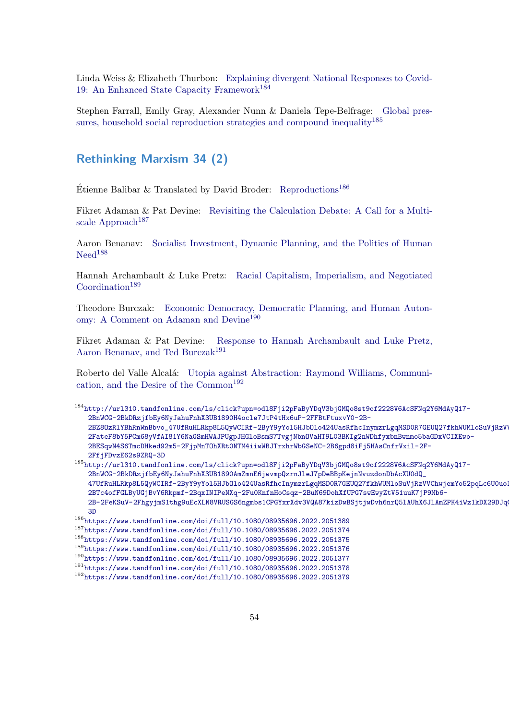Linda Weiss & Elizabeth Thurbon: [Explaining divergent National Responses to Covid-](http://url310.tandfonline.com/ls/click?upn=odl8Fji2pFaByYDqV3bjGMQo8st9of2228V6AcSFNq2Y6MdAyQ17-2BnWCG-2BkDRzjfbEy6NyJahuFnhX3UB1890H4ocle7JtP4tHx6uP-2FFBtFtuxvY0-2B-2BZ8OzRlYBhRnWnBbvo_47UfRuHLRkp8L5QyWCIRf-2ByY9yYol5HJbOlo424UasRfhcInymzrLgqMSD0R7GEUQ27fkhWUMloSuVjRzVVChwjemYo52pqLc6U0uoIOTjU93tcCy-2FateF8bY5PCm68yVfAI81Y6NaGSmHWAJPUgpJHGloBsmS7TvgjNbnOVaHT9L03BKIg2nWDhfyxbnBwnmo5baGDxVCIXEwo-2BESqwN4S6TmcDHked92m5-2FjpMnTOhXRt0NTM4iiwWBJTrxhrWbGSeNC-2B6gpd8iFj5HAsCnfrVxil-2F-2FfjFDvzE62s9ZRQ-3D)[19: An Enhanced State Capacity Framework](http://url310.tandfonline.com/ls/click?upn=odl8Fji2pFaByYDqV3bjGMQo8st9of2228V6AcSFNq2Y6MdAyQ17-2BnWCG-2BkDRzjfbEy6NyJahuFnhX3UB1890H4ocle7JtP4tHx6uP-2FFBtFtuxvY0-2B-2BZ8OzRlYBhRnWnBbvo_47UfRuHLRkp8L5QyWCIRf-2ByY9yYol5HJbOlo424UasRfhcInymzrLgqMSD0R7GEUQ27fkhWUMloSuVjRzVVChwjemYo52pqLc6U0uoIOTjU93tcCy-2FateF8bY5PCm68yVfAI81Y6NaGSmHWAJPUgpJHGloBsmS7TvgjNbnOVaHT9L03BKIg2nWDhfyxbnBwnmo5baGDxVCIXEwo-2BESqwN4S6TmcDHked92m5-2FjpMnTOhXRt0NTM4iiwWBJTrxhrWbGSeNC-2B6gpd8iFj5HAsCnfrVxil-2F-2FfjFDvzE62s9ZRQ-3D)<sup>[184](#page-53-1)</sup>

Stephen Farrall, Emily Gray, Alexander Nunn & Daniela Tepe-Belfrage: [Global pres](http://url310.tandfonline.com/ls/click?upn=odl8Fji2pFaByYDqV3bjGMQo8st9of2228V6AcSFNq2Y6MdAyQ17-2BnWCG-2BkDRzjfbEy6NyJahuFnhX3UB1890AmZmnE6jwvmpQzrnJleJ7pDeBBpKejnNvuzdonDbAcXU0dQ_47UfRuHLRkp8L5QyWCIRf-2ByY9yYol5HJbOlo424UasRfhcInymzrLgqMSD0R7GEUQ27fkhWUMloSuVjRzVVChwjemYo52pqLc6U0uoIOTjWb-2BTc4ofFGLByUGjBvY6Rkpmf-2BqxINIPeNXq-2Fu0KnfnHoCsqz-2BuN69DohXfUPG7swEwyZtV51uuK7jP9Mb6-2B-2FeKSuV-2FhgyjmS1thg9uEcXLN8VRUSGS6ngmbs1CPGYxrXdv3VQA87kizDwBSjtjwDvh6nrQ5lAUhX6JlAmZPK4iWz1kDX29DJqCDOqZVoQadU-3D)[sures, household social reproduction strategies and compound inequality](http://url310.tandfonline.com/ls/click?upn=odl8Fji2pFaByYDqV3bjGMQo8st9of2228V6AcSFNq2Y6MdAyQ17-2BnWCG-2BkDRzjfbEy6NyJahuFnhX3UB1890AmZmnE6jwvmpQzrnJleJ7pDeBBpKejnNvuzdonDbAcXU0dQ_47UfRuHLRkp8L5QyWCIRf-2ByY9yYol5HJbOlo424UasRfhcInymzrLgqMSD0R7GEUQ27fkhWUMloSuVjRzVVChwjemYo52pqLc6U0uoIOTjWb-2BTc4ofFGLByUGjBvY6Rkpmf-2BqxINIPeNXq-2Fu0KnfnHoCsqz-2BuN69DohXfUPG7swEwyZtV51uuK7jP9Mb6-2B-2FeKSuV-2FhgyjmS1thg9uEcXLN8VRUSGS6ngmbs1CPGYxrXdv3VQA87kizDwBSjtjwDvh6nrQ5lAUhX6JlAmZPK4iWz1kDX29DJqCDOqZVoQadU-3D)<sup>[185](#page-53-2)</sup>

### <span id="page-53-0"></span>Rethinking Marxism 34 (2)

Etienne Balibar & Translated by David Broder: [Reproductions](https://www.tandfonline.com/doi/full/10.1080/08935696.2022.2051389)<sup>[186](#page-53-3)</sup>

Fikret Adaman & Pat Devine: [Revisiting the Calculation Debate: A Call for a Multi](https://www.tandfonline.com/doi/full/10.1080/08935696.2022.2051374)[scale Approach](https://www.tandfonline.com/doi/full/10.1080/08935696.2022.2051374)<sup>[187](#page-53-4)</sup>

Aaron Benanav: [Socialist Investment, Dynamic Planning, and the Politics of Human](https://www.tandfonline.com/doi/full/10.1080/08935696.2022.2051375)  $Need<sup>188</sup>$  $Need<sup>188</sup>$  $Need<sup>188</sup>$  $Need<sup>188</sup>$ 

Hannah Archambault & Luke Pretz: [Racial Capitalism, Imperialism, and Negotiated](https://www.tandfonline.com/doi/full/10.1080/08935696.2022.2051376)  $Coordination<sup>189</sup>$  $Coordination<sup>189</sup>$  $Coordination<sup>189</sup>$  $Coordination<sup>189</sup>$ 

Theodore Burczak: [Economic Democracy, Democratic Planning, and Human Auton](https://www.tandfonline.com/doi/full/10.1080/08935696.2022.2051377)[omy: A Comment on Adaman and Devine](https://www.tandfonline.com/doi/full/10.1080/08935696.2022.2051377)<sup>[190](#page-53-7)</sup>

Fikret Adaman & Pat Devine: [Response to Hannah Archambault and Luke Pretz,](https://www.tandfonline.com/doi/full/10.1080/08935696.2022.2051378) [Aaron Benanav, and Ted Burczak](https://www.tandfonline.com/doi/full/10.1080/08935696.2022.2051378)<sup>[191](#page-53-8)</sup>

Roberto del Valle Alcal´a: [Utopia against Abstraction: Raymond Williams, Communi](https://www.tandfonline.com/doi/full/10.1080/08935696.2022.2051379)cation, and the Desire of the  $Common<sup>192</sup>$  $Common<sup>192</sup>$  $Common<sup>192</sup>$ 

<span id="page-53-1"></span><sup>184</sup>[http://url310.tandfonline.com/ls/click?upn=odl8Fji2pFaByYDqV3bjGMQo8st9of2228V6AcSFNq2Y](http://url310.tandfonline.com/ls/click?upn=odl8Fji2pFaByYDqV3bjGMQo8st9of2228V6AcSFNq2Y6MdAyQ17-2BnWCG-2BkDRzjfbEy6NyJahuFnhX3UB1890H4ocle7JtP4tHx6uP-2FFBtFtuxvY0-2B-2BZ8OzRlYBhRnWnBbvo_47UfRuHLRkp8L5QyWCIRf-2ByY9yYol5HJbOlo424UasRfhcInymzrLgqMSD0R7GEUQ27fkhWUMloSuVjRzVVChwjemYo52pqLc6U0uoIOTjU93tcCy-2FateF8bY5PCm68yVfAI81Y6NaGSmHWAJPUgpJHGloBsmS7TvgjNbnOVaHT9L03BKIg2nWDhfyxbnBwnmo5baGDxVCIXEwo-2BESqwN4S6TmcDHked92m5-2FjpMnTOhXRt0NTM4iiwWBJTrxhrWbGSeNC-2B6gpd8iFj5HAsCnfrVxil-2F-2FfjFDvzE62s9ZRQ-3D)6MdAyQ17- [2BnWCG-2BkDRzjfbEy6NyJahuFnhX3UB1890H4ocle7JtP4tHx6uP-2FFBtFtuxvY0-2B-](http://url310.tandfonline.com/ls/click?upn=odl8Fji2pFaByYDqV3bjGMQo8st9of2228V6AcSFNq2Y6MdAyQ17-2BnWCG-2BkDRzjfbEy6NyJahuFnhX3UB1890H4ocle7JtP4tHx6uP-2FFBtFtuxvY0-2B-2BZ8OzRlYBhRnWnBbvo_47UfRuHLRkp8L5QyWCIRf-2ByY9yYol5HJbOlo424UasRfhcInymzrLgqMSD0R7GEUQ27fkhWUMloSuVjRzVVChwjemYo52pqLc6U0uoIOTjU93tcCy-2FateF8bY5PCm68yVfAI81Y6NaGSmHWAJPUgpJHGloBsmS7TvgjNbnOVaHT9L03BKIg2nWDhfyxbnBwnmo5baGDxVCIXEwo-2BESqwN4S6TmcDHked92m5-2FjpMnTOhXRt0NTM4iiwWBJTrxhrWbGSeNC-2B6gpd8iFj5HAsCnfrVxil-2F-2FfjFDvzE62s9ZRQ-3D)2BZ80zRlYBhRnWnBbvo\_47UfRuHLRkp8L5QyWCIRf-2ByY9yYol5HJb0lo424UasRfhcInymzrLgqMSD0R7GEUQ27fkhWUMloSuVjRzV [2FateF8bY5PCm68yVfAI81Y6NaGSmHWAJPUgpJHGloBsmS7TvgjNbnOVaHT9L03BKIg2nWDhfyxbnBwnmo5baG](http://url310.tandfonline.com/ls/click?upn=odl8Fji2pFaByYDqV3bjGMQo8st9of2228V6AcSFNq2Y6MdAyQ17-2BnWCG-2BkDRzjfbEy6NyJahuFnhX3UB1890H4ocle7JtP4tHx6uP-2FFBtFtuxvY0-2B-2BZ8OzRlYBhRnWnBbvo_47UfRuHLRkp8L5QyWCIRf-2ByY9yYol5HJbOlo424UasRfhcInymzrLgqMSD0R7GEUQ27fkhWUMloSuVjRzVVChwjemYo52pqLc6U0uoIOTjU93tcCy-2FateF8bY5PCm68yVfAI81Y6NaGSmHWAJPUgpJHGloBsmS7TvgjNbnOVaHT9L03BKIg2nWDhfyxbnBwnmo5baGDxVCIXEwo-2BESqwN4S6TmcDHked92m5-2FjpMnTOhXRt0NTM4iiwWBJTrxhrWbGSeNC-2B6gpd8iFj5HAsCnfrVxil-2F-2FfjFDvzE62s9ZRQ-3D)DxVCIXEwo-[2BESqwN4S6TmcDHked92m5-2FjpMnTOhXRt0NTM4iiwWBJTrxhrWbGSeNC-2B6gpd8iFj5HAsCnfrVxil-2F-](http://url310.tandfonline.com/ls/click?upn=odl8Fji2pFaByYDqV3bjGMQo8st9of2228V6AcSFNq2Y6MdAyQ17-2BnWCG-2BkDRzjfbEy6NyJahuFnhX3UB1890H4ocle7JtP4tHx6uP-2FFBtFtuxvY0-2B-2BZ8OzRlYBhRnWnBbvo_47UfRuHLRkp8L5QyWCIRf-2ByY9yYol5HJbOlo424UasRfhcInymzrLgqMSD0R7GEUQ27fkhWUMloSuVjRzVVChwjemYo52pqLc6U0uoIOTjU93tcCy-2FateF8bY5PCm68yVfAI81Y6NaGSmHWAJPUgpJHGloBsmS7TvgjNbnOVaHT9L03BKIg2nWDhfyxbnBwnmo5baGDxVCIXEwo-2BESqwN4S6TmcDHked92m5-2FjpMnTOhXRt0NTM4iiwWBJTrxhrWbGSeNC-2B6gpd8iFj5HAsCnfrVxil-2F-2FfjFDvzE62s9ZRQ-3D)[2FfjFDvzE62s9ZRQ-3D](http://url310.tandfonline.com/ls/click?upn=odl8Fji2pFaByYDqV3bjGMQo8st9of2228V6AcSFNq2Y6MdAyQ17-2BnWCG-2BkDRzjfbEy6NyJahuFnhX3UB1890H4ocle7JtP4tHx6uP-2FFBtFtuxvY0-2B-2BZ8OzRlYBhRnWnBbvo_47UfRuHLRkp8L5QyWCIRf-2ByY9yYol5HJbOlo424UasRfhcInymzrLgqMSD0R7GEUQ27fkhWUMloSuVjRzVVChwjemYo52pqLc6U0uoIOTjU93tcCy-2FateF8bY5PCm68yVfAI81Y6NaGSmHWAJPUgpJHGloBsmS7TvgjNbnOVaHT9L03BKIg2nWDhfyxbnBwnmo5baGDxVCIXEwo-2BESqwN4S6TmcDHked92m5-2FjpMnTOhXRt0NTM4iiwWBJTrxhrWbGSeNC-2B6gpd8iFj5HAsCnfrVxil-2F-2FfjFDvzE62s9ZRQ-3D)

<span id="page-53-2"></span><sup>185</sup>[http://url310.tandfonline.com/ls/click?upn=odl8Fji2pFaByYDqV3bjGMQo8st9of2228V6AcSFNq2Y](http://url310.tandfonline.com/ls/click?upn=odl8Fji2pFaByYDqV3bjGMQo8st9of2228V6AcSFNq2Y6MdAyQ17-2BnWCG-2BkDRzjfbEy6NyJahuFnhX3UB1890AmZmnE6jwvmpQzrnJleJ7pDeBBpKejnNvuzdonDbAcXU0dQ_47UfRuHLRkp8L5QyWCIRf-2ByY9yYol5HJbOlo424UasRfhcInymzrLgqMSD0R7GEUQ27fkhWUMloSuVjRzVVChwjemYo52pqLc6U0uoIOTjWb-2BTc4ofFGLByUGjBvY6Rkpmf-2BqxINIPeNXq-2Fu0KnfnHoCsqz-2BuN69DohXfUPG7swEwyZtV51uuK7jP9Mb6-2B-2FeKSuV-2FhgyjmS1thg9uEcXLN8VRUSGS6ngmbs1CPGYxrXdv3VQA87kizDwBSjtjwDvh6nrQ5lAUhX6JlAmZPK4iWz1kDX29DJqCDOqZVoQadU-3D)6MdAyQ17- [2BnWCG-2BkDRzjfbEy6NyJahuFnhX3UB1890AmZmnE6jwvmpQzrnJleJ7pDeBBpKejnNvuzdonDbAcXU0dQ\\_](http://url310.tandfonline.com/ls/click?upn=odl8Fji2pFaByYDqV3bjGMQo8st9of2228V6AcSFNq2Y6MdAyQ17-2BnWCG-2BkDRzjfbEy6NyJahuFnhX3UB1890AmZmnE6jwvmpQzrnJleJ7pDeBBpKejnNvuzdonDbAcXU0dQ_47UfRuHLRkp8L5QyWCIRf-2ByY9yYol5HJbOlo424UasRfhcInymzrLgqMSD0R7GEUQ27fkhWUMloSuVjRzVVChwjemYo52pqLc6U0uoIOTjWb-2BTc4ofFGLByUGjBvY6Rkpmf-2BqxINIPeNXq-2Fu0KnfnHoCsqz-2BuN69DohXfUPG7swEwyZtV51uuK7jP9Mb6-2B-2FeKSuV-2FhgyjmS1thg9uEcXLN8VRUSGS6ngmbs1CPGYxrXdv3VQA87kizDwBSjtjwDvh6nrQ5lAUhX6JlAmZPK4iWz1kDX29DJqCDOqZVoQadU-3D) 47UfRuHLRkp8L5QyWCIRf-2ByY9yYo15HJb0lo424UasRfhcInymzrLgqMSD0R7GEUQ27fkhWUMloSuVjRzVVChwjemYo52pqLc6U0uo [2BTc4ofFGLByUGjBvY6Rkpmf-2BqxINIPeNXq-2Fu0KnfnHoCsqz-2BuN69DohXfUPG7swEwyZtV51uuK7jP9M](http://url310.tandfonline.com/ls/click?upn=odl8Fji2pFaByYDqV3bjGMQo8st9of2228V6AcSFNq2Y6MdAyQ17-2BnWCG-2BkDRzjfbEy6NyJahuFnhX3UB1890AmZmnE6jwvmpQzrnJleJ7pDeBBpKejnNvuzdonDbAcXU0dQ_47UfRuHLRkp8L5QyWCIRf-2ByY9yYol5HJbOlo424UasRfhcInymzrLgqMSD0R7GEUQ27fkhWUMloSuVjRzVVChwjemYo52pqLc6U0uoIOTjWb-2BTc4ofFGLByUGjBvY6Rkpmf-2BqxINIPeNXq-2Fu0KnfnHoCsqz-2BuN69DohXfUPG7swEwyZtV51uuK7jP9Mb6-2B-2FeKSuV-2FhgyjmS1thg9uEcXLN8VRUSGS6ngmbs1CPGYxrXdv3VQA87kizDwBSjtjwDvh6nrQ5lAUhX6JlAmZPK4iWz1kDX29DJqCDOqZVoQadU-3D)b6- [2B-2FeKSuV-2FhgyjmS1thg9uEcXLN8VRUSGS6ngmbs1CPGYxrXdv3VQA87kizDwBSjtjwDvh6nrQ5lAUhX6Jl](http://url310.tandfonline.com/ls/click?upn=odl8Fji2pFaByYDqV3bjGMQo8st9of2228V6AcSFNq2Y6MdAyQ17-2BnWCG-2BkDRzjfbEy6NyJahuFnhX3UB1890AmZmnE6jwvmpQzrnJleJ7pDeBBpKejnNvuzdonDbAcXU0dQ_47UfRuHLRkp8L5QyWCIRf-2ByY9yYol5HJbOlo424UasRfhcInymzrLgqMSD0R7GEUQ27fkhWUMloSuVjRzVVChwjemYo52pqLc6U0uoIOTjWb-2BTc4ofFGLByUGjBvY6Rkpmf-2BqxINIPeNXq-2Fu0KnfnHoCsqz-2BuN69DohXfUPG7swEwyZtV51uuK7jP9Mb6-2B-2FeKSuV-2FhgyjmS1thg9uEcXLN8VRUSGS6ngmbs1CPGYxrXdv3VQA87kizDwBSjtjwDvh6nrQ5lAUhX6JlAmZPK4iWz1kDX29DJqCDOqZVoQadU-3D)AmZPK4iWz1kDX29DJq [3D](http://url310.tandfonline.com/ls/click?upn=odl8Fji2pFaByYDqV3bjGMQo8st9of2228V6AcSFNq2Y6MdAyQ17-2BnWCG-2BkDRzjfbEy6NyJahuFnhX3UB1890AmZmnE6jwvmpQzrnJleJ7pDeBBpKejnNvuzdonDbAcXU0dQ_47UfRuHLRkp8L5QyWCIRf-2ByY9yYol5HJbOlo424UasRfhcInymzrLgqMSD0R7GEUQ27fkhWUMloSuVjRzVVChwjemYo52pqLc6U0uoIOTjWb-2BTc4ofFGLByUGjBvY6Rkpmf-2BqxINIPeNXq-2Fu0KnfnHoCsqz-2BuN69DohXfUPG7swEwyZtV51uuK7jP9Mb6-2B-2FeKSuV-2FhgyjmS1thg9uEcXLN8VRUSGS6ngmbs1CPGYxrXdv3VQA87kizDwBSjtjwDvh6nrQ5lAUhX6JlAmZPK4iWz1kDX29DJqCDOqZVoQadU-3D)

<span id="page-53-9"></span><span id="page-53-8"></span><span id="page-53-7"></span><span id="page-53-6"></span><span id="page-53-5"></span><span id="page-53-4"></span><span id="page-53-3"></span> $186$ <https://www.tandfonline.com/doi/full/10.1080/08935696.2022.2051389> <sup>187</sup><https://www.tandfonline.com/doi/full/10.1080/08935696.2022.2051374> <sup>188</sup><https://www.tandfonline.com/doi/full/10.1080/08935696.2022.2051375> <sup>189</sup><https://www.tandfonline.com/doi/full/10.1080/08935696.2022.2051376> <sup>190</sup><https://www.tandfonline.com/doi/full/10.1080/08935696.2022.2051377> <sup>191</sup><https://www.tandfonline.com/doi/full/10.1080/08935696.2022.2051378> <sup>192</sup><https://www.tandfonline.com/doi/full/10.1080/08935696.2022.2051379>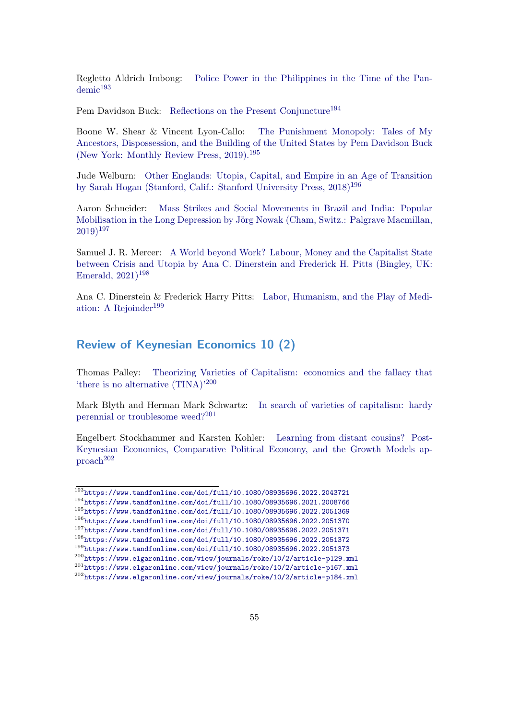Regletto Aldrich Imbong: [Police Power in the Philippines in the Time of the Pan](https://www.tandfonline.com/doi/full/10.1080/08935696.2022.2043721) $d$ emic $193$ 

Pem Davidson Buck: [Reflections on the Present Conjuncture](https://www.tandfonline.com/doi/full/10.1080/08935696.2021.2008766)<sup>[194](#page-54-2)</sup>

Boone W. Shear & Vincent Lyon-Callo: [The Punishment Monopoly: Tales of My](https://www.tandfonline.com/doi/full/10.1080/08935696.2022.2051369) [Ancestors, Dispossession, and the Building of the United States by Pem Davidson Buck](https://www.tandfonline.com/doi/full/10.1080/08935696.2022.2051369) [\(New York: Monthly Review Press, 2019\).](https://www.tandfonline.com/doi/full/10.1080/08935696.2022.2051369)<sup>[195](#page-54-3)</sup>

Jude Welburn: [Other Englands: Utopia, Capital, and Empire in an Age of Transition](https://www.tandfonline.com/doi/full/10.1080/08935696.2022.2051370) [by Sarah Hogan \(Stanford, Calif.: Stanford University Press, 2018\)](https://www.tandfonline.com/doi/full/10.1080/08935696.2022.2051370)<sup>[196](#page-54-4)</sup>

Aaron Schneider: [Mass Strikes and Social Movements in Brazil and India: Popular](https://www.tandfonline.com/doi/full/10.1080/08935696.2022.2051371) Mobilisation in the Long Depression by Jörg Nowak (Cham, Switz.: Palgrave Macmillan,  $(2019)^{197}$  $(2019)^{197}$  $(2019)^{197}$  $(2019)^{197}$  $(2019)^{197}$ 

Samuel J. R. Mercer: [A World beyond Work? Labour, Money and the Capitalist State](https://www.tandfonline.com/doi/full/10.1080/08935696.2022.2051372) [between Crisis and Utopia by Ana C. Dinerstein and Frederick H. Pitts \(Bingley, UK:](https://www.tandfonline.com/doi/full/10.1080/08935696.2022.2051372) Emerald,  $2021$ <sup>[198](#page-54-6)</sup>

Ana C. Dinerstein & Frederick Harry Pitts: [Labor, Humanism, and the Play of Medi](https://www.tandfonline.com/doi/full/10.1080/08935696.2022.2051373)[ation: A Rejoinder](https://www.tandfonline.com/doi/full/10.1080/08935696.2022.2051373)<sup>[199](#page-54-7)</sup>

### <span id="page-54-0"></span>Review of Keynesian Economics 10 (2)

Thomas Palley: [Theorizing Varieties of Capitalism: economics and the fallacy that](https://www.elgaronline.com/view/journals/roke/10/2/article-p129.xml) ['there is no alternative \(TINA\)'](https://www.elgaronline.com/view/journals/roke/10/2/article-p129.xml)[200](#page-54-8)

Mark Blyth and Herman Mark Schwartz: [In search of varieties of capitalism: hardy](https://www.elgaronline.com/view/journals/roke/10/2/article-p167.xml) [perennial or troublesome weed?](https://www.elgaronline.com/view/journals/roke/10/2/article-p167.xml)[201](#page-54-9)

Engelbert Stockhammer and Karsten Kohler: [Learning from distant cousins? Post-](https://www.elgaronline.com/view/journals/roke/10/2/article-p184.xml)[Keynesian Economics, Comparative Political Economy, and the Growth Models ap](https://www.elgaronline.com/view/journals/roke/10/2/article-p184.xml)[proach](https://www.elgaronline.com/view/journals/roke/10/2/article-p184.xml)[202](#page-54-10)

<span id="page-54-1"></span><sup>193</sup><https://www.tandfonline.com/doi/full/10.1080/08935696.2022.2043721>

<span id="page-54-2"></span><sup>194</sup><https://www.tandfonline.com/doi/full/10.1080/08935696.2021.2008766>

<span id="page-54-4"></span><span id="page-54-3"></span><sup>195</sup><https://www.tandfonline.com/doi/full/10.1080/08935696.2022.2051369> <sup>196</sup><https://www.tandfonline.com/doi/full/10.1080/08935696.2022.2051370>

<span id="page-54-5"></span><sup>197</sup><https://www.tandfonline.com/doi/full/10.1080/08935696.2022.2051371>

<span id="page-54-6"></span><sup>198</sup><https://www.tandfonline.com/doi/full/10.1080/08935696.2022.2051372>

<span id="page-54-7"></span><sup>199</sup><https://www.tandfonline.com/doi/full/10.1080/08935696.2022.2051373>

<span id="page-54-8"></span><sup>200</sup><https://www.elgaronline.com/view/journals/roke/10/2/article-p129.xml>

<span id="page-54-9"></span><sup>201</sup><https://www.elgaronline.com/view/journals/roke/10/2/article-p167.xml>

<span id="page-54-10"></span><sup>202</sup><https://www.elgaronline.com/view/journals/roke/10/2/article-p184.xml>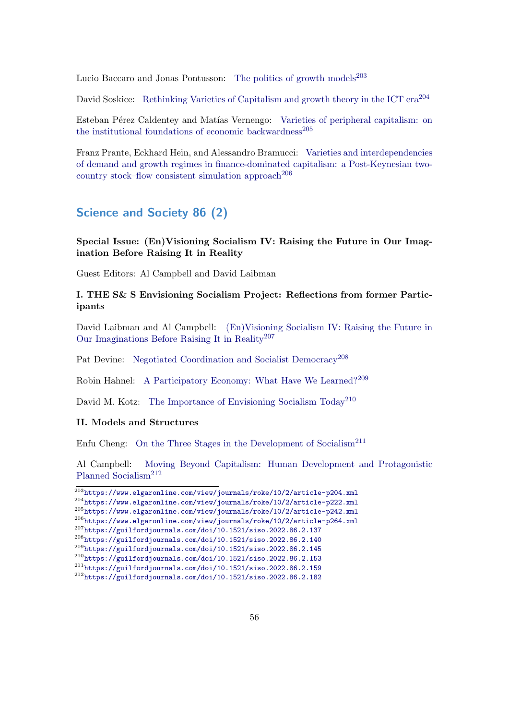Lucio Baccaro and Jonas Pontusson: [The politics of growth models](https://www.elgaronline.com/view/journals/roke/10/2/article-p204.xml)<sup>[203](#page-55-1)</sup>

David Soskice: [Rethinking Varieties of Capitalism and growth theory in the ICT era](https://www.elgaronline.com/view/journals/roke/10/2/article-p222.xml)<sup>[204](#page-55-2)</sup>

Esteban Pérez Caldentey and Matías Vernengo: [Varieties of peripheral capitalism: on](https://www.elgaronline.com/view/journals/roke/10/2/article-p242.xml) [the institutional foundations of economic backwardness](https://www.elgaronline.com/view/journals/roke/10/2/article-p242.xml)<sup>[205](#page-55-3)</sup>

Franz Prante, Eckhard Hein, and Alessandro Bramucci: [Varieties and interdependencies](https://www.elgaronline.com/view/journals/roke/10/2/article-p264.xml) [of demand and growth regimes in finance-dominated capitalism: a Post-Keynesian two](https://www.elgaronline.com/view/journals/roke/10/2/article-p264.xml)[country stock–flow consistent simulation approach](https://www.elgaronline.com/view/journals/roke/10/2/article-p264.xml)<sup>[206](#page-55-4)</sup>

### <span id="page-55-0"></span>Science and Society 86 (2)

Special Issue: (En)Visioning Socialism IV: Raising the Future in Our Imagination Before Raising It in Reality

Guest Editors: Al Campbell and David Laibman

### I. THE S& S Envisioning Socialism Project: Reflections from former Participants

David Laibman and Al Campbell: [\(En\)Visioning Socialism IV: Raising the Future in](https://guilfordjournals.com/doi/10.1521/siso.2022.86.2.137) [Our Imaginations Before Raising It in Reality](https://guilfordjournals.com/doi/10.1521/siso.2022.86.2.137)[207](#page-55-5)

Pat Devine: [Negotiated Coordination and Socialist Democracy](https://guilfordjournals.com/doi/10.1521/siso.2022.86.2.140)<sup>[208](#page-55-6)</sup>

Robin Hahnel: [A Participatory Economy: What Have We Learned?](https://guilfordjournals.com/doi/10.1521/siso.2022.86.2.145)[209](#page-55-7)

David M. Kotz: [The Importance of Envisioning Socialism Today](https://guilfordjournals.com/doi/10.1521/siso.2022.86.2.153)<sup>[210](#page-55-8)</sup>

#### II. Models and Structures

Enfu Cheng: [On the Three Stages in the Development of Socialism](https://guilfordjournals.com/doi/10.1521/siso.2022.86.2.159)<sup>[211](#page-55-9)</sup>

Al Campbell: [Moving Beyond Capitalism: Human Development and Protagonistic](https://guilfordjournals.com/doi/10.1521/siso.2022.86.2.182) [Planned Socialism](https://guilfordjournals.com/doi/10.1521/siso.2022.86.2.182)<sup>[212](#page-55-10)</sup>

<span id="page-55-5"></span><span id="page-55-4"></span><span id="page-55-3"></span><span id="page-55-2"></span><span id="page-55-1"></span> $^{203}\rm{https://www.elgaronline.com/view/journals/roke/10/2/article-p204.xml}$  $^{203}\rm{https://www.elgaronline.com/view/journals/roke/10/2/article-p204.xml}$  $^{203}\rm{https://www.elgaronline.com/view/journals/roke/10/2/article-p204.xml}$ <sup>204</sup><https://www.elgaronline.com/view/journals/roke/10/2/article-p222.xml> <sup>205</sup><https://www.elgaronline.com/view/journals/roke/10/2/article-p242.xml> <sup>206</sup><https://www.elgaronline.com/view/journals/roke/10/2/article-p264.xml> <sup>207</sup><https://guilfordjournals.com/doi/10.1521/siso.2022.86.2.137> <sup>208</sup><https://guilfordjournals.com/doi/10.1521/siso.2022.86.2.140> <sup>209</sup><https://guilfordjournals.com/doi/10.1521/siso.2022.86.2.145> <sup>210</sup><https://guilfordjournals.com/doi/10.1521/siso.2022.86.2.153> <sup>211</sup><https://guilfordjournals.com/doi/10.1521/siso.2022.86.2.159> <sup>212</sup><https://guilfordjournals.com/doi/10.1521/siso.2022.86.2.182>

<span id="page-55-10"></span><span id="page-55-9"></span><span id="page-55-8"></span><span id="page-55-7"></span><span id="page-55-6"></span>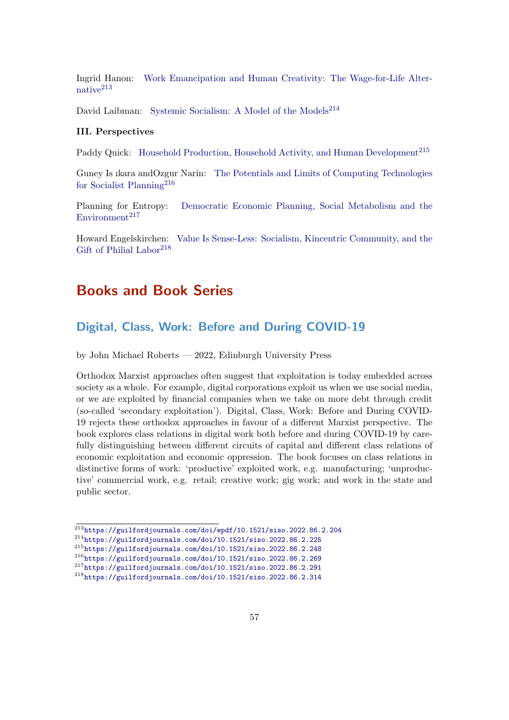Ingrid Hanon: [Work Emancipation and Human Creativity: The Wage-for-Life Alter](https://guilfordjournals.com/doi/epdf/10.1521/siso.2022.86.2.204)[native](https://guilfordjournals.com/doi/epdf/10.1521/siso.2022.86.2.204)<sup>[213](#page-56-2)</sup>

David Laibman: [Systemic Socialism: A Model of the Models](https://guilfordjournals.com/doi/10.1521/siso.2022.86.2.225)<sup>[214](#page-56-3)</sup>

#### III. Perspectives

Paddy Quick: [Household Production, Household Activity, and Human Development](https://guilfordjournals.com/doi/10.1521/siso.2022.86.2.248)<sup>[215](#page-56-4)</sup>

Guney Is ıkara andOzgur Narin: [The Potentials and Limits of Computing Technologies](https://guilfordjournals.com/doi/10.1521/siso.2022.86.2.269) [for Socialist Planning](https://guilfordjournals.com/doi/10.1521/siso.2022.86.2.269)[216](#page-56-5)

Planning for Entropy: [Democratic Economic Planning, Social Metabolism and the](https://guilfordjournals.com/doi/10.1521/siso.2022.86.2.291)  $Environment<sup>217</sup>$  $Environment<sup>217</sup>$  $Environment<sup>217</sup>$  $Environment<sup>217</sup>$ 

Howard Engelskirchen: [Value Is Sense-Less: Socialism, Kincentric Community, and the](https://guilfordjournals.com/doi/10.1521/siso.2022.86.2.314) [Gift of Philial Labor](https://guilfordjournals.com/doi/10.1521/siso.2022.86.2.314)<sup>[218](#page-56-7)</sup>

## <span id="page-56-0"></span>Books and Book Series

### <span id="page-56-1"></span>Digital, Class, Work: Before and During COVID-19

by John Michael Roberts — 2022, Edinburgh University Press

Orthodox Marxist approaches often suggest that exploitation is today embedded across society as a whole. For example, digital corporations exploit us when we use social media, or we are exploited by financial companies when we take on more debt through credit (so-called 'secondary exploitation'). Digital, Class, Work: Before and During COVID-19 rejects these orthodox approaches in favour of a different Marxist perspective. The book explores class relations in digital work both before and during COVID-19 by carefully distinguishing between different circuits of capital and different class relations of economic exploitation and economic oppression. The book focuses on class relations in distinctive forms of work: 'productive' exploited work, e.g. manufacturing; 'unproductive' commercial work, e.g. retail; creative work; gig work; and work in the state and public sector.

<span id="page-56-2"></span> $\frac{213}{\text{https://guilfordjournals.com/doi/epdf/10.1521/siso.2022.86.2.204}}$  $\frac{213}{\text{https://guilfordjournals.com/doi/epdf/10.1521/siso.2022.86.2.204}}$  $\frac{213}{\text{https://guilfordjournals.com/doi/epdf/10.1521/siso.2022.86.2.204}}$ 

<span id="page-56-3"></span><sup>214</sup><https://guilfordjournals.com/doi/10.1521/siso.2022.86.2.225>

<span id="page-56-4"></span><sup>215</sup><https://guilfordjournals.com/doi/10.1521/siso.2022.86.2.248>

<span id="page-56-6"></span><span id="page-56-5"></span><sup>216</sup><https://guilfordjournals.com/doi/10.1521/siso.2022.86.2.269> <sup>217</sup><https://guilfordjournals.com/doi/10.1521/siso.2022.86.2.291>

<span id="page-56-7"></span><sup>218</sup><https://guilfordjournals.com/doi/10.1521/siso.2022.86.2.314>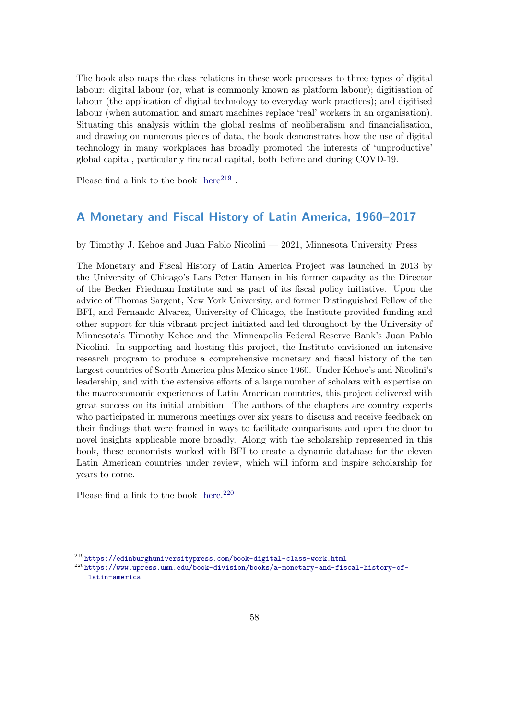The book also maps the class relations in these work processes to three types of digital labour: digital labour (or, what is commonly known as platform labour); digitisation of labour (the application of digital technology to everyday work practices); and digitised labour (when automation and smart machines replace 'real' workers in an organisation). Situating this analysis within the global realms of neoliberalism and financialisation, and drawing on numerous pieces of data, the book demonstrates how the use of digital technology in many workplaces has broadly promoted the interests of 'unproductive' global capital, particularly financial capital, both before and during COVD-19.

Please find a link to the book  $here^{219}$  $here^{219}$  $here^{219}$  $here^{219}$ .

### <span id="page-57-0"></span>A Monetary and Fiscal History of Latin America, 1960–2017

by Timothy J. Kehoe and Juan Pablo Nicolini — 2021, Minnesota University Press

The Monetary and Fiscal History of Latin America Project was launched in 2013 by the University of Chicago's Lars Peter Hansen in his former capacity as the Director of the Becker Friedman Institute and as part of its fiscal policy initiative. Upon the advice of Thomas Sargent, New York University, and former Distinguished Fellow of the BFI, and Fernando Alvarez, University of Chicago, the Institute provided funding and other support for this vibrant project initiated and led throughout by the University of Minnesota's Timothy Kehoe and the Minneapolis Federal Reserve Bank's Juan Pablo Nicolini. In supporting and hosting this project, the Institute envisioned an intensive research program to produce a comprehensive monetary and fiscal history of the ten largest countries of South America plus Mexico since 1960. Under Kehoe's and Nicolini's leadership, and with the extensive efforts of a large number of scholars with expertise on the macroeconomic experiences of Latin American countries, this project delivered with great success on its initial ambition. The authors of the chapters are country experts who participated in numerous meetings over six years to discuss and receive feedback on their findings that were framed in ways to facilitate comparisons and open the door to novel insights applicable more broadly. Along with the scholarship represented in this book, these economists worked with BFI to create a dynamic database for the eleven Latin American countries under review, which will inform and inspire scholarship for years to come.

<span id="page-57-1"></span>Please find a link to the book [here.](https://www.upress.umn.edu/book-division/books/a-monetary-and-fiscal-history-of-latin-america)<sup>[220](#page-57-3)</sup>

<span id="page-57-2"></span> $^{219}\rm{https://edinburghuniversitypress.com/book-digital-class-work.html}$  $^{219}\rm{https://edinburghuniversitypress.com/book-digital-class-work.html}$  $^{219}\rm{https://edinburghuniversitypress.com/book-digital-class-work.html}$ 

<span id="page-57-3"></span><sup>220</sup>[https://www.upress.umn.edu/book-division/books/a-monetary-and-fiscal-history-of](https://www.upress.umn.edu/book-division/books/a-monetary-and-fiscal-history-of-latin-america)[latin-america](https://www.upress.umn.edu/book-division/books/a-monetary-and-fiscal-history-of-latin-america)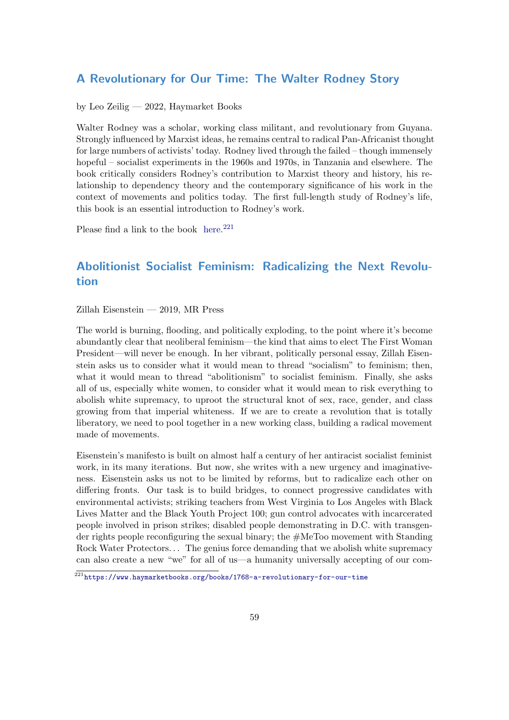### A Revolutionary for Our Time: The Walter Rodney Story

by Leo Zeilig — 2022, Haymarket Books

Walter Rodney was a scholar, working class militant, and revolutionary from Guyana. Strongly influenced by Marxist ideas, he remains central to radical Pan-Africanist thought for large numbers of activists' today. Rodney lived through the failed – though immensely hopeful – socialist experiments in the 1960s and 1970s, in Tanzania and elsewhere. The book critically considers Rodney's contribution to Marxist theory and history, his relationship to dependency theory and the contemporary significance of his work in the context of movements and politics today. The first full-length study of Rodney's life, this book is an essential introduction to Rodney's work.

Please find a link to the book [here.](https://www.haymarketbooks.org/books/1768-a-revolutionary-for-our-time) $221$ 

## <span id="page-58-0"></span>Abolitionist Socialist Feminism: Radicalizing the Next Revolution

Zillah Eisenstein — 2019, MR Press

The world is burning, flooding, and politically exploding, to the point where it's become abundantly clear that neoliberal feminism—the kind that aims to elect The First Woman President—will never be enough. In her vibrant, politically personal essay, Zillah Eisenstein asks us to consider what it would mean to thread "socialism" to feminism; then, what it would mean to thread "abolitionism" to socialist feminism. Finally, she asks all of us, especially white women, to consider what it would mean to risk everything to abolish white supremacy, to uproot the structural knot of sex, race, gender, and class growing from that imperial whiteness. If we are to create a revolution that is totally liberatory, we need to pool together in a new working class, building a radical movement made of movements.

Eisenstein's manifesto is built on almost half a century of her antiracist socialist feminist work, in its many iterations. But now, she writes with a new urgency and imaginativeness. Eisenstein asks us not to be limited by reforms, but to radicalize each other on differing fronts. Our task is to build bridges, to connect progressive candidates with environmental activists; striking teachers from West Virginia to Los Angeles with Black Lives Matter and the Black Youth Project 100; gun control advocates with incarcerated people involved in prison strikes; disabled people demonstrating in D.C. with transgender rights people reconfiguring the sexual binary; the #MeToo movement with Standing Rock Water Protectors... The genius force demanding that we abolish white supremacy can also create a new "we" for all of us—a humanity universally accepting of our com-

<span id="page-58-1"></span><sup>221</sup><https://www.haymarketbooks.org/books/1768-a-revolutionary-for-our-time>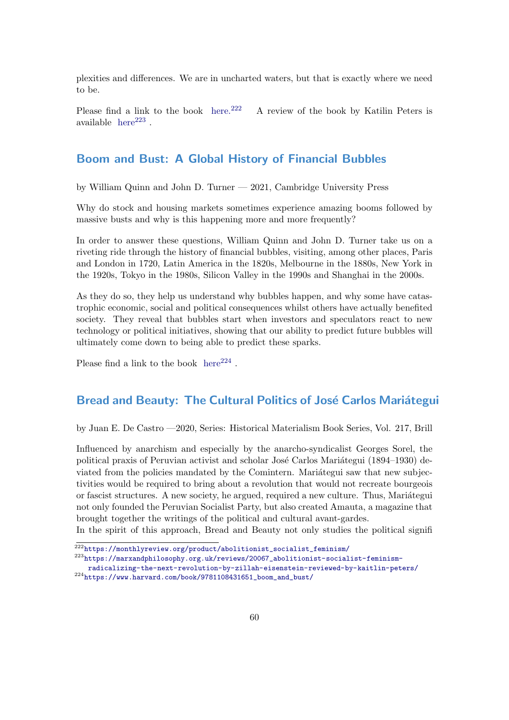plexities and differences. We are in uncharted waters, but that is exactly where we need to be.

Please find a link to the book [here.](https://monthlyreview.org/product/abolitionist_socialist_feminism/)<sup>[222](#page-59-2)</sup> A review of the book by Katilin Peters is available  $here^{223}$  $here^{223}$  $here^{223}$  $here^{223}$ .

### <span id="page-59-0"></span>Boom and Bust: A Global History of Financial Bubbles

by William Quinn and John D. Turner — 2021, Cambridge University Press

Why do stock and housing markets sometimes experience amazing booms followed by massive busts and why is this happening more and more frequently?

In order to answer these questions, William Quinn and John D. Turner take us on a riveting ride through the history of financial bubbles, visiting, among other places, Paris and London in 1720, Latin America in the 1820s, Melbourne in the 1880s, New York in the 1920s, Tokyo in the 1980s, Silicon Valley in the 1990s and Shanghai in the 2000s.

As they do so, they help us understand why bubbles happen, and why some have catastrophic economic, social and political consequences whilst others have actually benefited society. They reveal that bubbles start when investors and speculators react to new technology or political initiatives, showing that our ability to predict future bubbles will ultimately come down to being able to predict these sparks.

Please find a link to the book  $here^{224}$  $here^{224}$  $here^{224}$  $here^{224}$ .

### <span id="page-59-1"></span>Bread and Beauty: The Cultural Politics of José Carlos Mariátegui

by Juan E. De Castro —2020, Series: Historical Materialism Book Series, Vol. 217, Brill

Influenced by anarchism and especially by the anarcho-syndicalist Georges Sorel, the political praxis of Peruvian activist and scholar José Carlos Mariátegui (1894–1930) deviated from the policies mandated by the Comintern. Mariategui saw that new subjectivities would be required to bring about a revolution that would not recreate bourgeois or fascist structures. A new society, he argued, required a new culture. Thus, Mariategui not only founded the Peruvian Socialist Party, but also created Amauta, a magazine that brought together the writings of the political and cultural avant-gardes.

In the spirit of this approach, Bread and Beauty not only studies the political signifi

<span id="page-59-2"></span> $\frac{222}{https://monthlyreview.org/product/abolitionist_socialist_feminism/}$  $\frac{222}{https://monthlyreview.org/product/abolitionist_socialist_feminism/}$  $\frac{222}{https://monthlyreview.org/product/abolitionist_socialist_feminism/}$ 

<span id="page-59-3"></span><sup>223</sup>[https://marxandphilosophy.org.uk/reviews/20067\\_abolitionist-socialist-feminism-](https://marxandphilosophy.org.uk/reviews/20067_abolitionist-socialist-feminism-radicalizing-the-next-revolution-by-zillah-eisenstein-reviewed-by-kaitlin-peters/)

<span id="page-59-4"></span>[radicalizing-the-next-revolution-by-zillah-eisenstein-reviewed-by-kaitlin-peters/](https://marxandphilosophy.org.uk/reviews/20067_abolitionist-socialist-feminism-radicalizing-the-next-revolution-by-zillah-eisenstein-reviewed-by-kaitlin-peters/)  $^{224}$ [https://www.harvard.com/book/9781108431651\\_boom\\_and\\_bust/](https://www.harvard.com/book/9781108431651_boom_and_bust/)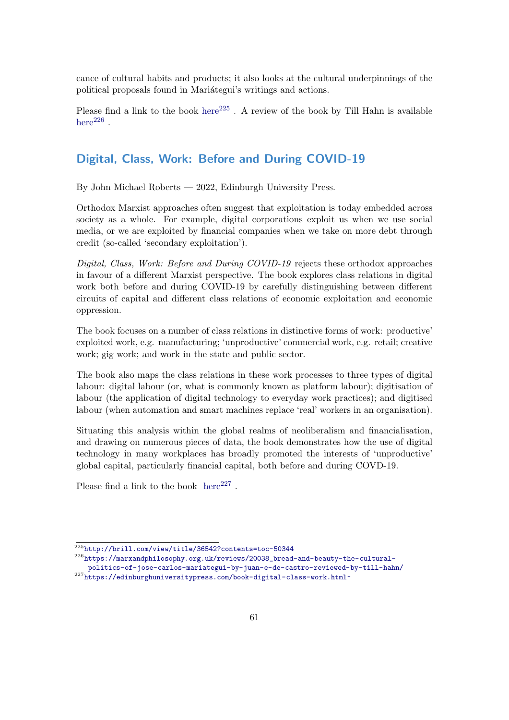cance of cultural habits and products; it also looks at the cultural underpinnings of the political proposals found in Mariategui's writings and actions.

Please find a link to the book [here](http://brill.com/view/title/36542?contents=toc-50344)<sup>[225](#page-60-2)</sup>. A review of the book by Till Hahn is available [here](https://marxandphilosophy.org.uk/reviews/20038_bread-and-beauty-the-cultural-politics-of-jose-carlos-mariategui-by-juan-e-de-castro-reviewed-by-till-hahn/) $^{226}$  $^{226}$  $^{226}$ .

### <span id="page-60-0"></span>Digital, Class, Work: Before and During COVID-19

By John Michael Roberts — 2022, Edinburgh University Press.

Orthodox Marxist approaches often suggest that exploitation is today embedded across society as a whole. For example, digital corporations exploit us when we use social media, or we are exploited by financial companies when we take on more debt through credit (so-called 'secondary exploitation').

Digital, Class, Work: Before and During COVID-19 rejects these orthodox approaches in favour of a different Marxist perspective. The book explores class relations in digital work both before and during COVID-19 by carefully distinguishing between different circuits of capital and different class relations of economic exploitation and economic oppression.

The book focuses on a number of class relations in distinctive forms of work: productive' exploited work, e.g. manufacturing; 'unproductive' commercial work, e.g. retail; creative work; gig work; and work in the state and public sector.

The book also maps the class relations in these work processes to three types of digital labour: digital labour (or, what is commonly known as platform labour); digitisation of labour (the application of digital technology to everyday work practices); and digitised labour (when automation and smart machines replace 'real' workers in an organisation).

Situating this analysis within the global realms of neoliberalism and financialisation, and drawing on numerous pieces of data, the book demonstrates how the use of digital technology in many workplaces has broadly promoted the interests of 'unproductive' global capital, particularly financial capital, both before and during COVD-19.

<span id="page-60-1"></span>Please find a link to the book  $here^{227}$  $here^{227}$  $here^{227}$  $here^{227}$ .

<span id="page-60-2"></span> $\frac{225}{225}$ <http://brill.com/view/title/36542?contents=toc-50344>

<span id="page-60-4"></span><span id="page-60-3"></span> $226$ [https://marxandphilosophy.org.uk/reviews/20038\\_bread-and-beauty-the-cultural](https://marxandphilosophy.org.uk/reviews/20038_bread-and-beauty-the-cultural-politics-of-jose-carlos-mariategui-by-juan-e-de-castro-reviewed-by-till-hahn/)[politics-of-jose-carlos-mariategui-by-juan-e-de-castro-reviewed-by-till-hahn/](https://marxandphilosophy.org.uk/reviews/20038_bread-and-beauty-the-cultural-politics-of-jose-carlos-mariategui-by-juan-e-de-castro-reviewed-by-till-hahn/) <sup>227</sup><https://edinburghuniversitypress.com/book-digital-class-work.html~>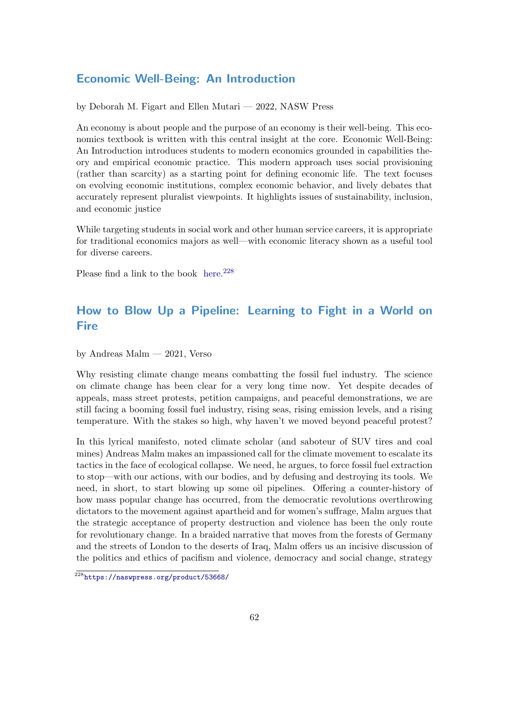### Economic Well-Being: An Introduction

by Deborah M. Figart and Ellen Mutari — 2022, NASW Press

An economy is about people and the purpose of an economy is their well-being. This economics textbook is written with this central insight at the core. Economic Well-Being: An Introduction introduces students to modern economics grounded in capabilities theory and empirical economic practice. This modern approach uses social provisioning (rather than scarcity) as a starting point for defining economic life. The text focuses on evolving economic institutions, complex economic behavior, and lively debates that accurately represent pluralist viewpoints. It highlights issues of sustainability, inclusion, and economic justice

While targeting students in social work and other human service careers, it is appropriate for traditional economics majors as well—with economic literacy shown as a useful tool for diverse careers.

Please find a link to the book [here.](https://naswpress.org/product/53668/)<sup>[228](#page-61-1)</sup>

## <span id="page-61-0"></span>How to Blow Up a Pipeline: Learning to Fight in a World on **Fire**

by Andreas Malm — 2021, Verso

Why resisting climate change means combatting the fossil fuel industry. The science on climate change has been clear for a very long time now. Yet despite decades of appeals, mass street protests, petition campaigns, and peaceful demonstrations, we are still facing a booming fossil fuel industry, rising seas, rising emission levels, and a rising temperature. With the stakes so high, why haven't we moved beyond peaceful protest?

In this lyrical manifesto, noted climate scholar (and saboteur of SUV tires and coal mines) Andreas Malm makes an impassioned call for the climate movement to escalate its tactics in the face of ecological collapse. We need, he argues, to force fossil fuel extraction to stop—with our actions, with our bodies, and by defusing and destroying its tools. We need, in short, to start blowing up some oil pipelines. Offering a counter-history of how mass popular change has occurred, from the democratic revolutions overthrowing dictators to the movement against apartheid and for women's suffrage, Malm argues that the strategic acceptance of property destruction and violence has been the only route for revolutionary change. In a braided narrative that moves from the forests of Germany and the streets of London to the deserts of Iraq, Malm offers us an incisive discussion of the politics and ethics of pacifism and violence, democracy and social change, strategy

<span id="page-61-1"></span><sup>228</sup><https://naswpress.org/product/53668/>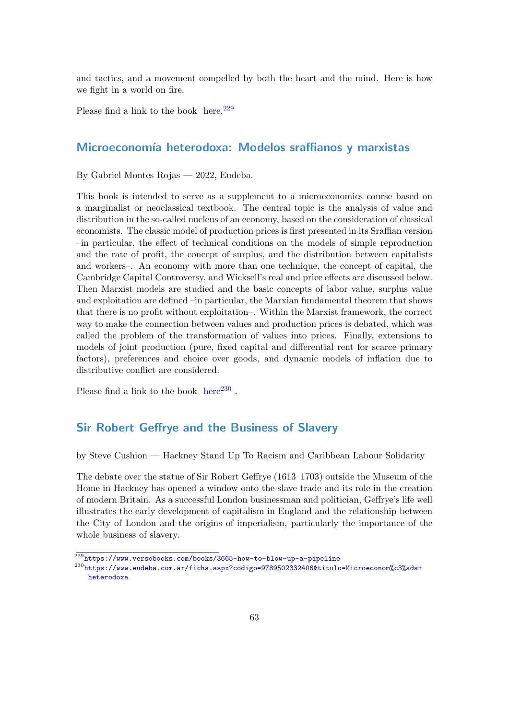and tactics, and a movement compelled by both the heart and the mind. Here is how we fight in a world on fire.

Please find a link to the book [here.](https://www.versobooks.com/books/3665-how-to-blow-up-a-pipeline)<sup>[229](#page-62-2)</sup>

### <span id="page-62-0"></span>Microeconomía heterodoxa: Modelos sraffianos y marxistas

By Gabriel Montes Rojas — 2022, Eudeba.

This book is intended to serve as a supplement to a microeconomics course based on a marginalist or neoclassical textbook. The central topic is the analysis of value and distribution in the so-called nucleus of an economy, based on the consideration of classical economists. The classic model of production prices is first presented in its Sraffian version –in particular, the effect of technical conditions on the models of simple reproduction and the rate of profit, the concept of surplus, and the distribution between capitalists and workers–. An economy with more than one technique, the concept of capital, the Cambridge Capital Controversy, and Wicksell's real and price effects are discussed below. Then Marxist models are studied and the basic concepts of labor value, surplus value and exploitation are defined –in particular, the Marxian fundamental theorem that shows that there is no profit without exploitation–. Within the Marxist framework, the correct way to make the connection between values and production prices is debated, which was called the problem of the transformation of values into prices. Finally, extensions to models of joint production (pure, fixed capital and differential rent for scarce primary factors), preferences and choice over goods, and dynamic models of inflation due to distributive conflict are considered.

Please find a link to the book  $here<sup>230</sup>$  $here<sup>230</sup>$  $here<sup>230</sup>$  $here<sup>230</sup>$ .

### <span id="page-62-1"></span>Sir Robert Geffrye and the Business of Slavery

by Steve Cushion — Hackney Stand Up To Racism and Caribbean Labour Solidarity

The debate over the statue of Sir Robert Geffrye (1613–1703) outside the Museum of the Home in Hackney has opened a window onto the slave trade and its role in the creation of modern Britain. As a successful London businessman and politician, Geffrye's life well illustrates the early development of capitalism in England and the relationship between the City of London and the origins of imperialism, particularly the importance of the whole business of slavery.

<span id="page-62-2"></span> $229$ <https://www.versobooks.com/books/3665-how-to-blow-up-a-pipeline>

<span id="page-62-3"></span><sup>230</sup>[https://www.eudeba.com.ar/ficha.aspx?codigo=9789502332406&titulo=Microeconom%c3%ada+](https://www.eudeba.com.ar/ficha.aspx?codigo=9789502332406&titulo=Microeconom%c3%ada+heterodoxa) [heterodoxa](https://www.eudeba.com.ar/ficha.aspx?codigo=9789502332406&titulo=Microeconom%c3%ada+heterodoxa)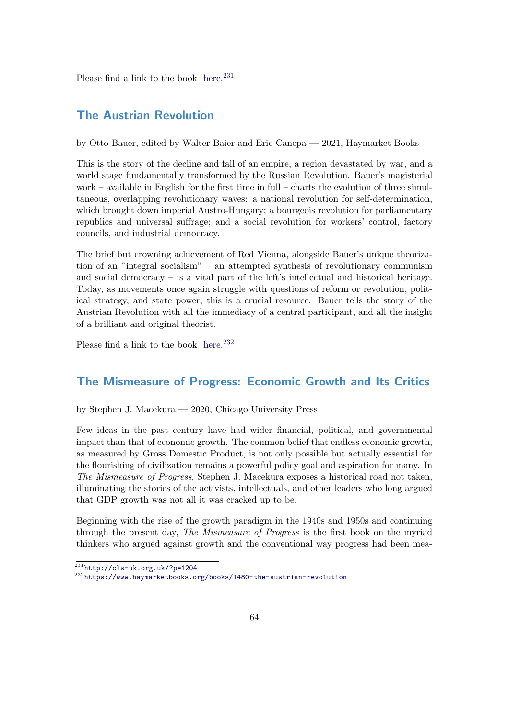Please find a link to the book [here.](http://cls-uk.org.uk/?p=1204) $231$ 

### <span id="page-63-0"></span>The Austrian Revolution

by Otto Bauer, edited by Walter Baier and Eric Canepa — 2021, Haymarket Books

This is the story of the decline and fall of an empire, a region devastated by war, and a world stage fundamentally transformed by the Russian Revolution. Bauer's magisterial work – available in English for the first time in full – charts the evolution of three simultaneous, overlapping revolutionary waves: a national revolution for self-determination, which brought down imperial Austro-Hungary; a bourgeois revolution for parliamentary republics and universal suffrage; and a social revolution for workers' control, factory councils, and industrial democracy.

The brief but crowning achievement of Red Vienna, alongside Bauer's unique theorization of an "integral socialism" – an attempted synthesis of revolutionary communism and social democracy  $-$  is a vital part of the left's intellectual and historical heritage. Today, as movements once again struggle with questions of reform or revolution, political strategy, and state power, this is a crucial resource. Bauer tells the story of the Austrian Revolution with all the immediacy of a central participant, and all the insight of a brilliant and original theorist.

Please find a link to the book [here.](https://www.haymarketbooks.org/books/1480-the-austrian-revolution) $232$ 

### <span id="page-63-1"></span>The Mismeasure of Progress: Economic Growth and Its Critics

by Stephen J. Macekura — 2020, Chicago University Press

Few ideas in the past century have had wider financial, political, and governmental impact than that of economic growth. The common belief that endless economic growth, as measured by Gross Domestic Product, is not only possible but actually essential for the flourishing of civilization remains a powerful policy goal and aspiration for many. In The Mismeasure of Progress, Stephen J. Macekura exposes a historical road not taken, illuminating the stories of the activists, intellectuals, and other leaders who long argued that GDP growth was not all it was cracked up to be.

Beginning with the rise of the growth paradigm in the 1940s and 1950s and continuing through the present day, The Mismeasure of Progress is the first book on the myriad thinkers who argued against growth and the conventional way progress had been mea-

<span id="page-63-2"></span> $231$ <http://cls-uk.org.uk/?p=1204>

<span id="page-63-3"></span><sup>232</sup><https://www.haymarketbooks.org/books/1480-the-austrian-revolution>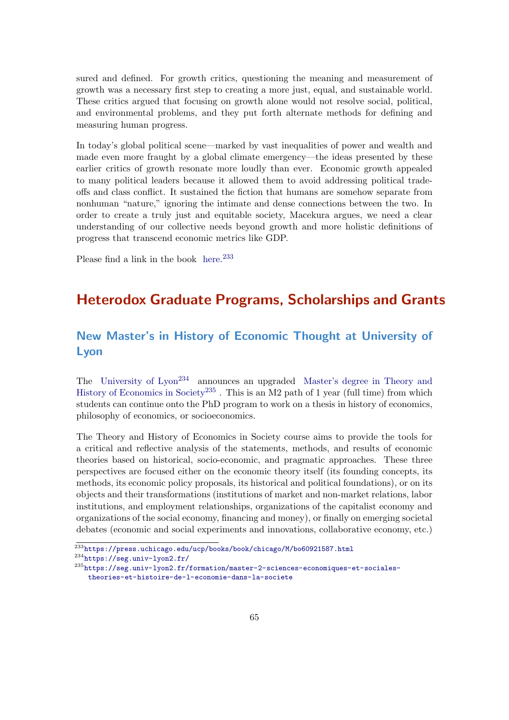sured and defined. For growth critics, questioning the meaning and measurement of growth was a necessary first step to creating a more just, equal, and sustainable world. These critics argued that focusing on growth alone would not resolve social, political, and environmental problems, and they put forth alternate methods for defining and measuring human progress.

In today's global political scene—marked by vast inequalities of power and wealth and made even more fraught by a global climate emergency—the ideas presented by these earlier critics of growth resonate more loudly than ever. Economic growth appealed to many political leaders because it allowed them to avoid addressing political tradeoffs and class conflict. It sustained the fiction that humans are somehow separate from nonhuman "nature," ignoring the intimate and dense connections between the two. In order to create a truly just and equitable society, Macekura argues, we need a clear understanding of our collective needs beyond growth and more holistic definitions of progress that transcend economic metrics like GDP.

Please find a link in the book [here.](https://press.uchicago.edu/ucp/books/book/chicago/M/bo60921587.html)<sup>[233](#page-64-2)</sup>

## <span id="page-64-0"></span>Heterodox Graduate Programs, Scholarships and Grants

## <span id="page-64-1"></span>New Master's in History of Economic Thought at University of Lyon

The [University of Lyon](https://seg.univ-lyon2.fr/)<sup>[234](#page-64-3)</sup> announces an upgraded [Master's degree in Theory and](https://seg.univ-lyon2.fr/formation/master-2-sciences-economiques-et-sociales-theories-et-histoire-de-l-economie-dans-la-societe) [History of Economics in Society](https://seg.univ-lyon2.fr/formation/master-2-sciences-economiques-et-sociales-theories-et-histoire-de-l-economie-dans-la-societe)<sup>[235](#page-64-4)</sup>. This is an M2 path of 1 year (full time) from which students can continue onto the PhD program to work on a thesis in history of economics, philosophy of economics, or socioeconomics.

The Theory and History of Economics in Society course aims to provide the tools for a critical and reflective analysis of the statements, methods, and results of economic theories based on historical, socio-economic, and pragmatic approaches. These three perspectives are focused either on the economic theory itself (its founding concepts, its methods, its economic policy proposals, its historical and political foundations), or on its objects and their transformations (institutions of market and non-market relations, labor institutions, and employment relationships, organizations of the capitalist economy and organizations of the social economy, financing and money), or finally on emerging societal debates (economic and social experiments and innovations, collaborative economy, etc.)

<span id="page-64-3"></span><sup>234</sup><https://seg.univ-lyon2.fr/>

<span id="page-64-2"></span> $\frac{233}{233}$ <https://press.uchicago.edu/ucp/books/book/chicago/M/bo60921587.html>

<span id="page-64-4"></span><sup>235</sup>[https://seg.univ-lyon2.fr/formation/master-2-sciences-economiques-et-sociales](https://seg.univ-lyon2.fr/formation/master-2-sciences-economiques-et-sociales-theories-et-histoire-de-l-economie-dans-la-societe)[theories-et-histoire-de-l-economie-dans-la-societe](https://seg.univ-lyon2.fr/formation/master-2-sciences-economiques-et-sociales-theories-et-histoire-de-l-economie-dans-la-societe)